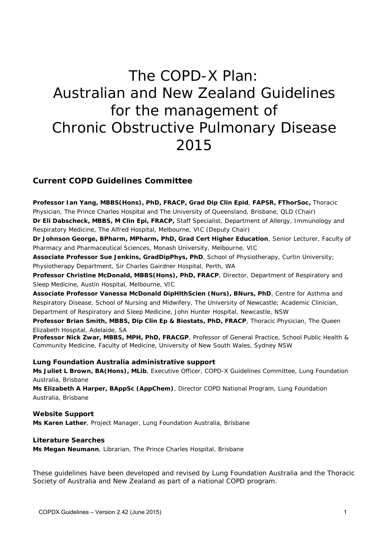# The COPD-X Plan: Australian and New Zealand Guidelines for the management of Chronic Obstructive Pulmonary Disease 2015

### **Current COPD Guidelines Committee**

**Professor Ian Yang, MBBS(Hons), PhD, FRACP, Grad Dip Clin Epid**, **FAPSR, FThorSoc,** Thoracic Physician, The Prince Charles Hospital and The University of Queensland, Brisbane, QLD (Chair) **Dr Eli Dabscheck, MBBS, M Clin Epi, FRACP,** Staff Specialist, Department of Allergy, Immunology and Respiratory Medicine, The Alfred Hospital, Melbourne, VIC (Deputy Chair)

**Dr Johnson George, BPharm, MPharm, PhD, Grad Cert Higher Education**, Senior Lecturer, Faculty of Pharmacy and Pharmaceutical Sciences, Monash University, Melbourne, VIC

**Associate Professor Sue Jenkins, GradDipPhys, PhD**, School of Physiotherapy, Curtin University; Physiotherapy Department, Sir Charles Gairdner Hospital, Perth, WA

**Professor Christine McDonald, MBBS(Hons), PhD, FRACP**, Director, Department of Respiratory and Sleep Medicine, Austin Hospital, Melbourne, VIC

**Associate Professor Vanessa McDonald DipHlthScien (Nurs), BNurs, PhD**, Centre for Asthma and Respiratory Disease, School of Nursing and Midwifery, The University of Newcastle; Academic Clinician, Department of Respiratory and Sleep Medicine, John Hunter Hospital, Newcastle, NSW

**Professor Brian Smith, MBBS, Dip Clin Ep & Biostats, PhD, FRACP**, Thoracic Physician, The Queen Elizabeth Hospital, Adelaide, SA

**Professor Nick Zwar, MBBS, MPH, PhD, FRACGP**, Professor of General Practice, School Public Health & Community Medicine, Faculty of Medicine, University of New South Wales, Sydney NSW

#### **Lung Foundation Australia administrative support**

**Ms Juliet L Brown, BA(Hons), MLib**, Executive Officer, COPD-X Guidelines Committee, Lung Foundation Australia, Brisbane

**Ms Elizabeth A Harper, BAppSc (AppChem)**, Director COPD National Program, Lung Foundation Australia, Brisbane

**Website Support Ms Karen Lather**, Project Manager, Lung Foundation Australia, Brisbane

#### **Literature Searches**

**Ms Megan Neumann**, Librarian, The Prince Charles Hospital, Brisbane

These guidelines have been developed and revised by Lung Foundation Australia and the Thoracic Society of Australia and New Zealand as part of a national COPD program.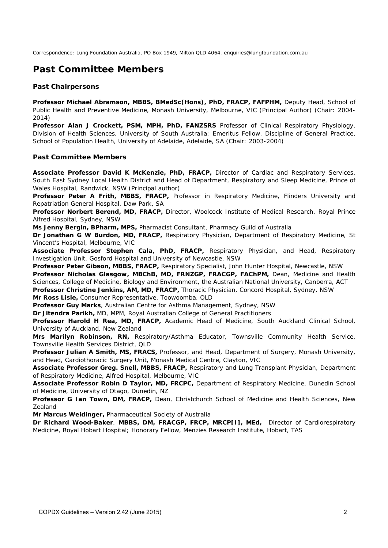Correspondence: Lung Foundation Australia, PO Box 1949, Milton QLD 4064. enquiries@lungfoundation.com.au

# **Past Committee Members**

#### **Past Chairpersons**

**Professor Michael Abramson, MBBS, BMedSc(Hons), PhD, FRACP, FAFPHM,** Deputy Head, School of Public Health and Preventive Medicine, Monash University, Melbourne, VIC (Principal Author) (Chair: 2004- 2014)

**Professor Alan J Crockett, PSM, MPH, PhD, FANZSRS** Professor of Clinical Respiratory Physiology, Division of Health Sciences, University of South Australia; Emeritus Fellow, Discipline of General Practice, School of Population Health, University of Adelaide, Adelaide, SA (Chair: 2003-2004)

#### **Past Committee Members**

**Associate Professor David K McKenzie, PhD, FRACP,** Director of Cardiac and Respiratory Services, South East Sydney Local Health District and Head of Department, Respiratory and Sleep Medicine, Prince of Wales Hospital, Randwick, NSW (Principal author)

Professor Peter A Frith, MBBS, FRACP, Professor in Respiratory Medicine, Flinders University and Repatriation General Hospital, Daw Park, SA

**Professor Norbert Berend, MD, FRACP,** Director, Woolcock Institute of Medical Research, Royal Prince Alfred Hospital, Sydney, NSW

**Ms Jenny Bergin, BPharm, MPS,** Pharmacist Consultant, Pharmacy Guild of Australia

**Dr Jonathan G W Burdon, MD, FRACP,** Respiratory Physician, Department of Respiratory Medicine, St Vincent's Hospital, Melbourne, VIC

**Associate Professor Stephen Cala, PhD, FRACP,** Respiratory Physician, and Head, Respiratory Investigation Unit, Gosford Hospital and University of Newcastle, NSW

**Professor Peter Gibson, MBBS, FRACP,** Respiratory Specialist, John Hunter Hospital, Newcastle, NSW **Professor Nicholas Glasgow, MBChB, MD, FRNZGP, FRACGP, FAChPM,** Dean, Medicine and Health Sciences, College of Medicine, Biology and Environment, the Australian National University, Canberra, ACT **Professor Christine Jenkins, AM, MD, FRACP,** Thoracic Physician, Concord Hospital, Sydney, NSW

**Mr Ross Lisle,** Consumer Representative, Toowoomba, QLD

**Professor Guy Marks**, Australian Centre for Asthma Management, Sydney, NSW

**Dr Jitendra Parikh,** MD, MPM, Royal Australian College of General Practitioners

**Professor Harold H Rea, MD, FRACP,** Academic Head of Medicine, South Auckland Clinical School, University of Auckland, New Zealand

**Mrs Marilyn Robinson, RN,** Respiratory/Asthma Educator, Townsville Community Health Service, Townsville Health Services District, QLD

**Professor Julian A Smith, MS, FRACS,** Professor, and Head, Department of Surgery, Monash University, and Head, Cardiothoracic Surgery Unit, Monash Medical Centre, Clayton, VIC

**Associate Professor Greg. Snell, MBBS, FRACP,** Respiratory and Lung Transplant Physician, Department of Respiratory Medicine, Alfred Hospital, Melbourne, VIC

**Associate Professor Robin D Taylor, MD, FRCPC,** Department of Respiratory Medicine, Dunedin School of Medicine, University of Otago, Dunedin, NZ

**Professor G Ian Town, DM, FRACP,** Dean, Christchurch School of Medicine and Health Sciences, New Zealand

**Mr Marcus Weidinger,** Pharmaceutical Society of Australia

**Dr Richard Wood-Baker**, **MBBS, DM, FRACGP, FRCP, MRCP[I], MEd,** Director of Cardiorespiratory Medicine, Royal Hobart Hospital; Honorary Fellow, Menzies Research Institute, Hobart, TAS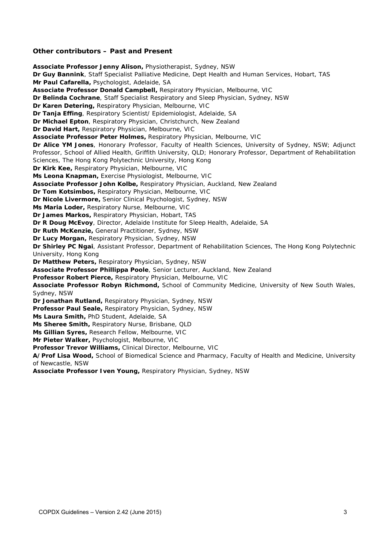#### **Other contributors – Past and Present**

**Associate Professor Jenny Alison,** Physiotherapist, Sydney, NSW **Dr Guy Bannink**, Staff Specialist Palliative Medicine, Dept Health and Human Services, Hobart, TAS **Mr Paul Cafarella,** Psychologist, Adelaide, SA **Associate Professor Donald Campbell,** Respiratory Physician, Melbourne, VIC **Dr Belinda Cochrane**, Staff Specialist Respiratory and Sleep Physician, Sydney, NSW **Dr Karen Detering,** Respiratory Physician, Melbourne, VIC **Dr Tanja Effing**, Respiratory Scientist/ Epidemiologist, Adelaide, SA **Dr Michael Epton**, Respiratory Physician, Christchurch, New Zealand **Dr David Hart,** Respiratory Physician, Melbourne, VIC **Associate Professor Peter Holmes,** Respiratory Physician, Melbourne, VIC **Dr Alice YM Jones**, Honorary Professor, Faculty of Health Sciences, University of Sydney, NSW; Adjunct Professor, School of Allied Health, Griffith University, QLD; Honorary Professor, Department of Rehabilitation Sciences, The Hong Kong Polytechnic University, Hong Kong **Dr Kirk Kee,** Respiratory Physician, Melbourne, VIC **Ms Leona Knapman,** Exercise Physiologist, Melbourne, VIC **Associate Professor John Kolbe,** Respiratory Physician, Auckland, New Zealand **Dr Tom Kotsimbos,** Respiratory Physician, Melbourne, VIC **Dr Nicole Livermore,** Senior Clinical Psychologist, Sydney, NSW **Ms Maria Loder,** Respiratory Nurse, Melbourne, VIC **Dr James Markos,** Respiratory Physician, Hobart, TAS **Dr R Doug McEvoy**, Director, Adelaide Institute for Sleep Health, Adelaide, SA **Dr Ruth McKenzie,** General Practitioner, Sydney, NSW **Dr Lucy Morgan,** Respiratory Physician, Sydney, NSW **Dr Shirley PC Ngai**, Assistant Professor, Department of Rehabilitation Sciences, The Hong Kong Polytechnic University, Hong Kong **Dr Matthew Peters,** Respiratory Physician, Sydney, NSW **Associate Professor Phillippa Poole**, Senior Lecturer, Auckland, New Zealand **Professor Robert Pierce,** Respiratory Physician, Melbourne, VIC **Associate Professor Robyn Richmond,** School of Community Medicine, University of New South Wales, Sydney, NSW **Dr Jonathan Rutland,** Respiratory Physician, Sydney, NSW **Professor Paul Seale,** Respiratory Physician, Sydney, NSW **Ms Laura Smith,** PhD Student, Adelaide, SA **Ms Sheree Smith,** Respiratory Nurse, Brisbane, QLD **Ms Gillian Syres,** Research Fellow, Melbourne, VIC **Mr Pieter Walker,** Psychologist, Melbourne, VIC **Professor Trevor Williams,** Clinical Director, Melbourne, VIC **A/Prof Lisa Wood,** School of Biomedical Science and Pharmacy, Faculty of Health and Medicine, University of Newcastle, NSW

**Associate Professor Iven Young,** Respiratory Physician, Sydney, NSW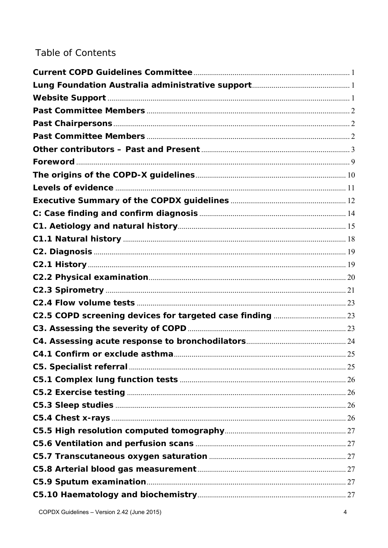# **Table of Contents**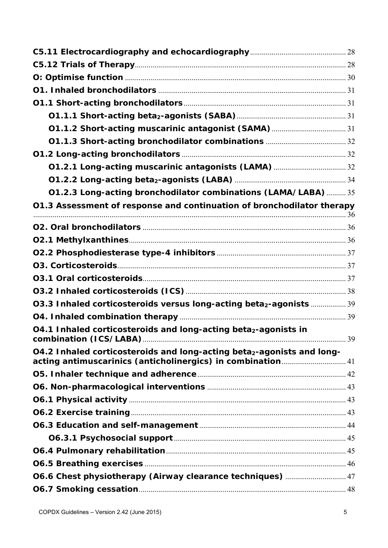| 01.2.3 Long-acting bronchodilator combinations (LAMA/LABA)  35                                                                       |  |  |
|--------------------------------------------------------------------------------------------------------------------------------------|--|--|
| 01.3 Assessment of response and continuation of bronchodilator therapy                                                               |  |  |
|                                                                                                                                      |  |  |
|                                                                                                                                      |  |  |
|                                                                                                                                      |  |  |
|                                                                                                                                      |  |  |
|                                                                                                                                      |  |  |
|                                                                                                                                      |  |  |
| 03.3 Inhaled corticosteroids versus long-acting beta <sub>2</sub> -agonists  39                                                      |  |  |
|                                                                                                                                      |  |  |
| O4.1 Inhaled corticosteroids and long-acting beta2-agonists in                                                                       |  |  |
| O4.2 Inhaled corticosteroids and long-acting beta2-agonists and long-<br>acting antimuscarinics (anticholinergics) in combination 41 |  |  |
|                                                                                                                                      |  |  |
|                                                                                                                                      |  |  |
|                                                                                                                                      |  |  |
|                                                                                                                                      |  |  |
|                                                                                                                                      |  |  |
|                                                                                                                                      |  |  |
|                                                                                                                                      |  |  |
|                                                                                                                                      |  |  |
| 06.6 Chest physiotherapy (Airway clearance techniques)  47                                                                           |  |  |
|                                                                                                                                      |  |  |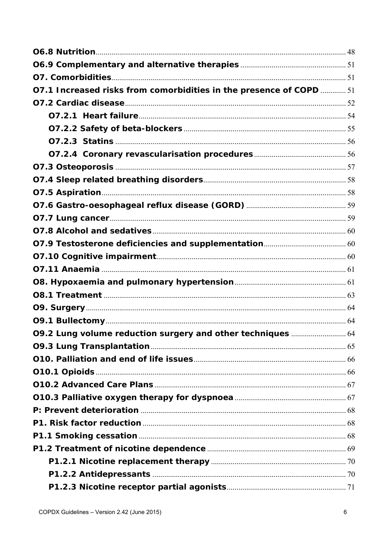| 07.1 Increased risks from comorbidities in the presence of COPD  51 |  |
|---------------------------------------------------------------------|--|
|                                                                     |  |
|                                                                     |  |
|                                                                     |  |
|                                                                     |  |
|                                                                     |  |
|                                                                     |  |
|                                                                     |  |
|                                                                     |  |
|                                                                     |  |
|                                                                     |  |
|                                                                     |  |
|                                                                     |  |
|                                                                     |  |
|                                                                     |  |
|                                                                     |  |
|                                                                     |  |
|                                                                     |  |
|                                                                     |  |
| 09.2 Lung volume reduction surgery and other techniques  64         |  |
|                                                                     |  |
|                                                                     |  |
|                                                                     |  |
|                                                                     |  |
|                                                                     |  |
|                                                                     |  |
|                                                                     |  |
|                                                                     |  |
|                                                                     |  |
|                                                                     |  |
|                                                                     |  |
|                                                                     |  |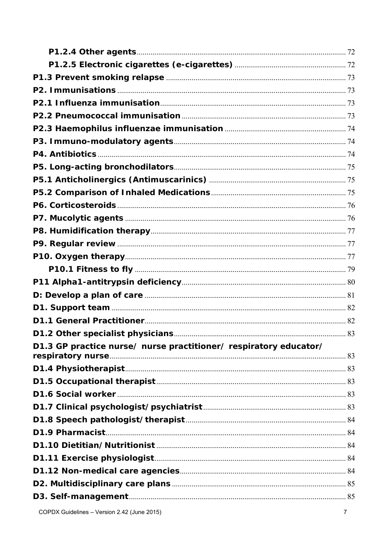| D1.3 GP practice nurse/ nurse practitioner/ respiratory educator/ |  |
|-------------------------------------------------------------------|--|
|                                                                   |  |
|                                                                   |  |
|                                                                   |  |
|                                                                   |  |
|                                                                   |  |
|                                                                   |  |
|                                                                   |  |
|                                                                   |  |
|                                                                   |  |
|                                                                   |  |
|                                                                   |  |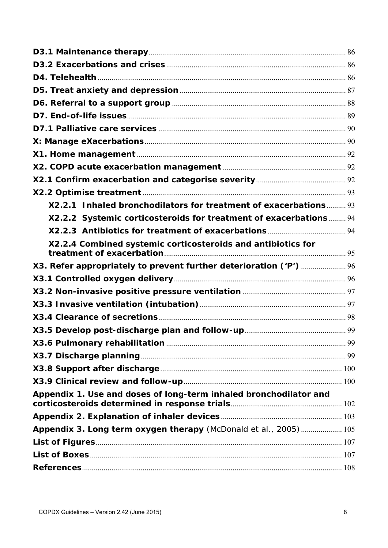| X2.2.1 Inhaled bronchodilators for treatment of exacerbations 93   |  |
|--------------------------------------------------------------------|--|
| X2.2.2 Systemic corticosteroids for treatment of exacerbations 94  |  |
|                                                                    |  |
| X2.2.4 Combined systemic corticosteroids and antibiotics for       |  |
| X3. Refer appropriately to prevent further deterioration ('P')  96 |  |
|                                                                    |  |
|                                                                    |  |
|                                                                    |  |
|                                                                    |  |
|                                                                    |  |
|                                                                    |  |
|                                                                    |  |
|                                                                    |  |
|                                                                    |  |
| Appendix 1. Use and doses of long-term inhaled bronchodilator and  |  |
|                                                                    |  |
| Appendix 3. Long term oxygen therapy (McDonald et al., 2005)  105  |  |
|                                                                    |  |
|                                                                    |  |
|                                                                    |  |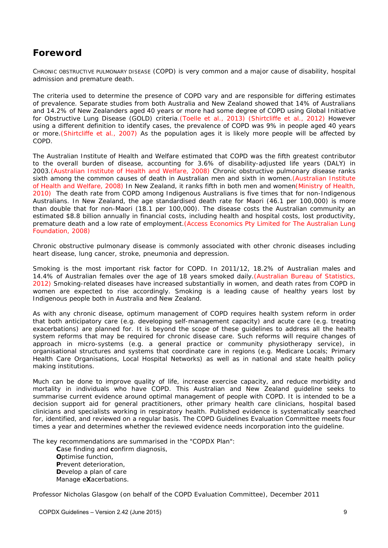# **Foreword**

CHRONIC OBSTRUCTIVE PULMONARY DISEASE (COPD) is very common and a major cause of disability, hospital admission and premature death.

The criteria used to determine the presence of COPD vary and are responsible for differing estimates of prevalence. Separate studies from both Australia and New Zealand showed that 14% of Australians and 14.2% of New Zealanders aged 40 years or more had some degree of COPD using Global Initiative for Obstructive Lung Disease (GOLD) criteria.(Toelle et al., 2013) (Shirtcliffe et al., 2012) However using a different definition to identify cases, the prevalence of COPD was 9% in people aged 40 years or more.(Shirtcliffe et al., 2007) As the population ages it is likely more people will be affected by COPD.

The Australian Institute of Health and Welfare estimated that COPD was the fifth greatest contributor to the overall burden of disease, accounting for 3.6% of disability-adjusted life years (DALY) in 2003.(Australian Institute of Health and Welfare, 2008) Chronic obstructive pulmonary disease ranks sixth among the common causes of death in Australian men and sixth in women.(Australian Institute of Health and Welfare, 2008) In New Zealand, it ranks fifth in both men and women(Ministry of Health, 2010) The death rate from COPD among Indigenous Australians is five times that for non-Indigenous Australians. In New Zealand, the age standardised death rate for Maori (46.1 per 100,000) is more than double that for non-Maori (18.1 per 100,000). The disease costs the Australian community an estimated \$8.8 billion annually in financial costs, including health and hospital costs, lost productivity, premature death and a low rate of employment.(Access Economics Pty Limited for The Australian Lung Foundation, 2008)

Chronic obstructive pulmonary disease is commonly associated with other chronic diseases including heart disease, lung cancer, stroke, pneumonia and depression.

Smoking is the most important risk factor for COPD. In 2011/12, 18.2% of Australian males and 14.4% of Australian females over the age of 18 years smoked daily.(Australian Bureau of Statistics, 2012) Smoking-related diseases have increased substantially in women, and death rates from COPD in women are expected to rise accordingly. Smoking is a leading cause of healthy years lost by Indigenous people both in Australia and New Zealand.

As with any chronic disease, optimum management of COPD requires health system reform in order that both anticipatory care (e.g. developing self-management capacity) and acute care (e.g. treating exacerbations) are planned for. It is beyond the scope of these guidelines to address all the health system reforms that may be required for chronic disease care. Such reforms will require changes of approach in micro-systems (e.g. a general practice or community physiotherapy service), in organisational structures and systems that coordinate care in regions (e.g. Medicare Locals; Primary Health Care Organisations, Local Hospital Networks) as well as in national and state health policy making institutions.

Much can be done to improve quality of life, increase exercise capacity, and reduce morbidity and mortality in individuals who have COPD. This Australian and New Zealand guideline seeks to summarise current evidence around optimal management of people with COPD. It is intended to be a decision support aid for general practitioners, other primary health care clinicians, hospital based clinicians and specialists working in respiratory health. Published evidence is systematically searched for, identified, and reviewed on a regular basis. The COPD Guidelines Evaluation Committee meets four times a year and determines whether the reviewed evidence needs incorporation into the guideline.

The key recommendations are summarised in the "COPDX Plan":

**C**ase finding and **c**onfirm diagnosis, **O**ptimise function, **P**revent deterioration, **D**evelop a plan of care Manage e**X**acerbations.

Professor Nicholas Glasgow (on behalf of the COPD Evaluation Committee), December 2011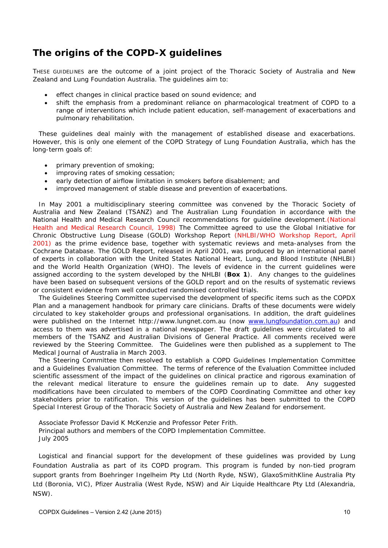# **The origins of the COPD-X guidelines**

THESE GUIDELINES are the outcome of a joint project of the Thoracic Society of Australia and New Zealand and Lung Foundation Australia. The guidelines aim to:

- effect changes in clinical practice based on sound evidence; and
- shift the emphasis from a predominant reliance on pharmacological treatment of COPD to a range of interventions which include patient education, self-management of exacerbations and pulmonary rehabilitation.

These guidelines deal mainly with the management of established disease and exacerbations. However, this is only one element of the COPD Strategy of Lung Foundation Australia, which has the long-term goals of:

- primary prevention of smoking;
- improving rates of smoking cessation;
- early detection of airflow limitation in smokers before disablement; and
- improved management of stable disease and prevention of exacerbations.

In May 2001 a multidisciplinary steering committee was convened by the Thoracic Society of Australia and New Zealand (TSANZ) and The Australian Lung Foundation in accordance with the National Health and Medical Research Council recommendations for guideline development.(National Health and Medical Research Council, 1998) The Committee agreed to use the Global Initiative for Chronic Obstructive Lung Disease (GOLD) Workshop Report (NHLBI/WHO Workshop Report, April 2001) as the prime evidence base, together with systematic reviews and meta-analyses from the Cochrane Database. The GOLD Report, released in April 2001, was produced by an international panel of experts in collaboration with the United States National Heart, Lung, and Blood Institute (NHLBI) and the World Health Organization (WHO). The levels of evidence in the current guidelines were assigned according to the system developed by the NHLBI (**Box 1**). Any changes to the guidelines have been based on subsequent versions of the GOLD report and on the results of systematic reviews or consistent evidence from well conducted randomised controlled trials.

The Guidelines Steering Committee supervised the development of specific items such as the COPDX Plan and a management handbook for primary care clinicians. Drafts of these documents were widely circulated to key stakeholder groups and professional organisations. In addition, the draft guidelines were published on the Internet http://www.lungnet.com.au (now www.lungfoundation.com.au) and access to them was advertised in a national newspaper. The draft guidelines were circulated to all members of the TSANZ and Australian Divisions of General Practice. All comments received were reviewed by the Steering Committee. The Guidelines were then published as a supplement to The Medical Journal of Australia in March 2003.

The Steering Committee then resolved to establish a COPD Guidelines Implementation Committee and a Guidelines Evaluation Committee. The terms of reference of the Evaluation Committee included scientific assessment of the impact of the guidelines on clinical practice and rigorous examination of the relevant medical literature to ensure the guidelines remain up to date. Any suggested modifications have been circulated to members of the COPD Coordinating Committee and other key stakeholders prior to ratification. This version of the guidelines has been submitted to the COPD Special Interest Group of the Thoracic Society of Australia and New Zealand for endorsement.

Associate Professor David K McKenzie and Professor Peter Frith. Principal authors and members of the COPD Implementation Committee. July 2005

Logistical and financial support for the development of these guidelines was provided by Lung Foundation Australia as part of its COPD program. This program is funded by non-tied program support grants from Boehringer Ingelheim Pty Ltd (North Ryde, NSW), GlaxoSmithKline Australia Pty Ltd (Boronia, VIC), Pfizer Australia (West Ryde, NSW) and Air Liquide Healthcare Pty Ltd (Alexandria, NSW).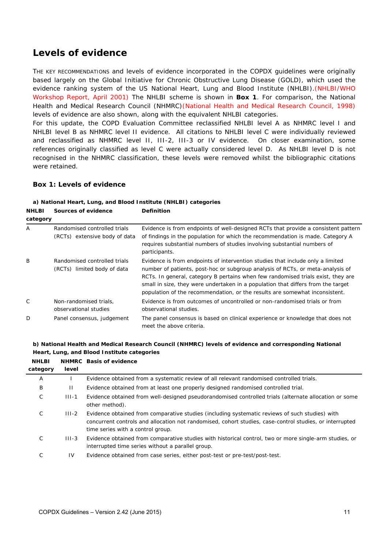# **Levels of evidence**

THE KEY RECOMMENDATIONS and levels of evidence incorporated in the COPDX guidelines were originally based largely on the Global Initiative for Chronic Obstructive Lung Disease (GOLD), which used the evidence ranking system of the US National Heart, Lung and Blood Institute (NHLBI). (NHLBI/WHO Workshop Report, April 2001) The NHLBI scheme is shown in **Box 1**. For comparison, the National Health and Medical Research Council (NHMRC)(National Health and Medical Research Council, 1998) levels of evidence are also shown, along with the equivalent NHLBI categories.

For this update, the COPD Evaluation Committee reclassified NHLBI level A as NHMRC level I and NHLBI level B as NHMRC level II evidence. All citations to NHLBI level C were individually reviewed and reclassified as NHMRC level II, III-2, III-3 or IV evidence. On closer examination, some references originally classified as level C were actually considered level D. As NHLBI level D is not recognised in the NHMRC classification, these levels were removed whilst the bibliographic citations were retained.

#### **Box 1: Levels of evidence**

#### *a) National Heart, Lung, and Blood Institute (NHLBI) categories*   $\mathbf{N}$

| <b>NHLBI</b> | Sources of evidence                                           | <b>Definition</b>                                                                                                                                                                                                                                                                                                                                                                                                       |  |
|--------------|---------------------------------------------------------------|-------------------------------------------------------------------------------------------------------------------------------------------------------------------------------------------------------------------------------------------------------------------------------------------------------------------------------------------------------------------------------------------------------------------------|--|
| category     |                                                               |                                                                                                                                                                                                                                                                                                                                                                                                                         |  |
| Α            | Randomised controlled trials<br>(RCTs) extensive body of data | Evidence is from endpoints of well-designed RCTs that provide a consistent pattern<br>of findings in the population for which the recommendation is made. Category A<br>requires substantial numbers of studies involving substantial numbers of<br>participants.                                                                                                                                                       |  |
| B            | Randomised controlled trials<br>(RCTs) limited body of data   | Evidence is from endpoints of intervention studies that include only a limited<br>number of patients, post-hoc or subgroup analysis of RCTs, or meta-analysis of<br>RCTs. In general, category B pertains when few randomised trials exist, they are<br>small in size, they were undertaken in a population that differs from the target<br>population of the recommendation, or the results are somewhat inconsistent. |  |
| $\mathsf{C}$ | Non-randomised trials.<br>observational studies               | Evidence is from outcomes of uncontrolled or non-randomised trials or from<br>observational studies.                                                                                                                                                                                                                                                                                                                    |  |
| D            | Panel consensus, judgement                                    | The panel consensus is based on clinical experience or knowledge that does not<br>meet the above criteria.                                                                                                                                                                                                                                                                                                              |  |

| b) National Health and Medical Research Council (NHMRC) levels of evidence and corresponding National |
|-------------------------------------------------------------------------------------------------------|
| Heart, Lung, and Blood Institute categories                                                           |

| <b>NHLBI</b><br>category | level        | <b>NHMRC</b> Basis of evidence                                                                                                                                                                                                                 |
|--------------------------|--------------|------------------------------------------------------------------------------------------------------------------------------------------------------------------------------------------------------------------------------------------------|
| A                        |              | Evidence obtained from a systematic review of all relevant randomised controlled trials.                                                                                                                                                       |
| B                        | $\mathbf{H}$ | Evidence obtained from at least one properly designed randomised controlled trial.                                                                                                                                                             |
| C                        | $III - 1$    | Evidence obtained from well-designed pseudorandomised controlled trials (alternate allocation or some<br>other method).                                                                                                                        |
| С                        | $III - 2$    | Evidence obtained from comparative studies (including systematic reviews of such studies) with<br>concurrent controls and allocation not randomised, cohort studies, case-control studies, or interrupted<br>time series with a control group. |
| С                        | $III - 3$    | Evidence obtained from comparative studies with historical control, two or more single-arm studies, or<br>interrupted time series without a parallel group.                                                                                    |
| С                        | 1V           | Evidence obtained from case series, either post-test or pre-test/post-test.                                                                                                                                                                    |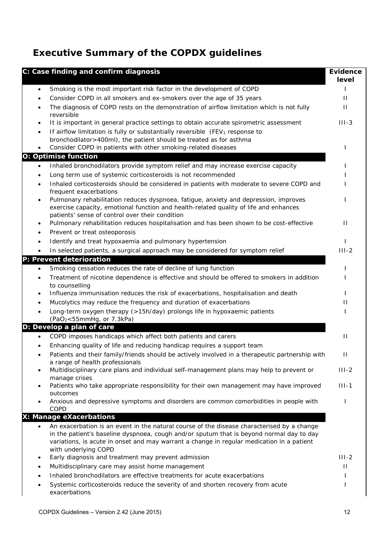# **Executive Summary of the COPDX guidelines**

| C: Case finding and confirm diagnosis                                                                                                                                                                                                                                                                                    | <b>Evidence</b><br>level |
|--------------------------------------------------------------------------------------------------------------------------------------------------------------------------------------------------------------------------------------------------------------------------------------------------------------------------|--------------------------|
| Smoking is the most important risk factor in the development of COPD<br>$\bullet$                                                                                                                                                                                                                                        |                          |
| Consider COPD in all smokers and ex-smokers over the age of 35 years                                                                                                                                                                                                                                                     | $\mathbf{H}$             |
| The diagnosis of COPD rests on the demonstration of airflow limitation which is not fully<br>٠<br>reversible                                                                                                                                                                                                             | Ш                        |
| It is important in general practice settings to obtain accurate spirometric assessment<br>٠                                                                                                                                                                                                                              | $III - 3$                |
| If airflow limitation is fully or substantially reversible (FEV <sub>1</sub> response to<br>٠                                                                                                                                                                                                                            |                          |
| bronchodilator > 400ml), the patient should be treated as for asthma<br>Consider COPD in patients with other smoking-related diseases<br>٠                                                                                                                                                                               |                          |
| <b>O: Optimise function</b>                                                                                                                                                                                                                                                                                              |                          |
| Inhaled bronchodilators provide symptom relief and may increase exercise capacity<br>$\bullet$                                                                                                                                                                                                                           |                          |
| Long term use of systemic corticosteroids is not recommended                                                                                                                                                                                                                                                             |                          |
| Inhaled corticosteroids should be considered in patients with moderate to severe COPD and<br>$\bullet$<br>frequent exacerbations                                                                                                                                                                                         |                          |
| Pulmonary rehabilitation reduces dyspnoea, fatigue, anxiety and depression, improves<br>$\bullet$<br>exercise capacity, emotional function and health-related quality of life and enhances<br>patients' sense of control over their condition                                                                            |                          |
| Pulmonary rehabilitation reduces hospitalisation and has been shown to be cost-effective<br>٠<br>Prevent or treat osteoporosis<br>٠                                                                                                                                                                                      | П                        |
| Identify and treat hypoxaemia and pulmonary hypertension                                                                                                                                                                                                                                                                 |                          |
| In selected patients, a surgical approach may be considered for symptom relief                                                                                                                                                                                                                                           | $III - 2$                |
| P: Prevent deterioration                                                                                                                                                                                                                                                                                                 |                          |
| Smoking cessation reduces the rate of decline of lung function<br>$\bullet$                                                                                                                                                                                                                                              |                          |
| Treatment of nicotine dependence is effective and should be offered to smokers in addition<br>$\bullet$<br>to counselling                                                                                                                                                                                                |                          |
| Influenza immunisation reduces the risk of exacerbations, hospitalisation and death<br>$\bullet$                                                                                                                                                                                                                         |                          |
| Mucolytics may reduce the frequency and duration of exacerbations                                                                                                                                                                                                                                                        | н                        |
| Long-term oxygen therapy (>15h/day) prolongs life in hypoxaemic patients<br>(PaO <sub>2</sub> <55mmHg, or 7.3kPa)                                                                                                                                                                                                        |                          |
| D: Develop a plan of care                                                                                                                                                                                                                                                                                                |                          |
| COPD imposes handicaps which affect both patients and carers<br>$\bullet$                                                                                                                                                                                                                                                | Ш                        |
| Enhancing quality of life and reducing handicap requires a support team                                                                                                                                                                                                                                                  |                          |
| Patients and their family/friends should be actively involved in a therapeutic partnership with<br>a range of health professionals                                                                                                                                                                                       | Ш                        |
| Multidisciplinary care plans and individual self-management plans may help to prevent or<br>$\bullet$<br>manage crises                                                                                                                                                                                                   | $III - 2$                |
| Patients who take appropriate responsibility for their own management may have improved<br>$\bullet$<br>outcomes                                                                                                                                                                                                         | $III - 1$                |
| Anxious and depressive symptoms and disorders are common comorbidities in people with<br>COPD                                                                                                                                                                                                                            |                          |
| X: Manage eXacerbations                                                                                                                                                                                                                                                                                                  |                          |
| An exacerbation is an event in the natural course of the disease characterised by a change<br>$\bullet$<br>in the patient's baseline dyspnoea, cough and/or sputum that is beyond normal day to day<br>variations, is acute in onset and may warrant a change in regular medication in a patient<br>with underlying COPD |                          |
| Early diagnosis and treatment may prevent admission<br>$\bullet$                                                                                                                                                                                                                                                         | $III - 2$                |
| Multidisciplinary care may assist home management<br>٠                                                                                                                                                                                                                                                                   | $\mathbf{H}$             |
| Inhaled bronchodilators are effective treatments for acute exacerbations                                                                                                                                                                                                                                                 |                          |
| Systemic corticosteroids reduce the severity of and shorten recovery from acute<br>٠<br>exacerbations                                                                                                                                                                                                                    |                          |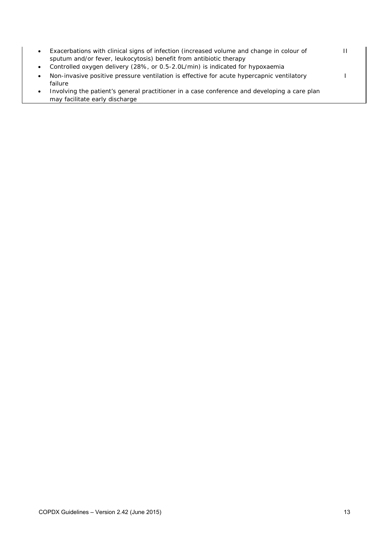| $\bullet$ | Exacerbations with clinical signs of infection (increased volume and change in colour of<br>sputum and/or fever, leukocytosis) benefit from antibiotic therapy |  |
|-----------|----------------------------------------------------------------------------------------------------------------------------------------------------------------|--|
| $\bullet$ | Controlled oxygen delivery (28%, or 0.5-2.0L/min) is indicated for hypoxaemia                                                                                  |  |
|           | Non-invasive positive pressure ventilation is effective for acute hypercapnic ventilatory<br>failure                                                           |  |
| $\bullet$ | Involving the patient's general practitioner in a case conference and developing a care plan<br>may facilitate early discharge                                 |  |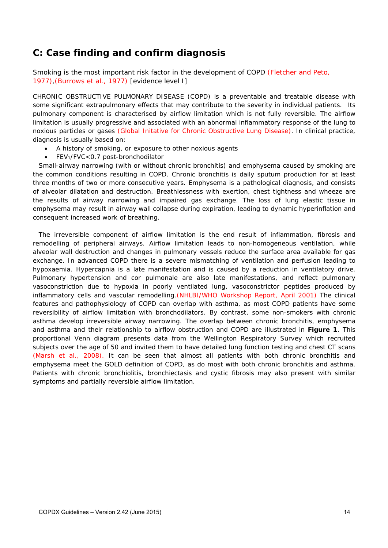# *C: Case finding and confirm diagnosis*

Smoking is the most important risk factor in the development of COPD (Fletcher and Peto, 1977),(Burrows et al., 1977) [evidence level I]

CHRONIC OBSTRUCTIVE PULMONARY DISEASE (COPD) is a preventable and treatable disease with some significant extrapulmonary effects that may contribute to the severity in individual patients. Its pulmonary component is characterised by airflow limitation which is not fully reversible. The airflow limitation is usually progressive and associated with an abnormal inflammatory response of the lung to noxious particles or gases (Global Initative for Chronic Obstructive Lung Disease). In clinical practice, diagnosis is usually based on:

- A history of smoking, or exposure to other noxious agents
- FEV1/FVC<0.7 post-bronchodilator

Small-airway narrowing (with or without chronic bronchitis) and emphysema caused by smoking are the common conditions resulting in COPD. Chronic bronchitis is daily sputum production for at least three months of two or more consecutive years. Emphysema is a pathological diagnosis, and consists of alveolar dilatation and destruction. Breathlessness with exertion, chest tightness and wheeze are the results of airway narrowing and impaired gas exchange. The loss of lung elastic tissue in emphysema may result in airway wall collapse during expiration, leading to dynamic hyperinflation and consequent increased work of breathing.

The irreversible component of airflow limitation is the end result of inflammation, fibrosis and remodelling of peripheral airways. Airflow limitation leads to non-homogeneous ventilation, while alveolar wall destruction and changes in pulmonary vessels reduce the surface area available for gas exchange. In advanced COPD there is a severe mismatching of ventilation and perfusion leading to hypoxaemia. Hypercapnia is a late manifestation and is caused by a reduction in ventilatory drive. Pulmonary hypertension and cor pulmonale are also late manifestations, and reflect pulmonary vasoconstriction due to hypoxia in poorly ventilated lung, vasoconstrictor peptides produced by inflammatory cells and vascular remodelling.(NHLBI/WHO Workshop Report, April 2001) The clinical features and pathophysiology of COPD can overlap with asthma, as most COPD patients have some reversibility of airflow limitation with bronchodilators. By contrast, some non-smokers with chronic asthma develop irreversible airway narrowing. The overlap between chronic bronchitis, emphysema and asthma and their relationship to airflow obstruction and COPD are illustrated in **Figure 1**. This proportional Venn diagram presents data from the Wellington Respiratory Survey which recruited subjects over the age of 50 and invited them to have detailed lung function testing and chest CT scans (Marsh et al., 2008). It can be seen that almost all patients with both chronic bronchitis and emphysema meet the GOLD definition of COPD, as do most with both chronic bronchitis and asthma. Patients with chronic bronchiolitis, bronchiectasis and cystic fibrosis may also present with similar symptoms and partially reversible airflow limitation.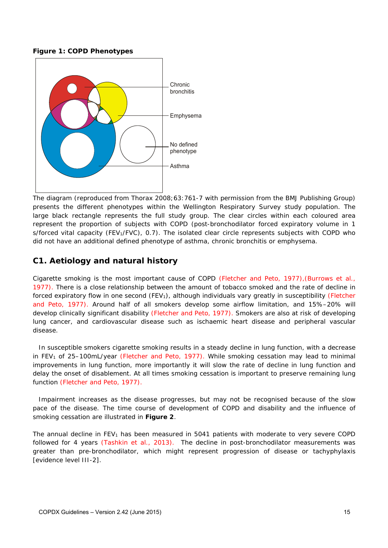**Figure 1: COPD Phenotypes** 



The diagram (reproduced from Thorax 2008;63:761-7 with permission from the BMJ Publishing Group) presents the different phenotypes within the Wellington Respiratory Survey study population. The large black rectangle represents the full study group. The clear circles within each coloured area represent the proportion of subjects with COPD (post-bronchodilator forced expiratory volume in 1 s/forced vital capacity (FEV<sub>1</sub>/FVC), 0.7). The isolated clear circle represents subjects with COPD who did not have an additional defined phenotype of asthma, chronic bronchitis or emphysema.

### **C1. Aetiology and natural history**

Cigarette smoking is the most important cause of COPD (Fletcher and Peto, 1977),(Burrows et al., 1977). There is a close relationship between the amount of tobacco smoked and the rate of decline in forced expiratory flow in one second (FEV<sub>1</sub>), although individuals vary greatly in susceptibility (Fletcher and Peto, 1977). Around half of all smokers develop some airflow limitation, and 15%–20% will develop clinically significant disability (Fletcher and Peto, 1977). Smokers are also at risk of developing lung cancer, and cardiovascular disease such as ischaemic heart disease and peripheral vascular disease.

In susceptible smokers cigarette smoking results in a steady decline in lung function, with a decrease in FEV<sub>1</sub> of 25–100mL/year (Fletcher and Peto, 1977). While smoking cessation may lead to minimal improvements in lung function, more importantly it will slow the rate of decline in lung function and delay the onset of disablement. At all times smoking cessation is important to preserve remaining lung function (Fletcher and Peto, 1977).

Impairment increases as the disease progresses, but may not be recognised because of the slow pace of the disease. The time course of development of COPD and disability and the influence of smoking cessation are illustrated in **Figure 2**.

The annual decline in  $FEV<sub>1</sub>$  has been measured in 5041 patients with moderate to very severe COPD followed for 4 years (Tashkin et al., 2013). The decline in post-bronchodilator measurements was greater than pre-bronchodilator, which might represent progression of disease or tachyphylaxis [evidence level III-2].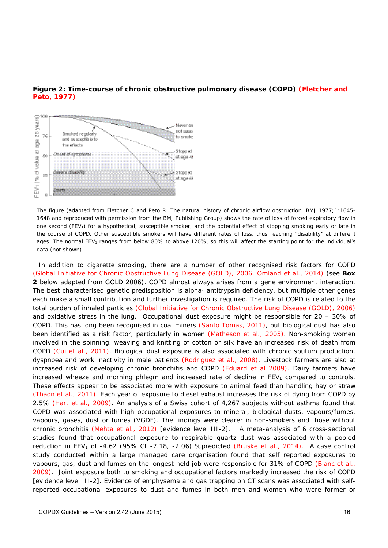

#### **Figure 2: Time-course of chronic obstructive pulmonary disease (COPD) (Fletcher and Peto, 1977)**

*The figure (adapted from Fletcher C and Peto R. The natural history of chronic airflow obstruction. BMJ 1977;1:1645- 1648 and reproduced with permission from the BMJ Publishing Group) shows the rate of loss of forced expiratory flow in one second (FEV1) for a hypothetical, susceptible smoker, and the potential effect of stopping smoking early or late in the course of COPD. Other susceptible smokers will have different rates of loss, thus reaching "disability" at different*  ages. The normal FEV<sub>1</sub> ranges from below 80% to above 120%, so this will affect the starting point for the individual's *data (not shown).* 

In addition to cigarette smoking, there are a number of other recognised risk factors for COPD (Global Initiative for Chronic Obstructive Lung Disease (GOLD), 2006, Omland et al., 2014) (see **Box 2** below adapted from GOLD 2006). COPD almost always arises from a gene environment interaction. The best characterised genetic predisposition is alpha<sub>1</sub> antitrypsin deficiency, but multiple other genes each make a small contribution and further investigation is required. The risk of COPD is related to the total burden of inhaled particles (Global Initiative for Chronic Obstructive Lung Disease (GOLD), 2006) and oxidative stress in the lung. Occupational dust exposure might be responsible for 20 – 30% of COPD. This has long been recognised in coal miners (Santo Tomas, 2011), but biological dust has also been identified as a risk factor, particularly in women (Matheson et al., 2005). Non-smoking women involved in the spinning, weaving and knitting of cotton or silk have an increased risk of death from COPD (Cui et al., 2011). Biological dust exposure is also associated with chronic sputum production, dyspnoea and work inactivity in male patients (Rodriguez et al., 2008). Livestock farmers are also at increased risk of developing chronic bronchitis and COPD (Eduard et al 2009). Dairy farmers have increased wheeze and morning phlegm and increased rate of decline in FEV<sub>1</sub> compared to controls. These effects appear to be associated more with exposure to animal feed than handling hay or straw (Thaon et al., 2011). Each year of exposure to diesel exhaust increases the risk of dying from COPD by 2.5% (Hart et al., 2009). An analysis of a Swiss cohort of 4,267 subjects without asthma found that COPD was associated with high occupational exposures to mineral, biological dusts, vapours/fumes, vapours, gases, dust or fumes (VGDF). The findings were clearer in non-smokers and those without chronic bronchitis (Mehta et al., 2012) [evidence level III-2]. A meta-analysis of 6 cross-sectional studies found that occupational exposure to respirable quartz dust was associated with a pooled reduction in FEV<sub>1</sub> of -4.62 (95% CI -7.18, -2.06) %predicted (Bruske et al., 2014). A case control study conducted within a large managed care organisation found that self reported exposures to vapours, gas, dust and fumes on the longest held job were responsible for 31% of COPD (Blanc et al., 2009). Joint exposure both to smoking and occupational factors markedly increased the risk of COPD [evidence level III-2]. Evidence of emphysema and gas trapping on CT scans was associated with selfreported occupational exposures to dust and fumes in both men and women who were former or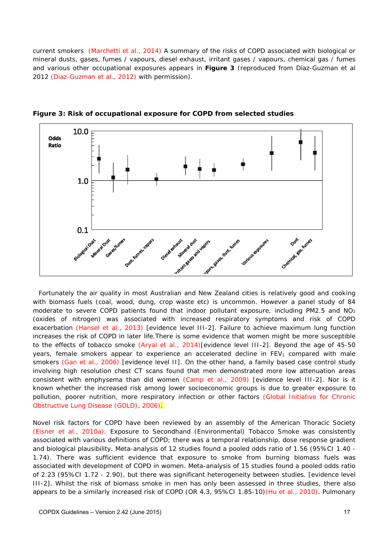current smokers (Marchetti et al., 2014) A summary of the risks of COPD associated with biological or mineral dusts, gases, fumes / vapours, diesel exhaust, irritant gases / vapours, chemical gas / fumes and various other occupational exposures appears in **Figure 3** (reproduced from Diaz-Guzman et al 2012 (Diaz-Guzman et al., 2012) with permission).



**Figure 3: Risk of occupational exposure for COPD from selected studies** 

Fortunately the air quality in most Australian and New Zealand cities is relatively good and cooking with biomass fuels (coal, wood, dung, crop waste etc) is uncommon. However a panel study of 84 moderate to severe COPD patients found that indoor pollutant exposure, including PM2.5 and  $NO<sub>2</sub>$ (oxides of nitrogen) was associated with increased respiratory symptoms and risk of COPD exacerbation (Hansel et al., 2013) [evidence level III-2]. Failure to achieve maximum lung function increases the risk of COPD in later life.There is some evidence that women might be more susceptible to the effects of tobacco smoke (Aryal et al., 2014)[evidence level III-2]. Beyond the age of 45-50 years, female smokers appear to experience an accelerated decline in  $FEV<sub>1</sub>$  compared with male smokers (Gan et al., 2006) [evidence level II]. On the other hand, a family based case control study involving high resolution chest CT scans found that men demonstrated more low attenuation areas consistent with emphysema than did women (Camp et al., 2009) [evidence level III-2]. Nor is it known whether the increased risk among lower socioeconomic groups is due to greater exposure to pollution, poorer nutrition, more respiratory infection or other factors (Global Initiative for Chronic Obstructive Lung Disease (GOLD), 2006).

Novel risk factors for COPD have been reviewed by an assembly of the American Thoracic Society (Eisner et al., 2010a). Exposure to Secondhand (Environmental) Tobacco Smoke was consistently associated with various definitions of COPD; there was a temporal relationship, dose response gradient and biological plausibility. Meta-analysis of 12 studies found a pooled odds ratio of 1.56 (95%CI 1.40 - 1.74). There was sufficient evidence that exposure to smoke from burning biomass fuels was associated with development of COPD in women. Meta-analysis of 15 studies found a pooled odds ratio of 2.23 (95%CI 1.72 - 2.90), but there was significant heterogeneity between studies. [evidence level III-2]. Whilst the risk of biomass smoke in men has only been assessed in three studies, there also appears to be a similarly increased risk of COPD (OR 4.3, 95%CI 1.85-10)(Hu et al., 2010). Pulmonary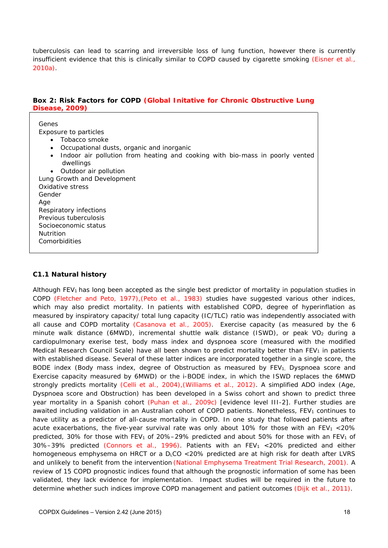tuberculosis can lead to scarring and irreversible loss of lung function, however there is currently insufficient evidence that this is clinically similar to COPD caused by cigarette smoking (Eisner et al., 2010a).

#### **Box 2: Risk Factors for COPD (Global Initative for Chronic Obstructive Lung Disease, 2009)**

| Genes<br>Exposure to particles<br>Tobacco smoke<br>Occupational dusts, organic and inorganic<br>$\bullet$<br>Indoor air pollution from heating and cooking with bio-mass in poorly vented<br>dwellings |
|--------------------------------------------------------------------------------------------------------------------------------------------------------------------------------------------------------|
| Outdoor air pollution                                                                                                                                                                                  |
| Lung Growth and Development                                                                                                                                                                            |
| Oxidative stress                                                                                                                                                                                       |
| Gender                                                                                                                                                                                                 |
| Age                                                                                                                                                                                                    |
| Respiratory infections                                                                                                                                                                                 |
| Previous tuberculosis                                                                                                                                                                                  |
| Socioeconomic status                                                                                                                                                                                   |
| <b>Nutrition</b>                                                                                                                                                                                       |
| Comorbidities                                                                                                                                                                                          |

#### **C1.1 Natural history**

Although FEV<sub>1</sub> has long been accepted as the single best predictor of mortality in population studies in COPD (Fletcher and Peto, 1977),(Peto et al., 1983) studies have suggested various other indices, which may also predict mortality. In patients with established COPD, degree of hyperinflation as measured by inspiratory capacity/ total lung capacity (IC/TLC) ratio was independently associated with all cause and COPD mortality (Casanova et al., 2005). Exercise capacity (as measured by the 6 minute walk distance (6MWD), incremental shuttle walk distance (ISWD), or peak  $VO<sub>2</sub>$  during a cardiopulmonary exerise test, body mass index and dyspnoea score (measured with the modified Medical Research Council Scale) have all been shown to predict mortality better than  $FEV<sub>1</sub>$  in patients with established disease. Several of these latter indices are incorporated together in a single score, the BODE index (Body mass index, degree of Obstruction as measured by FEV<sub>1</sub>, Dyspnoea score and Exercise capacity measured by 6MWD) or the i-BODE index, in which the ISWD replaces the 6MWD strongly predicts mortality (Celli et al., 2004),(Williams et al., 2012). A simplified ADO index (Age, Dyspnoea score and Obstruction) has been developed in a Swiss cohort and shown to predict three year mortality in a Spanish cohort (Puhan et al., 2009c) [evidence level III-2]. Further studies are awaited including validation in an Australian cohort of COPD patients. Nonetheless,  $FEV<sub>1</sub>$  continues to have utility as a predictor of all-cause mortality in COPD. In one study that followed patients after acute exacerbations, the five-year survival rate was only about 10% for those with an FEV<sub>1</sub> <20% predicted, 30% for those with FEV<sub>1</sub> of 20%–29% predicted and about 50% for those with an FEV<sub>1</sub> of  $30\% - 39\%$  predicted (Connors et al., 1996). Patients with an FEV<sub>1</sub> <20% predicted and either homogeneous emphysema on HRCT or a D<sub>L</sub>CO <20% predicted are at high risk for death after LVRS and unlikely to benefit from the intervention (National Emphysema Treatment Trial Research, 2001). A review of 15 COPD prognostic indices found that although the prognostic information of some has been validated, they lack evidence for implementation. Impact studies will be required in the future to determine whether such indices improve COPD management and patient outcomes (Dijk et al., 2011).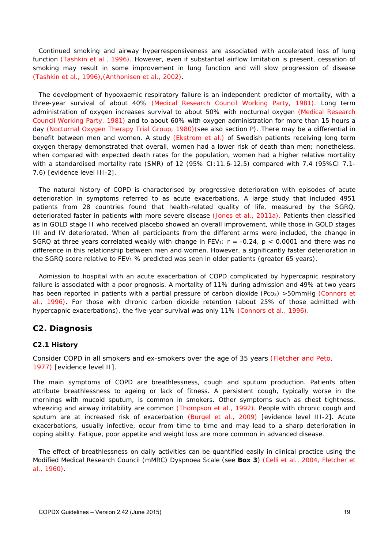Continued smoking and airway hyperresponsiveness are associated with accelerated loss of lung function (Tashkin et al., 1996). However, even if substantial airflow limitation is present, cessation of smoking may result in some improvement in lung function and will slow progression of disease (Tashkin et al., 1996),(Anthonisen et al., 2002).

The development of hypoxaemic respiratory failure is an independent predictor of mortality, with a three-year survival of about 40% (Medical Research Council Working Party, 1981). Long term administration of oxygen increases survival to about 50% with nocturnal oxygen (Medical Research Council Working Party, 1981) and to about 60% with oxygen administration for more than 15 hours a day (Nocturnal Oxygen Therapy Trial Group, 1980)(see also section P). There may be a differential in benefit between men and women. A study (Ekstrom et al.) of Swedish patients receiving long term oxygen therapy demonstrated that overall, women had a lower risk of death than men; nonetheless, when compared with expected death rates for the population, women had a higher *relative* mortality with a standardised mortality rate (SMR) of 12 (95% CI; 11.6-12.5) compared with 7.4 (95%Cl 7.1-7.6) [evidence level III-2].

The natural history of COPD is characterised by progressive deterioration with episodes of acute deterioration in symptoms referred to as acute exacerbations. A large study that included 4951 patients from 28 countries found that health-related quality of life, measured by the SGRQ, deteriorated faster in patients with more severe disease (Jones et al., 2011a). Patients then classified as in GOLD stage II who received placebo showed an overall improvement, while those in GOLD stages III and IV deteriorated. When all participants from the different arms were included, the change in SGRQ at three years correlated weakly with change in  $FEV_1$ :  $r = -0.24$ ,  $p < 0.0001$  and there was no difference in this relationship between men and women. However, a significantly faster deterioration in the SGRQ score relative to FEV<sub>1</sub> % predicted was seen in older patients (greater 65 years).

Admission to hospital with an acute exacerbation of COPD complicated by hypercapnic respiratory failure is associated with a poor prognosis. A mortality of 11% during admission and 49% at two years has been reported in patients with a partial pressure of carbon dioxide (Pco<sub>2</sub>) >50mmHg (Connors et al., 1996). For those with chronic carbon dioxide retention (about 25% of those admitted with hypercapnic exacerbations), the five-year survival was only 11% (Connors et al., 1996).

### **C2. Diagnosis**

#### **C2.1 History**

Consider COPD in all smokers and ex-smokers over the age of 35 years (Fletcher and Peto, 1977) [evidence level II].

The main symptoms of COPD are breathlessness, cough and sputum production. Patients often attribute breathlessness to ageing or lack of fitness. A persistent cough, typically worse in the mornings with mucoid sputum, is common in smokers. Other symptoms such as chest tightness, wheezing and airway irritability are common (Thompson et al., 1992). People with chronic cough and sputum are at increased risk of exacerbation (Burgel et al., 2009) [evidence level III-2]. Acute exacerbations, usually infective, occur from time to time and may lead to a sharp deterioration in coping ability. Fatigue, poor appetite and weight loss are more common in advanced disease.

The effect of breathlessness on daily activities can be quantified easily in clinical practice using the Modified Medical Research Council (mMRC) Dyspnoea Scale (see **Box 3**) (Celli et al., 2004, Fletcher et al., 1960).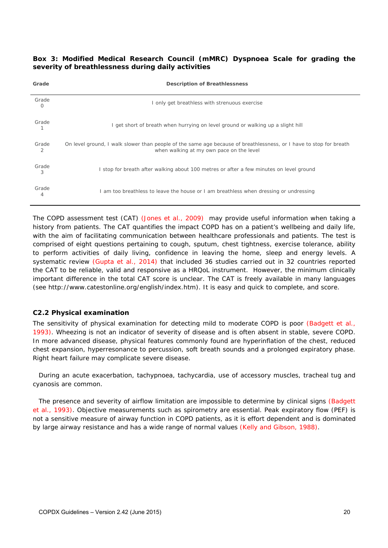#### **Box 3: Modified Medical Research Council (mMRC) Dyspnoea Scale for grading the severity of breathlessness during daily activities**

| Grade      | <b>Description of Breathlessness</b>                                                                                                                           |
|------------|----------------------------------------------------------------------------------------------------------------------------------------------------------------|
| Grade<br>0 | I only get breathless with strenuous exercise                                                                                                                  |
| Grade      | I get short of breath when hurrying on level ground or walking up a slight hill                                                                                |
| Grade<br>2 | On level ground, I walk slower than people of the same age because of breathlessness, or I have to stop for breath<br>when walking at my own pace on the level |
| Grade<br>3 | I stop for breath after walking about 100 metres or after a few minutes on level ground                                                                        |
| Grade<br>4 | I am too breathless to leave the house or I am breathless when dressing or undressing                                                                          |

The COPD assessment test (CAT) (Jones et al., 2009) may provide useful information when taking a history from patients. The CAT quantifies the impact COPD has on a patient's wellbeing and daily life, with the aim of facilitating communication between healthcare professionals and patients. The test is comprised of eight questions pertaining to cough, sputum, chest tightness, exercise tolerance, ability to perform activities of daily living, confidence in leaving the home, sleep and energy levels. A systematic review (Gupta et al., 2014) that included 36 studies carried out in 32 countries reported the CAT to be reliable, valid and responsive as a HRQoL instrument. However, the minimum clinically important difference in the total CAT score is unclear. The CAT is freely available in many languages (see http://www.catestonline.org/english/index.htm). It is easy and quick to complete, and score.

#### **C2.2 Physical examination**

The sensitivity of physical examination for detecting mild to moderate COPD is poor (Badgett et al., 1993). Wheezing is not an indicator of severity of disease and is often absent in stable, severe COPD. In more advanced disease, physical features commonly found are hyperinflation of the chest, reduced chest expansion, hyperresonance to percussion, soft breath sounds and a prolonged expiratory phase. Right heart failure may complicate severe disease.

During an acute exacerbation, tachypnoea, tachycardia, use of accessory muscles, tracheal tug and cyanosis are common.

The presence and severity of airflow limitation are impossible to determine by clinical signs (Badgett et al., 1993). Objective measurements such as spirometry are essential. Peak expiratory flow (PEF) is not a sensitive measure of airway function in COPD patients, as it is effort dependent and is dominated by large airway resistance and has a wide range of normal values (Kelly and Gibson, 1988).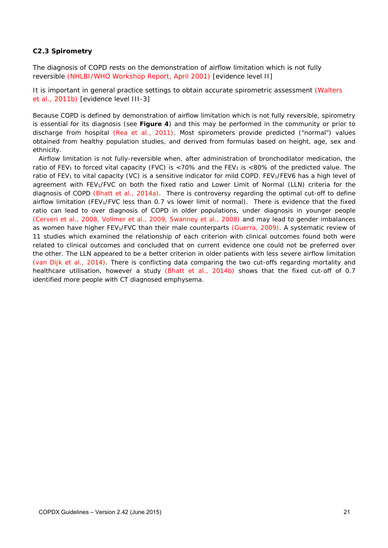#### **C2.3 Spirometry**

The diagnosis of COPD rests on the demonstration of airflow limitation which is not fully reversible (NHLBI/WHO Workshop Report, April 2001) [evidence level II]

It is important in general practice settings to obtain accurate spirometric assessment (Walters et al., 2011b) [evidence level III-3]

Because COPD is defined by demonstration of airflow limitation which is not fully reversible, spirometry is essential for its diagnosis (see **Figure 4**) and this may be performed in the community or prior to discharge from hospital (Rea et al., 2011). Most spirometers provide predicted ("normal") values obtained from healthy population studies, and derived from formulas based on height, age, sex and ethnicity.

Airflow limitation is not fully-reversible when, after administration of bronchodilator medication, the ratio of FEV<sub>1</sub> to forced vital capacity (FVC) is <70% and the FEV<sub>1</sub> is <80% of the predicted value. The ratio of FEV<sub>1</sub> to vital capacity (VC) is a sensitive indicator for mild COPD. FEV<sub>1</sub>/FEV6 has a high level of agreement with FEV<sub>1</sub>/FVC on both the fixed ratio and Lower Limit of Normal (LLN) criteria for the diagnosis of COPD (Bhatt et al., 2014a). There is controversy regarding the optimal cut-off to define airflow limitation (FEV1/FVC less than 0.7 vs lower limit of normal). There is evidence that the fixed ratio can lead to over diagnosis of COPD in older populations, under diagnosis in younger people (Cerveri et al., 2008, Vollmer et al., 2009, Swanney et al., 2008) and may lead to gender imbalances as women have higher FEV<sub>1</sub>/FVC than their male counterparts (Guerra, 2009). A systematic review of 11 studies which examined the relationship of each criterion with clinical outcomes found both were related to clinical outcomes and concluded that on current evidence one could not be preferred over the other. The LLN appeared to be a better criterion in older patients with less severe airflow limitation (van Dijk et al., 2014). There is conflicting data comparing the two cut-offs regarding mortality and healthcare utilisation, however a study (Bhatt et al., 2014b) shows that the fixed cut-off of 0.7 identified more people with CT diagnosed emphysema.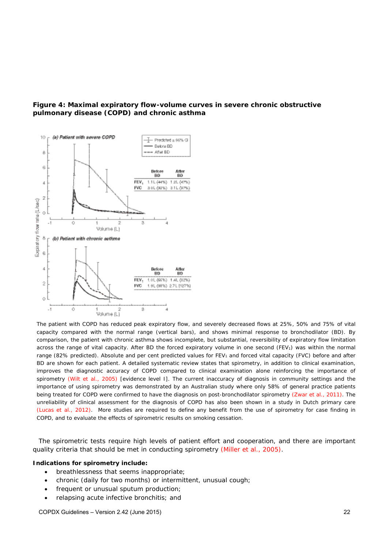

#### **Figure 4: Maximal expiratory flow-volume curves in severe chronic obstructive pulmonary disease (COPD) and chronic asthma**

*The patient with COPD has reduced peak expiratory flow, and severely decreased flows at 25%, 50% and 75% of vital capacity compared with the normal range (vertical bars), and shows minimal response to bronchodilator (BD). By comparison, the patient with chronic asthma shows incomplete, but substantial, reversibility of expiratory flow limitation*  across the range of vital capacity. After BD the forced expiratory volume in one second (FEV<sub>1</sub>) was within the normal range (82% predicted). Absolute and per cent predicted values for FEV<sub>1</sub> and forced vital capacity (FVC) before and after *BD are shown for each patient. A detailed systematic review states that spirometry, in addition to clinical examination, improves the diagnostic accuracy of COPD compared to clinical examination alone reinforcing the importance of*  spirometry (Wilt et al., 2005) [evidence level I]. The current inaccuracy of diagnosis in community settings and the *importance of using spirometry was demonstrated by an Australian study where only 58% of general practice patients being treated for COPD were confirmed to have the diagnosis on post-bronchodilator spirometry (Zwar et al., 2011). The*  unreliability of clinical assessment for the diagnosis of COPD has also been shown in a study in Dutch primary care *(Lucas et al., 2012). More studies are required to define any benefit from the use of spirometry for case finding in COPD, and to evaluate the effects of spirometric results on smoking cessation.* 

The spirometric tests require high levels of patient effort and cooperation, and there are important quality criteria that should be met in conducting spirometry (Miller et al., 2005).

#### *Indications for spirometry include:*

- breathlessness that seems inappropriate;
- chronic (daily for two months) or intermittent, unusual cough;
- frequent or unusual sputum production;
- relapsing acute infective bronchitis; and

COPDX Guidelines – Version 2.42 (June 2015) 22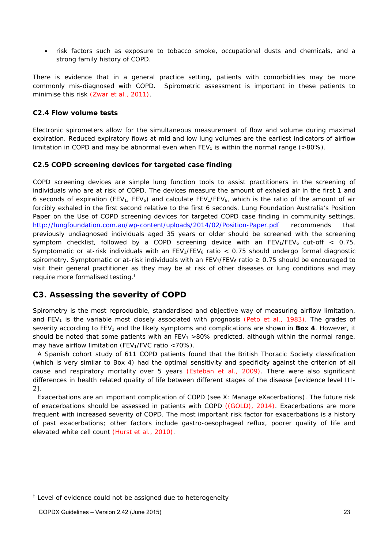risk factors such as exposure to tobacco smoke, occupational dusts and chemicals, and a strong family history of COPD.

There is evidence that in a general practice setting, patients with comorbidities may be more commonly mis-diagnosed with COPD. Spirometric assessment is important in these patients to minimise this risk (Zwar et al., 2011).

#### **C2.4 Flow volume tests**

Electronic spirometers allow for the simultaneous measurement of flow and volume during maximal expiration. Reduced expiratory flows at mid and low lung volumes are the earliest indicators of airflow limitation in COPD and may be abnormal even when  $FEV_1$  is within the normal range ( $>80\%$ ).

#### **C2.5 COPD screening devices for targeted case finding**

COPD screening devices are simple lung function tools to assist practitioners in the screening of individuals who are at risk of COPD. The devices measure the amount of exhaled air in the first 1 and 6 seconds of expiration (FEV<sub>1</sub>, FEV<sub>6</sub>) and calculate FEV<sub>1</sub>/FEV<sub>6</sub>, which is the ratio of the amount of air forcibly exhaled in the first second relative to the first 6 seconds. Lung Foundation Australia's *Position Paper on the Use of COPD screening devices for targeted COPD case finding in community settings*, http://lungfoundation.com.au/wp-content/uploads/2014/02/Position-Paper.pdf recommends that previously undiagnosed individuals aged 35 years or older should be screened with the screening symptom checklist, followed by a COPD screening device with an  $FEV_1/FEV_6$  cut-off  $\lt$  0.75. Symptomatic or at-risk individuals with an  $FEV<sub>1</sub>/FEV<sub>6</sub>$  ratio < 0.75 should undergo formal diagnostic spirometry. Symptomatic or at-risk individuals with an FEV1/FEV<sub>6</sub> ratio  $\geq 0.75$  should be encouraged to visit their general practitioner as they may be at risk of other diseases or lung conditions and may require more formalised testing.†

### **C3. Assessing the severity of COPD**

Spirometry is the most reproducible, standardised and objective way of measuring airflow limitation, and FEV<sub>1</sub> is the variable most closely associated with prognosis (Peto et al., 1983). The grades of severity according to FEV<sub>1</sub> and the likely symptoms and complications are shown in **Box 4**. However, it should be noted that some patients with an FEV<sub>1</sub> >80% predicted, although within the normal range, may have airflow limitation (FEV<sub>1</sub>/FVC ratio  $<$  70%).

A Spanish cohort study of 611 COPD patients found that the British Thoracic Society classification (which is very similar to Box 4) had the optimal sensitivity and specificity against the criterion of all cause and respiratory mortality over 5 years (Esteban et al., 2009). There were also significant differences in health related quality of life between different stages of the disease [evidence level III-2].

Exacerbations are an important complication of COPD (see X: Manage eXacerbations). The future risk of exacerbations should be assessed in patients with COPD ((GOLD), 2014). Exacerbations are more frequent with increased severity of COPD. The most important risk factor for exacerbations is a history of past exacerbations; other factors include gastro-oesophageal reflux, poorer quality of life and elevated white cell count (Hurst et al., 2010).

 $\overline{a}$ 

 $<sup>†</sup>$  Level of evidence could not be assigned due to heterogeneity</sup>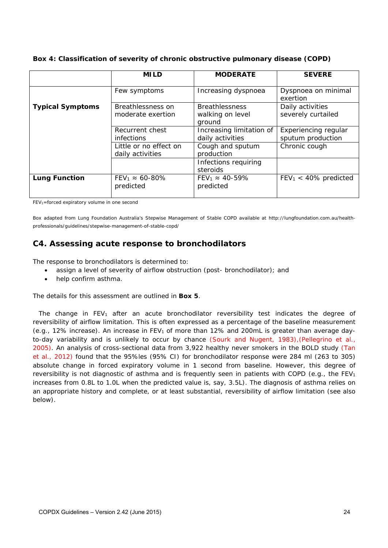**Box 4: Classification of severity of chronic obstructive pulmonary disease (COPD)** 

|                         | <b>MILD</b>               | <b>MODERATE</b>           | <b>SEVERE</b>            |
|-------------------------|---------------------------|---------------------------|--------------------------|
|                         |                           |                           |                          |
|                         | Few symptoms              | Increasing dyspnoea       | Dyspnoea on minimal      |
|                         |                           |                           | exertion                 |
| <b>Typical Symptoms</b> | Breathlessness on         | <b>Breathlessness</b>     | Daily activities         |
|                         | moderate exertion         | walking on level          | severely curtailed       |
|                         |                           | ground                    |                          |
|                         | Recurrent chest           | Increasing limitation of  | Experiencing regular     |
|                         | <i>infections</i>         | daily activities          | sputum production        |
|                         | Little or no effect on    | Cough and sputum          | Chronic cough            |
|                         | daily activities          | production                |                          |
|                         |                           | Infections requiring      |                          |
|                         |                           | steroids                  |                          |
| <b>Lung Function</b>    | $FEV_1 \approx 60 - 80\%$ | $FEV_1 \approx 40 - 59\%$ | $FEV_1 < 40\%$ predicted |
|                         | predicted                 | predicted                 |                          |
|                         |                           |                           |                          |

FEV1=forced expiratory volume in one second

Box adapted from Lung Foundation Australia's Stepwise Management of Stable COPD available at http://lungfoundation.com.au/healthprofessionals/guidelines/stepwise-management-of-stable-copd/

### **C4. Assessing acute response to bronchodilators**

The response to bronchodilators is determined to:

- assign a level of severity of airflow obstruction (post- bronchodilator); and
- help confirm asthma.

The details for this assessment are outlined in **Box 5**.

The change in  $FEV_1$  after an acute bronchodilator reversibility test indicates the degree of reversibility of airflow limitation. This is often expressed as a percentage of the baseline measurement (e.g., 12% increase). An increase in FEV<sub>1</sub> of more than 12% and 200mL is greater than average dayto-day variability and is unlikely to occur by chance (Sourk and Nugent, 1983),(Pellegrino et al., 2005). An analysis of cross-sectional data from 3,922 healthy never smokers in the BOLD study (Tan et al., 2012) found that the 95%les (95% CI) for bronchodilator response were 284 ml (263 to 305) absolute change in forced expiratory volume in 1 second from baseline. However, this degree of reversibility is not diagnostic of asthma and is frequently seen in patients with COPD (e.g., the FEV<sub>1</sub> increases from 0.8L to 1.0L when the predicted value is, say, 3.5L). The diagnosis of asthma relies on an appropriate history and complete, or at least substantial, reversibility of airflow limitation (see also below).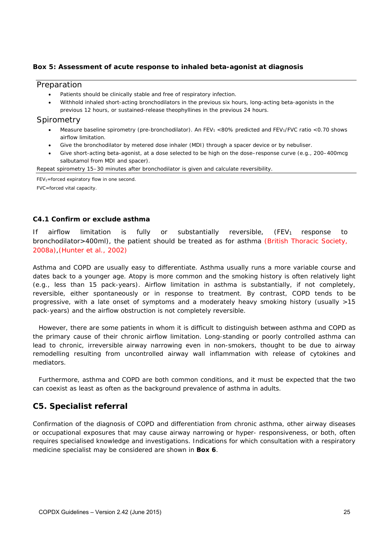#### **Box 5: Assessment of acute response to inhaled beta-agonist at diagnosis**

#### **Preparation**

- Patients should be clinically stable and free of respiratory infection.
- Withhold inhaled short-acting bronchodilators in the previous six hours, long-acting beta-agonists in the previous 12 hours, or sustained-release theophyllines in the previous 24 hours.

#### **Spirometry**

- Measure baseline spirometry (pre-bronchodilator). An FEV<sub>1</sub> <80% predicted and FEV<sub>1</sub>/FVC ratio <0.70 shows airflow limitation.
- Give the bronchodilator by metered dose inhaler (MDI) through a spacer device or by nebuliser.
- Give short-acting beta-agonist, at a dose selected to be high on the dose–response curve (e.g., 200–400mcg salbutamol from MDI and spacer).

Repeat spirometry 15–30 minutes after bronchodilator is given and calculate reversibility.

 $FEV_1 =$  forced expiratory flow in one second.

FVC=forced vital capacity.

#### **C4.1 Confirm or exclude asthma**

If airflow limitation is fully or substantially reversible,  $(FEV<sub>1</sub>$  response to bronchodilator>400ml), the patient should be treated as for asthma (British Thoracic Society, 2008a),(Hunter et al., 2002)

Asthma and COPD are usually easy to differentiate. Asthma usually runs a more variable course and dates back to a younger age. Atopy is more common and the smoking history is often relatively light (e.g., less than 15 pack-years). Airflow limitation in asthma is substantially, if not completely, reversible, either spontaneously or in response to treatment. By contrast, COPD tends to be progressive, with a late onset of symptoms and a moderately heavy smoking history (usually >15 pack-years) and the airflow obstruction is not completely reversible.

However, there are some patients in whom it is difficult to distinguish between asthma and COPD as the primary cause of their chronic airflow limitation. Long-standing or poorly controlled asthma can lead to chronic, irreversible airway narrowing even in non-smokers, thought to be due to airway remodelling resulting from uncontrolled airway wall inflammation with release of cytokines and mediators.

Furthermore, asthma and COPD are both common conditions, and it must be expected that the two can coexist as least as often as the background prevalence of asthma in adults.

### **C5. Specialist referral**

Confirmation of the diagnosis of COPD and differentiation from chronic asthma, other airway diseases or occupational exposures that may cause airway narrowing or hyper- responsiveness, or both, often requires specialised knowledge and investigations. Indications for which consultation with a respiratory medicine specialist may be considered are shown in **Box 6**.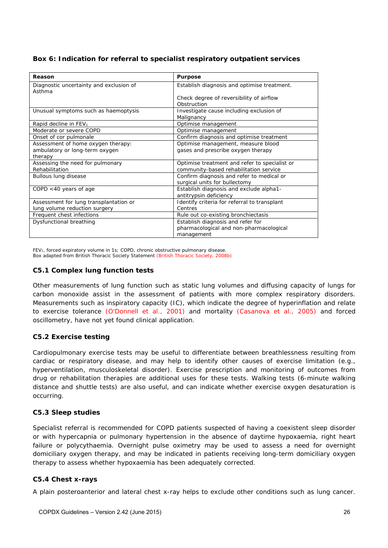| Reason                                            | <b>Purpose</b>                                |  |
|---------------------------------------------------|-----------------------------------------------|--|
| Diagnostic uncertainty and exclusion of<br>Asthma | Establish diagnosis and optimise treatment.   |  |
|                                                   | Check degree of reversibility of airflow      |  |
|                                                   | Obstruction                                   |  |
| Unusual symptoms such as haemoptysis              | Investigate cause including exclusion of      |  |
|                                                   | Malignancy                                    |  |
| Rapid decline in FEV <sub>1</sub>                 | Optimise management                           |  |
| Moderate or severe COPD                           | Optimise management                           |  |
| Onset of cor pulmonale                            | Confirm diagnosis and optimise treatment      |  |
| Assessment of home oxygen therapy:                | Optimise management, measure blood            |  |
| ambulatory or long-term oxygen                    | gases and prescribe oxygen therapy            |  |
| therapy                                           |                                               |  |
| Assessing the need for pulmonary                  | Optimise treatment and refer to specialist or |  |
| Rehabilitation                                    | community-based rehabilitation service        |  |
| Bullous lung disease                              | Confirm diagnosis and refer to medical or     |  |
|                                                   | surgical units for bullectomy                 |  |
| COPD $<$ 40 years of age                          | Establish diagnosis and exclude alpha1-       |  |
|                                                   | antitrypsin deficiency                        |  |
| Assessment for lung transplantation or            | Identify criteria for referral to transplant  |  |
| lung volume reduction surgery                     | Centres                                       |  |
| Frequent chest infections                         | Rule out co-existing bronchiectasis           |  |
| Dysfunctional breathing                           | Establish diagnosis and refer for             |  |
|                                                   | pharmacological and non-pharmacological       |  |
|                                                   | management                                    |  |

FEV<sub>1</sub>, forced expiratory volume in 1s; COPD, chronic obstructive pulmonary disease. Box adapted from British Thoracic Society Statement (British Thoracic Society, 2008b)

#### **C5.1 Complex lung function tests**

Other measurements of lung function such as static lung volumes and diffusing capacity of lungs for carbon monoxide assist in the assessment of patients with more complex respiratory disorders. Measurements such as inspiratory capacity (IC), which indicate the degree of hyperinflation and relate to exercise tolerance (O'Donnell et al., 2001) and mortality (Casanova et al., 2005) and forced oscillometry, have not yet found clinical application.

#### **C5.2 Exercise testing**

Cardiopulmonary exercise tests may be useful to differentiate between breathlessness resulting from cardiac or respiratory disease, and may help to identify other causes of exercise limitation (e.g., hyperventilation, musculoskeletal disorder). Exercise prescription and monitoring of outcomes from drug or rehabilitation therapies are additional uses for these tests. Walking tests (6-minute walking distance and shuttle tests) are also useful, and can indicate whether exercise oxygen desaturation is occurring.

#### **C5.3 Sleep studies**

Specialist referral is recommended for COPD patients suspected of having a coexistent sleep disorder or with hypercapnia or pulmonary hypertension in the absence of daytime hypoxaemia, right heart failure or polycythaemia. Overnight pulse oximetry may be used to assess a need for overnight domiciliary oxygen therapy, and may be indicated in patients receiving long-term domiciliary oxygen therapy to assess whether hypoxaemia has been adequately corrected.

#### **C5.4 Chest x-rays**

A plain posteroanterior and lateral chest x-ray helps to exclude other conditions such as lung cancer.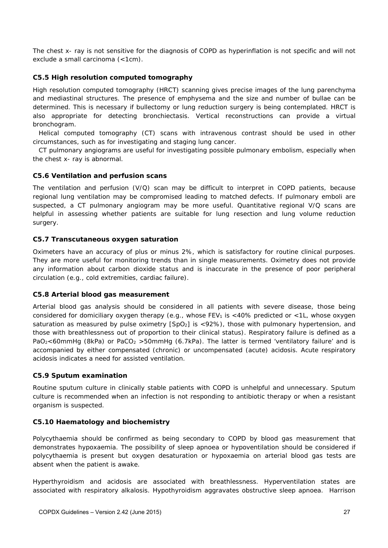The chest x- ray is not sensitive for the diagnosis of COPD as hyperinflation is not specific and will not exclude a small carcinoma (<1cm).

#### **C5.5 High resolution computed tomography**

High resolution computed tomography (HRCT) scanning gives precise images of the lung parenchyma and mediastinal structures. The presence of emphysema and the size and number of bullae can be determined. This is necessary if bullectomy or lung reduction surgery is being contemplated. HRCT is also appropriate for detecting bronchiectasis. Vertical reconstructions can provide a virtual bronchogram.

Helical computed tomography (CT) scans with intravenous contrast should be used in other circumstances, such as for investigating and staging lung cancer.

CT pulmonary angiograms are useful for investigating possible pulmonary embolism, especially when the chest x- ray is abnormal.

#### **C5.6 Ventilation and perfusion scans**

The ventilation and perfusion (V/Q) scan may be difficult to interpret in COPD patients, because regional lung ventilation may be compromised leading to matched defects. If pulmonary emboli are suspected, a CT pulmonary angiogram may be more useful. Quantitative regional V/Q scans are helpful in assessing whether patients are suitable for lung resection and lung volume reduction surgery.

#### **C5.7 Transcutaneous oxygen saturation**

Oximeters have an accuracy of plus or minus 2%, which is satisfactory for routine clinical purposes. They are more useful for monitoring trends than in single measurements. Oximetry does not provide any information about carbon dioxide status and is inaccurate in the presence of poor peripheral circulation (e.g., cold extremities, cardiac failure).

#### **C5.8 Arterial blood gas measurement**

Arterial blood gas analysis should be considered in all patients with severe disease, those being considered for domiciliary oxygen therapy (e.g., whose FEV<sub>1</sub> is <40% predicted or <1L, whose oxygen saturation as measured by pulse oximetry  $[SpO<sub>2</sub>]$  is <92%), those with pulmonary hypertension, and those with breathlessness out of proportion to their clinical status). Respiratory failure is defined as a PaO<sub>2</sub><60mmHg (8kPa) or PaCO<sub>2</sub> >50mmHg (6.7kPa). The latter is termed 'ventilatory failure' and is accompanied by either compensated (chronic) or uncompensated (acute) acidosis. Acute respiratory acidosis indicates a need for assisted ventilation.

#### **C5.9 Sputum examination**

Routine sputum culture in clinically stable patients with COPD is unhelpful and unnecessary. Sputum culture is recommended when an infection is not responding to antibiotic therapy or when a resistant organism is suspected.

#### **C5.10 Haematology and biochemistry**

Polycythaemia should be confirmed as being secondary to COPD by blood gas measurement that demonstrates hypoxaemia. The possibility of sleep apnoea or hypoventilation should be considered if polycythaemia is present but oxygen desaturation or hypoxaemia on arterial blood gas tests are absent when the patient is awake.

Hyperthyroidism and acidosis are associated with breathlessness. Hyperventilation states are associated with respiratory alkalosis. Hypothyroidism aggravates obstructive sleep apnoea. Harrison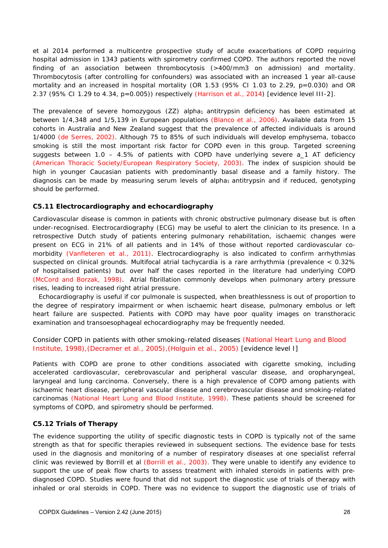et al 2014 performed a multicentre prospective study of acute exacerbations of COPD requiring hospital admission in 1343 patients with spirometry confirmed COPD. The authors reported the novel finding of an association between thrombocytosis (>400/mm3 on admission) and mortality. Thrombocytosis (after controlling for confounders) was associated with an increased 1 year all-cause mortality and an increased in hospital mortality (OR 1.53 (95% CI 1.03 to 2.29, p=0.030) and OR 2.37 (95% CI 1.29 to 4.34, p=0.005)) respectively (Harrison et al., 2014) [evidence level III-2].

The prevalence of severe homozygous  $(ZZ)$  alpha<sub>1</sub> antitrypsin deficiency has been estimated at between 1/4,348 and 1/5,139 in European populations (Blanco et al., 2006). Available data from 15 cohorts in Australia and New Zealand suggest that the prevalence of affected individuals is around 1/4000 (de Serres, 2002). Although 75 to 85% of such individuals will develop emphysema, tobacco smoking is still the most important risk factor for COPD even in this group. Targeted screening suggests between  $1.0 - 4.5\%$  of patients with COPD have underlying severe a 1 AT deficiency (American Thoracic Society/European Respiratory Society, 2003). The index of suspicion should be high in younger Caucasian patients with predominantly basal disease and a family history. The diagnosis can be made by measuring serum levels of alpha<sub>1</sub> antitrypsin and if reduced, genotyping should be performed.

#### **C5.11 Electrocardiography and echocardiography**

Cardiovascular disease is common in patients with chronic obstructive pulmonary disease but is often under-recognised. Electrocardiography (ECG) may be useful to alert the clinician to its presence. In a retrospective Dutch study of patients entering pulmonary rehabilitation, ischaemic changes were present on ECG in 21% of all patients and in 14% of those without reported cardiovascular comorbidity (Vanfleteren et al., 2011). Electrocardiography is also indicated to confirm arrhythmias suspected on clinical grounds. Multifocal atrial tachycardia is a rare arrhythmia (prevalence < 0.32% of hospitalised patients) but over half the cases reported in the literature had underlying COPD (McCord and Borzak, 1998). Atrial fibrillation commonly develops when pulmonary artery pressure rises, leading to increased right atrial pressure.

Echocardiography is useful if cor pulmonale is suspected, when breathlessness is out of proportion to the degree of respiratory impairment or when ischaemic heart disease, pulmonary embolus or left heart failure are suspected. Patients with COPD may have poor quality images on transthoracic examination and transoesophageal echocardiography may be frequently needed.

Consider COPD in patients with other smoking-related diseases (National Heart Lung and Blood Institute, 1998),(Decramer et al., 2005),(Holguin et al., 2005) [evidence level I]

Patients with COPD are prone to other conditions associated with cigarette smoking, including accelerated cardiovascular, cerebrovascular and peripheral vascular disease, and oropharyngeal, laryngeal and lung carcinoma. Conversely, there is a high prevalence of COPD among patients with ischaemic heart disease, peripheral vascular disease and cerebrovascular disease and smoking-related carcinomas (National Heart Lung and Blood Institute, 1998). These patients should be screened for symptoms of COPD, and spirometry should be performed.

#### **C5.12 Trials of Therapy**

The evidence supporting the utility of specific diagnostic tests in COPD is typically not of the same strength as that for specific therapies reviewed in subsequent sections. The evidence base for tests used in the diagnosis and monitoring of a number of respiratory diseases at one specialist referral clinic was reviewed by Borrill et al (Borrill et al., 2003). They were unable to identify any evidence to support the use of peak flow charts to assess treatment with inhaled steroids in patients with prediagnosed COPD. Studies were found that did not support the diagnostic use of trials of therapy with inhaled or oral steroids in COPD. There was no evidence to support the diagnostic use of trials of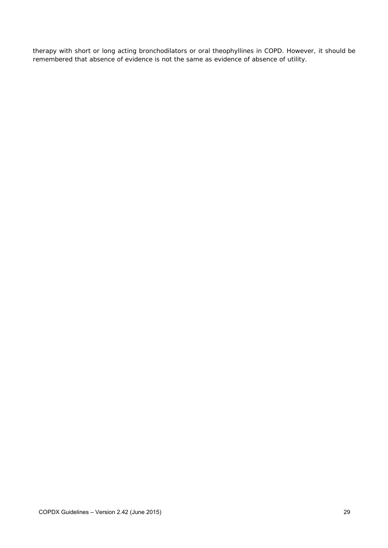therapy with short or long acting bronchodilators or oral theophyllines in COPD. However, it should be remembered that absence of evidence is not the same as evidence of absence of utility.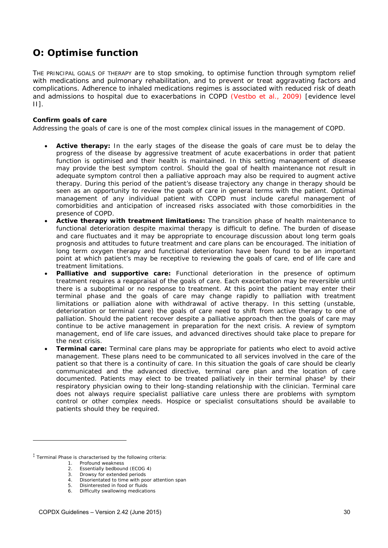# *O: Optimise function*

THE PRINCIPAL GOALS OF THERAPY are to stop smoking, to optimise function through symptom relief with medications and pulmonary rehabilitation, and to prevent or treat aggravating factors and complications. Adherence to inhaled medications regimes is associated with reduced risk of death and admissions to hospital due to exacerbations in COPD (Vestbo et al., 2009) [evidence level II].

#### **Confirm goals of care**

Addressing the goals of care is one of the most complex clinical issues in the management of COPD.

- **Active therapy:** In the early stages of the disease the goals of care must be to delay the progress of the disease by aggressive treatment of acute exacerbations in order that patient function is optimised and their health is maintained. In this setting management of disease may provide the best symptom control. Should the goal of health maintenance not result in adequate symptom control then a palliative approach may also be required to augment active therapy. During this period of the patient's disease trajectory any change in therapy should be seen as an opportunity to review the goals of care in general terms with the patient. Optimal management of any individual patient with COPD must include careful management of comorbidities and anticipation of increased risks associated with those comorbidities in the presence of COPD.
- **Active therapy with treatment limitations:** The transition phase of health maintenance to functional deterioration despite maximal therapy is difficult to define. The burden of disease and care fluctuates and it may be appropriate to encourage discussion about long term goals prognosis and attitudes to future treatment and care plans can be encouraged. The initiation of long term oxygen therapy and functional deterioration have been found to be an important point at which patient's may be receptive to reviewing the goals of care, end of life care and treatment limitations.
- **Palliative and supportive care:** Functional deterioration in the presence of optimum treatment requires a reappraisal of the goals of care. Each exacerbation may be reversible until there is a suboptimal or no response to treatment. At this point the patient may enter their terminal phase and the goals of care may change rapidly to palliation with treatment limitations or palliation alone with withdrawal of active therapy. In this setting (unstable, deterioration or terminal care) the goals of care need to shift from active therapy to one of palliation. Should the patient recover despite a palliative approach then the goals of care may continue to be active management in preparation for the next crisis. A review of symptom management, end of life care issues, and advanced directives should take place to prepare for the next crisis.
- **Terminal care:** Terminal care plans may be appropriate for patients who elect to avoid active management. These plans need to be communicated to all services involved in the care of the patient so that there is a continuity of care. In this situation the goals of care should be clearly communicated and the advanced directive, terminal care plan and the location of care documented. Patients may elect to be treated palliatively in their terminal phase<sup>‡</sup> by their respiratory physician owing to their long-standing relationship with the clinician. Terminal care does not always require specialist palliative care unless there are problems with symptom control or other complex needs. Hospice or specialist consultations should be available to patients should they be required.

 $\overline{a}$ 

<sup>‡</sup> Terminal Phase is characterised by the following criteria:

<sup>1.</sup> Profound weakness

<sup>2.</sup> Essentially bedbound (ECOG 4)

<sup>3.</sup> Drowsy for extended periods

<sup>4.</sup> Disorientated to time with poor attention span<br>5. Disinterested in food or fluids 5. Disinterested in food or fluids

<sup>6.</sup> Difficulty swallowing medications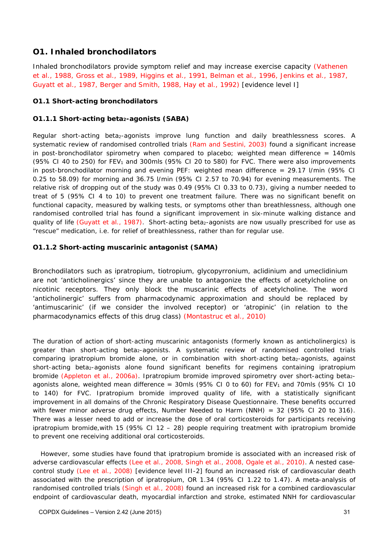### **O1. Inhaled bronchodilators**

Inhaled bronchodilators provide symptom relief and may increase exercise capacity (Vathenen et al., 1988, Gross et al., 1989, Higgins et al., 1991, Belman et al., 1996, Jenkins et al., 1987, Guyatt et al., 1987, Berger and Smith, 1988, Hay et al., 1992) [evidence level I]

#### **O1.1 Short-acting bronchodilators**

#### **O1.1.1 Short-acting beta2-agonists (SABA)**

Regular short-acting beta<sub>2</sub>-agonists improve lung function and daily breathlessness scores. A systematic review of randomised controlled trials (Ram and Sestini, 2003) found a significant increase in post-bronchodilator spirometry when compared to placebo; weighted mean difference  $= 140$ mls (95% CI 40 to 250) for FEV<sub>1</sub> and 300mls (95% CI 20 to 580) for FVC. There were also improvements in post-bronchodilator morning and evening PEF: weighted mean difference = 29.17 l/min (95% CI 0.25 to 58.09) for morning and 36.75 l/min (95% CI 2.57 to 70.94) for evening measurements. The relative risk of dropping out of the study was 0.49 (95% CI 0.33 to 0.73), giving a number needed to treat of 5 (95% CI 4 to 10) to prevent one treatment failure. There was no significant benefit on functional capacity, measured by walking tests, or symptoms other than breathlessness, although one randomised controlled trial has found a significant improvement in six-minute walking distance and quality of life (Guyatt et al., 1987). Short-acting beta<sub>2</sub>-agonists are now usually prescribed for use as "rescue" medication, i.e. for relief of breathlessness, rather than for regular use.

#### **O1.1.2 Short-acting muscarinic antagonist (SAMA)**

Bronchodilators such as ipratropium, tiotropium, glycopyrronium, aclidinium and umeclidinium are not 'anticholinergics' since they are unable to antagonize the effects of acetylcholine on nicotinic receptors. They only block the muscarinic effects of acetylcholine. The word 'anticholinergic' suffers from pharmacodynamic approximation and should be replaced by 'antimuscarinic' (if we consider the involved receptor) or 'atropinic' (in relation to the pharmacodynamics effects of this drug class) (Montastruc et al., 2010)

The duration of action of short-acting muscarinic antagonists (formerly known as anticholinergics) is greater than short-acting beta<sub>2</sub>-agonists. A systematic review of randomised controlled trials comparing ipratropium bromide alone, or in combination with short-acting beta2-agonists, against short-acting beta<sub>2</sub>-agonists alone found significant benefits for regimens containing ipratropium bromide (Appleton et al., 2006a). Ipratropium bromide improved spirometry over short-acting beta<sub>2</sub>agonists alone, weighted mean difference = 30mls (95% CI 0 to 60) for  $FEV<sub>1</sub>$  and 70mls (95% CI 10 to 140) for FVC. Ipratropium bromide improved quality of life, with a statistically significant improvement in all domains of the Chronic Respiratory Disease Questionnaire. These benefits occurred with fewer minor adverse drug effects, Number Needed to Harm (NNH) =  $32$  (95% CI 20 to 316). There was a lesser need to add or increase the dose of oral corticosteroids for participants receiving ipratropium bromide,with 15 (95% CI 12 – 28) people requiring treatment with ipratropium bromide to prevent one receiving additional oral corticosteroids.

 However, some studies have found that ipratropium bromide is associated with an increased risk of adverse cardiovascular effects (Lee et al., 2008, Singh et al., 2008, Ogale et al., 2010). A nested casecontrol study (Lee et al., 2008) [evidence level III-2] found an increased risk of cardiovascular death associated with the prescription of ipratropium, OR 1.34 (95% CI 1.22 to 1.47). A meta-analysis of randomised controlled trials (Singh et al., 2008) found an increased risk for a combined cardiovascular endpoint of cardiovascular death, myocardial infarction and stroke, estimated NNH for cardiovascular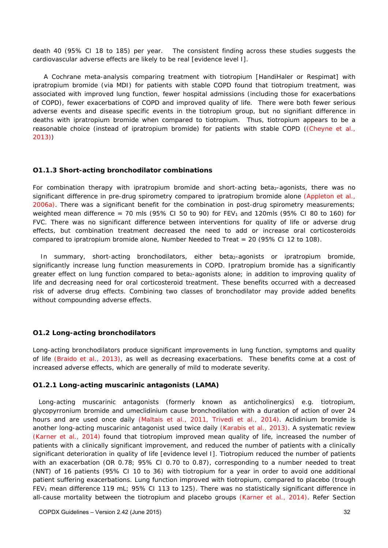death 40 (95% CI 18 to 185) per year. The consistent finding across these studies suggests the cardiovascular adverse effects are likely to be real [evidence level I].

 A Cochrane meta-analysis comparing treatment with tiotropium [HandiHaler or Respimat] with ipratropium bromide (via MDI) for patients with stable COPD found that tiotropium treatment, was associated with improved lung function, fewer hospital admissions (including those for exacerbations of COPD), fewer exacerbations of COPD and improved quality of life. There were both fewer serious adverse events and disease specific events in the tiotropium group, but no signifiant difference in deaths with ipratropium bromide when compared to tiotropium. Thus, tiotropium appears to be a reasonable choice (instead of ipratropium bromide) for patients with stable COPD ((Cheyne et al., 2013))

#### **O1.1.3 Short-acting bronchodilator combinations**

For combination therapy with ipratropium bromide and short-acting beta<sub>2</sub>-agonists, there was no significant difference in pre-drug spirometry compared to ipratropium bromide alone (Appleton et al., 2006a). There was a significant benefit for the combination in post-drug spirometry measurements; weighted mean difference = 70 mls (95% CI 50 to 90) for  $FEV<sub>1</sub>$  and 120mls (95% CI 80 to 160) for FVC. There was no significant difference between interventions for quality of life or adverse drug effects, but combination treatment decreased the need to add or increase oral corticosteroids compared to ipratropium bromide alone, Number Needed to Treat = 20 (95% CI 12 to 108).

In summary, short-acting bronchodilators, either beta<sub>2</sub>-agonists or ipratropium bromide, significantly increase lung function measurements in COPD. Ipratropium bromide has a significantly greater effect on lung function compared to beta2-agonists alone; in addition to improving quality of life and decreasing need for oral corticosteroid treatment. These benefits occurred with a decreased risk of adverse drug effects. Combining two classes of bronchodilator may provide added benefits without compounding adverse effects.

#### **O1.2 Long-acting bronchodilators**

Long-acting bronchodilators produce significant improvements in lung function, symptoms and quality of life (Braido et al., 2013), as well as decreasing exacerbations. These benefits come at a cost of increased adverse effects, which are generally of mild to moderate severity.

#### **O1.2.1 Long-acting muscarinic antagonists (LAMA)**

Long-acting muscarinic antagonists (formerly known as anticholinergics) e.g. tiotropium, glycopyrronium bromide and umeclidinium cause bronchodilation with a duration of action of over 24 hours and are used once daily (Maltais et al., 2011, Trivedi et al., 2014). Aclidinium bromide is another long-acting muscarinic antagonist used twice daily (Karabis et al., 2013). A systematic review (Karner et al., 2014) found that tiotropium improved mean quality of life, increased the number of patients with a clinically significant improvement, and reduced the number of patients with a clinically significant deterioration in quality of life [evidence level I]. Tiotropium reduced the number of patients with an exacerbation (OR 0.78; 95% CI 0.70 to 0.87), corresponding to a number needed to treat (NNT) of 16 patients (95% CI 10 to 36) with tiotropium for a year in order to avoid one additional patient suffering exacerbations. Lung function improved with tiotropium, compared to placebo (trough FEV<sub>1</sub> mean difference 119 mL; 95% CI 113 to 125). There was no statistically significant difference in all-cause mortality between the tiotropium and placebo groups (Karner et al., 2014). Refer Section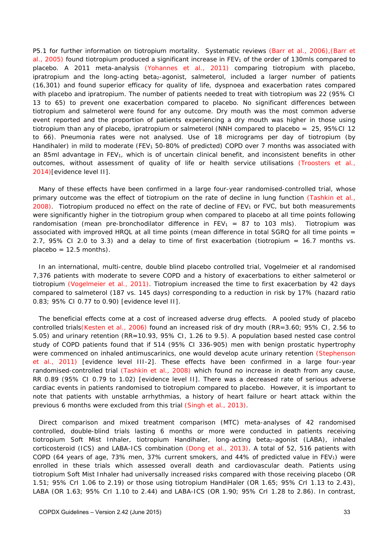P5.1 for further information on tiotropium mortality. Systematic reviews (Barr et al., 2006), (Barr et al., 2005) found tiotropium produced a significant increase in FEV<sub>1</sub> of the order of 130mls compared to placebo. A 2011 meta-analysis (Yohannes et al., 2011) comparing tiotropium with placebo, ipratropium and the long-acting beta<sub>2</sub>-agonist, salmeterol, included a larger number of patients (16,301) and found superior efficacy for quality of life, dyspnoea and exacerbation rates compared with placebo and ipratropium. The number of patients needed to treat with tiotropium was 22 (95% CI 13 to 65) to prevent one exacerbation compared to placebo. No significant differences between tiotropium and salmeterol were found for any outcome. Dry mouth was the most common adverse event reported and the proportion of patients experiencing a dry mouth was higher in those using tiotropium than any of placebo, ipratropium or salmeterol (NNH compared to placebo = 25, 95%CI 12 to 66). Pneumonia rates were not analysed. Use of 18 micrograms per day of tiotropium (by Handihaler) in mild to moderate (FEV<sub>1</sub> 50-80% of predicted) COPD over 7 months was associated with an 85ml advantage in FEV1, which is of uncertain clinical benefit, and inconsistent benefits in other outcomes, without assessment of quality of life or health service utilisations (Troosters et al., 2014)[evidence level II].

Many of these effects have been confirmed in a large four-year randomised-controlled trial, whose primary outcome was the effect of tiotropium on the rate of decline in lung function (Tashkin et al., 2008). Tiotropium produced no effect on the rate of decline of  $FEV<sub>1</sub>$  or  $FVC$ , but both measurements were significantly higher in the tiotropium group when compared to placebo at all time points following randomisation (mean pre-bronchodilator difference in  $FEV_1 = 87$  to 103 mls). Tiotropium was associated with improved HRQL at all time points (mean difference in total SGRQ for all time points = 2.7, 95% CI 2.0 to 3.3) and a delay to time of first exacerbation (tiotropium = 16.7 months vs.  $placebo = 12.5 months$ .

In an international, multi-centre, double blind placebo controlled trial, Vogelmeier et al randomised 7,376 patients with moderate to severe COPD and a history of exacerbations to either salmeterol or tiotropium (Vogelmeier et al., 2011). Tiotropium increased the time to first exacerbation by 42 days compared to salmeterol (187 vs. 145 days) corresponding to a reduction in risk by 17% (hazard ratio 0.83; 95% CI 0.77 to 0.90) [evidence level II].

The beneficial effects come at a cost of increased adverse drug effects. A pooled study of placebo controlled trials(Kesten et al., 2006) found an increased risk of dry mouth (RR=3.60; 95% CI, 2.56 to 5.05) and urinary retention (RR=10.93, 95% CI, 1.26 to 9.5). A population based nested case control study of COPD patients found that if 514 (95% CI 336-905) men with benign prostatic hypertrophy were commenced on inhaled antimuscarinics, one would develop acute urinary retention (Stephenson et al., 2011) [evidence level III-2]. These effects have been confirmed in a large four-year randomised-controlled trial (Tashkin et al., 2008) which found no increase in death from any cause, RR 0.89 (95% CI 0.79 to 1.02) [evidence level II]. There was a decreased rate of serious adverse cardiac events in patients randomised to tiotropium compared to placebo. However, it is important to note that patients with unstable arrhythmias, a history of heart failure or heart attack within the previous 6 months were excluded from this trial (Singh et al., 2013).

Direct comparison and mixed treatment comparison (MTC) meta-analyses of 42 randomised controlled, double-blind trials lasting 6 months or more were conducted in patients receiving tiotropium Soft Mist Inhaler, tiotropium Handihaler, long-acting beta<sub>2</sub>-agonist (LABA), inhaled corticosteroid (ICS) and LABA-ICS combination (Dong et al., 2013). A total of 52, 516 patients with COPD (64 years of age, 73% men, 37% current smokers, and 44% of predicted value in  $FEV<sub>1</sub>$ ) were enrolled in these trials which assessed overall death and cardiovascular death. Patients using tiotropium Soft Mist Inhaler had universally increased risks compared with those receiving placebo (OR 1.51; 95% CrI 1.06 to 2.19) or those using tiotropium HandiHaler (OR 1.65; 95% CrI 1.13 to 2.43), LABA (OR 1.63; 95% CrI 1.10 to 2.44) and LABA-ICS (OR 1.90; 95% CrI 1.28 to 2.86). In contrast,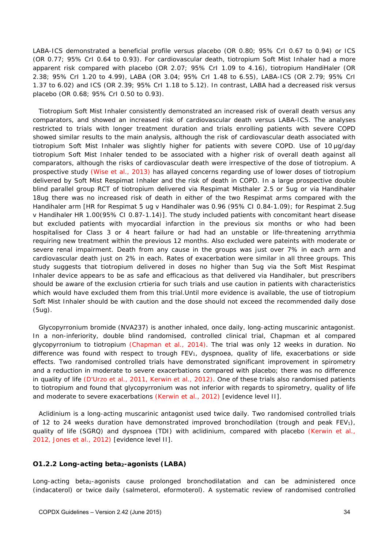LABA-ICS demonstrated a beneficial profile versus placebo (OR 0.80; 95% CrI 0.67 to 0.94) or ICS (OR 0.77; 95% CrI 0.64 to 0.93). For cardiovascular death, tiotropium Soft Mist Inhaler had a more apparent risk compared with placebo (OR 2.07; 95% CrI 1.09 to 4.16), tiotropium HandiHaler (OR 2.38; 95% CrI 1.20 to 4.99), LABA (OR 3.04; 95% CrI 1.48 to 6.55), LABA-ICS (OR 2.79; 95% CrI 1.37 to 6.02) and ICS (OR 2.39; 95% CrI 1.18 to 5.12). In contrast, LABA had a decreased risk versus placebo (OR 0.68; 95% CrI 0.50 to 0.93).

Tiotropium Soft Mist Inhaler consistently demonstrated an increased risk of overall death versus any comparators, and showed an increased risk of cardiovascular death versus LABA-ICS. The analyses restricted to trials with longer treatment duration and trials enrolling patients with severe COPD showed similar results to the main analysis, although the risk of cardiovascular death associated with tiotropium Soft Mist Inhaler was slightly higher for patients with severe COPD. Use of 10 μg/day tiotropium Soft Mist Inhaler tended to be associated with a higher risk of overall death against all comparators, although the risks of cardiovascular death were irrespective of the dose of tiotropium. A prospective study (Wise et al., 2013) has allayed concerns regarding use of lower doses of tiotropium delivered by Soft Mist Respimat Inhaler and the risk of death in COPD. In a large prospective double blind parallel group RCT of tiotropium delivered via Respimat Misthaler 2.5 or 5ug or via Handihaler 18ug there was no increased risk of death in either of the two Respimat arms compared with the Handihaler arm [HR for Respimat 5 ug v Handihaler was 0.96 (95% CI 0.84-1.09); for Respimat 2.5ug v Handihaler HR 1.00(95% CI 0.87-1.14)]. The study included patients with concomitant heart disease but excluded patients with myocardial infarction in the previous six months or who had been hospitalised for Class 3 or 4 heart failure or had had an unstable or life-threatening arrythmia requiring new treatment within the previous 12 months. Also excluded were pateints with moderate or severe renal impairment. Death from any cause in the groups was just over 7% in each arm and cardiovascular death just on 2% in each. Rates of exacerbation were similar in all three groups. This study suggests that tiotropium delivered in doses no higher than 5ug via the Soft Mist Respimat Inhaler device appears to be as safe and efficacious as that delivered via Handihaler, but prescribers should be aware of the exclusion crtieria for such trials and use caution in patients with characteristics which would have excluded them from this trial.Until more evidence is available, the use of tiotropium Soft Mist Inhaler should be with caution and the dose should not exceed the recommended daily dose (5ug).

Glycopyrronium bromide (NVA237) is another inhaled, once daily, long-acting muscarinic antagonist. In a non-inferiority, double blind randomised, controlled clinical trial, Chapman et al compared glycopyrronium to tiotropium (Chapman et al., 2014). The trial was only 12 weeks in duration. No difference was found with respect to trough FEV<sub>1</sub>, dyspnoea, quality of life, exacerbations or side effects. Two randomised controlled trials have demonstrated significant improvement in spirometry and a reduction in moderate to severe exacerbations compared with placebo; there was no difference in quality of life (D'Urzo et al., 2011, Kerwin et al., 2012). One of these trials also randomised patients to tiotropium and found that glycopyrronium was not inferior with regards to spirometry, quality of life and moderate to severe exacerbations (Kerwin et al., 2012) [evidence level II].

Aclidinium is a long-acting muscarinic antagonist used twice daily. Two randomised controlled trials of 12 to 24 weeks duration have demonstrated improved bronchodilation (trough and peak  $FEV<sub>1</sub>$ ), quality of life (SGRQ) and dyspnoea (TDI) with aclidinium, compared with placebo (Kerwin et al., 2012, Jones et al., 2012) [evidence level II].

#### **O1.2.2 Long-acting beta2-agonists (LABA)**

Long-acting beta<sub>2</sub>-agonists cause prolonged bronchodilatation and can be administered once (indacaterol) or twice daily (salmeterol, eformoterol). A systematic review of randomised controlled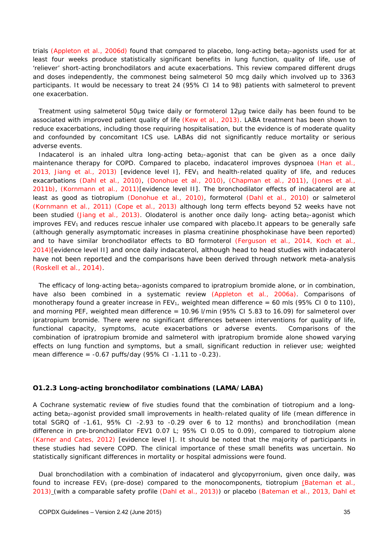trials (Appleton et al., 2006d) found that compared to placebo, long-acting beta<sub>2</sub>-agonists used for at least four weeks produce statistically significant benefits in lung function, quality of life, use of 'reliever' short-acting bronchodilators and acute exacerbations. This review compared different drugs and doses independently, the commonest being salmeterol 50 mcg daily which involved up to 3363 participants. It would be necessary to treat 24 (95% CI 14 to 98) patients with salmeterol to prevent one exacerbation.

Treatment using salmeterol 50μg twice daily or formoterol 12μg twice daily has been found to be associated with improved patient quality of life (Kew et al., 2013). LABA treatment has been shown to reduce exacerbations, including those requiring hospitalisation, but the evidence is of moderate quality and confounded by concomitant ICS use. LABAs did not significantly reduce mortality or serious adverse events.

Indacaterol is an inhaled ultra long-acting beta<sub>2</sub>-agonist that can be given as a once daily maintenance therapy for COPD. Compared to placebo, indacaterol improves dyspnoea (Han et al., 2013, Jiang et al., 2013) [evidence level I],  $FEV<sub>1</sub>$  and health-related quality of life, and reduces exacarbations (Dahl et al., 2010), (Donohue et al., 2010), (Chapman et al., 2011), (Jones et al., 2011b), (Kornmann et al., 2011)[evidence level II]. The bronchodilator effects of indacaterol are at least as good as tiotropium (Donohue et al., 2010), formoterol (Dahl et al., 2010) or salmeterol (Kornmann et al., 2011) (Cope et al., 2013) although long term effects beyond 52 weeks have not been studied (Jiang et al., 2013). Olodaterol is another once daily long- acting beta<sub>2</sub>-agonist which improves FEV<sub>1</sub> and reduces rescue inhaler use compared with placebo.It appears to be generally safe (although generally asymptomatic increases in plasma creatinine phosphokinase have been reported) and to have similar bronchodilator effects to BD formoterol (Ferguson et al., 2014, Koch et al., 2014)[evidence level II] and once daily indacaterol, although head to head studies with indacaterol have not been reported and the comparisons have been derived through network meta-analysis (Roskell et al., 2014).

The efficacy of long-acting beta<sub>2</sub>-agonists compared to ipratropium bromide alone, or in combination, have also been combined in a systematic review (Appleton et al., 2006a). Comparisons of monotherapy found a greater increase in FEV<sub>1</sub>, weighted mean difference = 60 mls (95% CI 0 to 110), and morning PEF, weighted mean difference =  $10.96$  I/min (95% CI 5.83 to 16.09) for salmeterol over ipratropium bromide. There were no significant differences between interventions for quality of life, functional capacity, symptoms, acute exacerbations or adverse events. Comparisons of the combination of ipratropium bromide and salmeterol with ipratropium bromide alone showed varying effects on lung function and symptoms, but a small, significant reduction in reliever use; weighted mean difference =  $-0.67$  puffs/day (95% CI $-1.11$  to  $-0.23$ ).

#### **O1.2.3 Long-acting bronchodilator combinations (LAMA/LABA)**

A Cochrane systematic review of five studies found that the combination of tiotropium and a longacting beta<sub>2</sub>-agonist provided small improvements in health-related quality of life (mean difference in total SGRQ of -1.61, 95% CI -2.93 to -0.29 over 6 to 12 months) and bronchodilation (mean difference in pre-bronchodilator FEV1 0.07 L; 95% CI 0.05 to 0.09), compared to tiotropium alone (Karner and Cates, 2012) [evidence level I]. It should be noted that the majority of participants in these studies had severe COPD. The clinical importance of these small benefits was uncertain. No statistically significant differences in mortality or hospital admissions were found.

Dual bronchodilation with a combination of indacaterol and glycopyrronium, given once daily, was found to increase FEV<sub>1</sub> (pre-dose) compared to the monocomponents, tiotropium (Bateman et al., 2013) (with a comparable safety profile (Dahl et al., 2013)) or placebo (Bateman et al., 2013, Dahl et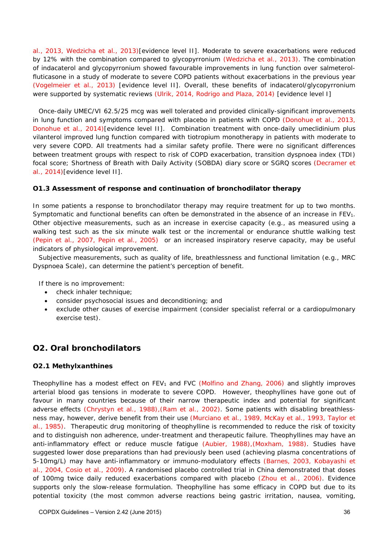al., 2013, Wedzicha et al., 2013)[evidence level II]. Moderate to severe exacerbations were reduced by 12% with the combination compared to glycopyrronium (Wedzicha et al., 2013). The combination of indacaterol and glycopyrronium showed favourable improvements in lung function over salmeterolfluticasone in a study of moderate to severe COPD patients without exacerbations in the previous year (Vogelmeier et al., 2013) [evidence level II]. Overall, these benefits of indacaterol/glycopyrronium were supported by systematic reviews (Ulrik, 2014, Rodrigo and Plaza, 2014) [evidence level I]

Once-daily UMEC/VI 62.5/25 mcg was well tolerated and provided clinically-significant improvements in lung function and symptoms compared with placebo in patients with COPD (Donohue et al., 2013, Donohue et al., 2014)[evidence level II]. Combination treatment with once-daily umeclidinium plus vilanterol improved lung function compared with tiotropium monotherapy in patients with moderate to very severe COPD. All treatments had a similar safety profile. There were no significant differences between treatment groups with respect to risk of COPD exacerbation, transition dyspnoea index (TDI) focal score; Shortness of Breath with Daily Activity (SOBDA) diary score or SGRQ scores (Decramer et al., 2014)[evidence level II].

#### **O1.3 Assessment of response and continuation of bronchodilator therapy**

In some patients a response to bronchodilator therapy may require treatment for up to two months. Symptomatic and functional benefits can often be demonstrated in the absence of an increase in  $FEV<sub>1</sub>$ . Other objective measurements, such as an increase in exercise capacity (e.g., as measured using a walking test such as the six minute walk test or the incremental or endurance shuttle walking test (Pepin et al., 2007, Pepin et al., 2005) or an increased inspiratory reserve capacity, may be useful indicators of physiological improvement.

Subjective measurements, such as quality of life, breathlessness and functional limitation (e.g., MRC Dyspnoea Scale), can determine the patient's perception of benefit.

If there is no improvement:

- check inhaler technique;
- consider psychosocial issues and deconditioning; and
- exclude other causes of exercise impairment (consider specialist referral or a cardiopulmonary exercise test).

### **O2. Oral bronchodilators**

#### **O2.1 Methylxanthines**

Theophylline has a modest effect on FEV<sub>1</sub> and FVC (Molfino and Zhang, 2006) and slightly improves arterial blood gas tensions in moderate to severe COPD. However, theophyllines have gone out of favour in many countries because of their narrow therapeutic index and potential for significant adverse effects (Chrystyn et al., 1988),(Ram et al., 2002). Some patients with disabling breathlessness may, however, derive benefit from their use (Murciano et al., 1989, McKay et al., 1993, Taylor et al., 1985). Therapeutic drug monitoring of theophylline is recommended to reduce the risk of toxicity and to distinguish non adherence, under-treatment and therapeutic failure. Theophyllines may have an anti-inflammatory effect or reduce muscle fatigue (Aubier, 1988),(Moxham, 1988). Studies have suggested lower dose preparations than had previously been used (achieving plasma concentrations of 5-10mg/L) may have anti-inflammatory or immuno-modulatory effects (Barnes, 2003, Kobayashi et al., 2004, Cosio et al., 2009). A randomised placebo controlled trial in China demonstrated that doses of 100mg twice daily reduced exacerbations compared with placebo (Zhou et al., 2006). Evidence supports only the slow-release formulation. Theophylline has some efficacy in COPD but due to its potential toxicity (the most common adverse reactions being gastric irritation, nausea, vomiting,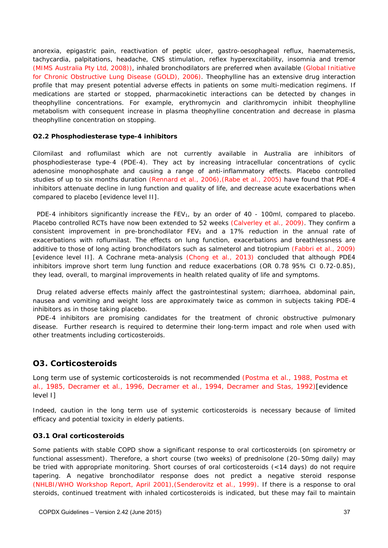anorexia, epigastric pain, reactivation of peptic ulcer, gastro-oesophageal reflux, haematemesis, tachycardia, palpitations, headache, CNS stimulation, reflex hyperexcitability, insomnia and tremor (MIMS Australia Pty Ltd, 2008)), inhaled bronchodilators are preferred when available (Global Initiative for Chronic Obstructive Lung Disease (GOLD), 2006). Theophylline has an extensive drug interaction profile that may present potential adverse effects in patients on some multi-medication regimens. If medications are started or stopped, pharmacokinetic interactions can be detected by changes in theophylline concentrations. For example, erythromycin and clarithromycin inhibit theophylline metabolism with consequent increase in plasma theophylline concentration and decrease in plasma theophylline concentration on stopping.

#### **O2.2 Phosphodiesterase type-4 inhibitors**

Cilomilast and roflumilast which are not currently available in Australia are inhibitors of phosphodiesterase type-4 (PDE-4). They act by increasing intracellular concentrations of cyclic adenosine monophosphate and causing a range of anti-inflammatory effects. Placebo controlled studies of up to six months duration (Rennard et al., 2006),(Rabe et al., 2005) have found that PDE-4 inhibitors attenuate decline in lung function and quality of life, and decrease acute exacerbations when compared to placebo [evidence level II].

PDE-4 inhibitors significantly increase the FEV<sub>1</sub>, by an order of 40 - 100ml, compared to placebo. Placebo controlled RCTs have now been extended to 52 weeks (Calverley et al., 2009). They confirm a consistent improvement in pre-bronchodilator  $FEV<sub>1</sub>$  and a 17% reduction in the annual rate of exacerbations with roflumilast. The effects on lung function, exacerbations and breathlessness are additive to those of long acting bronchodilators such as salmeterol and tiotropium (Fabbri et al., 2009) [evidence level II]. A Cochrane meta-analysis (Chong et al., 2013) concluded that although PDE4 inhibitors improve short term lung function and reduce exacerbations (OR 0.78 95% CI 0.72-0.85), they lead, overall, to marginal improvements in health related quality of life and symptoms.

Drug related adverse effects mainly affect the gastrointestinal system; diarrhoea, abdominal pain, nausea and vomiting and weight loss are approximately twice as common in subjects taking PDE-4 inhibitors as in those taking placebo.

PDE-4 inhibitors are promising candidates for the treatment of chronic obstructive pulmonary disease. Further research is required to determine their long-term impact and role when used with other treatments including corticosteroids.

## **O3. Corticosteroids**

Long term use of systemic corticosteroids is not recommended (Postma et al., 1988, Postma et al., 1985, Decramer et al., 1996, Decramer et al., 1994, Decramer and Stas, 1992)[evidence level I]

Indeed, caution in the long term use of systemic corticosteroids is necessary because of limited efficacy and potential toxicity in elderly patients.

### **O3.1 Oral corticosteroids**

Some patients with stable COPD show a significant response to oral corticosteroids (on spirometry or functional assessment). Therefore, a short course (two weeks) of prednisolone (20–50mg daily) may be tried with appropriate monitoring. Short courses of oral corticosteroids (<14 days) do not require tapering. A negative bronchodilator response does not predict a negative steroid response (NHLBI/WHO Workshop Report, April 2001),(Senderovitz et al., 1999). If there is a response to oral steroids, continued treatment with inhaled corticosteroids is indicated, but these may fail to maintain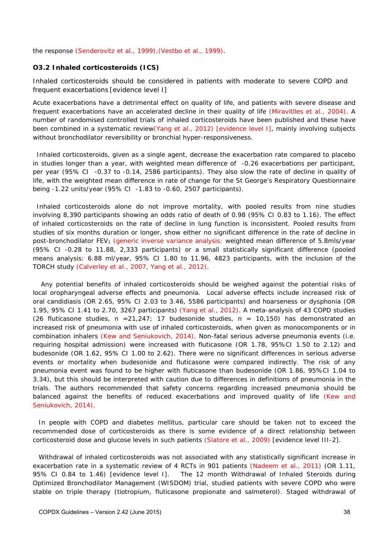the response (Senderovitz et al., 1999),(Vestbo et al., 1999).

#### **O3.2 Inhaled corticosteroids (ICS)**

Inhaled corticosteroids should be considered in patients with moderate to severe COPD and frequent exacerbations [evidence level I]

Acute exacerbations have a detrimental effect on quality of life, and patients with severe disease and frequent exacerbations have an accelerated decline in their quality of life (Miravitlles et al., 2004). A number of randomised controlled trials of inhaled corticosteroids have been published and these have been combined in a systematic review(Yang et al., 2012) [evidence level I], mainly involving subjects without bronchodilator reversibility or bronchial hyper-responsiveness.

Inhaled corticosteroids, given as a single agent, decrease the exacerbation rate compared to placebo in studies longer than a year, with weighted mean difference of -0.26 exacerbations per participant, per year (95% CI -0.37 to -0.14, 2586 participants). They also slow the rate of decline in quality of life, with the weighted mean difference in rate of change for the St George's Respiratory Questionnaire being -1.22 units/year (95% CI -1.83 to -0.60, 2507 participants).

Inhaled corticosteroids alone do not improve mortality, with pooled results from nine studies involving 8,390 participants showing an odds ratio of death of 0.98 (95% CI 0.83 to 1.16). The effect of inhaled corticosteroids on the rate of decline in lung function is inconsistent. Pooled results from studies of six months duration or longer, show either no significant difference in the rate of decline in post-bronchodilator FEV<sub>1</sub> (generic inverse variance analysis: weighted mean difference of 5.8mls/year (95% CI -0.28 to 11.88, 2,333 participants) or a small statistically significant difference (pooled means analysis: 6.88 ml/year, 95% CI 1.80 to 11.96, 4823 participants, with the inclusion of the TORCH study (Calverley et al., 2007, Yang et al., 2012).

 Any potential benefits of inhaled corticosteroids should be weighed against the potential risks of local oropharyngeal adverse effects and pneumonia. Local adverse effects include increased risk of oral candidiasis (OR 2.65, 95% CI 2.03 to 3.46, 5586 participants) and hoarseness or dysphonia (OR 1.95, 95% CI 1.41 to 2.70, 3267 participants) (Yang et al., 2012). A meta-analysis of 43 COPD studies (26 fluticasone studies, n = 21,247; 17 budesonide studies, n = 10,150) has demonstrated an increased risk of pneumonia with use of inhaled corticosteroids, when given as monocomponents or in combination inhalers (Kew and Seniukovich, 2014). Non-fatal serious adverse pneumonia events (i.e. requiring hospital admission) were increased with fluticasone (OR 1.78, 95%CI 1.50 to 2.12) and budesonide (OR 1.62, 95% CI 1.00 to 2.62). There were no significant differences in serious adverse events or mortality when budesonide and fluticasone were compared indirectly. The risk of any pneumonia event was found to be higher with fluticasone than budesonide (OR 1.86, 95%CI 1.04 to 3.34), but this should be interpreted with caution due to differences in definitions of pneumonia in the trials. The authors recommended that safety concerns regarding increased pneumonia should be balanced against the benefits of reduced exacerbations and improved quality of life (Kew and Seniukovich, 2014).

In people with COPD and diabetes mellitus, particular care should be taken not to exceed the recommended dose of corticosteroids as there is some evidence of a direct relationship between corticosteroid dose and glucose levels in such patients (Slatore et al., 2009) [evidence level III-2].

Withdrawal of inhaled corticosteroids was not associated with any statistically significant increase in exacerbation rate in a systematic review of 4 RCTs in 901 patients (Nadeem et al., 2011) (OR 1.11, 95% CI 0.84 to 1.46) [evidence level I]. The 12 month Withdrawal of Inhaled Steroids during Optimized Bronchodilator Management (WISDOM) trial, studied patients with severe COPD who were stable on triple therapy (tiotropium, fluticasone propionate and salmeterol). Staged withdrawal of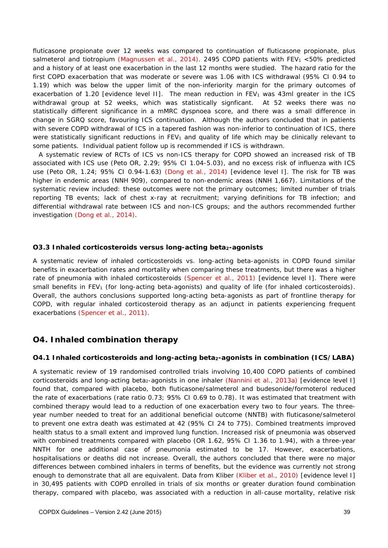fluticasone propionate over 12 weeks was compared to continuation of fluticasone propionate, plus salmeterol and tiotropium (Magnussen et al., 2014). 2495 COPD patients with FEV<sub>1</sub> <50% predicted and a history of at least one exacerbation in the last 12 months were studied. The hazard ratio for the first COPD exacerbation that was moderate or severe was 1.06 with ICS withdrawal (95% CI 0.94 to 1.19) which was below the upper limit of the non-inferiority margin for the primary outcomes of exacerbation of 1.20 [evidence level II]. The mean reduction in FEV<sub>1</sub> was 43ml greater in the ICS withdrawal group at 52 weeks, which was statistically signficant. At 52 weeks there was no statistically different significance in a mMRC dyspnoea score, and there was a small difference in change in SGRQ score, favouring ICS continuation. Although the authors concluded that in patients with severe COPD withdrawal of ICS in a tapered fashion was non-inferior to continuation of ICS, there were statistically significant reductions in FEV<sub>1</sub> and quality of life which may be clinically relevant to some patients. Individual patient follow up is recommended if ICS is withdrawn.

A systematic review of RCTs of ICS vs non-ICS therapy for COPD showed an increased risk of TB associated with ICS use (Peto OR, 2.29; 95% CI 1.04-5.03), and no excess risk of influenza with ICS use (Peto OR, 1.24; 95% CI 0.94-1.63) (Dong et al., 2014) [evidence level I]. The risk for TB was higher in endemic areas (NNH 909), compared to non-endemic areas (NNH 1,667). Limitations of the systematic review included: these outcomes were not the primary outcomes; limited number of trials reporting TB events; lack of chest x-ray at recruitment; varying definitions for TB infection; and differential withdrawal rate between ICS and non-ICS groups; and the authors recommended further investigation (Dong et al., 2014).

#### **O3.3 Inhaled corticosteroids versus long-acting beta2-agonists**

A systematic review of inhaled corticosteroids vs. long-acting beta-agonists in COPD found similar benefits in exacerbation rates and mortality when comparing these treatments, but there was a higher rate of pneumonia with inhaled corticosteroids (Spencer et al., 2011) [evidence level I]. There were small benefits in  $FEV<sub>1</sub>$  (for long-acting beta-agonists) and quality of life (for inhaled corticosteroids). Overall, the authors conclusions supported long-acting beta-agonists as part of frontline therapy for COPD, with regular inhaled corticosteroid therapy as an adjunct in patients experiencing frequent exacerbations (Spencer et al., 2011).

## **O4. Inhaled combination therapy**

### **O4.1 Inhaled corticosteroids and long-acting beta<sub>2</sub>-agonists in combination (ICS/LABA)**

A systematic review of 19 randomised controlled trials involving 10,400 COPD patients of combined corticosteroids and long-acting beta<sub>2</sub>-agonists in one inhaler (Nannini et al., 2013a) [evidence level I] found that, compared with placebo, both fluticasone/salmeterol and budesonide/formoterol reduced the rate of exacerbations (rate ratio 0.73; 95% CI 0.69 to 0.78). It was estimated that treatment with combined therapy would lead to a reduction of one exacerbation every two to four years. The threeyear number needed to treat for an additional beneficial outcome (NNTB) with fluticasone/salmeterol to prevent one extra death was estimated at 42 (95% CI 24 to 775). Combined treatments improved health status to a small extent and improved lung function. Increased risk of pneumonia was observed with combined treatments compared with placebo (OR 1.62, 95% CI 1.36 to 1.94), with a three-year NNTH for one additional case of pneumonia estimated to be 17. However, exacerbations, hospitalisations or deaths did not increase. Overall, the authors concluded that there were no major differences between combined inhalers in terms of benefits, but the evidence was currently not strong enough to demonstrate that all are equivalent. Data from Kliber (Kliber et al., 2010) [evidence level I] in 30,495 patients with COPD enrolled in trials of six months or greater duration found combination therapy, compared with placebo, was associated with a reduction in all-cause mortality, relative risk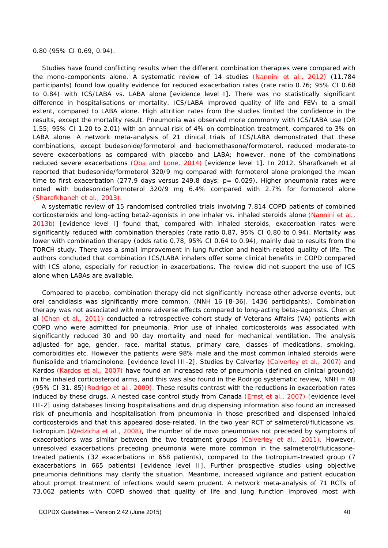#### 0.80 (95% CI 0.69, 0.94).

 Studies have found conflicting results when the different combination therapies were compared with the mono-components alone. A systematic review of 14 studies (Nannini et al., 2012) (11,784 participants) found low quality evidence for reduced exacerbation rates (rate ratio 0.76; 95% CI 0.68 to 0.84) with ICS/LABA vs. LABA alone [evidence level I]. There was no statistically significant difference in hospitalisations or mortality. ICS/LABA improved quality of life and  $FEV<sub>1</sub>$  to a small extent, compared to LABA alone. High attrition rates from the studies limited the confidence in the results, except the mortality result. Pneumonia was observed more commonly with ICS/LABA use (OR 1.55; 95% CI 1.20 to 2.01) with an annual risk of 4% on combination treatment, compared to 3% on LABA alone. A network meta-analysis of 21 clinical trials of ICS/LABA demonstrated that these combinations, except budesonide/formoterol and beclomethasone/formoterol, reduced moderate-to severe exacerbations as compared with placebo and LABA; however, none of the combinations reduced severe exacerbations (Oba and Lone, 2014) [evidence level 1]. In 2012, Sharafkaneh et al reported that budesonide/formoterol 320/9 mg compared with formoterol alone prolonged the mean time to first exacerbation (277.9 days versus 249.8 days; p= 0.029). Higher pneumonia rates were noted with budesonide/formoterol 320/9 mg 6.4% compared with 2.7% for formoterol alone (Sharafkhaneh et al., 2013).

A systematic review of 15 randomised controlled trials involving 7,814 COPD patients of combined corticosteroids and long-acting beta2-agonists in one inhaler vs. inhaled steroids alone (Nannini et al., 2013b) [evidence level I] found that, compared with inhaled steroids, exacerbation rates were significantly reduced with combination therapies (rate ratio 0.87, 95% CI 0.80 to 0.94). Mortality was lower with combination therapy (odds ratio 0.78, 95% CI 0.64 to 0.94), mainly due to results from the TORCH study. There was a small improvement in lung function and health-related quality of life. The authors concluded that combination ICS/LABA inhalers offer some clinical benefits in COPD compared with ICS alone, especially for reduction in exacerbations. The review did not support the use of ICS alone when LABAs are available.

 Compared to placebo, combination therapy did not significantly increase other adverse events, but oral candidiasis was significantly more common, (NNH 16 [8-36], 1436 participants). Combination therapy was not associated with more adverse effects compared to long-acting beta<sub>2</sub>-agonists. Chen et al (Chen et al., 2011) conducted a retrospective cohort study of Veterans Affairs (VA) patients with COPD who were admitted for pneumonia. Prior use of inhaled corticosteroids was associated with significantly reduced 30 and 90 day mortality and need for mechanical ventilation. The analysis adjusted for age, gender, race, marital status, primary care, classes of medications, smoking, comorbidities etc. However the patients were 98% male and the most common inhaled steroids were flunisolide and triamcinolone. [evidence level III-2]. Studies by Calverley (Calverley et al., 2007) and Kardos (Kardos et al., 2007) have found an increased rate of pneumonia (defined on clinical grounds) in the inhaled corticosteroid arms, and this was also found in the Rodrigo systematic review,  $NNH = 48$ (95% CI 31, 85)(Rodrigo et al., 2009). These results contrast with the reductions in exacerbation rates induced by these drugs. A nested case control study from Canada (Ernst et al., 2007) [evidence level III-2] using databases linking hospitalisations and drug dispensing information also found an increased risk of pneumonia and hospitalisation from pneumonia in those prescribed and dispensed inhaled corticosteroids and that this appeared dose-related. In the two year RCT of salmeterol/fluticasone vs. tiotropium (Wedzicha et al., 2008), the number of *de novo* pneumonias not preceded by symptoms of exacerbations was similar between the two treatment groups (Calverley et al., 2011). However, unresolved exacerbations preceding pneumonia were more common in the salmeterol/fluticasonetreated patients (32 exacerbations in 658 patients), compared to the tiotropium-treated group (7 exacerbations in 665 patients) [evidence level II]. Further prospective studies using objective pneumonia definitions may clarify the situation. Meantime, increased vigilance and patient education about prompt treatment of infections would seem prudent. A network meta-analysis of 71 RCTs of 73,062 patients with COPD showed that quality of life and lung function improved most with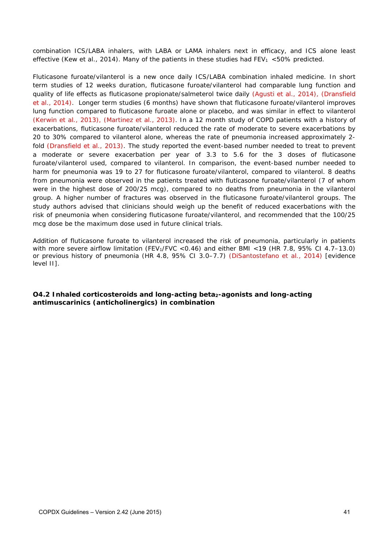combination ICS/LABA inhalers, with LABA or LAMA inhalers next in efficacy, and ICS alone least effective (Kew et al., 2014). Many of the patients in these studies had  $FEV_1$  <50% predicted.

Fluticasone furoate/vilanterol is a new once daily ICS/LABA combination inhaled medicine. In short term studies of 12 weeks duration, fluticasone furoate/vilanterol had comparable lung function and quality of life effects as fluticasone propionate/salmeterol twice daily (Agusti et al., 2014), (Dransfield et al., 2014). Longer term studies (6 months) have shown that fluticasone furoate/vilanterol improves lung function compared to fluticasone furoate alone or placebo, and was similar in effect to vilanterol (Kerwin et al., 2013), (Martinez et al., 2013). In a 12 month study of COPD patients with a history of exacerbations, fluticasone furoate/vilanterol reduced the rate of moderate to severe exacerbations by 20 to 30% compared to vilanterol alone, whereas the rate of pneumonia increased approximately 2 fold (Dransfield et al., 2013). The study reported the event-based number needed to treat to prevent a moderate or severe exacerbation per year of 3.3 to 5.6 for the 3 doses of fluticasone furoate/vilanterol used, compared to vilanterol. In comparison, the event-based number needed to harm for pneumonia was 19 to 27 for fluticasone furoate/vilanterol, compared to vilanterol. 8 deaths from pneumonia were observed in the patients treated with fluticasone furoate/vilanterol (7 of whom were in the highest dose of 200/25 mcg), compared to no deaths from pneumonia in the vilanterol group. A higher number of fractures was observed in the fluticasone furoate/vilanterol groups. The study authors advised that clinicians should weigh up the benefit of reduced exacerbations with the risk of pneumonia when considering fluticasone furoate/vilanterol, and recommended that the 100/25 mcg dose be the maximum dose used in future clinical trials.

Addition of fluticasone furoate to vilanterol increased the risk of pneumonia, particularly in patients with more severe airflow limitation (FEV<sub>1</sub>/FVC < 0.46) and either BMI < 19 (HR 7.8, 95% CI 4.7–13.0) or previous history of pneumonia (HR 4.8, 95% CI 3.0–7.7) (DiSantostefano et al., 2014) [evidence level II].

**O4.2 Inhaled corticosteroids and long-acting beta2-agonists and long-acting antimuscarinics (anticholinergics) in combination**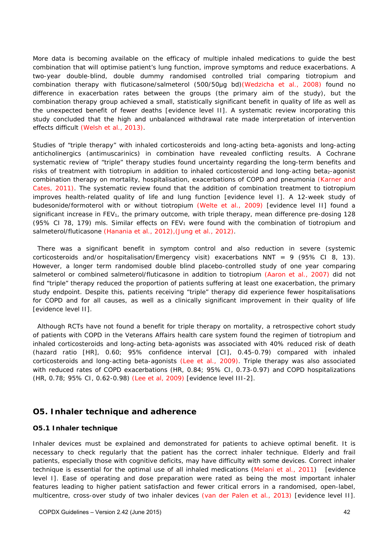More data is becoming available on the efficacy of multiple inhaled medications to guide the best combination that will optimise patient's lung function, improve symptoms and reduce exacerbations. A two-year double-blind, double dummy randomised controlled trial comparing tiotropium and combination therapy with fluticasone/salmeterol (500/50μg bd)(Wedzicha et al., 2008) found no difference in exacerbation rates between the groups (the primary aim of the study), but the combination therapy group achieved a small, statistically significant benefit in quality of life as well as the unexpected benefit of fewer deaths [evidence level II]. A systematic review incorporating this study concluded that the high and unbalanced withdrawal rate made interpretation of intervention effects difficult (Welsh et al., 2013).

Studies of "triple therapy" with inhaled corticosteroids and long-acting beta-agonists and long-acting anticholinergics (antimuscarinics) in combination have revealed conflicting results. A Cochrane systematic review of "triple" therapy studies found uncertainty regarding the long-term benefits and risks of treatment with tiotropium in addition to inhaled corticosteroid and long-acting beta<sub>2</sub>-agonist combination therapy on mortality, hospitalisation, exacerbations of COPD and pneumonia (Karner and Cates, 2011). The systematic review found that the addition of combination treatment to tiotropium improves health-related quality of life and lung function [evidence level I]. A 12-week study of budesonide/formoterol with or without tiotropium (Welte et al., 2009) [evidence level II] found a significant increase in  $FEV<sub>1</sub>$ , the primary outcome, with triple therapy, mean difference pre-dosing 128 (95% CI 78, 179) mls. Similar effects on FEV<sub>1</sub> were found with the combination of tiotropium and salmeterol/fluticasone (Hanania et al., 2012),(Jung et al., 2012).

There was a significant benefit in symptom control and also reduction in severe (systemic corticosteroids and/or hospitalisation/Emergency visit) exacerbations  $NNT = 9$  (95% CI 8, 13). However, a longer term randomised double blind placebo-controlled study of one year comparing salmeterol or combined salmeterol/fluticasone in addition to tiotropium (Aaron et al., 2007) did not find "triple" therapy reduced the proportion of patients suffering at least one exacerbation, the primary study endpoint. Despite this, patients receiving "triple" therapy did experience fewer hospitalisations for COPD and for all causes, as well as a clinically significant improvement in their quality of life [evidence level II].

Although RCTs have not found a benefit for triple therapy on mortality, a retrospective cohort study of patients with COPD in the Veterans Affairs health care system found the regimen of tiotropium and inhaled corticosteroids and long-acting beta-agonists was associated with 40% reduced risk of death (hazard ratio [HR], 0.60; 95% confidence interval [CI], 0.45-0.79) compared with inhaled corticosteroids and long-acting beta-agonists (Lee et al., 2009). Triple therapy was also associated with reduced rates of COPD exacerbations (HR, 0.84; 95% CI, 0.73-0.97) and COPD hospitalizations (HR, 0.78; 95% CI, 0.62-0.98) (Lee et al, 2009) [evidence level III-2].

## **O5. Inhaler technique and adherence**

### **O5.1 Inhaler technique**

Inhaler devices must be explained and demonstrated for patients to achieve optimal benefit. It is necessary to check regularly that the patient has the correct inhaler technique. Elderly and frail patients, especially those with cognitive deficits, may have difficulty with some devices. Correct inhaler technique is essential for the optimal use of all inhaled medications (Melani et al., 2011) [evidence level I]. Ease of operating and dose preparation were rated as being the most important inhaler features leading to higher patient satisfaction and fewer critical errors in a randomised, open-label, multicentre, cross-over study of two inhaler devices (van der Palen et al., 2013) [evidence level II].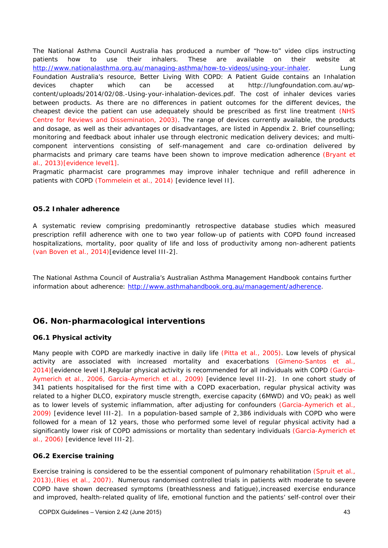The National Asthma Council Australia has produced a number of "how-to" video clips instructing patients how to use their inhalers. These are available on their website at http://www.nationalasthma.org.au/managing-asthma/how-to-videos/using-your-inhaler. Lung Foundation Australia's resource, *Better Living With COPD: A Patient Guide* contains an Inhalation devices chapter which can be accessed at http://lungfoundation.com.au/wpcontent/uploads/2014/02/08.-Using-your-inhalation-devices.pdf. The cost of inhaler devices varies between products. As there are no differences in patient outcomes for the different devices, the cheapest device the patient can use adequately should be prescribed as first line treatment (NHS Centre for Reviews and Dissemination, 2003). The range of devices currently available, the products and dosage, as well as their advantages or disadvantages, are listed in Appendix 2. Brief counselling; monitoring and feedback about inhaler use through electronic medication delivery devices; and multicomponent interventions consisting of self-management and care co-ordination delivered by pharmacists and primary care teams have been shown to improve medication adherence (Bryant et al., 2013)[evidence level1].

Pragmatic pharmacist care programmes may improve inhaler technique and refill adherence in patients with COPD (Tommelein et al., 2014) [evidence level II].

#### **O5.2 Inhaler adherence**

A systematic review comprising predominantly retrospective database studies which measured prescription refill adherence with one to two year follow-up of patients with COPD found increased hospitalizations, mortality, poor quality of life and loss of productivity among non-adherent patients (van Boven et al., 2014)[evidence level III-2].

The National Asthma Council of Australia's Australian Asthma Management Handbook contains further information about adherence: http://www.asthmahandbook.org.au/management/adherence.

## **O6. Non-pharmacological interventions**

### **O6.1 Physical activity**

Many people with COPD are markedly inactive in daily life (Pitta et al., 2005). Low levels of physical activity are associated with increased mortality and exacerbations (Gimeno-Santos et al., 2014)[evidence level I].Regular physical activity is recommended for all individuals with COPD (Garcia-Aymerich et al., 2006, Garcia-Aymerich et al., 2009) [evidence level III-2]. In one cohort study of 341 patients hospitalised for the first time with a COPD exacerbation, regular physical activity was related to a higher DLCO, expiratory muscle strength, exercise capacity (6MWD) and VO<sub>2</sub> peak) as well as to lower levels of systemic inflammation, after adjusting for confounders (Garcia-Aymerich et al., 2009) [evidence level III-2]. In a population-based sample of 2,386 individuals with COPD who were followed for a mean of 12 years, those who performed some level of regular physical activity had a significantly lower risk of COPD admissions or mortality than sedentary individuals (Garcia-Aymerich et al., 2006) [evidence level III-2].

### **O6.2 Exercise training**

Exercise training is considered to be the essential component of pulmonary rehabilitation (Spruit et al., 2013),(Ries et al., 2007). Numerous randomised controlled trials in patients with moderate to severe COPD have shown decreased symptoms (breathlessness and fatigue),increased exercise endurance and improved, health-related quality of life, emotional function and the patients' self-control over their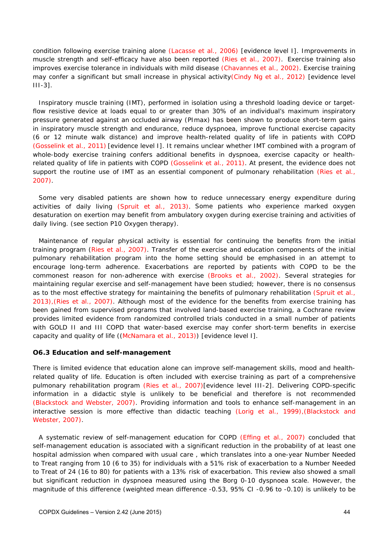condition following exercise training alone (Lacasse et al., 2006) [evidence level I]. Improvements in muscle strength and self-efficacy have also been reported (Ries et al., 2007). Exercise training also improves exercise tolerance in individuals with mild disease (Chavannes et al., 2002). Exercise training may confer a significant but small increase in physical activity(Cindy Ng et al., 2012) [evidence level III-3].

Inspiratory muscle training (IMT), performed in isolation using a threshold loading device or targetflow resistive device at loads equal to or greater than 30% of an individual's maximum inspiratory pressure generated against an occluded airway (PImax) has been shown to produce short-term gains in inspiratory muscle strength and endurance, reduce dyspnoea, improve functional exercise capacity (6 or 12 minute walk distance) and improve health-related quality of life in patients with COPD (Gosselink et al., 2011) [evidence level I]. It remains unclear whether IMT combined with a program of whole-body exercise training confers additional benefits in dyspnoea, exercise capacity or healthrelated quality of life in patients with COPD (Gosselink et al., 2011). At present, the evidence does not support the routine use of IMT as an essential component of pulmonary rehabilitation (Ries et al., 2007).

Some very disabled patients are shown how to reduce unnecessary energy expenditure during activities of daily living (Spruit et al., 2013). Some patients who experience marked oxygen desaturation on exertion may benefit from ambulatory oxygen during exercise training and activities of daily living. (see section P10 Oxygen therapy).

Maintenance of regular physical activity is essential for continuing the benefits from the initial training program (Ries et al., 2007). Transfer of the exercise and education components of the initial pulmonary rehabilitation program into the home setting should be emphasised in an attempt to encourage long-term adherence. Exacerbations are reported by patients with COPD to be the commonest reason for non-adherence with exercise (Brooks et al., 2002). Several strategies for maintaining regular exercise and self-management have been studied; however, there is no consensus as to the most effective strategy for maintaining the benefits of pulmonary rehabilitation (Spruit et al., 2013),(Ries et al., 2007). Although most of the evidence for the benefits from exercise training has been gained from supervised programs that involved land-based exercise training, a Cochrane review provides limited evidence from randomized controlled trials conducted in a small number of patients with GOLD II and III COPD that water-based exercise may confer short-term benefits in exercise capacity and quality of life ((McNamara et al., 2013)) [evidence level I].

#### **O6.3 Education and self-management**

There is limited evidence that education alone can improve self-management skills, mood and healthrelated quality of life. Education is often included with exercise training as part of a comprehensive pulmonary rehabilitation program (Ries et al., 2007)[evidence level III-2]. Delivering COPD-specific information in a didactic style is unlikely to be beneficial and therefore is not recommended (Blackstock and Webster, 2007). Providing information and tools to enhance self-management in an interactive session is more effective than didactic teaching (Lorig et al., 1999),(Blackstock and Webster, 2007).

A systematic review of self-management education for COPD (Effing et al., 2007) concluded that self-management education is associated with a significant reduction in the probability of at least one hospital admission when compared with usual care , which translates into a one-year Number Needed to Treat ranging from 10 (6 to 35) for individuals with a 51% risk of exacerbation to a Number Needed to Treat of 24 (16 to 80) for patients with a 13% risk of exacerbation. This review also showed a small but significant reduction in dyspnoea measured using the Borg 0-10 dyspnoea scale. However, the magnitude of this difference (weighted mean difference -0.53, 95% CI -0.96 to -0.10) is unlikely to be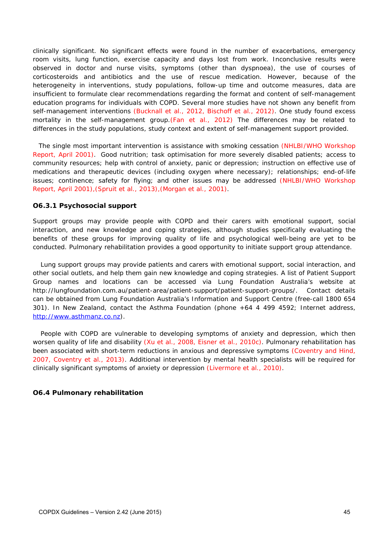clinically significant. No significant effects were found in the number of exacerbations, emergency room visits, lung function, exercise capacity and days lost from work. Inconclusive results were observed in doctor and nurse visits, symptoms (other than dyspnoea), the use of courses of corticosteroids and antibiotics and the use of rescue medication. However, because of the heterogeneity in interventions, study populations, follow-up time and outcome measures, data are insufficient to formulate clear recommendations regarding the format and content of self-management education programs for individuals with COPD. Several more studies have not shown any benefit from self-management interventions (Bucknall et al., 2012, Bischoff et al., 2012). One study found excess mortality in the self-management group.(Fan et al., 2012) The differences may be related to differences in the study populations, study context and extent of self-management support provided.

The single most important intervention is assistance with smoking cessation (NHLBI/WHO Workshop Report, April 2001). Good nutrition; task optimisation for more severely disabled patients; access to community resources; help with control of anxiety, panic or depression; instruction on effective use of medications and therapeutic devices (including oxygen where necessary); relationships; end-of-life issues; continence; safety for flying; and other issues may be addressed (NHLBI/WHO Workshop Report, April 2001),(Spruit et al., 2013),(Morgan et al., 2001).

#### **O6.3.1 Psychosocial support**

Support groups may provide people with COPD and their carers with emotional support, social interaction, and new knowledge and coping strategies, although studies specifically evaluating the benefits of these groups for improving quality of life and psychological well-being are yet to be conducted. Pulmonary rehabilitation provides a good opportunity to initiate support group attendance.

 Lung support groups may provide patients and carers with emotional support, social interaction, and other social outlets, and help them gain new knowledge and coping strategies. A list of Patient Support Group names and locations can be accessed via Lung Foundation Australia's website at http://lungfoundation.com.au/patient-area/patient-support/patient-support-groups/. Contact details can be obtained from Lung Foundation Australia's Information and Support Centre (free-call 1800 654 301). In New Zealand, contact the Asthma Foundation (phone +64 4 499 4592; Internet address, http://www.asthmanz.co.nz).

 People with COPD are vulnerable to developing symptoms of anxiety and depression, which then worsen quality of life and disability (Xu et al., 2008, Eisner et al., 2010c). Pulmonary rehabilitation has been associated with short-term reductions in anxious and depressive symptoms (Coventry and Hind, 2007, Coventry et al., 2013). Additional intervention by mental health specialists will be required for clinically significant symptoms of anxiety or depression (Livermore et al., 2010).

### **O6.4 Pulmonary rehabilitation**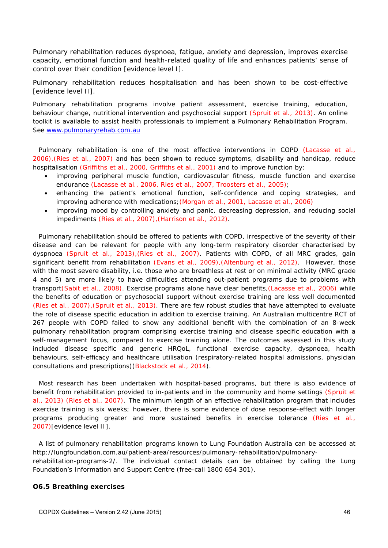Pulmonary rehabilitation reduces dyspnoea, fatigue, anxiety and depression, improves exercise capacity, emotional function and health-related quality of life and enhances patients' sense of control over their condition [evidence level I].

Pulmonary rehabilitation reduces hospitalisation and has been shown to be cost-effective [evidence level II].

Pulmonary rehabilitation programs involve patient assessment, exercise training, education, behaviour change, nutritional intervention and psychosocial support (Spruit et al., 2013). An online toolkit is available to assist health professionals to implement a Pulmonary Rehabilitation Program. See www.pulmonaryrehab.com.au

Pulmonary rehabilitation is one of the most effective interventions in COPD (Lacasse et al., 2006),(Ries et al., 2007) and has been shown to reduce symptoms, disability and handicap, reduce hospitalisation (Griffiths et al., 2000, Griffiths et al., 2001) and to improve function by:

- improving peripheral muscle function, cardiovascular fitness, muscle function and exercise endurance (Lacasse et al., 2006, Ries et al., 2007, Troosters et al., 2005);
- enhancing the patient's emotional function, self-confidence and coping strategies, and improving adherence with medications;(Morgan et al., 2001, Lacasse et al., 2006)
- improving mood by controlling anxiety and panic, decreasing depression, and reducing social impediments (Ries et al., 2007),(Harrison et al., 2012).

Pulmonary rehabilitation should be offered to patients with COPD, irrespective of the severity of their disease and can be relevant for people with any long-term respiratory disorder characterised by dyspnoea (Spruit et al., 2013),(Ries et al., 2007). Patients with COPD, of all MRC grades, gain significant benefit from rehabilitation (Evans et al., 2009), (Altenburg et al., 2012). However, those with the most severe disability, i.e. those who are breathless at rest or on minimal activity (MRC grade 4 and 5) are more likely to have difficulties attending out-patient programs due to problems with transport(Sabit et al., 2008). Exercise programs alone have clear benefits, (Lacasse et al., 2006) while the benefits of education or psychosocial support without exercise training are less well documented (Ries et al., 2007),(Spruit et al., 2013). There are few robust studies that have attempted to evaluate the role of disease specific education in addition to exercise training. An Australian multicentre RCT of 267 people with COPD failed to show any additional benefit with the combination of an 8-week pulmonary rehabilitation program comprising exercise training and disease specific education with a self-management focus, compared to exercise training alone. The outcomes assessed in this study included disease specific and generic HRQoL, functional exercise capacity, dyspnoea, health behaviours, self-efficacy and healthcare utilisation (respiratory-related hospital admissions, physician consultations and prescriptions)(Blackstock et al., 2014).

Most research has been undertaken with hospital-based programs, but there is also evidence of benefit from rehabilitation provided to in-patients and in the community and home settings (Spruit et al., 2013) (Ries et al., 2007). The minimum length of an effective rehabilitation program that includes exercise training is six weeks; however, there is some evidence of dose response-effect with longer programs producing greater and more sustained benefits in exercise tolerance (Ries et al., 2007)[evidence level II].

A list of pulmonary rehabilitation programs known to Lung Foundation Australia can be accessed at http://lungfoundation.com.au/patient-area/resources/pulmonary-rehabilitation/pulmonaryrehabilitation-programs-2/. The individual contact details can be obtained by calling the Lung Foundation's Information and Support Centre (free-call 1800 654 301).

#### **O6.5 Breathing exercises**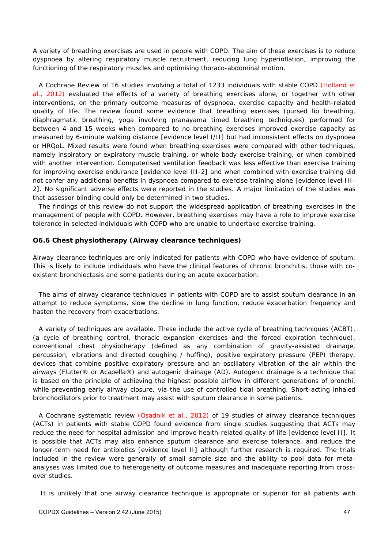A variety of breathing exercises are used in people with COPD. The aim of these exercises is to reduce dyspnoea by altering respiratory muscle recruitment, reducing lung hyperinflation, improving the functioning of the respiratory muscles and optimising thoraco-abdominal motion.

A Cochrane Review of 16 studies involving a total of 1233 individuals with stable COPD (Holland et al., 2012) evaluated the effects of a variety of breathing exercises alone, or together with other interventions, on the primary outcome measures of dyspnoea, exercise capacity and health-related quality of life. The review found some evidence that breathing exercises (pursed lip breathing, diaphragmatic breathing, yoga involving pranayama timed breathing techniques) performed for between 4 and 15 weeks when compared to no breathing exercises improved exercise capacity as measured by 6-minute walking distance [evidence level I/II] but had inconsistent effects on dyspnoea or HRQoL. Mixed results were found when breathing exercises were compared with other techniques, namely inspiratory or expiratory muscle training, or whole body exercise training, or when combined with another intervention. Computerised ventilation feedback was less effective than exercise training for improving exercise endurance [evidence level III-2] and when combined with exercise training did not confer any additional benefits in dyspnoea compared to exercise training alone [evidence level III-2]. No significant adverse effects were reported in the studies. A major limitation of the studies was that assessor blinding could only be determined in two studies.

The findings of this review do not support the widespread application of breathing exercises in the management of people with COPD. However, breathing exercises may have a role to improve exercise tolerance in selected individuals with COPD who are unable to undertake exercise training.

### **O6.6 Chest physiotherapy (Airway clearance techniques)**

Airway clearance techniques are only indicated for patients with COPD who have evidence of sputum. This is likely to include individuals who have the clinical features of chronic bronchitis, those with coexistent bronchiectasis and some patients during an acute exacerbation.

The aims of airway clearance techniques in patients with COPD are to assist sputum clearance in an attempt to reduce symptoms, slow the decline in lung function, reduce exacerbation frequency and hasten the recovery from exacerbations.

A variety of techniques are available. These include the active cycle of breathing techniques (ACBT), (a cycle of breathing control, thoracic expansion exercises and the forced expiration technique), conventional chest physiotherapy (defined as any combination of gravity-assisted drainage, percussion, vibrations and directed coughing / huffing), positive expiratory pressure (PEP) therapy, devices that combine positive expiratory pressure and an oscillatory vibration of the air within the airways (Flutter® or Acapella®) and autogenic drainage (AD). Autogenic drainage is a technique that is based on the principle of achieving the highest possible airflow in different generations of bronchi, while preventing early airway closure, via the use of controlled tidal breathing. Short-acting inhaled bronchodilators prior to treatment may assist with sputum clearance in some patients.

A Cochrane systematic review (Osadnik et al., 2012) of 19 studies of airway clearance techniques (ACTs) in patients with stable COPD found evidence from single studies suggesting that ACTs may reduce the need for hospital admission and improve health-related quality of life [evidence level II]. It is possible that ACTs may also enhance sputum clearance and exercise tolerance, and reduce the longer-term need for antibiotics [evidence level II] although further research is required. The trials included in the review were generally of small sample size and the ability to pool data for metaanalyses was limited due to heterogeneity of outcome measures and inadequate reporting from crossover studies.

It is unlikely that one airway clearance technique is appropriate or superior for all patients with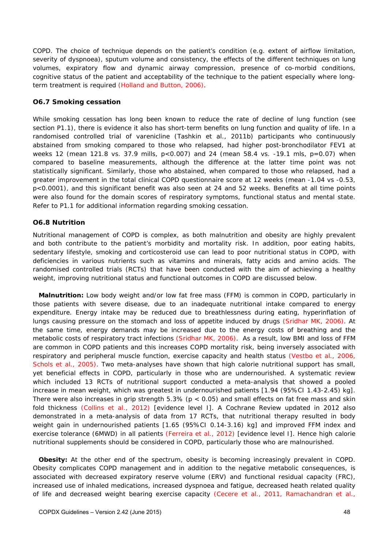COPD. The choice of technique depends on the patient's condition (e.g. extent of airflow limitation, severity of dyspnoea), sputum volume and consistency, the effects of the different techniques on lung volumes, expiratory flow and dynamic airway compression, presence of co-morbid conditions, cognitive status of the patient and acceptability of the technique to the patient especially where longterm treatment is required (Holland and Button, 2006).

### **O6.7 Smoking cessation**

While smoking cessation has long been known to reduce the rate of decline of lung function (see section P1.1), there is evidence it also has short-term benefits on lung function and quality of life. In a randomised controlled trial of varenicline (Tashkin et al., 2011b) participants who continuously abstained from smoking compared to those who relapsed, had higher post-bronchodilator FEV1 at weeks 12 (mean 121.8 vs. 37.9 mills, p<0.007) and 24 (mean 58.4 vs. -19.1 mls, p=0.07) when compared to baseline measurements, although the difference at the latter time point was not statistically significant. Similarly, those who abstained, when compared to those who relapsed, had a greater improvement in the total clinical COPD questionnaire score at 12 weeks (mean -1.04 vs -0.53, p<0.0001), and this significant benefit was also seen at 24 and 52 weeks. Benefits at all time points were also found for the domain scores of respiratory symptoms, functional status and mental state. Refer to P1.1 for additional information regarding smoking cessation.

#### **O6.8 Nutrition**

Nutritional management of COPD is complex, as both malnutrition and obesity are highly prevalent and both contribute to the patient's morbidity and mortality risk. In addition, poor eating habits, sedentary lifestyle, smoking and corticosteroid use can lead to poor nutritional status in COPD, with deficiencies in various nutrients such as vitamins and minerals, fatty acids and amino acids. The randomised controlled trials (RCTs) that have been conducted with the aim of achieving a healthy weight, improving nutritional status and functional outcomes in COPD are discussed below.

**Malnutrition:** Low body weight and/or low fat free mass (FFM) is common in COPD, particularly in those patients with severe disease, due to an inadequate nutritional intake compared to energy expenditure. Energy intake may be reduced due to breathlessness during eating, hyperinflation of lungs causing pressure on the stomach and loss of appetite induced by drugs (Sridhar MK, 2006). At the same time, energy demands may be increased due to the energy costs of breathing and the metabolic costs of respiratory tract infections (Sridhar MK, 2006). As a result, low BMI and loss of FFM are common in COPD patients and this increases COPD mortality risk, being inversely associated with respiratory and peripheral muscle function, exercise capacity and health status (Vestbo et al., 2006, Schols et al., 2005). Two meta-analyses have shown that high calorie nutritional support has small, yet beneficial effects in COPD, particularly in those who are undernourished. A systematic review which included 13 RCTs of nutritional support conducted a meta-analysis that showed a pooled increase in mean weight, which was greatest in undernourished patients [1.94 (95%CI 1.43-2.45) kg]. There were also increases in grip strength  $5.3\%$  (p < 0.05) and small effects on fat free mass and skin fold thickness (Collins et al., 2012) [evidence level I]. A Cochrane Review updated in 2012 also demonstrated in a meta-analysis of data from 17 RCTs, that nutritional therapy resulted in body weight gain in undernourished patients [1.65 (95%CI 0.14-3.16) kg] and improved FFM index and exercise tolerance (6MWD) in all patients (Ferreira et al., 2012) [evidence level I]. Hence high calorie nutritional supplements should be considered in COPD, particularly those who are malnourished.

**Obesity:** At the other end of the spectrum, obesity is becoming increasingly prevalent in COPD. Obesity complicates COPD management and in addition to the negative metabolic consequences, is associated with decreased expiratory reserve volume (ERV) and functional residual capacity (FRC), increased use of inhaled medications, increased dyspnoea and fatigue, decreased heath related quality of life and decreased weight bearing exercise capacity (Cecere et al., 2011, Ramachandran et al.,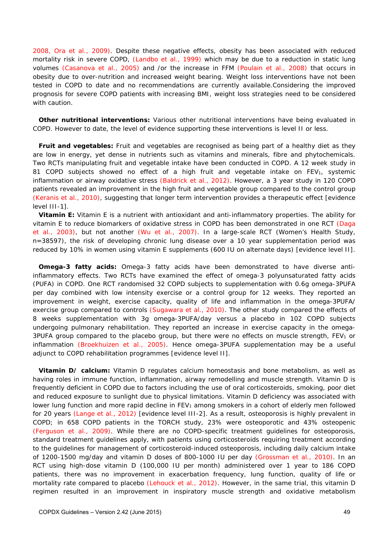2008, Ora et al., 2009). Despite these negative effects, obesity has been associated with reduced mortality risk in severe COPD, (Landbo et al., 1999) which may be due to a reduction in static lung volumes (Casanova et al., 2005) and /or the increase in FFM (Poulain et al., 2008) that occurs in obesity due to over-nutrition and increased weight bearing. Weight loss interventions have not been tested in COPD to date and no recommendations are currently available.Considering the improved prognosis for severe COPD patients with increasing BMI, weight loss strategies need to be considered with caution.

**Other nutritional interventions:** Various other nutritional interventions have being evaluated in COPD. However to date, the level of evidence supporting these interventions is level II or less.

**Fruit and vegetables:** Fruit and vegetables are recognised as being part of a healthy diet as they are low in energy, yet dense in nutrients such as vitamins and minerals, fibre and phytochemicals. Two RCTs manipulating fruit and vegetable intake have been conducted in COPD. A 12 week study in 81 COPD subjects showed no effect of a high fruit and vegetable intake on  $FEV<sub>1</sub>$ , systemic inflammation or airway oxidative stress (Baldrick et al., 2012). However, a 3 year study in 120 COPD patients revealed an improvement in the high fruit and vegetable group compared to the control group (Keranis et al., 2010), suggesting that longer term intervention provides a therapeutic effect [evidence level III-1].

**Vitamin E:** Vitamin E is a nutrient with antioxidant and anti-inflammatory properties. The ability for vitamin E to reduce biomarkers of oxidative stress in COPD has been demonstrated in one RCT (Daga et al., 2003), but not another (Wu et al., 2007). In a large-scale RCT (Women's Health Study, n=38597), the risk of developing chronic lung disease over a 10 year supplementation period was reduced by 10% in women using vitamin E supplements (600 IU on alternate days) [evidence level II].

**Omega-3 fatty acids:** Omega-3 fatty acids have been demonstrated to have diverse antiinflammatory effects. Two RCTs have examined the effect of omega-3 polyunsaturated fatty acids (PUFA) in COPD. One RCT randomised 32 COPD subjects to supplementation with 0.6g omega-3PUFA per day combined with low intensity exercise or a control group for 12 weeks. They reported an improvement in weight, exercise capacity, quality of life and inflammation in the omega-3PUFA/ exercise group compared to controls (Sugawara et al., 2010). The other study compared the effects of 8 weeks supplementation with 3g omega-3PUFA/day versus a placebo in 102 COPD subjects undergoing pulmonary rehabilitation. They reported an increase in exercise capacity in the omega-3PUFA group compared to the placebo group, but there were no effects on muscle strength,  $FEV<sub>1</sub>$  or inflammation (Broekhuizen et al., 2005). Hence omega-3PUFA supplementation may be a useful adjunct to COPD rehabilitation programmes [evidence level II].

**Vitamin D/ calcium:** Vitamin D regulates calcium homeostasis and bone metabolism, as well as having roles in immune function, inflammation, airway remodelling and muscle strength. Vitamin D is frequently deficient in COPD due to factors including the use of oral corticosteroids, smoking, poor diet and reduced exposure to sunlight due to physical limitations. Vitamin D deficiency was associated with lower lung function and more rapid decline in  $FEV<sub>1</sub>$  among smokers in a cohort of elderly men followed for 20 years (Lange et al., 2012) [evidence level III-2]. As a result, osteoporosis is highly prevalent in COPD; in 658 COPD patients in the TORCH study, 23% were osteoporotic and 43% osteopenic (Ferguson et al., 2009). While there are no COPD-specific treatment guidelines for osteoporosis, standard treatment guidelines apply, with patients using corticosteroids requiring treatment according to the guidelines for management of corticosteroid-induced osteoporosis, including daily calcium intake of 1200-1500 mg/day and vitamin D doses of 800-1000 IU per day (Grossman et al., 2010). In an RCT using high-dose vitamin D (100,000 IU per month) administered over 1 year to 186 COPD patients, there was no improvement in exacerbation frequency, lung function, quality of life or mortality rate compared to placebo (Lehouck et al., 2012). However, in the same trial, this vitamin D regimen resulted in an improvement in inspiratory muscle strength and oxidative metabolism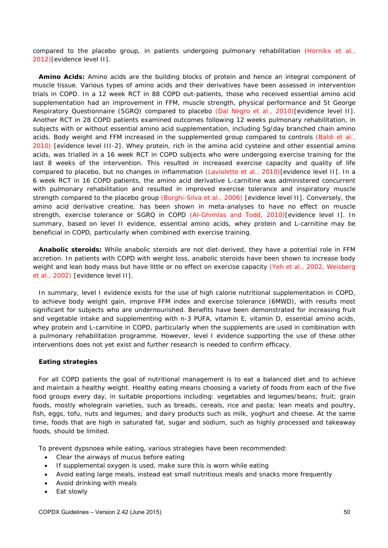compared to the placebo group, in patients undergoing pulmonary rehabilitation (Hornikx et al., 2012)[evidence level II].

**Amino Acids:** Amino acids are the building blocks of protein and hence an integral component of muscle tissue. Various types of amino acids and their derivatives have been assessed in intervention trials in COPD. In a 12 week RCT in 88 COPD out-patients, those who received essential amino acid supplementation had an improvement in FFM, muscle strength, physical performance and St George Respiratory Questionnaire (SGRQ) compared to placebo (Dal Negro et al., 2010)[evidence level II]. Another RCT in 28 COPD patients examined outcomes following 12 weeks pulmonary rehabilitation, in subjects with or without essential amino acid supplementation, including 5g/day branched chain amino acids. Body weight and FFM increased in the supplemented group compared to controls (Baldi et al., 2010) [evidence level III-2]. Whey protein, rich in the amino acid cysteine and other essential amino acids, was trialled in a 16 week RCT in COPD subjects who were undergoing exercise training for the last 8 weeks of the intervention. This resulted in increased exercise capacity and quality of life compared to placebo, but no changes in inflammation (Laviolette et al., 2010)[evidence level II]. In a 6 week RCT in 16 COPD patients, the amino acid derivative L-carnitine was administered concurrent with pulmonary rehabilitation and resulted in improved exercise tolerance and inspiratory muscle strength compared to the placebo group (Borghi-Silva et al., 2006) [evidence level II]. Conversely, the amino acid derivative creatine, has been shown in meta-analyses to have no effect on muscle strength, exercise tolerance or SGRQ in COPD (Al-Ghimlas and Todd, 2010)[evidence level I]. In summary, based on level II evidence, essential amino acids, whey protein and L-carnitine may be beneficial in COPD, particularly when combined with exercise training.

**Anabolic steroids:** While anabolic steroids are not diet-derived, they have a potential role in FFM accretion. In patients with COPD with weight loss, anabolic steroids have been shown to increase body weight and lean body mass but have little or no effect on exercise capacity (Yeh et al., 2002, Weisberg et al., 2002) [evidence level II].

In summary, level I evidence exists for the use of high calorie nutritional supplementation in COPD, to achieve body weight gain, improve FFM index and exercise tolerance (6MWD), with results most significant for subjects who are undernourished. Benefits have been demonstrated for increasing fruit and vegetable intake and supplementing with n-3 PUFA, vitamin E, vitamin D, essential amino acids, whey protein and L-carnitine in COPD, particularly when the supplements are used in combination with a pulmonary rehabilitation programme. However, level I evidence supporting the use of these other interventions does not yet exist and further research is needed to confirm efficacy.

#### **Eating strategies**

For all COPD patients the goal of nutritional management is to eat a balanced diet and to achieve and maintain a healthy weight. Healthy eating means choosing a variety of foods from each of the five food groups every day, in suitable proportions including: vegetables and legumes/beans; fruit; grain foods, mostly wholegrain varieties, such as breads, cereals, rice and pasta; lean meats and poultry, fish, eggs, tofu, nuts and legumes; and dairy products such as milk, yoghurt and cheese. At the same time, foods that are high in saturated fat, sugar and sodium, such as highly processed and takeaway foods, should be limited.

To prevent dypsnoea while eating, various strategies have been recommended:

- Clear the airways of mucus before eating
- If supplemental oxygen is used, make sure this is worn while eating
- Avoid eating large meals, instead eat small nutritious meals and snacks more frequently
- Avoid drinking with meals
- Eat slowly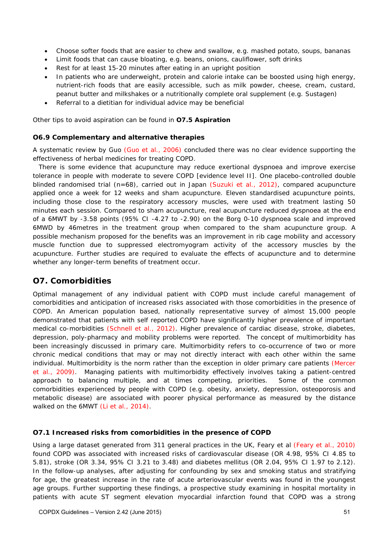- Choose softer foods that are easier to chew and swallow, e.g. mashed potato, soups, bananas
- Limit foods that can cause bloating, e.g. beans, onions, cauliflower, soft drinks
- Rest for at least 15-20 minutes after eating in an upright position
- In patients who are underweight, protein and calorie intake can be boosted using high energy, nutrient-rich foods that are easily accessible, such as milk powder, cheese, cream, custard, peanut butter and milkshakes or a nutritionally complete oral supplement (e.g. Sustagen)
- Referral to a dietitian for individual advice may be beneficial

Other tips to avoid aspiration can be found in **O7.5 Aspiration** 

#### **O6.9 Complementary and alternative therapies**

A systematic review by Guo (Guo et al., 2006) concluded there was no clear evidence supporting the effectiveness of herbal medicines for treating COPD.

There is some evidence that acupuncture may reduce exertional dyspnoea and improve exercise tolerance in people with moderate to severe COPD [evidence level II]. One placebo-controlled double blinded randomised trial (n=68), carried out in Japan (Suzuki et al., 2012), compared acupuncture applied once a week for 12 weeks and sham acupuncture. Eleven standardised acupuncture points, including those close to the respiratory accessory muscles, were used with treatment lasting 50 minutes each session. Compared to sham acupuncture, real acupuncture reduced dyspnoea at the end of a 6MWT by -3.58 points (95% CI -4.27 to -2.90) on the Borg 0-10 dyspnoea scale and improved 6MWD by 46metres in the treatment group when compared to the sham acupuncture group. A possible mechanism proposed for the benefits was an improvement in rib cage mobility and accessory muscle function due to suppressed electromyogram activity of the accessory muscles by the acupuncture. Further studies are required to evaluate the effects of acupuncture and to determine whether any longer-term benefits of treatment occur.

## **O7. Comorbidities**

Optimal management of any individual patient with COPD must include careful management of comorbidities and anticipation of increased risks associated with those comorbidities in the presence of COPD. An American population based, nationally representative survey of almost 15,000 people demonstrated that patients with self reported COPD have significantly higher prevalence of important medical co-morbidities (Schnell et al., 2012). Higher prevalence of cardiac disease, stroke, diabetes, depression, poly-pharmacy and mobility problems were reported. The concept of multimorbidity has been increasingly discussed in primary care. Multimorbidity refers to co-occurrence of two or more chronic medical conditions that may or may not directly interact with each other within the same individual. Multimorbidity is the norm rather than the exception in older primary care patients (Mercer et al., 2009). Managing patients with multimorbidity effectively involves taking a patient-centred approach to balancing multiple, and at times competing, priorities. Some of the common comorbidities experienced by people with COPD (e.g. obesity, anxiety, depression, osteoporosis and metabolic disease) are associated with poorer physical performance as measured by the distance walked on the 6MWT (Li et al., 2014).

### **O7.1 Increased risks from comorbidities in the presence of COPD**

Using a large dataset generated from 311 general practices in the UK, Feary et al (Feary et al., 2010) found COPD was associated with increased risks of cardiovascular disease (OR 4.98, 95% CI 4.85 to 5.81), stroke (OR 3.34, 95% CI 3.21 to 3.48) and diabetes mellitus (OR 2.04, 95% CI 1.97 to 2.12). In the follow-up analyses, after adjusting for confounding by sex and smoking status and stratifying for age, the greatest increase in the rate of acute arteriovascular events was found in the youngest age groups. Further supporting these findings, a prospective study examining in hospital mortality in patients with acute ST segment elevation myocardial infarction found that COPD was a strong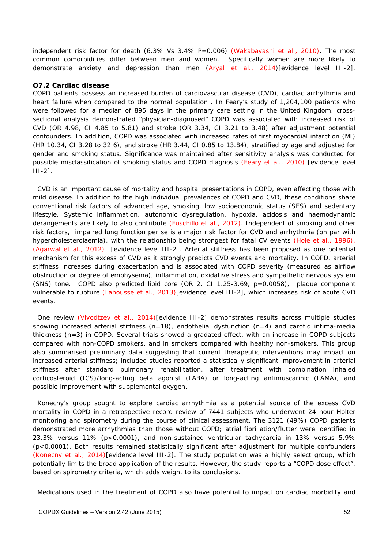independent risk factor for death (6.3% Vs 3.4% P=0.006) (Wakabayashi et al., 2010). The most common comorbidities differ between men and women. Specifically women are more likely to demonstrate anxiety and depression than men (Aryal et al., 2014)[evidence level III-2].

#### **O7.2 Cardiac disease**

COPD patients possess an increased burden of cardiovascular disease (CVD), cardiac arrhythmia and heart failure when compared to the normal population . In Feary's study of 1,204,100 patients who were followed for a median of 895 days in the primary care setting in the United Kingdom, crosssectional analysis demonstrated "physician-diagnosed" COPD was associated with increased risk of CVD (OR 4.98, CI 4.85 to 5.81) and stroke (OR 3.34, CI 3.21 to 3.48) after adjustment potential confounders. In addition, COPD was associated with increased rates of first myocardial infarction (MI) (HR 10.34, CI 3.28 to 32.6), and stroke (HR 3.44, CI 0.85 to 13.84), stratified by age and adjusted for gender and smoking status. Significance was maintained after sensitivity analysis was conducted for possible misclassification of smoking status and COPD diagnosis (Feary et al., 2010) [evidence level III-2].

CVD is an important cause of mortality and hospital presentations in COPD, even affecting those with mild disease. In addition to the high individual prevalences of COPD and CVD, these conditions share conventional risk factors of advanced age, smoking, low socioeconomic status (SES) and sedentary lifestyle. Systemic inflammation, autonomic dysregulation, hypoxia, acidosis and haemodynamic derangements are likely to also contribute (Fuschillo et al., 2012). Independent of smoking and other risk factors, impaired lung function per se is a major risk factor for CVD and arrhythmia (on par with hypercholesterolaemia), with the relationship being strongest for fatal CV events (Hole et al., 1996), (Agarwal et al., 2012) [evidence level III-2]. Arterial stiffness has been proposed as one potential mechanism for this excess of CVD as it strongly predicts CVD events and mortality. In COPD, arterial stiffness increases during exacerbation and is associated with COPD severity (measured as airflow obstruction or degree of emphysema), inflammation, oxidative stress and sympathetic nervous system (SNS) tone. COPD also predicted lipid core (OR 2, CI 1.25-3.69, p=0.0058), plaque component vulnerable to rupture (Lahousse et al., 2013)[evidence level III-2], which increases risk of acute CVD events.

One review (Vivodtzev et al., 2014)[evidence III-2] demonstrates results across multiple studies showing increased arterial stiffness  $(n=18)$ , endothelial dysfunction  $(n=4)$  and carotid intima-media thickness (n=3) in COPD. Several trials showed a gradated effect, with an increase in COPD subjects compared with non-COPD smokers, and in smokers compared with healthy non-smokers. This group also summarised preliminary data suggesting that current therapeutic interventions may impact on increased arterial stiffness; included studies reported a statistically significant improvement in arterial stiffness after standard pulmonary rehabilitation, after treatment with combination inhaled corticosteroid (ICS)/long-acting beta agonist (LABA) or long-acting antimuscarinic (LAMA), and possible improvement with supplemental oxygen.

Konecny's group sought to explore cardiac arrhythmia as a potential source of the excess CVD mortality in COPD in a retrospective record review of 7441 subjects who underwent 24 hour Holter monitoring and spirometry during the course of clinical assessment. The 3121 (49%) COPD patients demonstrated more arrhythmias than those without COPD; atrial fibrillation/flutter were identified in 23.3% versus 11% (p<0.0001), and non-sustained ventricular tachycardia in 13% versus 5.9% (p<0.0001). Both results remained statistically significant after adjustment for multiple confounders (Konecny et al., 2014)[evidence level III-2]. The study population was a highly select group, which potentially limits the broad application of the results. However, the study reports a "COPD dose effect", based on spirometry criteria, which adds weight to its conclusions.

Medications used in the treatment of COPD also have potential to impact on cardiac morbidity and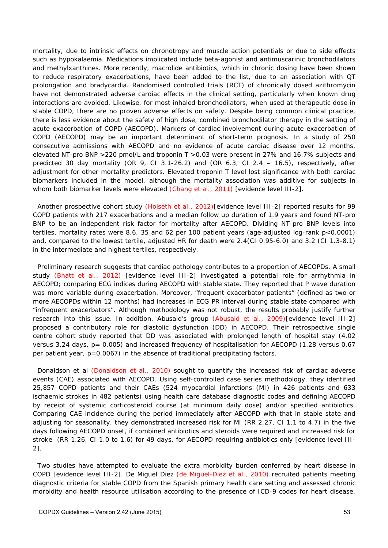mortality, due to intrinsic effects on chronotropy and muscle action potentials or due to side effects such as hypokalaemia. Medications implicated include beta-agonist and antimuscarinic bronchodilators and methylxanthines. More recently, macrolide antibiotics, which in chronic dosing have been shown to reduce respiratory exacerbations, have been added to the list, due to an association with QT prolongation and bradycardia. Randomised controlled trials (RCT) of chronically dosed azithromycin have not demonstrated adverse cardiac effects in the clinical setting, particularly when known drug interactions are avoided. Likewise, for most inhaled bronchodilators, when used at therapeutic dose in stable COPD, there are no proven adverse effects on safety. Despite being common clinical practice, there is less evidence about the safety of high dose, combined bronchodilator therapy in the setting of acute exacerbation of COPD (AECOPD). Markers of cardiac involvement during acute exacerbation of COPD (AECOPD) may be an important determinant of short-term prognosis. In a study of 250 consecutive admissions with AECOPD and no evidence of acute cardiac disease over 12 months, elevated NT-pro BNP >220 pmol/L and troponin T >0.03 were present in 27% and 16.7% subjects and predicted 30 day mortality (OR 9, CI 3.1-26.2) and (OR 6.3, CI 2.4 – 16.5), respectively, after adjustment for other mortality predictors. Elevated troponin T level lost significance with both cardiac biomarkers included in the model, although the mortality association was additive for subjects in whom both biomarker levels were elevated (Chang et al., 2011) [evidence level III-2].

Another prospective cohort study (Hoiseth et al., 2012)[evidence level III-2] reported results for 99 COPD patients with 217 exacerbations and a median follow up duration of 1.9 years and found NT-pro BNP to be an independent risk factor for mortality after AECOPD. Dividing NT-pro BNP levels into tertiles, mortality rates were 8.6, 35 and 62 per 100 patient years (age-adjusted log-rank p<0.0001) and, compared to the lowest tertile, adjusted HR for death were 2.4(CI 0.95-6.0) and 3.2 (CI 1.3-8.1) in the intermediate and highest tertiles, respectively.

Preliminary research suggests that cardiac pathology contributes to a proportion of AECOPDs. A small study (Bhatt et al., 2012) [evidence level III-2] investigated a potential role for arrhythmia in AECOPD; comparing ECG indices during AECOPD with stable state. They reported that P wave duration was more variable during exacerbation. Moreover, "frequent exacerbator patients" (defined as two or more AECOPDs within 12 months) had increases in ECG PR interval during stable state compared with "infrequent exacerbators". Although methodology was not robust, the results probably justify further research into this issue. In addition, Abusaid's group (Abusaid et al., 2009)[evidence level III-2] proposed a contributory role for diastolic dysfunction (DD) in AECOPD. Their retrospective single centre cohort study reported that DD was associated with prolonged length of hospital stay (4.02 versus 3.24 days, p= 0.005) and increased frequency of hospitalisation for AECOPD (1.28 versus 0.67 per patient year, p=0.0067) in the absence of traditional precipitating factors.

Donaldson et al (Donaldson et al., 2010) sought to quantify the increased risk of cardiac adverse events (CAE) associated with AECOPD. Using self-controlled case series methodology, they identified 25,857 COPD patients and their CAEs (524 myocardial infarctions (MI) in 426 patients and 633 ischaemic strokes in 482 patients) using health care database diagnostic codes and defining AECOPD by receipt of systemic corticosteroid course (at minimum daily dose) and/or specified antibiotics. Comparing CAE incidence during the period immediately after AECOPD with that in stable state and adjusting for seasonality, they demonstrated increased risk for MI (RR 2.27, CI 1.1 to 4.7) in the five days following AECOPD onset, if combined antibiotics and steroids were required and increased risk for stroke (RR 1.26, CI 1.0 to 1.6) for 49 days, for AECOPD requiring antibiotics only [evidence level III-2].

 Two studies have attempted to evaluate the extra morbidity burden conferred by heart disease in COPD [evidence level III-2]. De Miguel Diez (de Miguel-Diez et al., 2010) recruited patients meeting diagnostic criteria for stable COPD from the Spanish primary health care setting and assessed chronic morbidity and health resource utilisation according to the presence of ICD-9 codes for heart disease.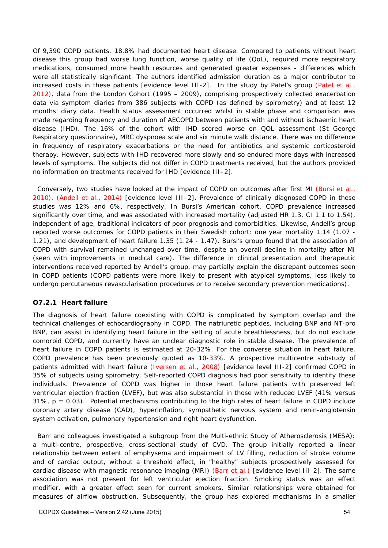Of 9,390 COPD patients, 18.8% had documented heart disease. Compared to patients without heart disease this group had worse lung function, worse quality of life (QoL), required more respiratory medications, consumed more health resources and generated greater expenses - differences which were all statistically significant. The authors identified admission duration as a major contributor to increased costs in these patients [evidence level III-2]. In the study by Patel's group (Patel et al., 2012), data from the London Cohort (1995 – 2009), comprising prospectively collected exacerbation data via symptom diaries from 386 subjects with COPD (as defined by spirometry) and at least 12 months' diary data. Health status assessment occurred whilst in stable phase and comparison was made regarding frequency and duration of AECOPD between patients with and without ischaemic heart disease (IHD). The 16% of the cohort with IHD scored worse on QOL assessment (St George Respiratory questionnaire), MRC dyspnoea scale and six minute walk distance. There was no difference in frequency of respiratory exacerbations or the need for antibiotics and systemic corticosteroid therapy. However, subjects with IHD recovered more slowly and so endured more days with increased levels of symptoms. The subjects did not differ in COPD treatments received, but the authors provided no information on treatments received for IHD [evidence III–2].

Conversely, two studies have looked at the impact of COPD on outcomes after first MI (Bursi et al., 2010), (Andell et al., 2014) [evidence level III–2]. Prevalence of clinically diagnosed COPD in these studies was 12% and 6%, respectively. In Bursi's American cohort, COPD prevalence increased significantly over time, and was associated with increased mortality (adjusted HR 1.3, CI 1.1 to 1.54), independent of age, traditional indicators of poor prognosis and comorbidities. Likewise, Andell's group reported worse outcomes for COPD patients in their Swedish cohort: one year mortality 1.14 (1.07 - 1.21), and development of heart failure 1.35 (1.24 - 1.47). Bursi's group found that the association of COPD with survival remained unchanged over time, despite an overall decline in mortality after MI (seen with improvements in medical care). The difference in clinical presentation and therapeutic interventions received reported by Andell's group, may partially explain the discrepant outcomes seen in COPD patients (COPD patients were more likely to present with atypical symptoms, less likely to undergo percutaneous revascularisation procedures or to receive secondary prevention medications).

### **O7.2.1 Heart failure**

The diagnosis of heart failure coexisting with COPD is complicated by symptom overlap and the technical challenges of echocardiography in COPD. The natriuretic peptides, including BNP and NT-pro BNP, can assist in identifying heart failure in the setting of acute breathlessness, but do not exclude comorbid COPD, and currently have an unclear diagnostic role in stable disease. The prevalence of heart failure in COPD patients is estimated at 20-32%. For the converse situation in heart failure, COPD prevalence has been previously quoted as 10-33%. A prospective multicentre substudy of patients admitted with heart failure (Iversen et al., 2008) [evidence level III-2] confirmed COPD in 35% of subjects using spirometry. Self-reported COPD diagnosis had poor sensitivity to identify these individuals. Prevalence of COPD was higher in those heart failure patients with preserved left ventricular ejection fraction (LVEF), but was also substantial in those with reduced LVEF (41% versus  $31\%$ ,  $p = 0.03$ ). Potential mechanisms contributing to the high rates of heart failure in COPD include coronary artery disease (CAD), hyperinflation, sympathetic nervous system and renin-angiotensin system activation, pulmonary hypertension and right heart dysfunction.

 Barr and colleagues investigated a subgroup from the Multi-ethnic Study of Atherosclerosis (MESA): a multi-centre, prospective, cross-sectional study of CVD. The group initially reported a linear relationship between extent of emphysema and impairment of LV filling, reduction of stroke volume and of cardiac output, without a threshold effect, in "healthy" subjects prospectively assessed for cardiac disease with magnetic resonance imaging (MRI) (Barr et al.) [evidence level III-2]. The same association was not present for left ventricular ejection fraction. Smoking status was an effect modifier, with a greater effect seen for current smokers. Similar relationships were obtained for measures of airflow obstruction. Subsequently, the group has explored mechanisms in a smaller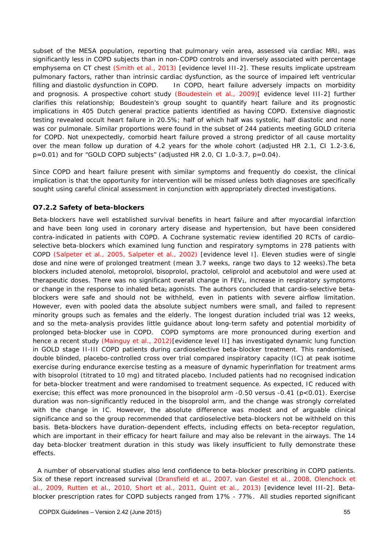subset of the MESA population, reporting that pulmonary vein area, assessed via cardiac MRI, was significantly less in COPD subjects than in non-COPD controls and inversely associated with percentage emphysema on CT chest (Smith et al., 2013) [evidence level III-2]. These results implicate upstream pulmonary factors, rather than intrinsic cardiac dysfunction, as the source of impaired left ventricular filling and diastolic dysfunction in COPD. In COPD, heart failure adversely impacts on morbidity and prognosis. A prospective cohort study (Boudestein et al., 2009)[ evidence level III-2] further clarifies this relationship; Boudestein's group sought to quantify heart failure and its prognostic implications in 405 Dutch general practice patients identified as having COPD. Extensive diagnostic testing revealed occult heart failure in 20.5%; half of which half was systolic, half diastolic and none was cor pulmonale. Similar proportions were found in the subset of 244 patients meeting GOLD criteria for COPD. Not unexpectedly, comorbid heart failure proved a strong predictor of all cause mortality over the mean follow up duration of 4.2 years for the whole cohort (adjusted HR 2.1, CI 1.2-3.6,  $p=0.01$ ) and for "GOLD COPD subjects" (adjusted HR 2.0, CI 1.0-3.7,  $p=0.04$ ).

Since COPD and heart failure present with similar symptoms and frequently do coexist, the clinical implication is that the opportunity for intervention will be missed unless both diagnoses are specifically sought using careful clinical assessment in conjunction with appropriately directed investigations.

## **O7.2.2 Safety of beta-blockers**

Beta-blockers have well established survival benefits in heart failure and after myocardial infarction and have been long used in coronary artery disease and hypertension, but have been considered contra-indicated in patients with COPD. A Cochrane systematic review identified 20 RCTs of cardioselective beta-blockers which examined lung function and respiratory symptoms in 278 patients with COPD (Salpeter et al., 2005, Salpeter et al., 2002) [evidence level I]. Eleven studies were of single dose and nine were of prolonged treatment (mean 3.7 weeks, range two days to 12 weeks).The beta blockers included atenolol, metoprolol, bisoprolol, practolol, celiprolol and acebutolol and were used at therapeutic doses. There was no significant overall change in  $FEV<sub>1</sub>$ , increase in respiratory symptoms or change in the response to inhaled beta<sub>2</sub> agonists. The authors concluded that cardio-selective betablockers were safe and should not be withheld, even in patients with severe airflow limitation. However, even with pooled data the absolute subject numbers were small, and failed to represent minority groups such as females and the elderly. The longest duration included trial was 12 weeks, and so the meta-analysis provides little guidance about long-term safety and potential morbidity of prolonged beta-blocker use in COPD. COPD symptoms are more pronounced during exertion and hence a recent study (Mainguy et al., 2012)[evidence level II] has investigated dynamic lung function in GOLD stage II-III COPD patients during cardioselective beta-blocker treatment. This randomised, double blinded, placebo-controlled cross over trial compared inspiratory capacity (IC) at peak isotime exercise during endurance exercise testing as a measure of dynamic hyperinflation for treatment arms with bisoprolol (titrated to 10 mg) and titrated placebo. Included patients had no recognised indication for beta-blocker treatment and were randomised to treatment sequence. As expected, IC reduced with exercise; this effect was more pronounced in the bisoprolol arm -0.50 versus -0.41 (p<0.01). Exercise duration was non-significantly reduced in the bisoprolol arm, and the change was strongly correlated with the change in IC. However, the absolute difference was modest and of arguable clinical significance and so the group recommended that cardioselective beta-blockers not be withheld on this basis. Beta-blockers have duration-dependent effects, including effects on beta-receptor regulation, which are important in their efficacy for heart failure and may also be relevant in the airways. The 14 day beta-blocker treatment duration in this study was likely insufficient to fully demonstrate these effects.

 A number of observational studies also lend confidence to beta-blocker prescribing in COPD patients. Six of these report increased survival (Dransfield et al., 2007, van Gestel et al., 2008, Olenchock et al., 2009, Rutten et al., 2010, Short et al., 2011, Quint et al., 2013) [evidence level III-2]. Betablocker prescription rates for COPD subjects ranged from 17% - 77%. All studies reported significant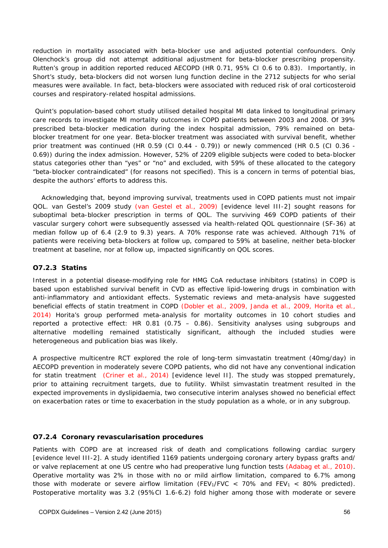reduction in mortality associated with beta-blocker use and adjusted potential confounders. Only Olenchock's group did not attempt additional adjustment for beta-blocker prescribing propensity. Rutten's group in addition reported reduced AECOPD (HR 0.71, 95% CI 0.6 to 0.83). Importantly, in Short's study, beta-blockers did not worsen lung function decline in the 2712 subjects for who serial measures were available. In fact, beta-blockers were associated with reduced risk of oral corticosteroid courses and respiratory-related hospital admissions.

 Quint's population-based cohort study utilised detailed hospital MI data linked to longitudinal primary care records to investigate MI mortality outcomes in COPD patients between 2003 and 2008. Of 39% prescribed beta-blocker medication during the index hospital admission, 79% remained on betablocker treatment for one year. Beta-blocker treatment was associated with survival benefit, whether prior treatment was continued (HR 0.59 (CI 0.44 - 0.79)) or newly commenced (HR 0.5 (CI 0.36 - 0.69)) during the index admission. However, 52% of 2209 eligible subjects were coded to beta-blocker status categories other than "yes" or "no" and excluded, with 59% of these allocated to the category "beta-blocker contraindicated" (for reasons not specified). This is a concern in terms of potential bias, despite the authors' efforts to address this.

 Acknowledging that, beyond improving survival, treatments used in COPD patients must not impair QOL. van Gestel's 2009 study (van Gestel et al., 2009) [evidence level III-2] sought reasons for suboptimal beta-blocker prescription in terms of QOL. The surviving 469 COPD patients of their vascular surgery cohort were subsequently assessed via health-related QOL questionnaire (SF-36) at median follow up of 6.4 (2.9 to 9.3) years. A 70% response rate was achieved. Although 71% of patients were receiving beta-blockers at follow up, compared to 59% at baseline, neither beta-blocker treatment at baseline, nor at follow up, impacted significantly on QOL scores.

### **O7.2.3 Statins**

Interest in a potential disease-modifying role for HMG CoA reductase inhibitors (statins) in COPD is based upon established survival benefit in CVD as effective lipid-lowering drugs in combination with anti-inflammatory and antioxidant effects. Systematic reviews and meta-analysis have suggested beneficial effects of statin treatment in COPD (Dobler et al., 2009, Janda et al., 2009, Horita et al., 2014) Horita's group performed meta-analysis for mortality outcomes in 10 cohort studies and reported a protective effect: HR 0.81 (0.75 – 0.86). Sensitivity analyses using subgroups and alternative modelling remained statistically significant, although the included studies were heterogeneous and publication bias was likely.

A prospective multicentre RCT explored the role of long-term simvastatin treatment (40mg/day) in AECOPD prevention in moderately severe COPD patients, who did not have any conventional indication for statin treatment (Criner et al., 2014) [evidence level II]. The study was stopped prematurely, prior to attaining recruitment targets, due to futility. Whilst simvastatin treatment resulted in the expected improvements in dyslipidaemia, two consecutive interim analyses showed no beneficial effect on exacerbation rates or time to exacerbation in the study population as a whole, or in any subgroup.

## **O7.2.4 Coronary revascularisation procedures**

Patients with COPD are at increased risk of death and complications following cardiac surgery [evidence level III-2]. A study identified 1169 patients undergoing coronary artery bypass grafts and/ or valve replacement at one US centre who had preoperative lung function tests (Adabag et al., 2010). Operative mortality was 2% in those with no or mild airflow limitation, compared to 6.7% among those with moderate or severe airflow limitation (FEV<sub>1</sub>/FVC < 70% and FEV<sub>1</sub> < 80% predicted). Postoperative mortality was 3.2 (95%CI 1.6-6.2) fold higher among those with moderate or severe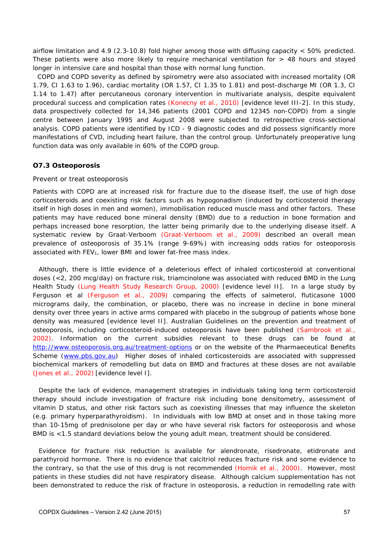airflow limitation and 4.9 (2.3-10.8) fold higher among those with diffusing capacity < 50% predicted. These patients were also more likely to require mechanical ventilation for  $> 48$  hours and stayed longer in intensive care and hospital than those with normal lung function.

COPD and COPD severity as defined by spirometry were also associated with increased mortality (OR 1.79, CI 1.63 to 1.96), cardiac mortality (OR 1.57, CI 1.35 to 1.81) and post-discharge MI (OR 1.3, CI 1.14 to 1.47) after percutaneous coronary intervention in multivariate analysis, despite equivalent procedural success and complication rates (Konecny et al., 2010) [evidence level III-2]. In this study, data prospectively collected for 14,346 patients (2001 COPD and 12345 non-COPD) from a single centre between January 1995 and August 2008 were subjected to retrospective cross-sectional analysis. COPD patients were identified by ICD - 9 diagnostic codes and did possess significantly more manifestations of CVD, including heart failure, than the control group. Unfortunately preoperative lung function data was only available in 60% of the COPD group.

#### **O7.3 Osteoporosis**

#### Prevent or treat osteoporosis

Patients with COPD are at increased risk for fracture due to the disease itself, the use of high dose corticosteroids and coexisting risk factors such as hypogonadism (induced by corticosteroid therapy itself in high doses in men and women), immobilisation reduced muscle mass and other factors. These patients may have reduced bone mineral density (BMD) due to a reduction in bone formation and perhaps increased bone resorption, the latter being primarily due to the underlying disease itself. A systematic review by Graat-Verboom (Graat-Verboom et al., 2009) described an overall mean prevalence of osteoporosis of 35.1% (range 9-69%) with increasing odds ratios for osteoporosis associated with FEV<sub>1</sub>, lower BMI and lower fat-free mass index.

Although, there is little evidence of a deleterious effect of inhaled corticosteroid at conventional doses (<2, 200 mcg/day) on fracture risk, triamcinolone was associated with reduced BMD in the Lung Health Study (Lung Health Study Research Group, 2000) [evidence level II]. In a large study by Ferguson et al (Ferguson et al., 2009) comparing the effects of salmeterol, fluticasone 1000 micrograms daily, the combination, or placebo, there was no increase in decline in bone mineral density over three years in active arms compared with placebo in the subgroup of patients whose bone density was measured [evidence level II]. Australian Guidelines on the prevention and treatment of osteoporosis, including corticosteroid-induced osteoporosis have been published (Sambrook et al., 2002). Information on the current subsidies relevant to these drugs can be found at http://www.osteoporosis.org.au/treatment-options or on the website of the Pharmaeceutical Benefits Scheme (www.pbs.gov.au) Higher doses of inhaled corticosteroids are associated with suppressed biochemical markers of remodelling but data on BMD and fractures at these doses are not available (Jones et al., 2002) [evidence level I].

Despite the lack of evidence, management strategies in individuals taking long term corticosteroid therapy should include investigation of fracture risk including bone densitometry, assessment of vitamin D status, and other risk factors such as coexisting illnesses that may influence the skeleton (e.g. primary hyperparathyroidism). In individuals with low BMD at onset and in those taking more than 10-15mg of prednisolone per day or who have several risk factors for osteoporosis and whose BMD is <1.5 standard deviations below the young adult mean, treatment should be considered.

Evidence for fracture risk reduction is available for alendronate, risedronate, etidronate and parathyroid hormone. There is no evidence that calcitriol reduces fracture risk and some evidence to the contrary, so that the use of this drug is not recommended (Homik et al., 2000). However, most patients in these studies did not have respiratory disease. Although calcium supplementation has not been demonstrated to reduce the risk of fracture in osteoporosis, a reduction in remodelling rate with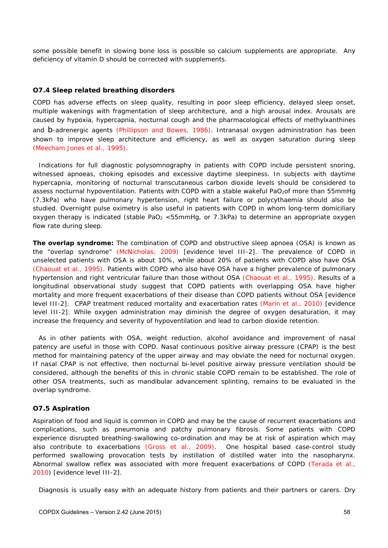some possible benefit in slowing bone loss is possible so calcium supplements are appropriate. Any deficiency of vitamin D should be corrected with supplements.

#### **O7.4 Sleep related breathing disorders**

COPD has adverse effects on sleep quality, resulting in poor sleep efficiency, delayed sleep onset, multiple wakenings with fragmentation of sleep architecture, and a high arousal index. Arousals are caused by hypoxia, hypercapnia, nocturnal cough and the pharmacological effects of methylxanthines and b-adrenergic agents (Phillipson and Bowes, 1986). Intranasal oxygen administration has been shown to improve sleep architecture and efficiency, as well as oxygen saturation during sleep (Meecham Jones et al., 1995).

Indications for full diagnostic polysomnography in patients with COPD include persistent snoring, witnessed apnoeas, choking episodes and excessive daytime sleepiness. In subjects with daytime hypercapnia, monitoring of nocturnal transcutaneous carbon dioxide levels should be considered to assess nocturnal hypoventilation. Patients with COPD with a stable wakeful PaO<sub>2</sub>of more than 55mmHg (7.3kPa) who have pulmonary hypertension, right heart failure or polycythaemia should also be studied. Overnight pulse oximetry is also useful in patients with COPD in whom long-term domiciliary oxygen therapy is indicated (stable PaO<sub>2</sub> <55mmHg, or 7.3kPa) to determine an appropriate oxygen flow rate during sleep.

**The overlap syndrome:** The combination of COPD and obstructive sleep apnoea (OSA) is known as the "overlap syndrome" (McNicholas, 2009) [evidence level III-2]. The prevalence of COPD in unselected patients with OSA is about 10%, while about 20% of patients with COPD also have OSA (Chaouat et al., 1995). Patients with COPD who also have OSA have a higher prevalence of pulmonary hypertension and right ventricular failure than those without OSA (Chaouat et al., 1995). Results of a longitudinal observational study suggest that COPD patients with overlapping OSA have higher mortality and more frequent exacerbations of their disease than COPD patients without OSA [evidence level III-2]. CPAP treatment reduced mortality and exacerbation rates (Marin et al., 2010) [evidence level III-2]. While oxygen administration may diminish the degree of oxygen desaturation, it may increase the frequency and severity of hypoventilation and lead to carbon dioxide retention.

As in other patients with OSA, weight reduction, alcohol avoidance and improvement of nasal patency are useful in those with COPD. Nasal continuous positive airway pressure (CPAP) is the best method for maintaining patency of the upper airway and may obviate the need for nocturnal oxygen. If nasal CPAP is not effective, then nocturnal bi-level positive airway pressure ventilation should be considered, although the benefits of this in chronic stable COPD remain to be established. The role of other OSA treatments, such as mandibular advancement splinting, remains to be evaluated in the overlap syndrome.

#### **O7.5 Aspiration**

Aspiration of food and liquid is common in COPD and may be the cause of recurrent exacerbations and complications, such as pneumonia and patchy pulmonary fibrosis. Some patients with COPD experience disrupted breathing-swallowing co-ordination and may be at risk of aspiration which may also contribute to exacerbations (Gross et al., 2009). One hospital based case-control study performed swallowing provocation tests by instillation of distilled water into the nasopharynx. Abnormal swallow reflex was associated with more frequent exacerbations of COPD (Terada et al., 2010) [evidence level III-2].

Diagnosis is usually easy with an adequate history from patients and their partners or carers. Dry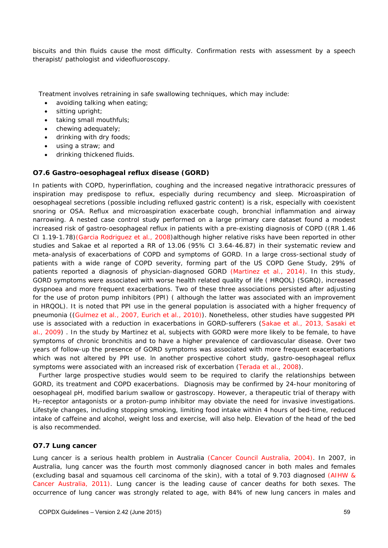biscuits and thin fluids cause the most difficulty. Confirmation rests with assessment by a speech therapist/ pathologist and videofluoroscopy.

Treatment involves retraining in safe swallowing techniques, which may include:

- avoiding talking when eating;
- sitting upright:
- taking small mouthfuls;
- chewing adequately;
- drinking with dry foods;
- using a straw; and
- drinking thickened fluids.

#### **O7.6 Gastro-oesophageal reflux disease (GORD)**

In patients with COPD, hyperinflation, coughing and the increased negative intrathoracic pressures of inspiration may predispose to reflux, especially during recumbency and sleep. Microaspiration of oesophageal secretions (possible including refluxed gastric content) is a risk, especially with coexistent snoring or OSA. Reflux and microaspiration exacerbate cough, bronchial inflammation and airway narrowing. A nested case control study performed on a large primary care dataset found a modest increased risk of gastro-oesophageal reflux in patients with a pre-existing diagnosis of COPD ((RR 1.46 CI 1.19-1.78)(Garcia Rodriguez et al., 2008)although higher relative risks have been reported in other studies and Sakae et al reported a RR of 13.06 (95% CI 3.64-46.87) in their systematic review and meta-analysis of exacerbations of COPD and symptoms of GORD. In a large cross-sectional study of patients with a wide range of COPD severity, forming part of the US COPD Gene Study, 29% of patients reported a diagnosis of physician-diagnosed GORD (Martinez et al., 2014). In this study, GORD symptoms were associated with worse health related quality of life ( HRQOL) (SGRQ), increased dyspnoea and more frequent exacerbations. Two of these three associations persisted after adjusting for the use of proton pump inhibitors (PPI) ( although the latter was associated with an improvement in HRQOL). It is noted that PPI use in the general population is associated with a higher frequency of pneumonia ((Gulmez et al., 2007, Eurich et al., 2010)). Nonetheless, other studies have suggested PPI use is associated with a reduction in exacerbations in GORD-sufferers (Sakae et al., 2013, Sasaki et al., 2009) . In the study by Martinez et al, subjects with GORD were more likely to be female, to have symptoms of chronic bronchitis and to have a higher prevalence of cardiovascular disease. Over two years of follow-up the presence of GORD symptoms was associated with more frequent exacerbations which was not altered by PPI use. In another prospective cohort study, gastro-oesophageal reflux symptoms were associated with an increased risk of excerbation (Terada et al., 2008).

Further large prospective studies would seem to be required to clarify the relationships between GORD, its treatment and COPD exacerbations. Diagnosis may be confirmed by 24-hour monitoring of oesophageal pH, modified barium swallow or gastroscopy. However, a therapeutic trial of therapy with H2-receptor antagonists or a proton-pump inhibitor may obviate the need for invasive investigations. Lifestyle changes, including stopping smoking, limiting food intake within 4 hours of bed-time, reduced intake of caffeine and alcohol, weight loss and exercise, will also help. Elevation of the head of the bed is also recommended.

### **O7.7 Lung cancer**

Lung cancer is a serious health problem in Australia (Cancer Council Australia, 2004). In 2007, in Australia, lung cancer was the fourth most commonly diagnosed cancer in both males and females (excluding basal and squamous cell carcinoma of the skin), with a total of 9.703 diagnosed (AIHW & Cancer Australia, 2011). Lung cancer is the leading cause of cancer deaths for both sexes. The occurrence of lung cancer was strongly related to age, with 84% of new lung cancers in males and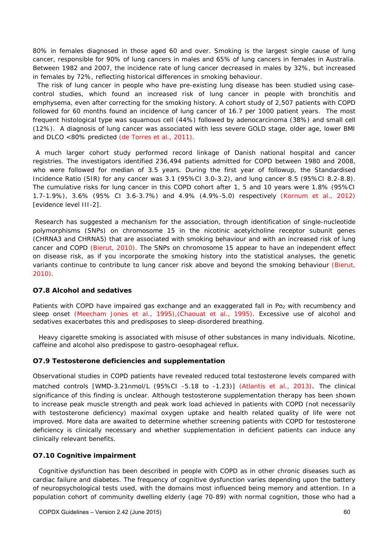80% in females diagnosed in those aged 60 and over. Smoking is the largest single cause of lung cancer, responsible for 90% of lung cancers in males and 65% of lung cancers in females in Australia. Between 1982 and 2007, the incidence rate of lung cancer decreased in males by 32%, but increased in females by 72%, reflecting historical differences in smoking behaviour.

The risk of lung cancer in people who have pre-existing lung disease has been studied using casecontrol studies, which found an increased risk of lung cancer in people with bronchitis and emphysema, even after correcting for the smoking history. A cohort study of 2,507 patients with COPD followed for 60 months found an incidence of lung cancer of 16.7 per 1000 patient years. The most frequent histological type was squamous cell (44%) followed by adenocarcinoma (38%) and small cell (12%). A diagnosis of lung cancer was associated with less severe GOLD stage, older age, lower BMI and DLCO <80% predicted (de Torres et al., 2011).

A much larger cohort study performed record linkage of Danish national hospital and cancer registries. The investigators identified 236,494 patients admitted for COPD between 1980 and 2008, who were followed for median of 3.5 years. During the first year of followup, the Standardised Incidence Ratio (SIR) for any cancer was 3.1 (95%CI 3.0-3.2), and lung cancer 8.5 (95%CI 8.2-8.8). The cumulative risks for lung cancer in this COPD cohort after 1, 5 and 10 years were 1.8% (95%CI 1.7-1.9%), 3.6% (95% CI 3.6-3.7%) and 4.9% (4.9%-5.0) respectively (Kornum et al., 2012) [evidence level III-2].

 Research has suggested a mechanism for the association, through identification of single-nucleotide polymorphisms (SNPs) on chromosome 15 in the nicotinic acetylcholine receptor subunit genes (CHRNA3 and CHRNA5) that are associated with smoking behaviour and with an increased risk of lung cancer and COPD (Bierut, 2010). The SNPs on chromosome 15 appear to have an independent effect on disease risk, as if you incorporate the smoking history into the statistical analyses, the genetic variants continue to contribute to lung cancer risk above and beyond the smoking behaviour (Bierut, 2010).

#### **O7.8 Alcohol and sedatives**

Patients with COPD have impaired gas exchange and an exaggerated fall in Po<sub>2</sub> with recumbency and sleep onset (Meecham Jones et al., 1995),(Chaouat et al., 1995). Excessive use of alcohol and sedatives exacerbates this and predisposes to sleep-disordered breathing.

Heavy cigarette smoking is associated with misuse of other substances in many individuals. Nicotine, caffeine and alcohol also predispose to gastro-oesophageal reflux.

### **O7.9 Testosterone deficiencies and supplementation**

Observational studies in COPD patients have revealed reduced total testosterone levels compared with matched controls [WMD-3.21nmol/L (95%CI -5.18 to -1.23)] (Atlantis et al., 2013). The clinical significance of this finding is unclear. Although testosterone supplementation therapy has been shown to increase peak muscle strength and peak work load achieved in patients with COPD (not necessarily with testosterone deficiency) maximal oxygen uptake and health related quality of life were not improved. More data are awaited to determine whether screening patients with COPD for testosterone deficiency is clinically necessary and whether supplementation in deficient patients can induce any clinically relevant benefits.

### **O7.10 Cognitive impairment**

Cognitive dysfunction has been described in people with COPD as in other chronic diseases such as cardiac failure and diabetes. The frequency of cognitive dysfunction varies depending upon the battery of neuropsychological tests used, with the domains most influenced being memory and attention. In a population cohort of community dwelling elderly (age 70-89) with normal cognition, those who had a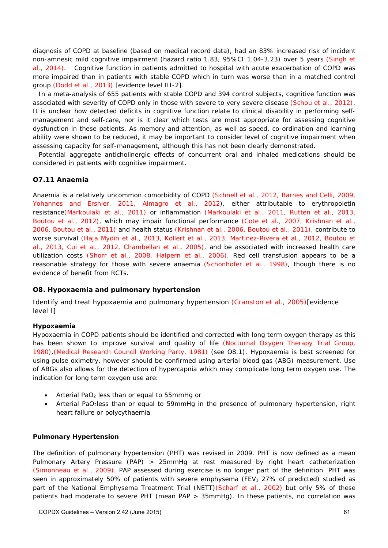diagnosis of COPD at baseline (based on medical record data), had an 83% increased risk of incident non-amnesic mild cognitive impairment (hazard ratio 1.83, 95%CI 1.04-3.23) over 5 years (Singh et al., 2014). Cognitive function in patients admitted to hospital with acute exacerbation of COPD was more impaired than in patients with stable COPD which in turn was worse than in a matched control group (Dodd et al., 2013) [evidence level III-2].

In a meta-analysis of 655 patients with stable COPD and 394 control subjects, cognitive function was associated with severity of COPD only in those with severe to very severe disease (Schou et al., 2012). It is unclear how detected deficits in cognitive function relate to clinical disability in performing selfmanagement and self-care, nor is it clear which tests are most appropriate for assessing cognitive dysfunction in these patients. As memory and attention, as well as speed, co-ordination and learning ability were shown to be reduced, it may be important to consider level of cognitive impairment when assessing capacity for self-management, although this has not been clearly demonstrated.

Potential aggregate anticholinergic effects of concurrent oral and inhaled medications should be considered in patients with cognitive impairment.

### **O7.11 Anaemia**

Anaemia is a relatively uncommon comorbidity of COPD (Schnell et al., 2012, Barnes and Celli, 2009, Yohannes and Ershler, 2011, Almagro et al., 2012), either attributable to erythropoietin resistance(Markoulaki et al., 2011) or inflammation (Markoulaki et al., 2011, Rutten et al., 2013, Boutou et al., 2012), which may impair functional performance (Cote et al., 2007, Krishnan et al., 2006, Boutou et al., 2011) and health status (Krishnan et al., 2006, Boutou et al., 2011), contribute to worse survival (Haja Mydin et al., 2013, Kollert et al., 2013, Martinez-Rivera et al., 2012, Boutou et al., 2013, Cui et al., 2012, Chambellan et al., 2005), and be associated with increased health care utilization costs (Shorr et al., 2008, Halpern et al., 2006). Red cell transfusion appears to be a reasonable strategy for those with severe anaemia (Schonhofer et al., 1998), though there is no evidence of benefit from RCTs.

### **O8. Hypoxaemia and pulmonary hypertension**

Identify and treat hypoxaemia and pulmonary hypertension (Cranston et al., 2005)[evidence level I]

#### **Hypoxaemia**

Hypoxaemia in COPD patients should be identified and corrected with long term oxygen therapy as this has been shown to improve survival and quality of life (Nocturnal Oxygen Therapy Trial Group, 1980),(Medical Research Council Working Party, 1981) (see O8.1). Hypoxaemia is best screened for using pulse oximetry, however should be confirmed using arterial blood gas (ABG) measurement. Use of ABGs also allows for the detection of hypercapnia which may complicate long term oxygen use. The indication for long term oxygen use are:

- Arterial PaO2 less than or equal to 55mmHg or
- Arterial PaO2less than or equal to 59mmHg in the presence of pulmonary hypertension, right heart failure or polycythaemia

#### **Pulmonary Hypertension**

The definition of pulmonary hypertension (PHT) was revised in 2009. PHT is now defined as a mean Pulmonary Artery Pressure (PAP) > 25mmHg at rest measured by right heart catheterization (Simonneau et al., 2009). PAP assessed during exercise is no longer part of the definition. PHT was seen in approximately 50% of patients with severe emphysema (FEV<sub>1</sub> 27% of predicted) studied as part of the National Emphysema Treatment Trial (NETT)(Scharf et al., 2002) but only 5% of these patients had moderate to severe PHT (mean PAP > 35mmHg). In these patients, no correlation was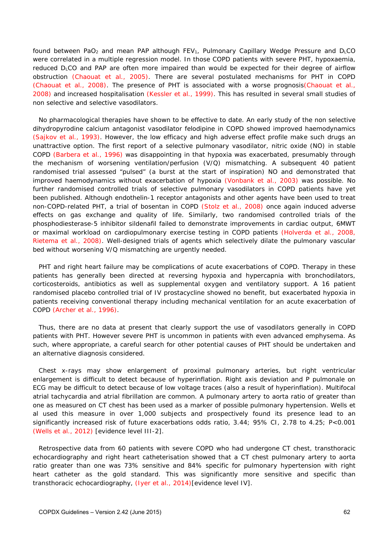found between PaO<sub>2</sub> and mean PAP although FEV<sub>1</sub>, Pulmonary Capillary Wedge Pressure and D<sub>L</sub>CO were correlated in a multiple regression model. In those COPD patients with severe PHT, hypoxaemia, reduced DLCO and PAP are often more impaired than would be expected for their degree of airflow obstruction (Chaouat et al., 2005). There are several postulated mechanisms for PHT in COPD (Chaouat et al., 2008). The presence of PHT is associated with a worse prognosis(Chaouat et al., 2008) and increased hospitalisation (Kessler et al., 1999). This has resulted in several small studies of non selective and selective vasodilators.

No pharmacological therapies have shown to be effective to date. An early study of the non selective dihydropyrodine calcium antagonist vasodilator felodipine in COPD showed improved haemodynamics (Sajkov et al., 1993). However, the low efficacy and high adverse effect profile make such drugs an unattractive option. The first report of a selective pulmonary vasodilator, nitric oxide (NO) in stable COPD (Barbera et al., 1996) was disappointing in that hypoxia was exacerbated, presumably through the mechanism of worsening ventilation/perfusion (V/Q) mismatching. A subsequent 40 patient randomised trial assessed "pulsed" (a burst at the start of inspiration) NO and demonstrated that improved haemodynamics without exacerbation of hypoxia (Vonbank et al., 2003) was possible. No further randomised controlled trials of selective pulmonary vasodilators in COPD patients have yet been published. Although endothelin-1 receptor antagonists and other agents have been used to treat non-COPD-related PHT, a trial of bosentan in COPD (Stolz et al., 2008) once again induced adverse effects on gas exchange and quality of life. Similarly, two randomised controlled trials of the phosphodiesterase-5 inhibitor sildenafil failed to demonstrate improvements in cardiac output, 6MWT or maximal workload on cardiopulmonary exercise testing in COPD patients (Holverda et al., 2008, Rietema et al., 2008). Well-designed trials of agents which selectively dilate the pulmonary vascular bed without worsening V/Q mismatching are urgently needed.

PHT and right heart failure may be complications of acute exacerbations of COPD. Therapy in these patients has generally been directed at reversing hypoxia and hypercapnia with bronchodilators, corticosteroids, antibiotics as well as supplemental oxygen and ventilatory support. A 16 patient randomised placebo controlled trial of IV prostacycline showed no benefit, but exacerbated hypoxia in patients receiving conventional therapy including mechanical ventilation for an acute exacerbation of COPD (Archer et al., 1996).

Thus, there are no data at present that clearly support the use of vasodilators generally in COPD patients with PHT. However severe PHT is uncommon in patients with even advanced emphysema. As such, where appropriate, a careful search for other potential causes of PHT should be undertaken and an alternative diagnosis considered.

Chest x-rays may show enlargement of proximal pulmonary arteries, but right ventricular enlargement is difficult to detect because of hyperinflation. Right axis deviation and P pulmonale on ECG may be difficult to detect because of low voltage traces (also a result of hyperinflation). Multifocal atrial tachycardia and atrial fibrillation are common. A pulmonary artery to aorta ratio of greater than one as measured on CT chest has been used as a marker of possible pulmonary hypertension. Wells et al used this measure in over 1,000 subjects and prospectively found its presence lead to an significantly increased risk of future exacerbations odds ratio, 3.44; 95% CI, 2.78 to 4.25; P<0.001 (Wells et al., 2012) [evidence level III-2].

Retrospective data from 60 patients with severe COPD who had undergone CT chest, transthoracic echocardiography and right heart catheterisation showed that a CT chest pulmonary artery to aorta ratio greater than one was 73% sensitive and 84% specific for pulmonary hypertension with right heart catheter as the gold standard. This was significantly more sensitive and specific than transthoracic echocardiography, (Iyer et al., 2014)[evidence level IV].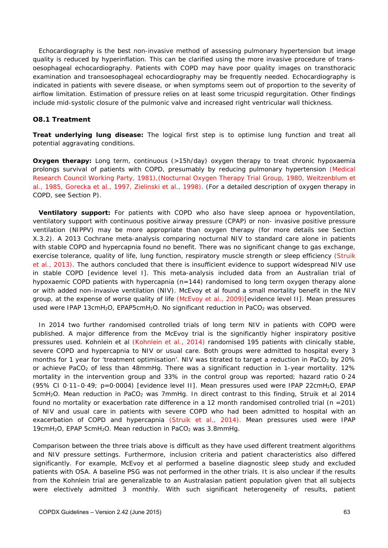Echocardiography is the best non-invasive method of assessing pulmonary hypertension but image quality is reduced by hyperinflation. This can be clarified using the more invasive procedure of transoesophageal echocardiography. Patients with COPD may have poor quality images on transthoracic examination and transoesophageal echocardiography may be frequently needed. Echocardiography is indicated in patients with severe disease, or when symptoms seem out of proportion to the severity of airflow limitation. Estimation of pressure relies on at least some tricuspid regurgitation. Other findings include mid-systolic closure of the pulmonic valve and increased right ventricular wall thickness.

### **O8.1 Treatment**

*Treat underlying lung disease:* The logical first step is to optimise lung function and treat all potential aggravating conditions.

**Oxygen therapy:** Long term, continuous (>15h/day) oxygen therapy to treat chronic hypoxaemia prolongs survival of patients with COPD, presumably by reducing pulmonary hypertension (Medical Research Council Working Party, 1981),(Nocturnal Oxygen Therapy Trial Group, 1980, Weitzenblum et al., 1985, Gorecka et al., 1997, Zielinski et al., 1998). (For a detailed description of oxygen therapy in COPD, see Section P).

*Ventilatory support:* For patients with COPD who also have sleep apnoea or hypoventilation, ventilatory support with continuous positive airway pressure (CPAP) or non- invasive positive pressure ventilation (NIPPV) may be more appropriate than oxygen therapy (for more details see Section X.3.2). A 2013 Cochrane meta-analysis comparing nocturnal NIV to standard care alone in patients with stable COPD and hypercapnia found no benefit. There was no significant change to gas exchange, exercise tolerance, quality of life, lung function, respiratory muscle strength or sleep efficiency (Struik et al., 2013). The authors concluded that there is insufficient evidence to support widespread NIV use in stable COPD [evidence level I]. This meta-analysis included data from an Australian trial of hypoxaemic COPD patients with hypercapnia (n=144) randomised to long term oxygen therapy alone or with added non-invasive ventilation (NIV). McEvoy et al found a small mortality benefit in the NIV group, at the expense of worse quality of life (McEvoy et al., 2009)[evidence level II]. Mean pressures used were IPAP 13cmH<sub>2</sub>O, EPAP5cmH<sub>2</sub>O. No significant reduction in PaCO<sub>2</sub> was observed.

In 2014 two further randomised controlled trials of long term NIV in patients with COPD were published. A major difference from the McEvoy trial is the significantly higher inspiratory positive pressures used. Kohnlein et al (Kohnlein et al., 2014) randomised 195 patients with clinically stable, severe COPD and hypercapnia to NIV or usual care. Both groups were admitted to hospital every 3 months for 1 year for 'treatment optimisation'. NIV was titrated to target a reduction in PaCO<sub>2</sub> by 20% or achieve PaCO<sub>2</sub> of less than 48mmHg. There was a significant reduction in 1-year mortality. 12% mortality in the intervention group and 33% in the control group was reported; hazard ratio 0·24 (95% CI 0·11–0·49; p=0·0004) [evidence level II]. Mean pressures used were IPAP 22cmH2O, EPAP 5cmH<sub>2</sub>O. Mean reduction in PaCO<sub>2</sub> was 7mmHg. In direct contrast to this finding, Struik et al 2014 found no mortality or exacerbation rate difference in a 12 month randomised controlled trial (n =201) of NIV and usual care in patients with severe COPD who had been admitted to hospital with an exacerbation of COPD and hypercapnia (Struik et al., 2014). Mean pressures used were IPAP 19cmH2O, EPAP 5cmH2O. Mean reduction in PaCO2 was 3.8mmHg.

Comparison between the three trials above is difficult as they have used different treatment algorithms and NIV pressure settings. Furthermore, inclusion criteria and patient characteristics also differed significantly. For example, McEvoy et al performed a baseline diagnostic sleep study and excluded patients with OSA. A baseline PSG was not performed in the other trials. It is also unclear if the results from the Kohnlein trial are generalizable to an Australasian patient population given that all subjects were electively admitted 3 monthly. With such significant heterogeneity of results, patient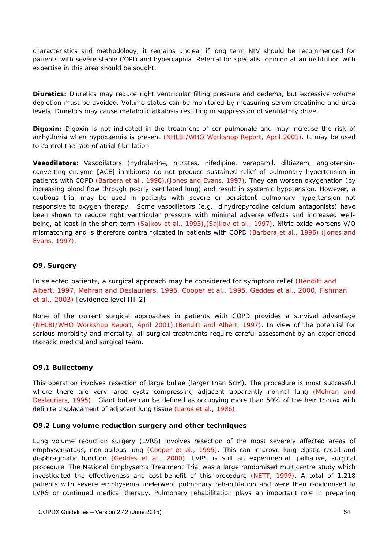characteristics and methodology, it remains unclear if long term NIV should be recommended for patients with severe stable COPD and hypercapnia. Referral for specialist opinion at an institution with expertise in this area should be sought.

**Diuretics:** Diuretics may reduce right ventricular filling pressure and oedema, but excessive volume depletion must be avoided. Volume status can be monitored by measuring serum creatinine and urea levels. Diuretics may cause metabolic alkalosis resulting in suppression of ventilatory drive.

**Digoxin:** Digoxin is not indicated in the treatment of cor pulmonale and may increase the risk of arrhythmia when hypoxaemia is present (NHLBI/WHO Workshop Report, April 2001). It may be used to control the rate of atrial fibrillation.

*Vasodilators:* Vasodilators (hydralazine, nitrates, nifedipine, verapamil, diltiazem, angiotensinconverting enzyme [ACE] inhibitors) do not produce sustained relief of pulmonary hypertension in patients with COPD (Barbera et al., 1996),(Jones and Evans, 1997). They can worsen oxygenation (by increasing blood flow through poorly ventilated lung) and result in systemic hypotension. However, a cautious trial may be used in patients with severe or persistent pulmonary hypertension not responsive to oxygen therapy. Some vasodilators (e.g., dihydropyrodine calcium antagonists) have been shown to reduce right ventricular pressure with minimal adverse effects and increased wellbeing, at least in the short term (Sajkov et al., 1993),(Sajkov et al., 1997). Nitric oxide worsens V/Q mismatching and is therefore contraindicated in patients with COPD (Barbera et al., 1996),(Jones and Evans, 1997).

### **O9. Surgery**

In selected patients, a surgical approach may be considered for symptom relief (Benditt and Albert, 1997, Mehran and Deslauriers, 1995, Cooper et al., 1995, Geddes et al., 2000, Fishman et al., 2003) [evidence level III-2]

None of the current surgical approaches in patients with COPD provides a survival advantage (NHLBI/WHO Workshop Report, April 2001),(Benditt and Albert, 1997). In view of the potential for serious morbidity and mortality, all surgical treatments require careful assessment by an experienced thoracic medical and surgical team.

## **O9.1 Bullectomy**

This operation involves resection of large bullae (larger than 5cm). The procedure is most successful where there are very large cysts compressing adjacent apparently normal lung (Mehran and Deslauriers, 1995). Giant bullae can be defined as occupying more than 50% of the hemithorax with definite displacement of adjacent lung tissue (Laros et al., 1986).

### **O9.2 Lung volume reduction surgery and other techniques**

Lung volume reduction surgery (LVRS) involves resection of the most severely affected areas of emphysematous, non-bullous lung (Cooper et al., 1995). This can improve lung elastic recoil and diaphragmatic function (Geddes et al., 2000). LVRS is still an experimental, palliative, surgical procedure. The National Emphysema Treatment Trial was a large randomised multicentre study which investigated the effectiveness and cost-benefit of this procedure (NETT, 1999). A total of 1,218 patients with severe emphysema underwent pulmonary rehabilitation and were then randomised to LVRS or continued medical therapy. Pulmonary rehabilitation plays an important role in preparing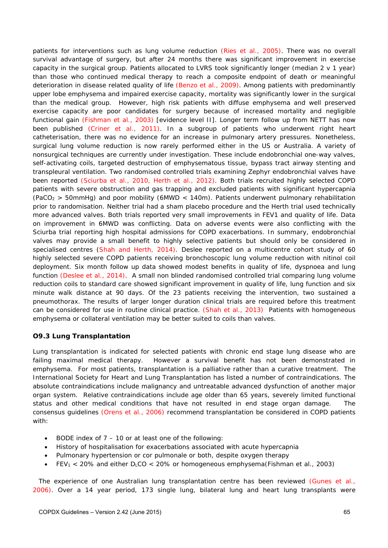patients for interventions such as lung volume reduction (Ries et al., 2005). There was no overall survival advantage of surgery, but after 24 months there was significant improvement in exercise capacity in the surgical group. Patients allocated to LVRS took significantly longer (median 2 v 1 year) than those who continued medical therapy to reach a composite endpoint of death or meaningful deterioration in disease related quality of life (Benzo et al., 2009). Among patients with predominantly upper lobe emphysema and impaired exercise capacity, mortality was significantly lower in the surgical than the medical group. However, high risk patients with diffuse emphysema and well preserved exercise capacity are poor candidates for surgery because of increased mortality and negligible functional gain (Fishman et al., 2003) [evidence level II]. Longer term follow up from NETT has now been published (Criner et al., 2011). In a subgroup of patients who underwent right heart catheterisation, there was no evidence for an increase in pulmonary artery pressures. Nonetheless, surgical lung volume reduction is now rarely performed either in the US or Australia. A variety of nonsurgical techniques are currently under investigation. These include endobronchial one-way valves, self-activating coils, targeted destruction of emphysematous tissue, bypass tract airway stenting and transpleural ventilation. Two randomised controlled trials examining Zephyr endobronchial valves have been reported (Sciurba et al., 2010, Herth et al., 2012). Both trials recruited highly selected COPD patients with severe obstruction and gas trapping and excluded patients with significant hypercapnia (PaCO<sub>2</sub> > 50mmHg) and poor mobility (6MWD < 140m). Patients underwent pulmonary rehabilitation prior to randomisation. Neither trial had a sham placebo procedure and the Herth trial used technically more advanced valves. Both trials reported very small improvements in FEV1 and quality of life. Data on improvement in 6MWD was conflicting. Data on adverse events were also conflicting with the Sciurba trial reporting high hospital admissions for COPD exacerbations. In summary, endobronchial valves may provide a small benefit to highly selective patients but should only be considered in specialised centres (Shah and Herth, 2014). Deslee reported on a multicentre cohort study of 60 highly selected severe COPD patients receiving bronchoscopic lung volume reduction with nitinol coil deployment. Six month follow up data showed modest benefits in quality of life, dyspnoea and lung function (Deslee et al., 2014). A small non blinded randomised controlled trial comparing lung volume reduction coils to standard care showed significant improvement in quality of life, lung function and six minute walk distance at 90 days. Of the 23 patients receiving the intervention, two sustained a pneumothorax. The results of larger longer duration clinical trials are required before this treatment can be considered for use in routine clinical practice. (Shah et al., 2013) Patients with homogeneous emphysema or collateral ventilation may be better suited to coils than valves.

## **O9.3 Lung Transplantation**

Lung transplantation is indicated for selected patients with chronic end stage lung disease who are failing maximal medical therapy. However a survival benefit has not been demonstrated in emphysema. For most patients, transplantation is a palliative rather than a curative treatment. The International Society for Heart and Lung Transplantation has listed a number of contraindications. The absolute contraindications include malignancy and untreatable advanced dysfunction of another major organ system. Relative contraindications include age older than 65 years, severely limited functional status and other medical conditions that have not resulted in end stage organ damage. consensus guidelines (Orens et al., 2006) recommend transplantation be considered in COPD patients with:

- BODE index of 7 10 or at least one of the following:
- History of hospitalisation for exacerbations associated with acute hypercapnia
- Pulmonary hypertension or cor pulmonale or both, despite oxygen therapy
- $FEV_1 < 20\%$  and either  $D_LCO < 20\%$  or homogeneous emphysema(Fishman et al., 2003)

The experience of one Australian lung transplantation centre has been reviewed (Gunes et al., 2006). Over a 14 year period, 173 single lung, bilateral lung and heart lung transplants were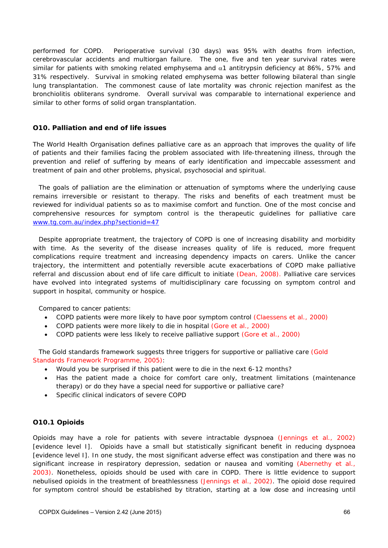performed for COPD. Perioperative survival (30 days) was 95% with deaths from infection, cerebrovascular accidents and multiorgan failure. The one, five and ten year survival rates were similar for patients with smoking related emphysema and  $\alpha$ 1 antitrypsin deficiency at 86%, 57% and 31% respectively. Survival in smoking related emphysema was better following bilateral than single lung transplantation. The commonest cause of late mortality was chronic rejection manifest as the bronchiolitis obliterans syndrome. Overall survival was comparable to international experience and similar to other forms of solid organ transplantation.

### **O10. Palliation and end of life issues**

The World Health Organisation defines palliative care as an approach that improves the quality of life of patients and their families facing the problem associated with life-threatening illness, through the prevention and relief of suffering by means of early identification and impeccable assessment and treatment of pain and other problems, physical, psychosocial and spiritual.

The goals of palliation are the elimination or attenuation of symptoms where the underlying cause remains irreversible or resistant to therapy. The risks and benefits of each treatment must be reviewed for individual patients so as to maximise comfort and function. One of the most concise and comprehensive resources for symptom control is the therapeutic guidelines for palliative care www.tg.com.au/index.php?sectionid=47

Despite appropriate treatment, the trajectory of COPD is one of increasing disability and morbidity with time. As the severity of the disease increases quality of life is reduced, more frequent complications require treatment and increasing dependency impacts on carers. Unlike the cancer trajectory, the intermittent and potentially reversible acute exacerbations of COPD make palliative referral and discussion about end of life care difficult to initiate (Dean, 2008). Palliative care services have evolved into integrated systems of multidisciplinary care focussing on symptom control and support in hospital, community or hospice.

Compared to cancer patients:

- COPD patients were more likely to have poor symptom control (Claessens et al., 2000)
- COPD patients were more likely to die in hospital (Gore et al., 2000)
- COPD patients were less likely to receive palliative support (Gore et al., 2000)

The Gold standards framework suggests three triggers for supportive or palliative care (Gold Standards Framework Programme, 2005):

- Would you be surprised if this patient were to die in the next 6-12 months?
- Has the patient made a choice for comfort care only, treatment limitations (maintenance therapy) or do they have a special need for supportive or palliative care?
- Specific clinical indicators of severe COPD

### **O10.1 Opioids**

Opioids may have a role for patients with severe intractable dyspnoea (Jennings et al., 2002) [evidence level I]. Opioids have a small but statistically significant benefit in reducing dyspnoea [evidence level I]. In one study, the most significant adverse effect was constipation and there was no significant increase in respiratory depression, sedation or nausea and vomiting (Abernethy et al., 2003). Nonetheless, opioids should be used with care in COPD. There is little evidence to support nebulised opioids in the treatment of breathlessness (Jennings et al., 2002). The opioid dose required for symptom control should be established by titration, starting at a low dose and increasing until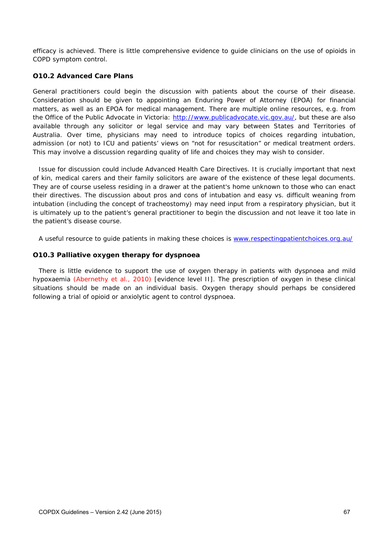efficacy is achieved. There is little comprehensive evidence to guide clinicians on the use of opioids in COPD symptom control.

### **O10.2 Advanced Care Plans**

General practitioners could begin the discussion with patients about the course of their disease. Consideration should be given to appointing an Enduring Power of Attorney (EPOA) for financial matters, as well as an EPOA for medical management. There are multiple online resources, e.g. from the Office of the Public Advocate in Victoria: http://www.publicadvocate.vic.gov.au/, but these are also available through any solicitor or legal service and may vary between States and Territories of Australia. Over time, physicians may need to introduce topics of choices regarding intubation, admission (or not) to ICU and patients' views on "not for resuscitation" or medical treatment orders. This may involve a discussion regarding quality of life and choices they may wish to consider.

Issue for discussion could include Advanced Health Care Directives. It is crucially important that next of kin, medical carers and their family solicitors are aware of the existence of these legal documents. They are of course useless residing in a drawer at the patient's home unknown to those who can enact their directives. The discussion about pros and cons of intubation and easy vs. difficult weaning from intubation (including the concept of tracheostomy) may need input from a respiratory physician, but it is ultimately up to the patient's general practitioner to begin the discussion and not leave it too late in the patient's disease course.

A useful resource to guide patients in making these choices is www.respectingpatientchoices.org.au/

### **O10.3 Palliative oxygen therapy for dyspnoea**

There is little evidence to support the use of oxygen therapy in patients with dyspnoea and mild hypoxaemia (Abernethy et al., 2010) [evidence level II]. The prescription of oxygen in these clinical situations should be made on an individual basis. Oxygen therapy should perhaps be considered following a trial of opioid or anxiolytic agent to control dyspnoea.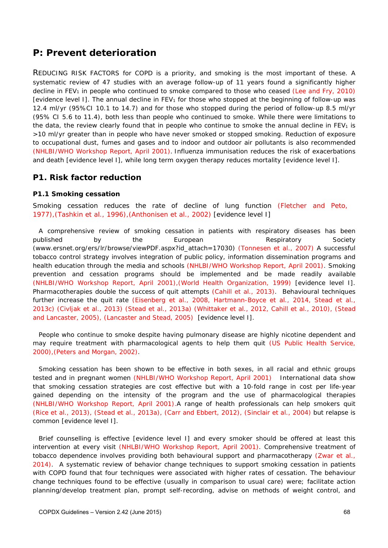# *P: Prevent deterioration*

REDUCING RISK FACTORS for COPD is a priority, and smoking is the most important of these. A systematic review of 47 studies with an average follow-up of 11 years found a significantly higher decline in FEV<sub>1</sub> in people who continued to smoke compared to those who ceased (Lee and Fry, 2010) [evidence level I]. The annual decline in  $FEV<sub>1</sub>$  for those who stopped at the beginning of follow-up was 12.4 ml/yr (95%CI 10.1 to 14.7) and for those who stopped during the period of follow-up 8.5 ml/yr (95% CI 5.6 to 11.4), both less than people who continued to smoke. While there were limitations to the data, the review clearly found that in people who continue to smoke the annual decline in  $FEV<sub>1</sub>$  is >10 ml/yr greater than in people who have never smoked or stopped smoking. Reduction of exposure to occupational dust, fumes and gases and to indoor and outdoor air pollutants is also recommended (NHLBI/WHO Workshop Report, April 2001). Influenza immunisation reduces the risk of exacerbations and death [evidence level I], while long term oxygen therapy reduces mortality [evidence level I].

## **P1. Risk factor reduction**

### **P1.1 Smoking cessation**

Smoking cessation reduces the rate of decline of lung function (Fletcher and Peto, 1977),(Tashkin et al., 1996),(Anthonisen et al., 2002) [evidence level I]

A comprehensive review of smoking cessation in patients with respiratory diseases has been published by the European Respiratory Society (www.ersnet.org/ers/lr/browse/viewPDF.aspx?id\_attach=17030) (Tonnesen et al., 2007) A successful tobacco control strategy involves integration of public policy, information dissemination programs and health education through the media and schools (NHLBI/WHO Workshop Report, April 2001). Smoking prevention and cessation programs should be implemented and be made readily available (NHLBI/WHO Workshop Report, April 2001),(World Health Organization, 1999) [evidence level I]. Pharmacotherapies double the success of quit attempts (Cahill et al., 2013). Behavioural techniques further increase the quit rate (Eisenberg et al., 2008, Hartmann-Boyce et al., 2014, Stead et al., 2013c) (Civljak et al., 2013) (Stead et al., 2013a) (Whittaker et al., 2012, Cahill et al., 2010), (Stead and Lancaster, 2005), (Lancaster and Stead, 2005) [evidence level I].

People who continue to smoke despite having pulmonary disease are highly nicotine dependent and may require treatment with pharmacological agents to help them quit (US Public Health Service, 2000),(Peters and Morgan, 2002).

Smoking cessation has been shown to be effective in both sexes, in all racial and ethnic groups tested and in pregnant women (NHLBI/WHO Workshop Report, April 2001) International data show that smoking cessation strategies are cost effective but with a 10-fold range in cost per life-year gained depending on the intensity of the program and the use of pharmacological therapies (NHLBI/WHO Workshop Report, April 2001).A range of health professionals can help smokers quit (Rice et al., 2013), (Stead et al., 2013a), (Carr and Ebbert, 2012), (Sinclair et al., 2004) but relapse is common [evidence level I].

Brief counselling is effective [evidence level I] and every smoker should be offered at least this intervention at every visit (NHLBI/WHO Workshop Report, April 2001). Comprehensive treatment of tobacco dependence involves providing both behavioural support and pharmacotherapy (Zwar et al., 2014). A systematic review of behavior change techniques to support smoking cessation in patients with COPD found that four techniques were associated with higher rates of cessation. The behaviour change techniques found to be effective (usually in comparison to usual care) were; facilitate action planning/develop treatment plan, prompt self-recording, advise on methods of weight control, and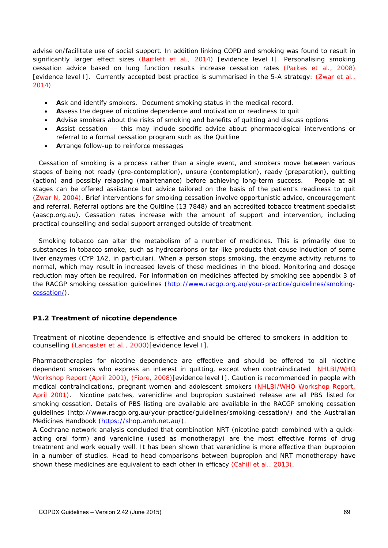advise on/facilitate use of social support. In addition linking COPD and smoking was found to result in significantly larger effect sizes (Bartlett et al., 2014) [evidence level I]. Personalising smoking cessation advice based on lung function results increase cessation rates (Parkes et al., 2008) [evidence level I]. Currently accepted best practice is summarised in the 5-A strategy: (Zwar et al., 2014)

- **A**sk and identify smokers. Document smoking status in the medical record.
- **A**ssess the degree of nicotine dependence and motivation or readiness to quit
- **A**dvise smokers about the risks of smoking and benefits of quitting and discuss options
- **A**ssist cessation this may include specific advice about pharmacological interventions or referral to a formal cessation program such as the Quitline
- **A**rrange follow-up to reinforce messages

Cessation of smoking is a process rather than a single event, and smokers move between various stages of being *not ready (pre-contemplation), unsure (contemplation), ready (preparation), quitting (action)* and *possibly relapsing (maintenance)* before achieving long-term success. People at all stages can be offered assistance but advice tailored on the basis of the patient's readiness to quit (Zwar N, 2004). Brief interventions for smoking cessation involve opportunistic advice, encouragement and referral. Referral options are the Quitline (13 7848) and an accredited tobacco treatment specialist (aascp.org.au). Cessation rates increase with the amount of support and intervention, including practical counselling and social support arranged outside of treatment.

Smoking tobacco can alter the metabolism of a number of medicines. This is primarily due to substances in tobacco smoke, such as hydrocarbons or tar-like products that cause induction of some liver enzymes (CYP 1A2, in particular). When a person stops smoking, the enzyme activity returns to normal, which may result in increased levels of these medicines in the blood. Monitoring and dosage reduction may often be required. For information on medicines affected by smoking see appendix 3 of the RACGP smoking cessation guidelines (http://www.racgp.org.au/your-practice/guidelines/smokingcessation/).

## **P1.2 Treatment of nicotine dependence**

Treatment of nicotine dependence is effective and should be offered to smokers in addition to counselling (Lancaster et al., 2000)[evidence level I].

Pharmacotherapies for nicotine dependence are effective and should be offered to all nicotine dependent smokers who express an interest in quitting, except when contraindicated NHLBI/WHO Workshop Report (April 2001), (Fiore, 2008)[evidence level I]. Caution is recommended in people with medical contraindications, pregnant women and adolescent smokers (NHLBI/WHO Workshop Report, April 2001). Nicotine patches, varenicline and bupropion sustained release are all PBS listed for smoking cessation. Details of PBS listing are available are available in the RACGP smoking cessation guidelines (http://www.racgp.org.au/your-practice/guidelines/smoking-cessation/) and the Australian Medicines Handbook (https://shop.amh.net.au/).

A Cochrane network analysis concluded that combination NRT (nicotine patch combined with a quickacting oral form) and varenicline (used as monotherapy) are the most effective forms of drug treatment and work equally well. It has been shown that varenicline is more effective than bupropion in a number of studies. Head to head comparisons between bupropion and NRT monotherapy have shown these medicines are equivalent to each other in efficacy (Cahill et al., 2013).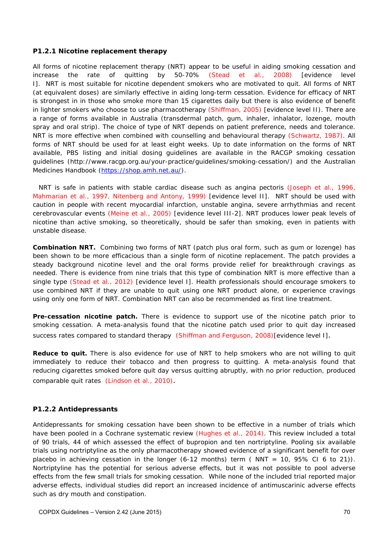#### **P1.2.1 Nicotine replacement therapy**

All forms of nicotine replacement therapy (NRT) appear to be useful in aiding smoking cessation and increase the rate of quitting by 50-70% (Stead et al., 2008) [evidence level I]. NRT is most suitable for nicotine dependent smokers who are motivated to quit. All forms of NRT (at equivalent doses) are similarly effective in aiding long-term cessation. Evidence for efficacy of NRT is strongest in in those who smoke more than 15 cigarettes daily but there is also evidence of benefit in lighter smokers who choose to use pharmacotherapy (Shiffman, 2005) [evidence level II). There are a range of forms available in Australia (transdermal patch, gum, inhaler, inhalator, lozenge, mouth spray and oral strip). The choice of type of NRT depends on patient preference, needs and tolerance. NRT is more effective when combined with counselling and behavioural therapy (Schwartz, 1987). All forms of NRT should be used for at least eight weeks. Up to date information on the forms of NRT available, PBS listing and initial dosing guidelines are available in the RACGP smoking cessation guidelines (http://www.racgp.org.au/your-practice/guidelines/smoking-cessation/) and the Australian Medicines Handbook (https://shop.amh.net.au/).

NRT is safe in patients with stable cardiac disease such as angina pectoris (Joseph et al., 1996, Mahmarian et al., 1997, Nitenberg and Antony, 1999) [evidence level II]. NRT should be used with caution in people with recent myocardial infarction, unstable angina, severe arrhythmias and recent cerebrovascular events (Meine et al., 2005) [evidence level III-2]. NRT produces lower peak levels of nicotine than active smoking, so theoretically, should be safer than smoking, even in patients with unstable disease.

**Combination NRT.** Combining two forms of NRT (patch plus oral form, such as gum or lozenge) has been shown to be more efficacious than a single form of nicotine replacement. The patch provides a steady background nicotine level and the oral forms provide relief for breakthrough cravings as needed. There is evidence from nine trials that this type of combination NRT is more effective than a single type (Stead et al., 2012) [evidence level I]. Health professionals should encourage smokers to use combined NRT if they are unable to quit using one NRT product alone, or experience cravings using only one form of NRT. Combination NRT can also be recommended as first line treatment.

**Pre-cessation nicotine patch.** There is evidence to support use of the nicotine patch prior to smoking cessation. A meta-analysis found that the nicotine patch used prior to quit day increased success rates compared to standard therapy (Shiffman and Ferguson, 2008)[evidence level I].

Reduce to quit. There is also evidence for use of NRT to help smokers who are not willing to quit immediately to reduce their tobacco and then progress to quitting. A meta-analysis found that reducing cigarettes smoked before quit day versus quitting abruptly, with no prior reduction, produced comparable quit rates (Lindson et al., 2010).

### **P1.2.2 Antidepressants**

Antidepressants for smoking cessation have been shown to be effective in a number of trials which have been pooled in a Cochrane systematic review (Hughes et al., 2014). This review included a total of 90 trials, 44 of which assessed the effect of bupropion and ten nortriptyline. Pooling six available trials using nortriptyline as the only pharmacotherapy showed evidence of a significant benefit for over placebo in achieving cessation in the longer  $(6-12 \text{ months})$  term (NNT = 10, 95% CI 6 to 21)). Nortriptyline has the potential for serious adverse effects, but it was not possible to pool adverse effects from the few small trials for smoking cessation. While none of the included trial reported major adverse effects, individual studies did report an increased incidence of antimuscarinic adverse effects such as dry mouth and constipation.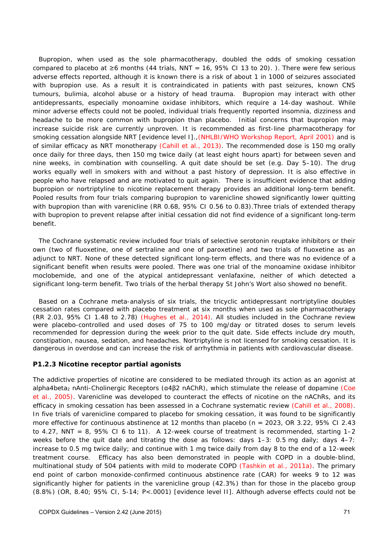Bupropion, when used as the sole pharmacotherapy, doubled the odds of smoking cessation compared to placebo at  $\geq$ 6 months (44 trials, NNT = 16, 95% CI 13 to 20).). There were few serious adverse effects reported, although it is known there is a risk of about 1 in 1000 of seizures associated with bupropion use. As a result it is contraindicated in patients with past seizures, known CNS tumours, bulimia, alcohol abuse or a history of head trauma. Bupropion may interact with other antidepressants, especially monoamine oxidase inhibitors, which require a 14-day washout. While minor adverse effects could not be pooled, individual trials frequently reported insomnia, dizziness and headache to be more common with bupropion than placebo. Initial concerns that bupropion may increase suicide risk are currently unproven. It is recommended as first-line pharmacotherapy for smoking cessation alongside NRT [evidence level I].,(NHLBI/WHO Workshop Report, April 2001) and is of similar efficacy as NRT monotherapy (Cahill et al., 2013). The recommended dose is 150 mg orally once daily for three days, then 150 mg twice daily (at least eight hours apart) for between seven and nine weeks, in combination with counselling. A quit date should be set (e.g. Day 5–10). The drug works equally well in smokers with and without a past history of depression. It is also effective in people who have relapsed and are motivated to quit again. There is insufficient evidence that adding bupropion or nortriptyline to nicotine replacement therapy provides an additional long-term benefit. Pooled results from four trials comparing bupropion to varenicline showed significantly lower quitting with bupropion than with varenicline (RR 0.68, 95% CI 0.56 to 0.83).Three trials of extended therapy with bupropion to prevent relapse after initial cessation did not find evidence of a significant long-term benefit.

The Cochrane systematic review included four trials of selective serotonin reuptake inhibitors or their own (two of fluoxetine, one of sertraline and one of paroxetine) and two trials of fluoxetine as an adjunct to NRT. None of these detected significant long-term effects, and there was no evidence of a significant benefit when results were pooled. There was one trial of the monoamine oxidase inhibitor moclobemide, and one of the atypical antidepressant venlafaxine, neither of which detected a significant long-term benefit. Two trials of the herbal therapy St John's Wort also showed no benefit.

Based on a Cochrane meta-analysis of six trials, the tricyclic antidepressant nortriptyline doubles cessation rates compared with placebo treatment at six months when used as sole pharmacotherapy (RR 2.03, 95% CI 1.48 to 2.78) (Hughes et al., 2014). All studies included in the Cochrane review were placebo-controlled and used doses of 75 to 100 mg/day or titrated doses to serum levels recommended for depression during the week prior to the quit date. Side effects include dry mouth, constipation, nausea, sedation, and headaches. Nortriptyline is not licensed for smoking cessation. It is dangerous in overdose and can increase the risk of arrhythmia in patients with cardiovascular disease.

### **P1.2.3 Nicotine receptor partial agonists**

The addictive properties of nicotine are considered to be mediated through its action as an agonist at alpha4beta<sub>2</sub> nAnti-Cholinergic Receptors (α4β2 nAChR), which stimulate the release of dopamine (Coe et al., 2005). Varenicline was developed to counteract the effects of nicotine on the nAChRs, and its efficacy in smoking cessation has been assessed in a Cochrane systematic review (Cahill et al., 2008). In five trials of varenicline compared to placebo for smoking cessation, it was found to be significantly more effective for continuous abstinence at 12 months than placebo (n = 2023, OR 3.22, 95% CI 2.43 to 4.27, NNT = 8, 95% CI 6 to 11). A 12-week course of treatment is recommended, starting  $1-2$ weeks before the quit date and titrating the dose as follows: days  $1-3$ : 0.5 mg daily: days  $4-7$ : increase to 0.5 mg twice daily; and continue with 1 mg twice daily from day 8 to the end of a 12-week treatment course. Efficacy has also been demonstrated in people with COPD in a double-blind, multinational study of 504 patients with mild to moderate COPD (Tashkin et al., 2011a). The primary end point of carbon monoxide-confirmed continuous abstinence rate (CAR) for weeks 9 to 12 was significantly higher for patients in the varenicline group (42.3%) than for those in the placebo group (8.8%) (OR, 8.40; 95% CI, 5-14; P<.0001) [evidence level II]. Although adverse effects could not be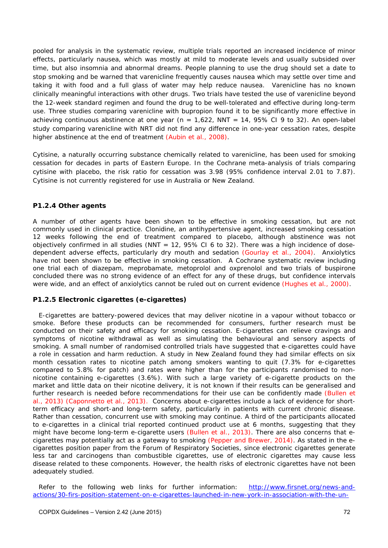pooled for analysis in the systematic review, multiple trials reported an increased incidence of minor effects, particularly nausea, which was mostly at mild to moderate levels and usually subsided over time, but also insomnia and abnormal dreams. People planning to use the drug should set a date to stop smoking and be warned that varenicline frequently causes nausea which may settle over time and taking it with food and a full glass of water may help reduce nausea. Varenicline has no known clinically meaningful interactions with other drugs. Two trials have tested the use of varenicline beyond the 12-week standard regimen and found the drug to be well-tolerated and effective during long-term use. Three studies comparing varenicline with bupropion found it to be significantly more effective in achieving continuous abstinence at one year ( $n = 1,622$ , NNT = 14, 95% CI 9 to 32). An open-label study comparing varenicline with NRT did not find any difference in one-year cessation rates, despite higher abstinence at the end of treatment (Aubin et al., 2008).

Cytisine, a naturally occurring substance chemically related to varenicline, has been used for smoking cessation for decades in parts of Eastern Europe. In the Cochrane meta-analysis of trials comparing cytisine with placebo, the risk ratio for cessation was 3.98 (95% confidence interval 2.01 to 7.87). Cytisine is not currently registered for use in Australia or New Zealand.

### **P1.2.4 Other agents**

A number of other agents have been shown to be effective in smoking cessation, but are not commonly used in clinical practice. Clonidine, an antihypertensive agent, increased smoking cessation 12 weeks following the end of treatment compared to placebo, although abstinence was not objectively confirmed in all studies (NNT =  $12$ ,  $95\%$  CI 6 to 32). There was a high incidence of dosedependent adverse effects, particularly dry mouth and sedation (Gourlay et al., 2004). Anxiolytics have not been shown to be effective in smoking cessation. A Cochrane systematic review including one trial each of diazepam, meprobamate, metoprolol and oxprenolol and two trials of buspirone concluded there was no strong evidence of an effect for any of these drugs, but confidence intervals were wide, and an effect of anxiolytics cannot be ruled out on current evidence (Hughes et al., 2000).

### **P1.2.5 Electronic cigarettes (e-cigarettes)**

E-cigarettes are battery-powered devices that may deliver nicotine in a vapour without tobacco or smoke. Before these products can be recommended for consumers, further research must be conducted on their safety and efficacy for smoking cessation. E-cigarettes can relieve cravings and symptoms of nicotine withdrawal as well as simulating the behavioural and sensory aspects of smoking. A small number of randomised controlled trials have suggested that e-cigarettes could have a role in cessation and harm reduction. A study in New Zealand found they had similar effects on six month cessation rates to nicotine patch among smokers wanting to quit (7.3% for e-cigarettes compared to 5.8% for patch) and rates were higher than for the participants randomised to nonnicotine containing e-cigarettes (3.6%). With such a large variety of e-cigarette products on the market and little data on their nicotine delivery, it is not known if their results can be generalised and further research is needed before recommendations for their use can be confidently made (Bullen et al., 2013) (Caponnetto et al., 2013). Concerns about e-cigarettes include a lack of evidence for shortterm efficacy and short-and long-term safety, particularly in patients with current chronic disease. Rather than cessation, concurrent use with smoking may continue. A third of the participants allocated to e-cigarettes in a clinical trial reported continued product use at 6 months, suggesting that they might have become long-term e-cigarette users (Bullen et al., 2013). There are also concerns that ecigarettes may potentially act as a gateway to smoking (Pepper and Brewer, 2014). As stated in the ecigarettes position paper from the Forum of Respiratory Societies, since electronic cigarettes generate less tar and carcinogens than combustible cigarettes, use of electronic cigarettes may cause less disease related to these components. However, the health risks of electronic cigarettes have not been adequately studied.

Refer to the following web links for further information: http://www.firsnet.org/news-andactions/30-firs-position-statement-on-e-cigarettes-launched-in-new-york-in-association-with-the-un-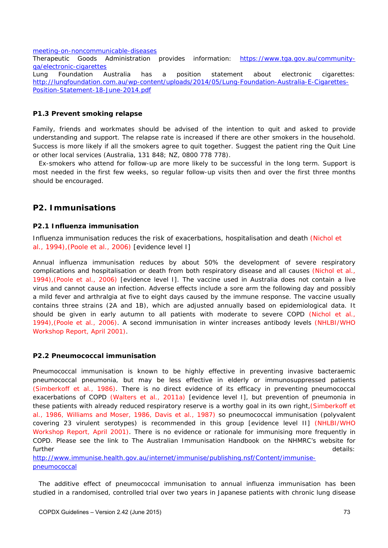meeting-on-noncommunicable-diseases

Therapeutic Goods Administration provides information: https://www.tga.gov.au/communityqa/electronic-cigarettes

Lung Foundation Australia has a position statement about electronic cigarettes: http://lungfoundation.com.au/wp-content/uploads/2014/05/Lung-Foundation-Australia-E-Cigarettes-Position-Statement-18-June-2014.pdf

#### **P1.3 Prevent smoking relapse**

Family, friends and workmates should be advised of the intention to quit and asked to provide understanding and support. The relapse rate is increased if there are other smokers in the household. Success is more likely if all the smokers agree to quit together. Suggest the patient ring the Quit Line or other local services (Australia, 131 848; NZ, 0800 778 778).

Ex-smokers who attend for follow-up are more likely to be successful in the long term. Support is most needed in the first few weeks, so regular follow-up visits then and over the first three months should be encouraged.

#### **P2. Immunisations**

#### **P2.1 Influenza immunisation**

Influenza immunisation reduces the risk of exacerbations, hospitalisation and death (Nichol et al., 1994),(Poole et al., 2006) [evidence level I]

Annual influenza immunisation reduces by about 50% the development of severe respiratory complications and hospitalisation or death from both respiratory disease and all causes (Nichol et al., 1994),(Poole et al., 2006) [evidence level I]. The vaccine used in Australia does not contain a live virus and cannot cause an infection. Adverse effects include a sore arm the following day and possibly a mild fever and arthralgia at five to eight days caused by the immune response. The vaccine usually contains three strains (2A and 1B), which are adjusted annually based on epidemiological data. It should be given in early autumn to all patients with moderate to severe COPD (Nichol et al., 1994),(Poole et al., 2006). A second immunisation in winter increases antibody levels (NHLBI/WHO Workshop Report, April 2001).

#### **P2.2 Pneumococcal immunisation**

Pneumococcal immunisation is known to be highly effective in preventing invasive bacteraemic pneumococcal pneumonia, but may be less effective in elderly or immunosuppressed patients (Simberkoff et al., 1986). There is no direct evidence of its efficacy in preventing pneumococcal exacerbations of COPD (Walters et al., 2011a) [evidence level I], but prevention of pneumonia in these patients with already reduced respiratory reserve is a worthy goal in its own right,(Simberkoff et al., 1986, Williams and Moser, 1986, Davis et al., 1987) so pneumococcal immunisation (polyvalent covering 23 virulent serotypes) is recommended in this group [evidence level II] (NHLBI/WHO Workshop Report, April 2001). There is no evidence or rationale for immunising more frequently in COPD. Please see the link to The Australian Immunisation Handbook on the NHMRC's website for further details:

http://www.immunise.health.gov.au/internet/immunise/publishing.nsf/Content/immunisepneumococcal

The additive effect of pneumococcal immunisation to annual influenza immunisation has been studied in a randomised, controlled trial over two years in Japanese patients with chronic lung disease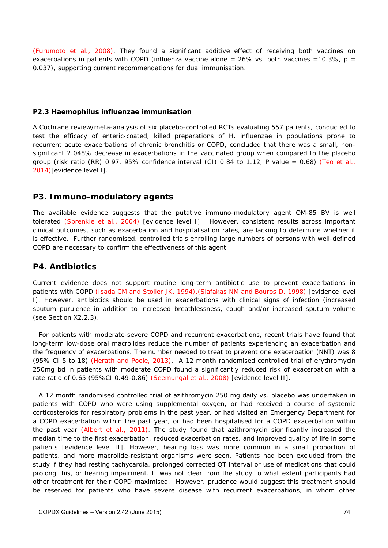(Furumoto et al., 2008). They found a significant additive effect of receiving both vaccines on exacerbations in patients with COPD (influenza vaccine alone =  $26\%$  vs. both vaccines = 10.3%, p = 0.037), supporting current recommendations for dual immunisation.

#### **P2.3 Haemophilus influenzae immunisation**

A Cochrane review/meta-analysis of six placebo-controlled RCTs evaluating 557 patients, conducted to test the efficacy of enteric-coated, killed preparations of H. influenzae in populations prone to recurrent acute exacerbations of chronic bronchitis or COPD, concluded that there was a small, nonsignificant 2.048% decrease in exacerbations in the vaccinated group when compared to the placebo group (risk ratio (RR) 0.97, 95% confidence interval (CI) 0.84 to 1.12, P value = 0.68) (Teo et al., 2014)[evidence level I].

### **P3. Immuno-modulatory agents**

The available evidence suggests that the putative immuno-modulatory agent OM-85 BV is well tolerated (Sprenkle et al., 2004) [evidence level I]. However, consistent results across important clinical outcomes, such as exacerbation and hospitalisation rates, are lacking to determine whether it is effective. Further randomised, controlled trials enrolling large numbers of persons with well-defined COPD are necessary to confirm the effectiveness of this agent.

# **P4. Antibiotics**

Current evidence does not support routine long-term antibiotic use to prevent exacerbations in patients with COPD (Isada CM and Stoller JK, 1994),(Siafakas NM and Bouros D, 1998) [evidence level I]. However, antibiotics should be used in exacerbations with clinical signs of infection (increased sputum purulence in addition to increased breathlessness, cough and/or increased sputum volume (see Section X2.2.3).

For patients with moderate-severe COPD and recurrent exacerbations, recent trials have found that long-term low-dose oral macrolides reduce the number of patients experiencing an exacerbation and the frequency of exacerbations. The number needed to treat to prevent one exacerbation (NNT) was 8 (95% CI 5 to 18) (Herath and Poole, 2013). A 12 month randomised controlled trial of erythromycin 250mg bd in patients with moderate COPD found a significantly reduced risk of exacerbation with a rate ratio of 0.65 (95%CI 0.49-0.86) (Seemungal et al., 2008) [evidence level II].

A 12 month randomised controlled trial of azithromycin 250 mg daily vs. placebo was undertaken in patients with COPD who were using supplemental oxygen, or had received a course of systemic corticosteroids for respiratory problems in the past year, or had visited an Emergency Department for a COPD exacerbation within the past year, or had been hospitalised for a COPD exacerbation within the past year (Albert et al., 2011). The study found that azithromycin significantly increased the median time to the first exacerbation, reduced exacerbation rates, and improved quality of life in some patients [evidence level II]. However, hearing loss was more common in a small proportion of patients, and more macrolide-resistant organisms were seen. Patients had been excluded from the study if they had resting tachycardia, prolonged corrected QT interval or use of medications that could prolong this, or hearing impairment. It was not clear from the study to what extent participants had other treatment for their COPD maximised. However, prudence would suggest this treatment should be reserved for patients who have severe disease with recurrent exacerbations, in whom other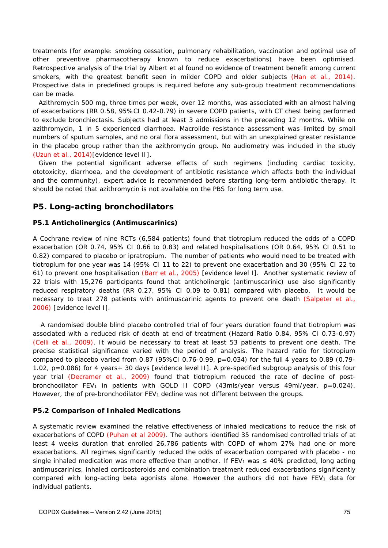treatments (for example: smoking cessation, pulmonary rehabilitation, vaccination and optimal use of other preventive pharmacotherapy known to reduce exacerbations) have been optimised. Retrospective analysis of the trial by Albert et al found no evidence of treatment benefit among current smokers, with the greatest benefit seen in milder COPD and older subjects (Han et al., 2014). Prospective data in predefined groups is required before any sub-group treatment recommendations can be made.

Azithromycin 500 mg, three times per week, over 12 months, was associated with an almost halving of exacerbations (RR 0.58, 95%CI 0.42-0.79) in severe COPD patients, with CT chest being performed to exclude bronchiectasis. Subjects had at least 3 admissions in the preceding 12 months. While on azithromycin, 1 in 5 experienced diarrhoea. Macrolide resistance assessment was limited by small numbers of sputum samples, and no oral flora assessment, but with an unexplained greater resistance in the placebo group rather than the azithromycin group. No audiometry was included in the study (Uzun et al., 2014)[evidence level II].

Given the potential significant adverse effects of such regimens (including cardiac toxicity, ototoxicity, diarrhoea, and the development of antibiotic resistance which affects both the individual and the community), expert advice is recommended before starting long-term antibiotic therapy. It should be noted that azithromycin is not available on the PBS for long term use.

### **P5. Long-acting bronchodilators**

#### **P5.1 Anticholinergics (Antimuscarinics)**

A Cochrane review of nine RCTs (6,584 patients) found that tiotropium reduced the odds of a COPD exacerbation (OR 0.74, 95% CI 0.66 to 0.83) and related hospitalisations (OR 0.64, 95% CI 0.51 to 0.82) compared to placebo or ipratropium. The number of patients who would need to be treated with tiotropium for one year was 14 (95% CI 11 to 22) to prevent one exacerbation and 30 (95% CI 22 to 61) to prevent one hospitalisation (Barr et al., 2005) [evidence level I]. Another systematic review of 22 trials with 15,276 participants found that anticholinergic (antimuscarinic) use also significantly reduced respiratory deaths (RR 0.27, 95% CI 0.09 to 0.81) compared with placebo. It would be necessary to treat 278 patients with antimuscarinic agents to prevent one death (Salpeter et al., 2006) [evidence level I].

 A randomised double blind placebo controlled trial of four years duration found that tiotropium was associated with a reduced risk of death at end of treatment (Hazard Ratio 0.84, 95% CI 0.73-0.97) (Celli et al., 2009). It would be necessary to treat at least 53 patients to prevent one death. The precise statistical significance varied with the period of analysis. The hazard ratio for tiotropium compared to placebo varied from 0.87 (95%CI 0.76-0.99, p=0.034) for the full 4 years to 0.89 (0.79- 1.02, p=0.086) for 4 years+ 30 days [evidence level II]. A pre-specified subgroup analysis of this four year trial (Decramer et al., 2009) found that tiotropium reduced the rate of decline of postbronchodilator FEV<sub>1</sub> in patients with GOLD II COPD (43mls/year versus 49ml/year,  $p=0.024$ ). However, the of pre-bronchodilator FEV<sub>1</sub> decline was not different between the groups.

#### **P5.2 Comparison of Inhaled Medications**

A systematic review examined the relative effectiveness of inhaled medications to reduce the risk of exacerbations of COPD (Puhan et al 2009). The authors identified 35 randomised controlled trials of at least 4 weeks duration that enrolled 26,786 patients with COPD of whom 27% had one or more exacerbations. All regimes significantly reduced the odds of exacerbation compared with placebo - no single inhaled medication was more effective than another. If FEV<sub>1</sub> was  $\leq$  40% predicted, long acting antimuscarinics, inhaled corticosteroids and combination treatment reduced exacerbations significantly compared with long-acting beta agonists alone. However the authors did not have  $FEV<sub>1</sub>$  data for individual patients.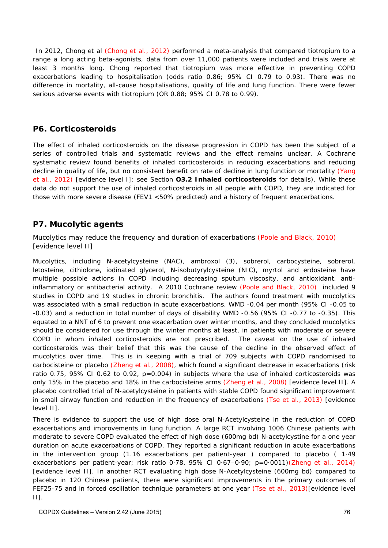In 2012, Chong et al (Chong et al., 2012) performed a meta-analysis that compared tiotropium to a range a long acting beta-agonists, data from over 11,000 patients were included and trials were at least 3 months long. Chong reported that tiotropium was more effective in preventing COPD exacerbations leading to hospitalisation (odds ratio 0.86; 95% CI 0.79 to 0.93). There was no difference in mortality, all-cause hospitalisations, quality of life and lung function. There were fewer serious adverse events with tiotropium (OR 0.88; 95% CI 0.78 to 0.99).

# **P6. Corticosteroids**

The effect of inhaled corticosteroids on the disease progression in COPD has been the subject of a series of controlled trials and systematic reviews and the effect remains unclear. A Cochrane systematic review found benefits of inhaled corticosteroids in reducing exacerbations and reducing decline in quality of life, but no consistent benefit on rate of decline in lung function or mortality (Yang et al., 2012) [evidence level I]; see Section **O3.2 Inhaled corticosteroids** for details). While these data do not support the use of inhaled corticosteroids in all people with COPD, they are indicated for those with more severe disease (FEV1 <50% predicted) and a history of frequent exacerbations.

# **P7. Mucolytic agents**

Mucolytics may reduce the frequency and duration of exacerbations (Poole and Black, 2010) [evidence level II]

Mucolytics, including N-acetylcysteine (NAC), ambroxol (3), sobrerol, carbocysteine, sobrerol, letosteine, cithiolone, iodinated glycerol, N-isobutyrylcysteine (NIC), myrtol and erdosteine have multiple possible actions in COPD including decreasing sputum viscosity, and antioxidant, antiinflammatory or antibacterial activity. A 2010 Cochrane review (Poole and Black, 2010) included 9 studies in COPD and 19 studies in chronic bronchitis. The authors found treatment with mucolytics was associated with a small reduction in acute exacerbations, WMD -0.04 per month (95% CI -0.05 to -0.03) and a reduction in total number of days of disability WMD -0.56 (95% CI -0.77 to -0.35). This equated to a NNT of 6 to prevent one exacerbation over winter months, and they concluded mucolytics should be considered for use through the winter months at least, in patients with moderate or severe COPD in whom inhaled corticosteroids are not prescribed. The caveat on the use of inhaled corticosteroids was their belief that this was the cause of the decline in the observed effect of mucolytics over time. This is in keeping with a trial of 709 subjects with COPD randomised to carbocisteine or placebo (Zheng et al., 2008), which found a significant decrease in exacerbations (risk ratio 0.75, 95% CI 0.62 to 0.92, p=0.004) in subjects where the use of inhaled corticosteroids was only 15% in the placebo and 18% in the carbocisteine arms (Zheng et al., 2008) [evidence level II]. A placebo controlled trial of N-acetylcysteine in patients with stable COPD found significant improvement in small airway function and reduction in the frequency of exacerbations (Tse et al., 2013) [evidence level II].

There is evidence to support the use of high dose oral N-Acetylcysteine in the reduction of COPD exacerbations and improvements in lung function. A large RCT involving 1006 Chinese patients with moderate to severe COPD evaluated the effect of high dose (600mg bd) N-acetylcystine for a one year duration on acute exacerbations of COPD. They reported a significant reduction in acute exacerbations in the intervention group (1.16 exacerbations per patient-year ) compared to placebo ( 1·49 exacerbations per patient-year; risk ratio 0·78, 95% CI 0·67–0·90; p=0·0011)(Zheng et al., 2014) [evidence level II]. In another RCT evaluating high dose N-Acetylcysteine (600mg bd) compared to placebo in 120 Chinese patients, there were significant improvements in the primary outcomes of FEF25-75 and in forced oscillation technique parameters at one year (Tse et al., 2013)[evidence level II].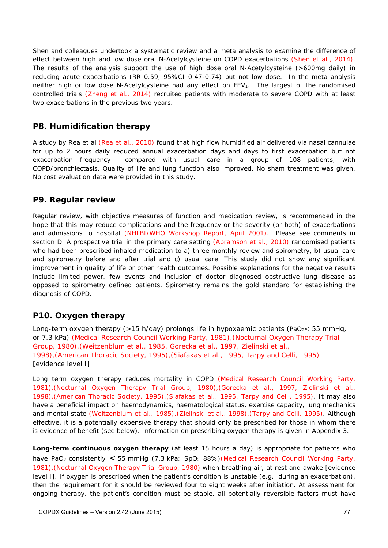Shen and colleagues undertook a systematic review and a meta analysis to examine the difference of effect between high and low dose oral N-Acetylcysteine on COPD exacerbations (Shen et al., 2014). The results of the analysis support the use of high dose oral N-Acetylcysteine (>600mg daily) in reducing acute exacerbations (RR 0.59, 95%CI 0.47-0.74) but not low dose. In the meta analysis neither high or low dose N-Acetylcysteine had any effect on FEV<sub>1</sub>. The largest of the randomised controlled trials (Zheng et al., 2014) recruited patients with moderate to severe COPD with at least two exacerbations in the previous two years.

#### **P8. Humidification therapy**

A study by Rea et al (Rea et al., 2010) found that high flow humidified air delivered via nasal cannulae for up to 2 hours daily reduced annual exacerbation days and days to first exacerbation but not exacerbation frequency compared with usual care in a group of 108 patients, with COPD/bronchiectasis. Quality of life and lung function also improved. No sham treatment was given. No cost evaluation data were provided in this study.

### **P9. Regular review**

Regular review, with objective measures of function and medication review, is recommended in the hope that this may reduce complications and the frequency or the severity (or both) of exacerbations and admissions to hospital (NHLBI/WHO Workshop Report, April 2001). Please see comments in section D. A prospective trial in the primary care setting (Abramson et al., 2010) randomised patients who had been prescribed inhaled medication to a) three monthly review and spirometry, b) usual care and spirometry before and after trial and c) usual care. This study did not show any significant improvement in quality of life or other health outcomes. Possible explanations for the negative results include limited power, few events and inclusion of doctor diagnosed obstructive lung disease as opposed to spirometry defined patients. Spirometry remains the gold standard for establishing the diagnosis of COPD.

# **P10. Oxygen therapy**

Long-term oxygen therapy (>15 h/day) prolongs life in hypoxaemic patients (PaO<sub>2</sub>< 55 mmHg, or 7.3 kPa) (Medical Research Council Working Party, 1981),(Nocturnal Oxygen Therapy Trial Group, 1980),(Weitzenblum et al., 1985, Gorecka et al., 1997, Zielinski et al., 1998),(American Thoracic Society, 1995),(Siafakas et al., 1995, Tarpy and Celli, 1995) [evidence level I]

Long term oxygen therapy reduces mortality in COPD (Medical Research Council Working Party, 1981),(Nocturnal Oxygen Therapy Trial Group, 1980),(Gorecka et al., 1997, Zielinski et al., 1998),(American Thoracic Society, 1995),(Siafakas et al., 1995, Tarpy and Celli, 1995). It may also have a beneficial impact on haemodynamics, haematological status, exercise capacity, lung mechanics and mental state (Weitzenblum et al., 1985),(Zielinski et al., 1998),(Tarpy and Celli, 1995). Although effective, it is a potentially expensive therapy that should only be prescribed for those in whom there is evidence of benefit (see below). Information on prescribing oxygen therapy is given in Appendix 3.

**Long-term continuous oxygen therapy** (at least 15 hours a day) is appropriate for patients who have PaO<sub>2</sub> consistently < 55 mmHg (7.3 kPa; SpO<sub>2</sub> 88%)(Medical Research Council Working Party, 1981),(Nocturnal Oxygen Therapy Trial Group, 1980) when breathing air, at rest and awake [evidence level I]. If oxygen is prescribed when the patient's condition is unstable (e.g., during an exacerbation), then the requirement for it should be reviewed four to eight weeks after initiation. At assessment for ongoing therapy, the patient's condition must be stable, all potentially reversible factors must have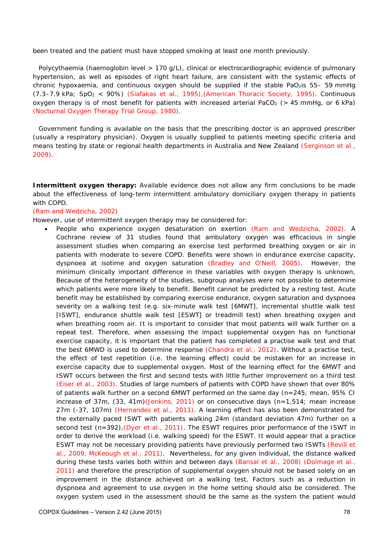been treated and the patient must have stopped smoking at least one month previously.

Polycythaemia (haemoglobin level > 170 g/L), clinical or electrocardiographic evidence of pulmonary hypertension, as well as episodes of right heart failure, are consistent with the systemic effects of chronic hypoxaemia, and continuous oxygen should be supplied if the stable PaO<sub>2</sub>is 55– 59 mmHg (7.3–7.9 kPa; SpO2 < 90%) (Siafakas et al., 1995),(American Thoracic Society, 1995). Continuous oxygen therapy is of most benefit for patients with increased arterial PaCO<sub>2</sub> ( $> 45$  mmHg, or 6 kPa) (Nocturnal Oxygen Therapy Trial Group, 1980).

Government funding is available on the basis that the prescribing doctor is an approved prescriber (usually a respiratory physician). Oxygen is usually supplied to patients meeting specific criteria and means testing by state or regional health departments in Australia and New Zealand (Serginson et al., 2009).

**Intermittent oxygen therapy:** Available evidence does not allow any firm conclusions to be made about the effectiveness of long-term intermittent ambulatory domiciliary oxygen therapy in patients with COPD.

#### (Ram and Wedzicha, 2002)

However, use of intermittent oxygen therapy may be considered for:

 People who experience oxygen desaturation on exertion (Ram and Wedzicha, 2002). A Cochrane review of 31 studies found that ambulatory oxygen was efficacious in single assessment studies when comparing an exercise test performed breathing oxygen or air in patients with moderate to severe COPD. Benefits were shown in endurance exercise capacity, dyspnoea at isotime and oxygen saturation (Bradley and O'Neill, 2005). However, the minimum clinically important difference in these variables with oxygen therapy is unknown, Because of the heterogeneity of the studies, subgroup analyses were not possible to determine which patients were more likely to benefit. Benefit cannot be predicted by a resting test. Acute benefit may be established by comparing exercise endurance, oxygen saturation and dyspnoea severity on a walking test (e.g. six-minute walk test [6MWT], incremental shuttle walk test [ISWT], endurance shuttle walk test [ESWT] or treadmill test) when breathing oxygen and when breathing room air. It is important to consider that most patients will walk further on a repeat test. Therefore, when assessing the impact supplemental oxygen has on functional exercise capacity, it is important that the patient has completed a practise walk test and that the best 6MWD is used to determine response (Chandra et al., 2012). Without a practise test, the effect of test repetition (i.e. the learning effect) could be mistaken for an increase in exercise capacity due to supplemental oxygen. Most of the learning effect for the 6MWT and ISWT occurs between the first and second tests with little further improvement on a third test (Eiser et al., 2003). Studies of large numbers of patients with COPD have shown that over 80% of patients walk further on a second 6MWT performed on the same day (n=245; mean, 95% CI increase of  $37m$ ,  $(33, 41m)(Jenkins, 2011)$  or on consecutive days  $(n=1,514)$ ; mean increase 27m (-37, 107m) (Hernandes et al., 2011). A learning effect has also been demonstrated for the externally paced ISWT with patients walking 24m (standard deviation 47m) further on a second test (n=392), (Dyer et al., 2011). The ESWT requires prior performance of the ISWT in order to derive the workload (i.e. walking speed) for the ESWT. It would appear that a practice ESWT may not be necessary providing patients have previously performed two ISWTs (Revill et al., 2009, McKeough et al., 2011). Nevertheless, for any given individual, the distance walked during these tests varies both within and between days (Bansal et al., 2008) (Dolmage et al., 2011) and therefore the prescription of supplemental oxygen should not be based solely on an improvement in the distance achieved on a walking test. Factors such as a reduction in dyspnoea and agreement to use oxygen in the home setting should also be considered. The oxygen system used in the assessment should be the same as the system the patient would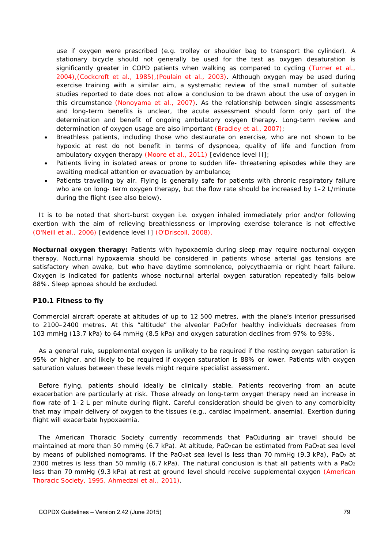use if oxygen were prescribed (e.g. trolley or shoulder bag to transport the cylinder). A stationary bicycle should not generally be used for the test as oxygen desaturation is significantly greater in COPD patients when walking as compared to cycling (Turner et al., 2004),(Cockcroft et al., 1985),(Poulain et al., 2003). Although oxygen may be used during exercise training with a similar aim, a systematic review of the small number of suitable studies reported to date does not allow a conclusion to be drawn about the use of oxygen in this circumstance (Nonoyama et al., 2007). As the relationship between single assessments and long-term benefits is unclear, the acute assessment should form only part of the determination and benefit of ongoing ambulatory oxygen therapy. Long-term review and determination of oxygen usage are also important (Bradley et al., 2007);

- Breathless patients, including those who destaurate on exercise, who are not shown to be hypoxic at rest do not benefit in terms of dyspnoea, quality of life and function from ambulatory oxygen therapy (Moore et al., 2011) [evidence level II];
- Patients living in isolated areas or prone to sudden life- threatening episodes while they are awaiting medical attention or evacuation by ambulance;
- Patients travelling by air. Flying is generally safe for patients with chronic respiratory failure who are on long- term oxygen therapy, but the flow rate should be increased by 1–2 L/minute during the flight (see also below).

It is to be noted that short-burst oxygen i.e. oxygen inhaled immediately prior and/or following exertion with the aim of relieving breathlessness or improving exercise tolerance is not effective (O'Neill et al., 2006) [evidence level I] (O'Driscoll, 2008).

*Nocturnal oxygen therapy:* Patients with hypoxaemia during sleep may require nocturnal oxygen therapy. Nocturnal hypoxaemia should be considered in patients whose arterial gas tensions are satisfactory when awake, but who have daytime somnolence, polycythaemia or right heart failure. Oxygen is indicated for patients whose nocturnal arterial oxygen saturation repeatedly falls below 88%. Sleep apnoea should be excluded.

#### **P10.1 Fitness to fly**

Commercial aircraft operate at altitudes of up to 12 500 metres, with the plane's interior pressurised to 2100–2400 metres. At this "altitude" the alveolar PaO<sub>2</sub>for healthy individuals decreases from 103 mmHg (13.7 kPa) to 64 mmHg (8.5 kPa) and oxygen saturation declines from 97% to 93%.

As a general rule, supplemental oxygen is unlikely to be required if the resting oxygen saturation is 95% or higher, and likely to be required if oxygen saturation is 88% or lower. Patients with oxygen saturation values between these levels might require specialist assessment.

Before flying, patients should ideally be clinically stable. Patients recovering from an acute exacerbation are particularly at risk. Those already on long-term oxygen therapy need an increase in flow rate of 1–2 L per minute during flight. Careful consideration should be given to any comorbidity that may impair delivery of oxygen to the tissues (e.g., cardiac impairment, anaemia). Exertion during flight will exacerbate hypoxaemia.

The American Thoracic Society currently recommends that PaO<sub>2</sub>during air travel should be maintained at more than 50 mmHg (6.7 kPa). At altitude, PaO<sub>2</sub>can be estimated from PaO<sub>2</sub>at sea level by means of published nomograms. If the PaO<sub>2</sub>at sea level is less than 70 mmHg (9.3 kPa), PaO<sub>2</sub> at 2300 metres is less than 50 mmHg (6.7 kPa). The natural conclusion is that all patients with a PaO<sub>2</sub> less than 70 mmHg (9.3 kPa) at rest at ground level should receive supplemental oxygen (American Thoracic Society, 1995, Ahmedzai et al., 2011).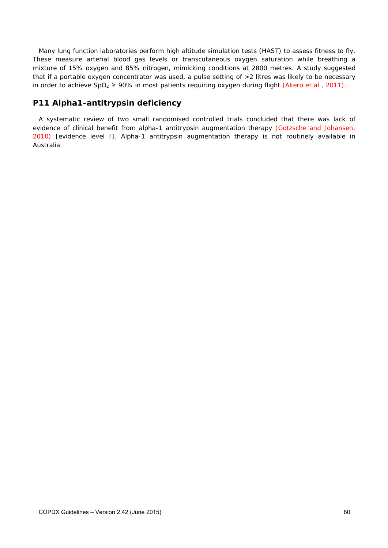Many lung function laboratories perform high altitude simulation tests (HAST) to assess fitness to fly. These measure arterial blood gas levels or transcutaneous oxygen saturation while breathing a mixture of 15% oxygen and 85% nitrogen, mimicking conditions at 2800 metres. A study suggested that if a portable oxygen concentrator was used, a pulse setting of >2 litres was likely to be necessary in order to achieve  $SpO_2 \ge 90\%$  in most patients requiring oxygen during flight (Akero et al., 2011).

# **P11 Alpha1-antitrypsin deficiency**

A systematic review of two small randomised controlled trials concluded that there was lack of evidence of clinical benefit from alpha-1 antitrypsin augmentation therapy (Gotzsche and Johansen, 2010) [evidence level I]. Alpha-1 antitrypsin augmentation therapy is not routinely available in Australia.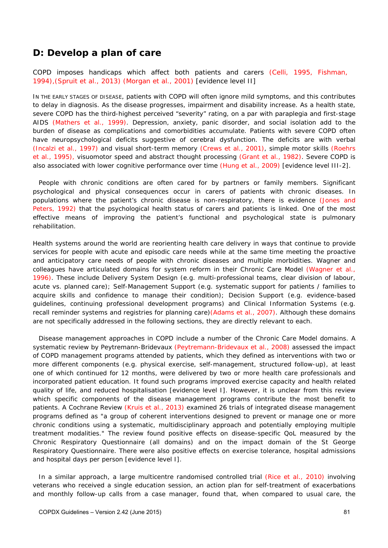# *D: Develop a plan of care*

COPD imposes handicaps which affect both patients and carers (Celli, 1995, Fishman, 1994),(Spruit et al., 2013) (Morgan et al., 2001) [evidence level II]

IN THE EARLY STAGES OF DISEASE, patients with COPD will often ignore mild symptoms, and this contributes to delay in diagnosis. As the disease progresses, impairment and disability increase. As a health state, severe COPD has the third-highest perceived "severity" rating, on a par with paraplegia and first-stage AIDS (Mathers et al., 1999). Depression, anxiety, panic disorder, and social isolation add to the burden of disease as complications and comorbidities accumulate. Patients with severe COPD often have neuropsychological deficits suggestive of cerebral dysfunction. The deficits are with verbal (Incalzi et al., 1997) and visual short-term memory (Crews et al., 2001), simple motor skills (Roehrs et al., 1995), visuomotor speed and abstract thought processing (Grant et al., 1982). Severe COPD is also associated with lower cognitive performance over time (Hung et al., 2009) [evidence level III-2].

People with chronic conditions are often cared for by partners or family members. Significant psychological and physical consequences occur in carers of patients with chronic diseases. In populations where the patient's chronic disease is non-respiratory, there is evidence (Jones and Peters, 1992) that the psychological health status of carers and patients is linked. One of the most effective means of improving the patient's functional and psychological state is pulmonary rehabilitation.

Health systems around the world are reorienting health care delivery in ways that continue to provide services for people with acute and episodic care needs while at the same time meeting the proactive and anticipatory care needs of people with chronic diseases and multiple morbidities. Wagner and colleagues have articulated domains for system reform in their Chronic Care Model (Wagner et al., 1996). These include Delivery System Design (e.g. multi-professional teams, clear division of labour, acute vs. planned care); Self-Management Support (e.g. systematic support for patients / families to acquire skills and confidence to manage their condition); Decision Support (e.g. evidence-based guidelines, continuing professional development programs) and Clinical Information Systems (e.g. recall reminder systems and registries for planning care)(Adams et al., 2007). Although these domains are not specifically addressed in the following sections, they are directly relevant to each.

Disease management approaches in COPD include a number of the Chronic Care Model domains. A systematic review by Peytremann-Bridevaux (Peytremann-Bridevaux et al., 2008) assessed the impact of COPD management programs attended by patients, which they defined as interventions with two or more different components (e.g. physical exercise, self-management, structured follow-up), at least one of which continued for 12 months, were delivered by two or more health care professionals and incorporated patient education. It found such programs improved exercise capacity and health related quality of life, and reduced hospitalisation [evidence level I]. However, it is unclear from this review which specific components of the disease management programs contribute the most benefit to patients. A Cochrane Review (Kruis et al., 2013) examined 26 trials of integrated disease management programs defined as "a group of coherent interventions designed to prevent or manage one or more chronic conditions using a systematic, multidisciplinary approach and potentially employing multiple treatment modalities." The review found positive effects on disease-specific QoL measured by the Chronic Respiratory Questionnaire (all domains) and on the impact domain of the St George Respiratory Questionnaire. There were also positive effects on exercise tolerance, hospital admissions and hospital days per person [evidence level I].

In a similar approach, a large multicentre randomised controlled trial (Rice et al., 2010) involving veterans who received a single education session, an action plan for self-treatment of exacerbations and monthly follow-up calls from a case manager, found that, when compared to usual care, the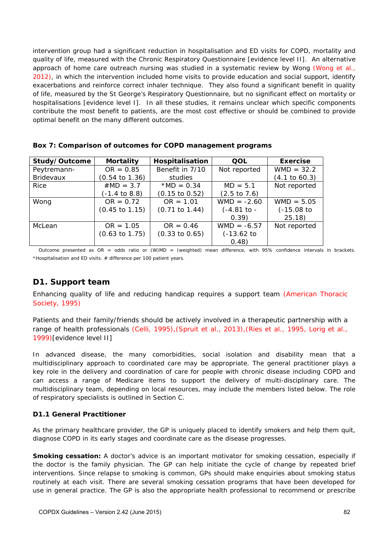intervention group had a significant reduction in hospitalisation and ED visits for COPD, mortality and quality of life, measured with the Chronic Respiratory Questionnaire [evidence level II]. An alternative approach of home care outreach nursing was studied in a systematic review by Wong (Wong et al., 2012), in which the intervention included home visits to provide education and social support, identify exacerbations and reinforce correct inhaler technique. They also found a significant benefit in quality of life, measured by the St George's Respiratory Questionnaire, but no significant effect on mortality or hospitalisations [evidence level I]. In all these studies, it remains unclear which specific components contribute the most benefit to patients, are the most cost effective or should be combined to provide optimal benefit on the many different outcomes.

| Study/Outcome    | <b>Mortality</b>          | Hospitalisation           | QOL                     | <b>Exercise</b>          |
|------------------|---------------------------|---------------------------|-------------------------|--------------------------|
| Peytremann-      | $OR = 0.85$               | Benefit in 7/10           | Not reported            | $WMD = 32.2$             |
| <b>Bridevaux</b> | (0.54 to 1.36)            | studies                   |                         | $(4.1 \text{ to } 60.3)$ |
| <b>Rice</b>      | $#MD = 3.7$               | *MD = $0.34$              | $MD = 5.1$              | Not reported             |
|                  | (-1.4 to 8.8)             | $(0.15 \text{ to } 0.52)$ | $(2.5 \text{ to } 7.6)$ |                          |
| Wong             | $OR = 0.72$               | $OR = 1.01$               | $WMD = -2.60$           | $WMD = 5.05$             |
|                  | $(0.45 \text{ to } 1.15)$ | $(0.71 \text{ to } 1.44)$ | $(-4.81$ to -           | $(-15.08)$ to            |
|                  |                           |                           | 0.39)                   | 25.18                    |
| McLean           | $OR = 1.05$               | $OR = 0.46$               | $WMD = -6.57$           | Not reported             |
|                  | $(0.63 \text{ to } 1.75)$ | $(0.33 \text{ to } 0.65)$ | $(-13.62)$ to           |                          |
|                  |                           |                           | 0.48)                   |                          |

**Box 7: Comparison of outcomes for COPD management programs** 

Outcome presented as OR = odds ratio or (W)MD = (weighted) mean difference, with 95% confidence intervals in brackets. \*Hospitalisation and ED visits. # difference per 100 patient years.

# **D1. Support team**

Enhancing quality of life and reducing handicap requires a support team (American Thoracic Society, 1995)

Patients and their family/friends should be actively involved in a therapeutic partnership with a range of health professionals (Celli, 1995),(Spruit et al., 2013),(Ries et al., 1995, Lorig et al., 1999)[evidence level II]

In advanced disease, the many comorbidities, social isolation and disability mean that a multidisciplinary approach to coordinated care may be appropriate. The general practitioner plays a key role in the delivery and coordination of care for people with chronic disease including COPD and can access a range of Medicare items to support the delivery of multi-disciplinary care. The multidisciplinary team, depending on local resources, may include the members listed below. The role of respiratory specialists is outlined in Section C.

#### **D1.1 General Practitioner**

As the primary healthcare provider, the GP is uniquely placed to identify smokers and help them quit, diagnose COPD in its early stages and coordinate care as the disease progresses.

**Smoking cessation:** A doctor's advice is an important motivator for smoking cessation, especially if the doctor is the family physician. The GP can help initiate the cycle of change by repeated brief interventions. Since relapse to smoking is common, GPs should make enquiries about smoking status routinely at each visit. There are several smoking cessation programs that have been developed for use in general practice. The GP is also the appropriate health professional to recommend or prescribe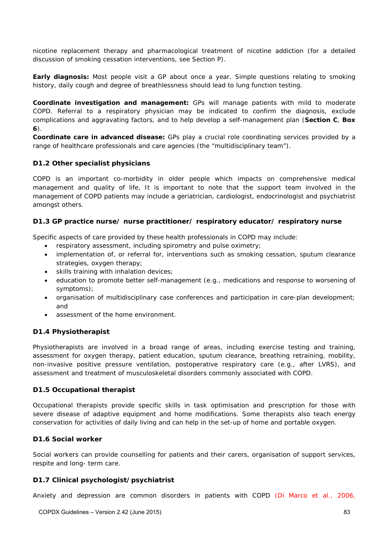nicotine replacement therapy and pharmacological treatment of nicotine addiction (for a detailed discussion of smoking cessation interventions, see Section P).

*Early diagnosis:* Most people visit a GP about once a year. Simple questions relating to smoking history, daily cough and degree of breathlessness should lead to lung function testing.

*Coordinate investigation and management:* GPs will manage patients with mild to moderate COPD. Referral to a respiratory physician may be indicated to confirm the diagnosis, exclude complications and aggravating factors, and to help develop a self-management plan (**Section C**, **Box 6**).

*Coordinate care in advanced disease:* GPs play a crucial role coordinating services provided by a range of healthcare professionals and care agencies (the "multidisciplinary team").

#### **D1.2 Other specialist physicians**

COPD is an important co-morbidity in older people which impacts on comprehensive medical management and quality of life, It is important to note that the support team involved in the management of COPD patients may include a geriatrician, cardiologist, endocrinologist and psychiatrist amongst others.

#### **D1.3 GP practice nurse/ nurse practitioner/ respiratory educator/ respiratory nurse**

Specific aspects of care provided by these health professionals in COPD may include:

- respiratory assessment, including spirometry and pulse oximetry;
- implementation of, or referral for, interventions such as smoking cessation, sputum clearance strategies, oxygen therapy;
- skills training with inhalation devices;
- education to promote better self-management (e.g., medications and response to worsening of symptoms);
- organisation of multidisciplinary case conferences and participation in care-plan development; and
- assessment of the home environment.

#### **D1.4 Physiotherapist**

Physiotherapists are involved in a broad range of areas, including exercise testing and training, assessment for oxygen therapy, patient education, sputum clearance, breathing retraining, mobility, non-invasive positive pressure ventilation, postoperative respiratory care (e.g., after LVRS), and assessment and treatment of musculoskeletal disorders commonly associated with COPD.

#### **D1.5 Occupational therapist**

Occupational therapists provide specific skills in task optimisation and prescription for those with severe disease of adaptive equipment and home modifications. Some therapists also teach energy conservation for activities of daily living and can help in the set-up of home and portable oxygen.

#### **D1.6 Social worker**

Social workers can provide counselling for patients and their carers, organisation of support services, respite and long- term care.

#### **D1.7 Clinical psychologist/psychiatrist**

Anxiety and depression are common disorders in patients with COPD (Di Marco et al., 2006,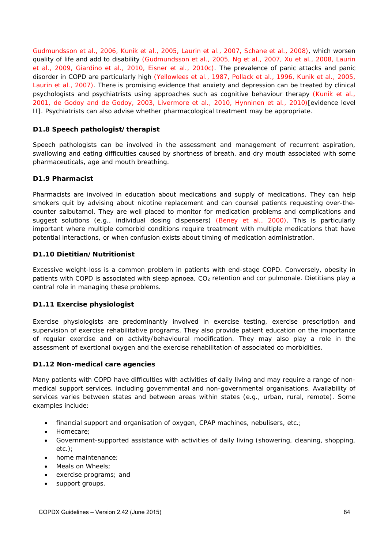Gudmundsson et al., 2006, Kunik et al., 2005, Laurin et al., 2007, Schane et al., 2008), which worsen quality of life and add to disability (Gudmundsson et al., 2005, Ng et al., 2007, Xu et al., 2008, Laurin et al., 2009, Giardino et al., 2010, Eisner et al., 2010c). The prevalence of panic attacks and panic disorder in COPD are particularly high (Yellowlees et al., 1987, Pollack et al., 1996, Kunik et al., 2005, Laurin et al., 2007). There is promising evidence that anxiety and depression can be treated by clinical psychologists and psychiatrists using approaches such as cognitive behaviour therapy (Kunik et al., 2001, de Godoy and de Godoy, 2003, Livermore et al., 2010, Hynninen et al., 2010)[evidence level II]. Psychiatrists can also advise whether pharmacological treatment may be appropriate.

#### **D1.8 Speech pathologist/therapist**

Speech pathologists can be involved in the assessment and management of recurrent aspiration, swallowing and eating difficulties caused by shortness of breath, and dry mouth associated with some pharmaceuticals, age and mouth breathing.

#### **D1.9 Pharmacist**

Pharmacists are involved in education about medications and supply of medications. They can help smokers quit by advising about nicotine replacement and can counsel patients requesting over-thecounter salbutamol. They are well placed to monitor for medication problems and complications and suggest solutions (e.g., individual dosing dispensers) (Beney et al., 2000). This is particularly important where multiple comorbid conditions require treatment with multiple medications that have potential interactions, or when confusion exists about timing of medication administration.

#### **D1.10 Dietitian/Nutritionist**

Excessive weight-loss is a common problem in patients with end-stage COPD. Conversely, obesity in patients with COPD is associated with sleep apnoea, CO<sub>2</sub> retention and cor pulmonale. Dietitians play a central role in managing these problems.

#### **D1.11 Exercise physiologist**

Exercise physiologists are predominantly involved in exercise testing, exercise prescription and supervision of exercise rehabilitative programs. They also provide patient education on the importance of regular exercise and on activity/behavioural modification. They may also play a role in the assessment of exertional oxygen and the exercise rehabilitation of associated co morbidities.

#### **D1.12 Non-medical care agencies**

Many patients with COPD have difficulties with activities of daily living and may require a range of nonmedical support services, including governmental and non-governmental organisations. Availability of services varies between states and between areas within states (e.g., urban, rural, remote). Some examples include:

- financial support and organisation of oxygen, CPAP machines, nebulisers, etc.;
- Homecare;
- Government-supported assistance with activities of daily living (showering, cleaning, shopping, etc.);
- home maintenance;
- Meals on Wheels;
- exercise programs; and
- support groups.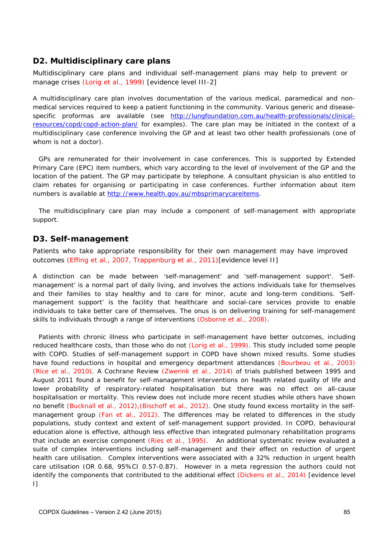### **D2. Multidisciplinary care plans**

Multidisciplinary care plans and individual self-management plans may help to prevent or manage crises (Lorig et al., 1999) [evidence level III-2]

A multidisciplinary care plan involves documentation of the various medical, paramedical and nonmedical services required to keep a patient functioning in the community. Various generic and diseasespecific proformas are available (see http://lungfoundation.com.au/health-professionals/clinicalresources/copd/copd-action-plan/</u> for examples). The care plan may be initiated in the context of a multidisciplinary case conference involving the GP and at least two other health professionals (one of whom is not a doctor).

GPs are remunerated for their involvement in case conferences. This is supported by Extended Primary Care (EPC) item numbers, which vary according to the level of involvement of the GP and the location of the patient. The GP may participate by telephone. A consultant physician is also entitled to claim rebates for organising or participating in case conferences. Further information about item numbers is available at http://www.health.gov.au/mbsprimarycareitems.

The multidisciplinary care plan may include a component of self-management with appropriate support.

### **D3. Self-management**

Patients who take appropriate responsibility for their own management may have improved outcomes (Effing et al., 2007, Trappenburg et al., 2011)[evidence level II]

A distinction can be made between 'self-management' and 'self-management support'. 'Selfmanagement' is a normal part of daily living, and involves the actions individuals take for themselves and their families to stay healthy and to care for minor, acute and long-term conditions. 'Selfmanagement support' is the facility that healthcare and social-care services provide to enable individuals to take better care of themselves. The onus is on delivering training for self-management skills to individuals through a range of interventions (Osborne et al., 2008).

Patients with chronic illness who participate in self-management have better outcomes, including reduced healthcare costs, than those who do not (Lorig et al., 1999). This study included some people with COPD. Studies of self-management support in COPD have shown mixed results. Some studies have found reductions in hospital and emergency department attendances (Bourbeau et al., 2003) (Rice et al., 2010). A Cochrane Review (Zwerink et al., 2014) of trials published between 1995 and August 2011 found a benefit for self-management interventions on health related quality of life and lower probability of respiratory-related hospitalisation but there was no effect on all-cause hospitalisation or mortality. This review does not include more recent studies while others have shown no benefit (Bucknall et al., 2012),(Bischoff et al., 2012). One study found excess mortality in the selfmanagement group (Fan et al., 2012). The differences may be related to differences in the study populations, study context and extent of self-management support provided. In COPD, behavioural education alone is effective, although less effective than integrated pulmonary rehabilitation programs that include an exercise component (Ries et al., 1995). An additional systematic review evaluated a suite of complex interventions including self-management and their effect on reduction of urgent health care utilisation. Complex interventions were associated with a 32% reduction in urgent health care utilisation (OR 0.68, 95%CI 0.57-0.87). However in a meta regression the authors could not identify the components that contributed to the additional effect (Dickens et al., 2014) [evidence level I]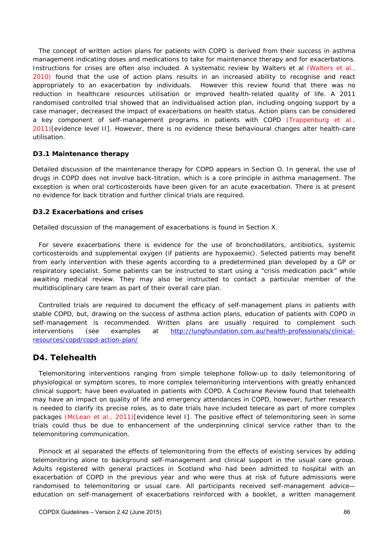The concept of written action plans for patients with COPD is derived from their success in asthma management indicating doses and medications to take for maintenance therapy and for exacerbations. Instructions for crises are often also included. A systematic review by Walters et al (Walters et al., 2010) found that the use of action plans results in an increased ability to recognise and react appropriately to an exacerbation by individuals. However this review found that there was no reduction in healthcare resources utilisation or improved health-related quality of life. A 2011 randomised controlled trial showed that an individualised action plan, including ongoing support by a case manager, decreased the impact of exacerbations on health status. Action plans can be considered a key component of self-management programs in patients with COPD (Trappenburg et al., 2011)[evidence level II]. However, there is no evidence these behavioural changes alter health-care utilisation.

#### **D3.1 Maintenance therapy**

Detailed discussion of the maintenance therapy for COPD appears in Section O. In general, the use of drugs in COPD does not involve back-titration, which is a core principle in asthma management. The exception is when oral corticosteroids have been given for an acute exacerbation. There is at present no evidence for back titration and further clinical trials are required.

#### **D3.2 Exacerbations and crises**

Detailed discussion of the management of exacerbations is found in Section X.

For severe exacerbations there is evidence for the use of bronchodilators, antibiotics, systemic corticosteroids and supplemental oxygen (if patients are hypoxaemic). Selected patients may benefit from early intervention with these agents according to a predetermined plan developed by a GP or respiratory specialist. Some patients can be instructed to start using a "crisis medication pack" while awaiting medical review. They may also be instructed to contact a particular member of the multidisciplinary care team as part of their overall care plan.

Controlled trials are required to document the efficacy of self-management plans in patients with stable COPD, but, drawing on the success of asthma action plans, education of patients with COPD in self-management is recommended. Written plans are usually required to complement such interventions (see examples at http://lungfoundation.com.au/health-professionals/clinicalresources/copd/copd-action-plan/

# **D4. Telehealth**

Telemonitoring interventions ranging from simple telephone follow-up to daily telemonitoring of physiological or symptom scores, to more complex telemonitoring interventions with greatly enhanced clinical support; have been evaluated in patients with COPD. A Cochrane Review found that telehealth may have an impact on quality of life and emergency attendances in COPD, however, further research is needed to clarify its precise roles, as to date trials have included telecare as part of more complex packages (McLean et al., 2011)[evidence level I]. The positive effect of telemonitoring seen in some trials could thus be due to enhancement of the underpinning clinical service rather than to the telemonitoring communication.

Pinnock et al separated the effects of telemonitoring from the effects of existing services by adding telemonitoring alone to background self-management and clinical support in the usual care group. Adults registered with general practices in Scotland who had been admitted to hospital with an exacerbation of COPD in the previous year and who were thus at risk of future admissions were randomised to telemonitoring or usual care. All participants received self-management advice education on self-management of exacerbations reinforced with a booklet, a written management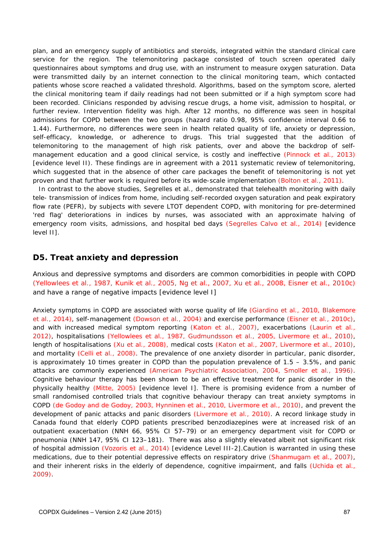plan, and an emergency supply of antibiotics and steroids, integrated within the standard clinical care service for the region. The telemonitoring package consisted of touch screen operated daily questionnaires about symptoms and drug use, with an instrument to measure oxygen saturation. Data were transmitted daily by an internet connection to the clinical monitoring team, which contacted patients whose score reached a validated threshold. Algorithms, based on the symptom score, alerted the clinical monitoring team if daily readings had not been submitted or if a high symptom score had been recorded. Clinicians responded by advising rescue drugs, a home visit, admission to hospital, or further review. Intervention fidelity was high. After 12 months, no difference was seen in hospital admissions for COPD between the two groups (hazard ratio 0.98, 95% confidence interval 0.66 to 1.44). Furthermore, no differences were seen in health related quality of life, anxiety or depression, self-efficacy, knowledge, or adherence to drugs. This trial suggested that the addition of telemonitoring to the management of high risk patients, over and above the backdrop of selfmanagement education and a good clinical service, is costly and ineffective (Pinnock et al., 2013) [evidence level II). These findings are in agreement with a 2011 systematic review of telemonitoring, which suggested that in the absence of other care packages the benefit of telemonitoring is not yet proven and that further work is required before its wide-scale implementation (Bolton et al., 2011).

In contrast to the above studies, Segrelles et al., demonstrated that telehealth monitoring with daily tele- transmission of indices from home, including self-recorded oxygen saturation and peak expiratory flow rate (PEFR), by subjects with severe LTOT dependent COPD, with monitoring for pre-determined 'red flag' deteriorations in indices by nurses, was associated with an approximate halving of emergency room visits, admissions, and hospital bed days (Segrelles Calvo et al., 2014) [evidence level II].

# **D5. Treat anxiety and depression**

Anxious and depressive symptoms and disorders are common comorbidities in people with COPD (Yellowlees et al., 1987, Kunik et al., 2005, Ng et al., 2007, Xu et al., 2008, Eisner et al., 2010c) and have a range of negative impacts [evidence level I]

Anxiety symptoms in COPD are associated with worse quality of life (Giardino et al., 2010, Blakemore et al., 2014), self-management (Dowson et al., 2004) and exercise performance (Eisner et al., 2010c), and with increased medical symptom reporting (Katon et al., 2007), exacerbations (Laurin et al., 2012), hospitalisations (Yellowlees et al., 1987, Gudmundsson et al., 2005, Livermore et al., 2010), length of hospitalisations (Xu et al., 2008), medical costs (Katon et al., 2007, Livermore et al., 2010), and mortality (Celli et al., 2008). The prevalence of one anxiety disorder in particular, panic disorder, is approximately 10 times greater in COPD than the population prevalence of 1.5 – 3.5%, and panic attacks are commonly experienced (American Psychiatric Association, 2004, Smoller et al., 1996). Cognitive behaviour therapy has been shown to be an effective treatment for panic disorder in the physically healthy (Mitte, 2005) [evidence level I]. There is promising evidence from a number of small randomised controlled trials that cognitive behaviour therapy can treat anxiety symptoms in COPD (de Godoy and de Godoy, 2003, Hynninen et al., 2010, Livermore et al., 2010), and prevent the development of panic attacks and panic disorders (Livermore et al., 2010). A record linkage study in Canada found that elderly COPD patients prescribed benzodiazepines were at increased risk of an outpatient exacerbation (NNH 66, 95% CI 57–79) or an emergency department visit for COPD or pneumonia (NNH 147, 95% CI 123–181). There was also a slightly elevated albeit not significant risk of hospital admission (Vozoris et al., 2014) [evidence Level III-2].Caution is warranted in using these medications, due to their potential depressive effects on respiratory drive (Shanmugam et al., 2007), and their inherent risks in the elderly of dependence, cognitive impairment, and falls (Uchida et al., 2009).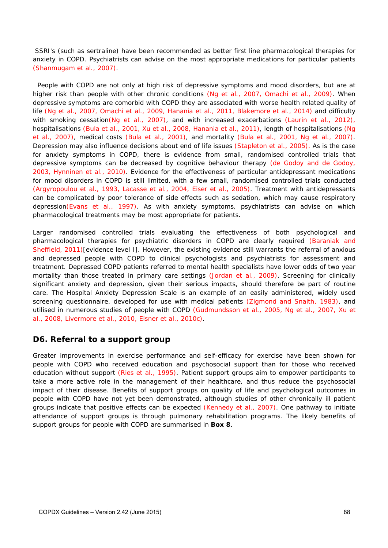SSRI's (such as sertraline) have been recommended as better first line pharmacological therapies for anxiety in COPD. Psychiatrists can advise on the most appropriate medications for particular patients (Shanmugam et al., 2007).

People with COPD are not only at high risk of depressive symptoms and mood disorders, but are at higher risk than people with other chronic conditions (Ng et al., 2007, Omachi et al., 2009). When depressive symptoms are comorbid with COPD they are associated with worse health related quality of life (Ng et al., 2007, Omachi et al., 2009, Hanania et al., 2011, Blakemore et al., 2014) and difficulty with smoking cessation(Ng et al., 2007), and with increased exacerbations (Laurin et al., 2012), hospitalisations (Bula et al., 2001, Xu et al., 2008, Hanania et al., 2011), length of hospitalisations (Ng et al., 2007), medical costs (Bula et al., 2001), and mortality (Bula et al., 2001, Ng et al., 2007). Depression may also influence decisions about end of life issues (Stapleton et al., 2005). As is the case for anxiety symptoms in COPD, there is evidence from small, randomised controlled trials that depressive symptoms can be decreased by cognitive behaviour therapy (de Godoy and de Godoy, 2003, Hynninen et al., 2010). Evidence for the effectiveness of particular antidepressant medications for mood disorders in COPD is still limited, with a few small, randomised controlled trials conducted (Argyropoulou et al., 1993, Lacasse et al., 2004, Eiser et al., 2005). Treatment with antidepressants can be complicated by poor tolerance of side effects such as sedation, which may cause respiratory depression(Evans et al., 1997). As with anxiety symptoms, psychiatrists can advise on which pharmacological treatments may be most appropriate for patients.

Larger randomised controlled trials evaluating the effectiveness of both psychological and pharmacological therapies for psychiatric disorders in COPD are clearly required (Baraniak and Sheffield, 2011)[evidence level I]. However, the existing evidence still warrants the referral of anxious and depressed people with COPD to clinical psychologists and psychiatrists for assessment and treatment. Depressed COPD patients referred to mental health specialists have lower odds of two year mortality than those treated in primary care settings (Jordan et al., 2009). Screening for clinically significant anxiety and depression, given their serious impacts, should therefore be part of routine care. The Hospital Anxiety Depression Scale is an example of an easily administered, widely used screening questionnaire, developed for use with medical patients (Zigmond and Snaith, 1983), and utilised in numerous studies of people with COPD (Gudmundsson et al., 2005, Ng et al., 2007, Xu et al., 2008, Livermore et al., 2010, Eisner et al., 2010c).

# **D6. Referral to a support group**

Greater improvements in exercise performance and self-efficacy for exercise have been shown for people with COPD who received education and psychosocial support than for those who received education without support (Ries et al., 1995). Patient support groups aim to empower participants to take a more active role in the management of their healthcare, and thus reduce the psychosocial impact of their disease. Benefits of support groups on quality of life and psychological outcomes in people with COPD have not yet been demonstrated, although studies of other chronically ill patient groups indicate that positive effects can be expected (Kennedy et al., 2007). One pathway to initiate attendance of support groups is through pulmonary rehabilitation programs. The likely benefits of support groups for people with COPD are summarised in **Box 8**.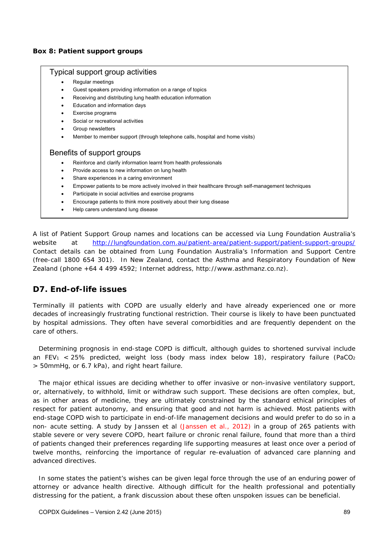#### **Box 8: Patient support groups**

#### Typical support group activities

- Regular meetings
- Guest speakers providing information on a range of topics
- Receiving and distributing lung health education information
- Education and information days
- Exercise programs
- Social or recreational activities
- Group newsletters
- Member to member support (through telephone calls, hospital and home visits)

#### Benefits of support groups

- Reinforce and clarify information learnt from health professionals
- Provide access to new information on lung health
- Share experiences in a caring environment
- Empower patients to be more actively involved in their healthcare through self-management techniques
- Participate in social activities and exercise programs
- Encourage patients to think more positively about their lung disease
- Help carers understand lung disease

A list of Patient Support Group names and locations can be accessed via Lung Foundation Australia's website at http://lungfoundation.com.au/patient-area/patient-support/patient-support-groups/ Contact details can be obtained from Lung Foundation Australia's Information and Support Centre (free-call 1800 654 301). In New Zealand, contact the Asthma and Respiratory Foundation of New Zealand (phone +64 4 499 4592; Internet address, http://www.asthmanz.co.nz).

# **D7. End-of-life issues**

Terminally ill patients with COPD are usually elderly and have already experienced one or more decades of increasingly frustrating functional restriction. Their course is likely to have been punctuated by hospital admissions. They often have several comorbidities and are frequently dependent on the care of others.

Determining prognosis in end-stage COPD is difficult, although guides to shortened survival include an FEV<sub>1</sub> < 25% predicted, weight loss (body mass index below 18), respiratory failure (PaCO<sub>2</sub> > 50mmHg, or 6.7 kPa), and right heart failure.

The major ethical issues are deciding whether to offer invasive or non-invasive ventilatory support, or, alternatively, to withhold, limit or withdraw such support. These decisions are often complex, but, as in other areas of medicine, they are ultimately constrained by the standard ethical principles of respect for patient autonomy, and ensuring that good and not harm is achieved. Most patients with end-stage COPD wish to participate in end-of-life management decisions and would prefer to do so in a non- acute setting. A study by Janssen et al (Janssen et al., 2012) in a group of 265 patients with stable severe or very severe COPD, heart failure or chronic renal failure, found that more than a third of patients changed their preferences regarding life supporting measures at least once over a period of twelve months, reinforcing the importance of regular re-evaluation of advanced care planning and advanced directives.

In some states the patient's wishes can be given legal force through the use of an enduring power of attorney or advance health directive. Although difficult for the health professional and potentially distressing for the patient, a frank discussion about these often unspoken issues can be beneficial.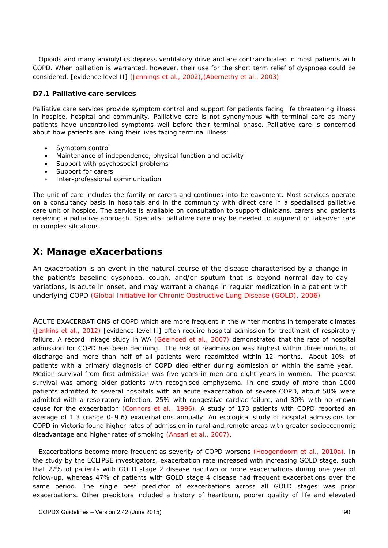Opioids and many anxiolytics depress ventilatory drive and are contraindicated in most patients with COPD. When palliation is warranted, however, their use for the short term relief of dyspnoea could be considered. [evidence level II] (Jennings et al., 2002),(Abernethy et al., 2003)

#### **D7.1 Palliative care services**

Palliative care services provide symptom control and support for patients facing life threatening illness in hospice, hospital and community. Palliative care is not synonymous with terminal care as many patients have uncontrolled symptoms well before their terminal phase. Palliative care is concerned about how patients are living their lives facing terminal illness:

- Symptom control
- Maintenance of independence, physical function and activity
- Support with psychosocial problems
- Support for carers
- Inter-professional communication

The unit of care includes the family or carers and continues into bereavement. Most services operate on a consultancy basis in hospitals and in the community with direct care in a specialised palliative care unit or hospice. The service is available on consultation to support clinicians, carers and patients receiving a palliative approach. Specialist palliative care may be needed to augment or takeover care in complex situations.

# *X: Manage eXacerbations*

An exacerbation is an event in the natural course of the disease characterised by a change in the patient's baseline dyspnoea, cough, and/or sputum that is beyond normal day-to-day variations, is acute in onset, and may warrant a change in regular medication in a patient with underlying COPD (Global Initiative for Chronic Obstructive Lung Disease (GOLD), 2006)

ACUTE EXACERBATIONS of COPD which are more frequent in the winter months in temperate climates (Jenkins et al., 2012) [evidence level II] often require hospital admission for treatment of respiratory failure. A record linkage study in WA (Geelhoed et al., 2007) demonstrated that the rate of hospital admission for COPD has been declining. The risk of readmission was highest within three months of discharge and more than half of all patients were readmitted within 12 months. About 10% of patients with a primary diagnosis of COPD died either during admission or within the same year. Median survival from first admission was five years in men and eight years in women. The poorest survival was among older patients with recognised emphysema. In one study of more than 1000 patients admitted to several hospitals with an acute exacerbation of severe COPD, about 50% were admitted with a respiratory infection, 25% with congestive cardiac failure, and 30% with no known cause for the exacerbation (Connors et al., 1996). A study of 173 patients with COPD reported an average of 1.3 (range 0–9.6) exacerbations annually. An ecological study of hospital admissions for COPD in Victoria found higher rates of admission in rural and remote areas with greater socioeconomic disadvantage and higher rates of smoking (Ansari et al., 2007).

Exacerbations become more frequent as severity of COPD worsens (Hoogendoorn et al., 2010a). In the study by the ECLIPSE investigators, exacerbation rate increased with increasing GOLD stage, such that 22% of patients with GOLD stage 2 disease had two or more exacerbations during one year of follow-up, whereas 47% of patients with GOLD stage 4 disease had frequent exacerbations over the same period. The single best predictor of exacerbations across all GOLD stages was prior exacerbations. Other predictors included a history of heartburn, poorer quality of life and elevated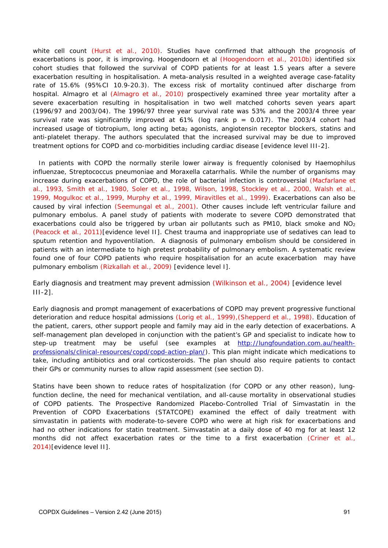white cell count (Hurst et al., 2010). Studies have confirmed that although the prognosis of exacerbations is poor, it is improving. Hoogendoorn et al (Hoogendoorn et al., 2010b) identified six cohort studies that followed the survival of COPD patients for at least 1.5 years after a severe exacerbation resulting in hospitalisation. A meta-analysis resulted in a weighted average case-fatality rate of 15.6% (95%CI 10.9-20.3). The excess risk of mortality continued after discharge from hospital. Almagro et al (Almagro et al., 2010) prospectively examined three year mortality after a severe exacerbation resulting in hospitalisation in two well matched cohorts seven years apart (1996/97 and 2003/04). The 1996/97 three year survival rate was 53% and the 2003/4 three year survival rate was significantly improved at  $61\%$  (log rank  $p = 0.017$ ). The 2003/4 cohort had increased usage of tiotropium, long acting beta<sub>2</sub> agonists, angiotensin receptor blockers, statins and anti-platelet therapy. The authors speculated that the increased survival may be due to improved treatment options for COPD and co-morbidities including cardiac disease [evidence level III-2].

In patients with COPD the normally sterile lower airway is frequently colonised by *Haemophilus influenzae, Streptococcus pneumoniae* and *Moraxella catarrhalis*. While the number of organisms may increase during exacerbations of COPD, the role of bacterial infection is controversial (Macfarlane et al., 1993, Smith et al., 1980, Soler et al., 1998, Wilson, 1998, Stockley et al., 2000, Walsh et al., 1999, Mogulkoc et al., 1999, Murphy et al., 1999, Miravitlles et al., 1999). Exacerbations can also be caused by viral infection (Seemungal et al., 2001). Other causes include left ventricular failure and pulmonary embolus. A panel study of patients with moderate to severe COPD demonstrated that exacerbations could also be triggered by urban air pollutants such as PM10, black smoke and NO<sub>2</sub> (Peacock et al., 2011)[evidence level II]. Chest trauma and inappropriate use of sedatives can lead to sputum retention and hypoventilation. A diagnosis of pulmonary embolism should be considered in patients with an intermediate to high pretest probability of pulmonary embolism. A systematic review found one of four COPD patients who require hospitalisation for an acute exacerbation may have pulmonary embolism (Rizkallah et al., 2009) [evidence level I].

Early diagnosis and treatment may prevent admission (Wilkinson et al., 2004) [evidence level III-2].

Early diagnosis and prompt management of exacerbations of COPD may prevent progressive functional deterioration and reduce hospital admissions (Lorig et al., 1999), (Shepperd et al., 1998). Education of the patient, carers, other support people and family may aid in the early detection of exacerbations. A self-management plan developed in conjunction with the patient's GP and specialist to indicate how to step-up treatment may be useful (see examples at http://lungfoundation.com.au/healthprofessionals/clinical-resources/copd/copd-action-plan/). This plan might indicate which medications to take, including antibiotics and oral corticosteroids. The plan should also require patients to contact their GPs or community nurses to allow rapid assessment (see section D).

Statins have been shown to reduce rates of hospitalization (for COPD or any other reason), lungfunction decline, the need for mechanical ventilation, and all-cause mortality in observational studies of COPD patients. The Prospective Randomized Placebo-Controlled Trial of Simvastatin in the Prevention of COPD Exacerbations (STATCOPE) examined the effect of daily treatment with simvastatin in patients with moderate-to-severe COPD who were at high risk for exacerbations and had no other indications for statin treatment. Simvastatin at a daily dose of 40 mg for at least 12 months did not affect exacerbation rates or the time to a first exacerbation (Criner et al., 2014)[evidence level II].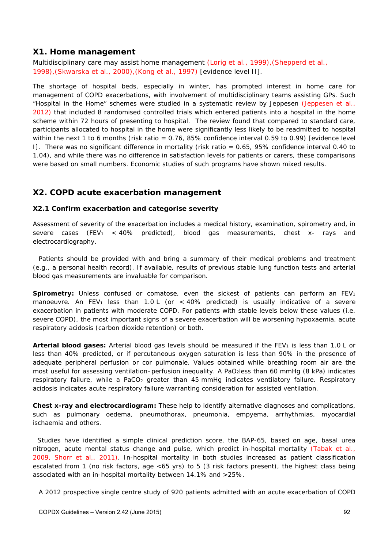# **X1. Home management**

Multidisciplinary care may assist home management (Lorig et al., 1999), (Shepperd et al., 1998),(Skwarska et al., 2000),(Kong et al., 1997) [evidence level II].

The shortage of hospital beds, especially in winter, has prompted interest in home care for management of COPD exacerbations, with involvement of multidisciplinary teams assisting GPs. Such "Hospital in the Home" schemes were studied in a systematic review by Jeppesen (Jeppesen et al., 2012) that included 8 randomised controlled trials which entered patients into a hospital in the home scheme within 72 hours of presenting to hospital. The review found that compared to standard care, participants allocated to hospital in the home were significantly less likely to be readmitted to hospital within the next 1 to 6 months (risk ratio = 0.76, 85% confidence interval 0.59 to 0.99) [evidence level I]. There was no significant difference in mortality (risk ratio = 0.65, 95% confidence interval 0.40 to 1.04), and while there was no difference in satisfaction levels for patients or carers, these comparisons were based on small numbers. Economic studies of such programs have shown mixed results.

# **X2. COPD acute exacerbation management**

#### **X2.1 Confirm exacerbation and categorise severity**

Assessment of severity of the exacerbation includes a medical history, examination, spirometry and, in severe cases (FEV<sub>1</sub> < 40% predicted), blood gas measurements, chest x- rays and electrocardiography.

Patients should be provided with and bring a summary of their medical problems and treatment (e.g., a personal health record). If available, results of previous stable lung function tests and arterial blood gas measurements are invaluable for comparison.

**Spirometry:** Unless confused or comatose, even the sickest of patients can perform an FEV<sub>1</sub> manoeuvre. An FEV<sub>1</sub> less than 1.0 L (or < 40% predicted) is usually indicative of a severe exacerbation in patients with moderate COPD. For patients with stable levels below these values (i.e. severe COPD), the most important signs of a severe exacerbation will be worsening hypoxaemia, acute respiratory acidosis (carbon dioxide retention) or both.

Arterial blood gases: Arterial blood gas levels should be measured if the FEV<sub>1</sub> is less than 1.0 L or less than 40% predicted, or if percutaneous oxygen saturation is less than 90% in the presence of adequate peripheral perfusion or cor pulmonale. Values obtained while breathing room air are the most useful for assessing ventilation–perfusion inequality. A PaO<sub>2</sub>less than 60 mmHg (8 kPa) indicates respiratory failure, while a PaCO<sub>2</sub> greater than 45 mmHg indicates ventilatory failure. Respiratory acidosis indicates acute respiratory failure warranting consideration for assisted ventilation.

*Chest x-ray and electrocardiogram:* These help to identify alternative diagnoses and complications, such as pulmonary oedema, pneumothorax, pneumonia, empyema, arrhythmias, myocardial ischaemia and others.

 Studies have identified a simple clinical prediction score, the BAP-65, based on age, basal urea nitrogen, acute mental status change and pulse, which predict in-hospital mortality (Tabak et al., 2009, Shorr et al., 2011). In-hospital mortality in both studies increased as patient classification escalated from 1 (no risk factors, age <65 yrs) to 5 (3 risk factors present), the highest class being associated with an in-hospital mortality between 14.1% and >25%.

A 2012 prospective single centre study of 920 patients admitted with an acute exacerbation of COPD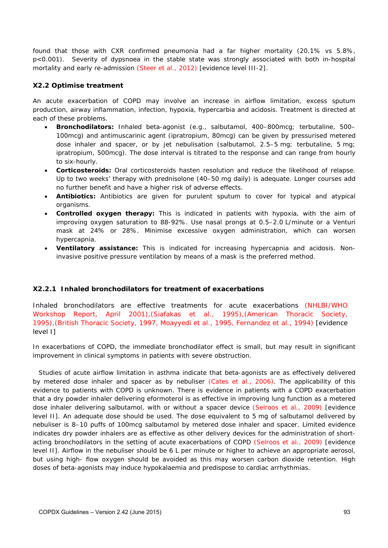found that those with CXR confirmed pneumonia had a far higher mortality (20.1% vs 5.8%, p<0.001). Severity of dypsnoea in the stable state was strongly associated with both in-hospital mortality and early re-admission (Steer et al., 2012) [evidence level III-2].

#### **X2.2 Optimise treatment**

An acute exacerbation of COPD may involve an increase in airflow limitation, excess sputum production, airway inflammation, infection, hypoxia, hypercarbia and acidosis. Treatment is directed at each of these problems.

- *Bronchodilators:* Inhaled beta-agonist (e.g., salbutamol, 400–800mcg; terbutaline, 500– 100mcg) and antimuscarinic agent (ipratropium, 80mcg) can be given by pressurised metered dose inhaler and spacer, or by jet nebulisation (salbutamol, 2.5–5 mg; terbutaline, 5 mg; ipratropium, 500mcg). The dose interval is titrated to the response and can range from hourly to six-hourly.
- *Corticosteroids:* Oral corticosteroids hasten resolution and reduce the likelihood of relapse. Up to two weeks' therapy with prednisolone (40–50 mg daily) is adequate. Longer courses add no further benefit and have a higher risk of adverse effects.
- *Antibiotics:* Antibiotics are given for purulent sputum to cover for typical and atypical organisms.
- *Controlled oxygen therapy:* This is indicated in patients with hypoxia, with the aim of improving oxygen saturation to 88-92%. Use nasal prongs at 0.5–2.0 L/minute or a Venturi mask at 24% or 28%. Minimise excessive oxygen administration, which can worsen hypercapnia.
- *Ventilatory assistance:* This is indicated for increasing hypercapnia and acidosis. Noninvasive positive pressure ventilation by means of a mask is the preferred method.

#### **X2.2.1 Inhaled bronchodilators for treatment of exacerbations**

Inhaled bronchodilators are effective treatments for acute exacerbations (NHLBI/WHO Workshop Report, April 2001),(Siafakas et al., 1995),(American Thoracic Society, 1995),(British Thoracic Society, 1997, Moayyedi et al., 1995, Fernandez et al., 1994) [evidence level I]

In exacerbations of COPD, the immediate bronchodilator effect is small, but may result in significant improvement in clinical symptoms in patients with severe obstruction.

Studies of acute airflow limitation in asthma indicate that beta-agonists are as effectively delivered by metered dose inhaler and spacer as by nebuliser (Cates et al., 2006). The applicability of this evidence to patients with COPD is unknown. There is evidence in patients with a COPD exacerbation that a dry powder inhaler delivering eformoterol is as effective in improving lung function as a metered dose inhaler delivering salbutamol, with or without a spacer device (Selroos et al., 2009) [evidence level II]. An adequate dose should be used. The dose equivalent to 5 mg of salbutamol delivered by nebuliser is 8–10 puffs of 100mcg salbutamol by metered dose inhaler and spacer. Limited evidence indicates dry powder inhalers are as effective as other delivery devices for the administration of shortacting bronchodilators in the setting of acute exacerbations of COPD (Selroos et al., 2009) [evidence level II]. Airflow in the nebuliser should be 6 L per minute or higher to achieve an appropriate aerosol, but using high- flow oxygen should be avoided as this may worsen carbon dioxide retention. High doses of beta-agonists may induce hypokalaemia and predispose to cardiac arrhythmias.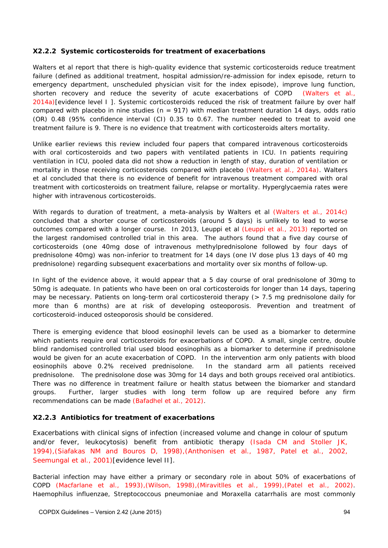#### **X2.2.2 Systemic corticosteroids for treatment of exacerbations**

Walters et al report that there is high-quality evidence that systemic corticosteroids reduce treatment failure (defined as additional treatment, hospital admission/re-admission for index episode, return to emergency department, unscheduled physician visit for the index episode), improve lung function, shorten recovery and reduce the severity of acute exacerbations of COPD (Walters et al., 2014a)[evidence level I ]. Systemic corticosteroids reduced the risk of treatment failure by over half compared with placebo in nine studies ( $n = 917$ ) with median treatment duration 14 days, odds ratio (OR) 0.48 (95% confidence interval (CI) 0.35 to 0.67. The number needed to treat to avoid one treatment failure is 9. There is no evidence that treatment with corticosteroids alters mortality.

Unlike earlier reviews this review included four papers that compared intravenous corticosteroids with oral corticosteroids and two papers with ventilated patients in ICU. In patients requiring ventilation in ICU, pooled data did not show a reduction in length of stay, duration of ventilation or mortality in those receiving corticosteroids compared with placebo (Walters et al., 2014a). Walters et al concluded that there is no evidence of benefit for intravenous treatment compared with oral treatment with corticosteroids on treatment failure, relapse or mortality. Hyperglycaemia rates were higher with intravenous corticosteroids.

With regards to duration of treatment, a meta-analysis by Walters et al (Walters et al., 2014c) concluded that a shorter course of corticosteroids (around 5 days) is unlikely to lead to worse outcomes compared with a longer course. In 2013, Leuppi et al (Leuppi et al., 2013) reported on the largest randomised controlled trial in this area. The authors found that a five day course of corticosteroids (one 40mg dose of intravenous methylprednisolone followed by four days of prednisolone 40mg) was non-inferior to treatment for 14 days (one IV dose plus 13 days of 40 mg prednisolone) regarding subsequent exacerbations and mortality over six months of follow-up.

In light of the evidence above, it would appear that a 5 day course of oral prednisolone of 30mg to 50mg is adequate. In patients who have been on oral corticosteroids for longer than 14 days, tapering may be necessary. Patients on long-term oral corticosteroid therapy (> 7.5 mg prednisolone daily for more than 6 months) are at risk of developing osteoporosis. Prevention and treatment of corticosteroid-induced osteoporosis should be considered.

There is emerging evidence that blood eosinophil levels can be used as a biomarker to determine which patients require oral corticosteroids for exacerbations of COPD. A small, single centre, double blind randomised controlled trial used blood eosinophils as a biomarker to determine if prednisolone would be given for an acute exacerbation of COPD. In the intervention arm only patients with blood eosinophils above 0.2% received prednisolone. In the standard arm all patients received prednisolone. The prednisolone dose was 30mg for 14 days and both groups received oral antibiotics. There was no difference in treatment failure or health status between the biomarker and standard groups. Further, larger studies with long term follow up are required before any firm recommendations can be made (Bafadhel et al., 2012).

#### **X2.2.3 Antibiotics for treatment of exacerbations**

Exacerbations with clinical signs of infection (increased volume and change in colour of sputum and/or fever, leukocytosis) benefit from antibiotic therapy (Isada CM and Stoller JK, 1994),(Siafakas NM and Bouros D, 1998),(Anthonisen et al., 1987, Patel et al., 2002, Seemungal et al., 2001) [evidence level II].

Bacterial infection may have either a primary or secondary role in about 50% of exacerbations of COPD (Macfarlane et al., 1993),(Wilson, 1998),(Miravitlles et al., 1999),(Patel et al., 2002). *Haemophilus influenzae, Streptococcous pneumoniae* and *Moraxella catarrhalis* are most commonly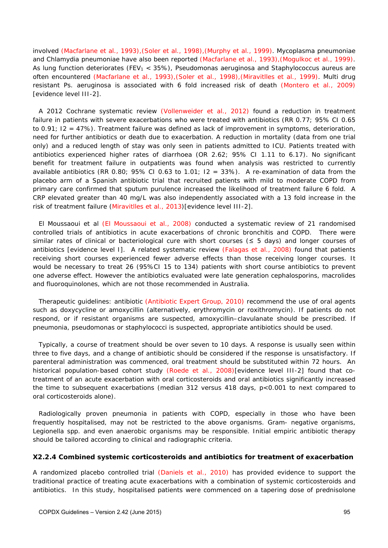involved (Macfarlane et al., 1993),(Soler et al., 1998),(Murphy et al., 1999). *Mycoplasma pneumoniae* and *Chlamydia pneumoniae* have also been reported (Macfarlane et al., 1993),(Mogulkoc et al., 1999). As lung function deteriorates (FEV1 < 35%), *Pseudomonas aeruginosa* and *Staphylococcus aureus* are often encountered (Macfarlane et al., 1993),(Soler et al., 1998),(Miravitlles et al., 1999). Multi drug resistant Ps. aeruginosa is associated with 6 fold increased risk of death (Montero et al., 2009) [evidence level III-2].

A 2012 Cochrane systematic review (Vollenweider et al., 2012) found a reduction in treatment failure in patients with severe exacerbations who were treated with antibiotics (RR 0.77; 95% CI 0.65 to 0.91; I2 = 47%). Treatment failure was defined as lack of improvement in symptoms, deterioration, need for further antibiotics or death due to exacerbation. A reduction in mortality (data from one trial only) and a reduced length of stay was only seen in patients admitted to ICU. Patients treated with antibiotics experienced higher rates of diarrhoea (OR 2.62; 95% CI 1.11 to 6.17). No significant benefit for treatment failure in outpatients was found when analysis was restricted to currently available antibiotics (RR 0.80; 95% CI 0.63 to 1.01;  $I2 = 33%$ ). A re-examination of data from the placebo arm of a Spanish antibiotic trial that recruited patients with mild to moderate COPD from primary care confirmed that sputum purulence increased the likelihood of treatment failure 6 fold. A CRP elevated greater than 40 mg/L was also independently associated with a 13 fold increase in the risk of treatment failure (Miravitlles et al., 2013)[evidence level III-2].

El Moussaoui et al (El Moussaoui et al., 2008) conducted a systematic review of 21 randomised controlled trials of antibiotics in acute exacerbations of chronic bronchitis and COPD. There were similar rates of clinical or bacteriological cure with short courses (≤ 5 days) and longer courses of antibiotics [evidence level I]. A related systematic review (Falagas et al., 2008) found that patients receiving short courses experienced fewer adverse effects than those receiving longer courses. It would be necessary to treat 26 (95%CI 15 to 134) patients with short course antibiotics to prevent one adverse effect. However the antibiotics evaluated were late generation cephalosporins, macrolides and fluoroquinolones, which are not those recommended in Australia.

*Therapeutic guidelines: antibiotic* (Antibiotic Expert Group, 2010) recommend the use of oral agents such as doxycycline or amoxycillin (alternatively, erythromycin or roxithromycin). If patients do not respond, or if resistant organisms are suspected, amoxycillin–clavulanate should be prescribed. If pneumonia, pseudomonas or staphylococci is suspected, appropriate antibiotics should be used.

Typically, a course of treatment should be over seven to 10 days. A response is usually seen within three to five days, and a change of antibiotic should be considered if the response is unsatisfactory. If parenteral administration was commenced, oral treatment should be substituted within 72 hours. An historical population-based cohort study (Roede et al., 2008)[evidence level III-2] found that cotreatment of an acute exacerbation with oral corticosteroids and oral antibiotics significantly increased the time to subsequent exacerbations (median 312 versus 418 days, p<0.001 to next compared to oral corticosteroids alone).

Radiologically proven pneumonia in patients with COPD, especially in those who have been frequently hospitalised, may not be restricted to the above organisms. Gram- negative organisms, *Legionella* spp. and even anaerobic organisms may be responsible. Initial empiric antibiotic therapy should be tailored according to clinical and radiographic criteria.

#### **X2.2.4 Combined systemic corticosteroids and antibiotics for treatment of exacerbation**

A randomized placebo controlled trial (Daniels et al., 2010) has provided evidence to support the traditional practice of treating acute exacerbations with a combination of systemic corticosteroids and antibiotics. In this study, hospitalised patients were commenced on a tapering dose of prednisolone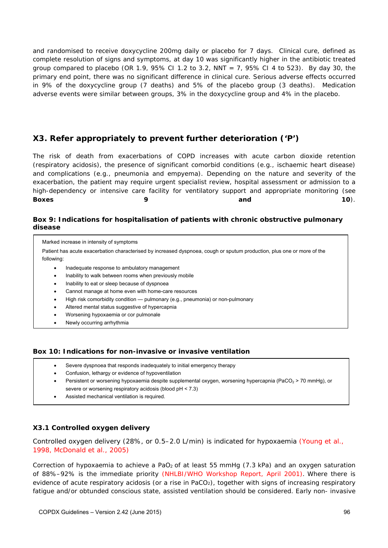and randomised to receive doxycycline 200mg daily or placebo for 7 days. Clinical cure, defined as complete resolution of signs and symptoms, at day 10 was significantly higher in the antibiotic treated group compared to placebo (OR 1.9, 95% CI 1.2 to 3.2, NNT = 7, 95% CI 4 to 523). By day 30, the primary end point, there was no significant difference in clinical cure. Serious adverse effects occurred in 9% of the doxycycline group (7 deaths) and 5% of the placebo group (3 deaths). Medication adverse events were similar between groups, 3% in the doxycycline group and 4% in the placebo.

# **X3. Refer appropriately to prevent further deterioration ('P')**

The risk of death from exacerbations of COPD increases with acute carbon dioxide retention (respiratory acidosis), the presence of significant comorbid conditions (e.g., ischaemic heart disease) and complications (e.g., pneumonia and empyema). Depending on the nature and severity of the exacerbation, the patient may require urgent specialist review, hospital assessment or admission to a high-dependency or intensive care facility for ventilatory support and appropriate monitoring (see **Boxes 6 and 10.** 

#### **Box 9: Indications for hospitalisation of patients with chronic obstructive pulmonary disease**

Marked increase in intensity of symptoms

Patient has acute exacerbation characterised by increased dyspnoea, cough or sputum production, plus one or more of the following:

- Inadequate response to ambulatory management
- Inability to walk between rooms when previously mobile
- Inability to eat or sleep because of dyspnoea
- Cannot manage at home even with home-care resources
- High risk comorbidity condition pulmonary (e.g., pneumonia) or non-pulmonary
- Altered mental status suggestive of hypercapnia
- Worsening hypoxaemia or cor pulmonale
- Newly occurring arrhythmia

#### **Box 10: Indications for non-invasive or invasive ventilation**

- Severe dyspnoea that responds inadequately to initial emergency therapy
- Confusion, lethargy or evidence of hypoventilation
- Persistent or worsening hypoxaemia despite supplemental oxygen, worsening hypercapnia (PaCO<sub>2</sub> > 70 mmHg), or severe or worsening respiratory acidosis (blood pH < 7.3)
- Assisted mechanical ventilation is required.

#### **X3.1 Controlled oxygen delivery**

Controlled oxygen delivery (28%, or 0.5–2.0 L/min) is indicated for hypoxaemia (Young et al., 1998, McDonald et al., 2005)

Correction of hypoxaemia to achieve a PaO<sub>2</sub> of at least 55 mmHg (7.3 kPa) and an oxygen saturation of 88%–92% is the immediate priority (NHLBI/WHO Workshop Report, April 2001). Where there is evidence of acute respiratory acidosis (or a rise in PaCO<sub>2</sub>), together with signs of increasing respiratory fatigue and/or obtunded conscious state, assisted ventilation should be considered. Early non- invasive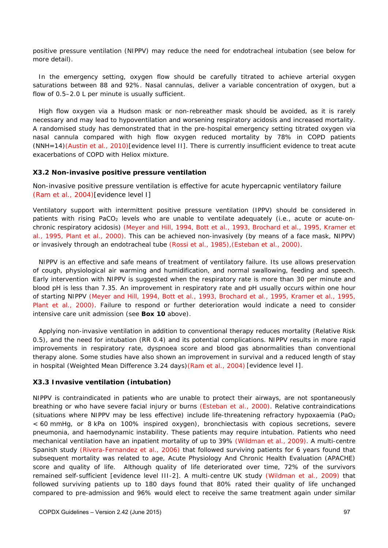positive pressure ventilation (NIPPV) may reduce the need for endotracheal intubation (see below for more detail).

In the emergency setting, oxygen flow should be carefully titrated to achieve arterial oxygen saturations between 88 and 92%. Nasal cannulas, deliver a variable concentration of oxygen, but a flow of 0.5–2.0 L per minute is usually sufficient.

High flow oxygen via a Hudson mask or non-rebreather mask should be avoided, as it is rarely necessary and may lead to hypoventilation and worsening respiratory acidosis and increased mortality. A randomised study has demonstrated that in the pre-hospital emergency setting titrated oxygen via nasal cannula compared with high flow oxygen reduced mortality by 78% in COPD patients (NNH=14)(Austin et al., 2010)[evidence level II]. There is currently insufficient evidence to treat acute exacerbations of COPD with Heliox mixture.

#### **X3.2 Non-invasive positive pressure ventilation**

Non-invasive positive pressure ventilation is effective for acute hypercapnic ventilatory failure (Ram et al., 2004)[evidence level I]

Ventilatory support with intermittent positive pressure ventilation (IPPV) should be considered in patients with rising PaCO<sub>2</sub> levels who are unable to ventilate adequately (i.e., acute or acute-onchronic respiratory acidosis) (Meyer and Hill, 1994, Bott et al., 1993, Brochard et al., 1995, Kramer et al., 1995, Plant et al., 2000). This can be achieved non-invasively (by means of a face mask, NIPPV) or invasively through an endotracheal tube (Rossi et al., 1985),(Esteban et al., 2000).

NIPPV is an effective and safe means of treatment of ventilatory failure. Its use allows preservation of cough, physiological air warming and humidification, and normal swallowing, feeding and speech. Early intervention with NIPPV is suggested when the respiratory rate is more than 30 per minute and blood pH is less than 7.35. An improvement in respiratory rate and pH usually occurs within one hour of starting NIPPV (Meyer and Hill, 1994, Bott et al., 1993, Brochard et al., 1995, Kramer et al., 1995, Plant et al., 2000). Failure to respond or further deterioration would indicate a need to consider intensive care unit admission (see **Box 10** above).

Applying non-invasive ventilation in addition to conventional therapy reduces mortality (Relative Risk 0.5), and the need for intubation (RR 0.4) and its potential complications. NIPPV results in more rapid improvements in respiratory rate, dyspnoea score and blood gas abnormalities than conventional therapy alone. Some studies have also shown an improvement in survival and a reduced length of stay in hospital (Weighted Mean Difference 3.24 days)(Ram et al., 2004) [evidence level I].

#### **X3.3 Invasive ventilation (intubation)**

NIPPV is contraindicated in patients who are unable to protect their airways, are not spontaneously breathing or who have severe facial injury or burns (Esteban et al., 2000). Relative contraindications (situations where NIPPV may be less effective) include life-threatening refractory hypoxaemia (PaO<sub>2</sub>) < 60 mmHg, or 8 kPa on 100% inspired oxygen), bronchiectasis with copious secretions, severe pneumonia, and haemodynamic instability. These patients may require intubation. Patients who need mechanical ventilation have an inpatient mortality of up to 39% (Wildman et al., 2009). A multi-centre Spanish study (Rivera-Fernandez et al., 2006) that followed surviving patients for 6 years found that subsequent mortality was related to age, Acute Physiology And Chronic Health Evaluation (APACHE) score and quality of life. Although quality of life deteriorated over time, 72% of the survivors remained self-sufficient [evidence level III-2]. A multi-centre UK study (Wildman et al., 2009) that followed surviving patients up to 180 days found that 80% rated their quality of life unchanged compared to pre-admission and 96% would elect to receive the same treatment again under similar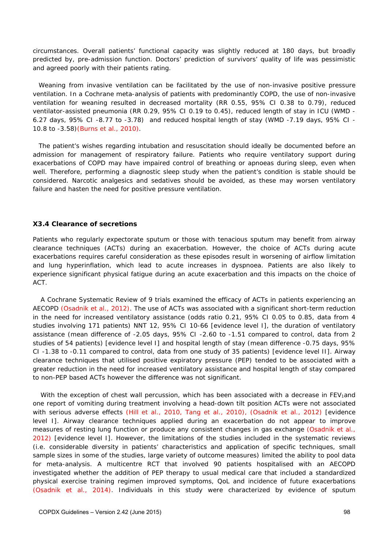circumstances. Overall patients' functional capacity was slightly reduced at 180 days, but broadly predicted by, pre-admission function. Doctors' prediction of survivors' quality of life was pessimistic and agreed poorly with their patients rating.

Weaning from invasive ventilation can be facilitated by the use of non-invasive positive pressure ventilation. In a Cochrane meta-analysis of patients with predominantly COPD, the use of non-invasive ventilation for weaning resulted in decreased mortality (RR 0.55, 95% CI 0.38 to 0.79), reduced ventilator-assisted pneumonia (RR 0.29, 95% CI 0.19 to 0.45), reduced length of stay in ICU (WMD - 6.27 days, 95% CI -8.77 to -3.78) and reduced hospital length of stay (WMD -7.19 days, 95% CI - 10.8 to -3.58)(Burns et al., 2010).

The patient's wishes regarding intubation and resuscitation should ideally be documented before an admission for management of respiratory failure. Patients who require ventilatory support during exacerbations of COPD may have impaired control of breathing or apnoeas during sleep, even when well. Therefore, performing a diagnostic sleep study when the patient's condition is stable should be considered. Narcotic analgesics and sedatives should be avoided, as these may worsen ventilatory failure and hasten the need for positive pressure ventilation.

#### **X3.4 Clearance of secretions**

Patients who regularly expectorate sputum or those with tenacious sputum may benefit from airway clearance techniques (ACTs) during an exacerbation. However, the choice of ACTs during acute exacerbations requires careful consideration as these episodes result in worsening of airflow limitation and lung hyperinflation, which lead to acute increases in dyspnoea. Patients are also likely to experience significant physical fatigue during an acute exacerbation and this impacts on the choice of ACT.

 A Cochrane Systematic Review of 9 trials examined the efficacy of ACTs in patients experiencing an AECOPD (Osadnik et al., 2012). The use of ACTs was associated with a significant short-term reduction in the need for increased ventilatory assistance (odds ratio 0.21, 95% CI 0.05 to 0.85, data from 4 studies involving 171 patients) NNT 12, 95% CI 10-66 [evidence level I], the duration of ventilatory assistance (mean difference of -2.05 days, 95% CI -2.60 to -1.51 compared to control, data from 2 studies of 54 patients) [evidence level I] and hospital length of stay (mean difference -0.75 days, 95% CI -1.38 to -0.11 compared to control, data from one study of 35 patients) [evidence level II]. Airway clearance techniques that utilised positive expiratory pressure (PEP) tended to be associated with a greater reduction in the need for increased ventilatory assistance and hospital length of stay compared to non-PEP based ACTs however the difference was not significant.

With the exception of chest wall percussion, which has been associated with a decrease in FEV<sub>1</sub>and one report of vomiting during treatment involving a head-down tilt position ACTs were not associated with serious adverse effects (Hill et al., 2010, Tang et al., 2010), (Osadnik et al., 2012) [evidence level I]. Airway clearance techniques applied during an exacerbation do not appear to improve measures of resting lung function or produce any consistent changes in gas exchange (Osadnik et al., 2012) [evidence level I]. However, the limitations of the studies included in the systematic reviews (i.e. considerable diversity in patients' characteristics and application of specific techniques, small sample sizes in some of the studies, large variety of outcome measures) limited the ability to pool data for meta-analysis. A multicentre RCT that involved 90 patients hospitalised with an AECOPD investigated whether the addition of PEP therapy to usual medical care that included a standardized physical exercise training regimen improved symptoms, QoL and incidence of future exacerbations (Osadnik et al., 2014). Individuals in this study were characterized by evidence of sputum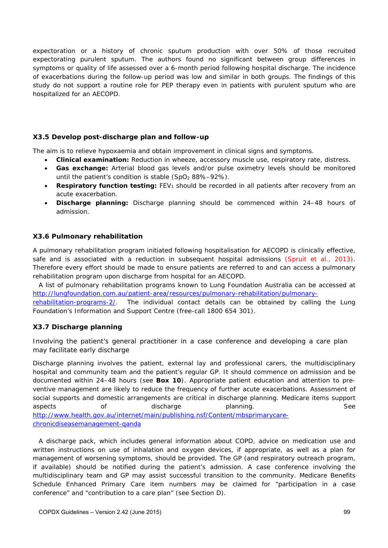expectoration or a history of chronic sputum production with over 50% of those recruited expectorating purulent sputum. The authors found no significant between group differences in symptoms or quality of life assessed over a 6-month period following hospital discharge. The incidence of exacerbations during the follow-up period was low and similar in both groups. The findings of this study do not support a routine role for PEP therapy even in patients with purulent sputum who are hospitalized for an AECOPD.

#### **X3.5 Develop post-discharge plan and follow-up**

The aim is to relieve hypoxaemia and obtain improvement in clinical signs and symptoms.

- *Clinical examination:* Reduction in wheeze, accessory muscle use, respiratory rate, distress.
- *Gas exchange:* Arterial blood gas levels and/or pulse oximetry levels should be monitored until the patient's condition is stable  $(SpO<sub>2</sub> 88% - 92%)$ .
- **Respiratory function testing:** FEV<sub>1</sub> should be recorded in all patients after recovery from an acute exacerbation.
- *Discharge planning:* Discharge planning should be commenced within 24–48 hours of admission.

#### **X3.6 Pulmonary rehabilitation**

A pulmonary rehabilitation program initiated following hospitalisation for AECOPD is clinically effective, safe and is associated with a reduction in subsequent hospital admissions (Spruit et al., 2013). Therefore every effort should be made to ensure patients are referred to and can access a pulmonary rehabilitation program upon discharge from hospital for an AECOPD.

A list of pulmonary rehabilitation programs known to Lung Foundation Australia can be accessed at http://lungfoundation.com.au/patient-area/resources/pulmonary-rehabilitation/pulmonary-

rehabilitation-programs-2/. The individual contact details can be obtained by calling the Lung Foundation's Information and Support Centre (free-call 1800 654 301).

#### **X3.7 Discharge planning**

Involving the patient's general practitioner in a case conference and developing a care plan may facilitate early discharge

Discharge planning involves the patient, external lay and professional carers, the multidisciplinary hospital and community team and the patient's regular GP. It should commence on admission and be documented within 24–48 hours (see **Box 10**). Appropriate patient education and attention to preventive management are likely to reduce the frequency of further acute exacerbations. Assessment of social supports and domestic arrangements are critical in discharge planning. Medicare items support aspects of discharge planning. See http://www.health.gov.au/internet/main/publishing.nsf/Content/mbsprimarycarechronicdiseasemanagement-qanda

A discharge pack, which includes general information about COPD, advice on medication use and written instructions on use of inhalation and oxygen devices, if appropriate, as well as a plan for management of worsening symptoms, should be provided. The GP (and respiratory outreach program, if available) should be notified during the patient's admission. A case conference involving the multidisciplinary team and GP may assist successful transition to the community. Medicare Benefits Schedule Enhanced Primary Care item numbers may be claimed for "participation in a case conference" and "contribution to a care plan" (see Section D).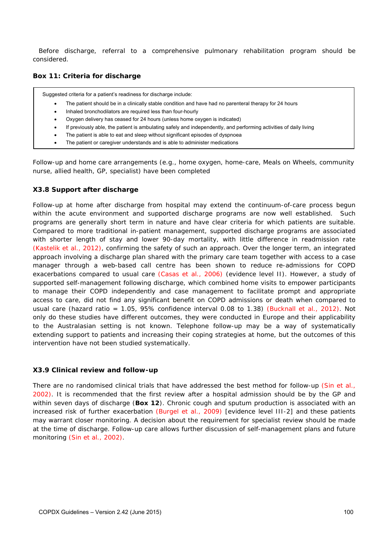Before discharge, referral to a comprehensive pulmonary rehabilitation program should be considered.

#### **Box 11: Criteria for discharge**

Suggested criteria for a patient's readiness for discharge include:

- The patient should be in a clinically stable condition and have had no parenteral therapy for 24 hours
- Inhaled bronchodilators are required less than four-hourly
- Oxygen delivery has ceased for 24 hours (unless home oxygen is indicated)
- If previously able, the patient is ambulating safely and independently, and performing activities of daily living
- The patient is able to eat and sleep without significant episodes of dyspnoea
- The patient or caregiver understands and is able to administer medications

Follow-up and home care arrangements (e.g., home oxygen, home-care, Meals on Wheels, community nurse, allied health, GP, specialist) have been completed

#### **X3.8 Support after discharge**

Follow-up at home after discharge from hospital may extend the continuum-of-care process begun within the acute environment and supported discharge programs are now well established. Such programs are generally short term in nature and have clear criteria for which patients are suitable. Compared to more traditional in-patient management, supported discharge programs are associated with shorter length of stay and lower 90-day mortality, with little difference in readmission rate (Kastelik et al., 2012), confirming the safety of such an approach. Over the longer term, an integrated approach involving a discharge plan shared with the primary care team together with access to a case manager through a web-based call centre has been shown to reduce re-admissions for COPD exacerbations compared to usual care (Casas et al., 2006) (evidence level II). However, a study of supported self-management following discharge, which combined home visits to empower participants to manage their COPD independently and case management to facilitate prompt and appropriate access to care, did not find any significant benefit on COPD admissions or death when compared to usual care (hazard ratio = 1.05, 95% confidence interval 0.08 to 1.38) (Bucknall et al., 2012). Not only do these studies have different outcomes, they were conducted in Europe and their applicability to the Australasian setting is not known. Telephone follow-up may be a way of systematically extending support to patients and increasing their coping strategies at home, but the outcomes of this intervention have not been studied systematically.

#### **X3.9 Clinical review and follow-up**

There are no randomised clinical trials that have addressed the best method for follow-up (Sin et al., 2002). It is recommended that the first review after a hospital admission should be by the GP and within seven days of discharge (**Box 12**). Chronic cough and sputum production is associated with an increased risk of further exacerbation (Burgel et al., 2009) [evidence level III-2] and these patients may warrant closer monitoring. A decision about the requirement for specialist review should be made at the time of discharge. Follow-up care allows further discussion of self-management plans and future monitoring (Sin et al., 2002).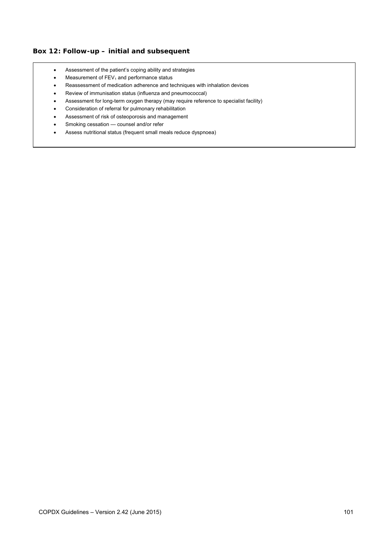#### **Box 12: Follow-up – initial and subsequent**

- Assessment of the patient's coping ability and strategies
- $\bullet$  Measurement of FEV<sub>1</sub> and performance status
- Reassessment of medication adherence and techniques with inhalation devices
- Review of immunisation status (influenza and pneumococcal)
- Assessment for long-term oxygen therapy (may require reference to specialist facility)
- Consideration of referral for pulmonary rehabilitation
- Assessment of risk of osteoporosis and management
- Smoking cessation counsel and/or refer
- Assess nutritional status (frequent small meals reduce dyspnoea)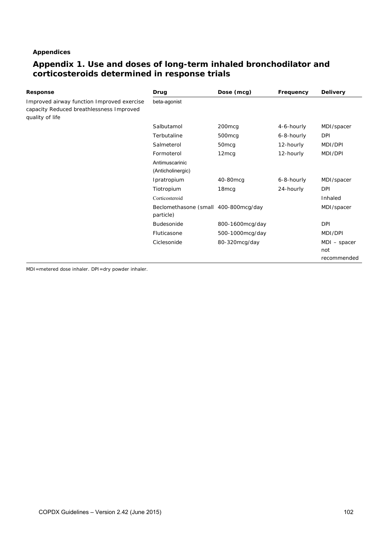#### **Appendices**

# **Appendix 1. Use and doses of long-term inhaled bronchodilator and corticosteroids determined in response trials**

| Response                                                                                                  | Drug                                              | Dose (mcg)        | Frequency  | <b>Delivery</b> |
|-----------------------------------------------------------------------------------------------------------|---------------------------------------------------|-------------------|------------|-----------------|
| Improved airway function Improved exercise<br>capacity Reduced breathlessness Improved<br>quality of life | beta-agonist                                      |                   |            |                 |
|                                                                                                           | Salbutamol                                        | 200mcg            | 4-6-hourly | MDI/spacer      |
|                                                                                                           | Terbutaline                                       | 500mcg            | 6-8-hourly | DPI             |
|                                                                                                           | Salmeterol                                        | 50 <sub>mcq</sub> | 12-hourly  | MDI/DPI         |
|                                                                                                           | Formoterol                                        | 12 <sub>mcq</sub> | 12-hourly  | MDI/DPI         |
|                                                                                                           | Antimuscarinic<br>(Anticholinergic)               |                   |            |                 |
|                                                                                                           | Ipratropium                                       | 40-80mcg          | 6-8-hourly | MDI/spacer      |
|                                                                                                           | Tiotropium                                        | 18 <sub>mcq</sub> | 24-hourly  | <b>DPI</b>      |
|                                                                                                           | Corticosteroid                                    |                   |            | Inhaled         |
|                                                                                                           | Beclomethasone (small 400-800mcg/day<br>particle) |                   |            | MDI/spacer      |
|                                                                                                           | Budesonide                                        | 800-1600mcg/day   |            | <b>DPI</b>      |
|                                                                                                           | Fluticasone                                       | 500-1000mcg/day   |            | MDI/DPI         |
|                                                                                                           | Ciclesonide                                       | 80-320mcg/day     |            | $MDI - spacer$  |
|                                                                                                           |                                                   |                   |            | not             |
|                                                                                                           |                                                   |                   |            | recommended     |

MDI=metered dose inhaler. DPI=dry powder inhaler.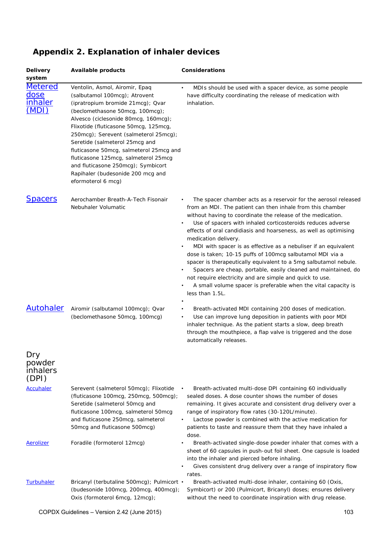| <b>Delivery</b><br>system                 | <b>Available products</b>                                                                                                                                                                                                                                                                                                                                                                                                                                                               | Considerations                                                                                                                                                                                                                                                                                                                                                                                                                                                                                                                                                                                                                                                                                                                                                                  |
|-------------------------------------------|-----------------------------------------------------------------------------------------------------------------------------------------------------------------------------------------------------------------------------------------------------------------------------------------------------------------------------------------------------------------------------------------------------------------------------------------------------------------------------------------|---------------------------------------------------------------------------------------------------------------------------------------------------------------------------------------------------------------------------------------------------------------------------------------------------------------------------------------------------------------------------------------------------------------------------------------------------------------------------------------------------------------------------------------------------------------------------------------------------------------------------------------------------------------------------------------------------------------------------------------------------------------------------------|
| <b>Metered</b><br>dose<br>inhaler<br>[MDI | Ventolin, Asmol, Airomir, Epaq<br>(salbutamol 100mcg); Atrovent<br>(ipratropium bromide 21mcg); Qvar<br>(beclomethasone 50mcg, 100mcg);<br>Alvesco (ciclesonide 80mcg, 160mcg);<br>Flixotide (fluticasone 50mcg, 125mcg,<br>250mcg); Serevent (salmeterol 25mcg);<br>Seretide (salmeterol 25mcg and<br>fluticasone 50mcg, salmeterol 25mcg and<br>fluticasone 125mcg, salmeterol 25mcg<br>and fluticasone 250mcg); Symbicort<br>Rapihaler (budesonide 200 mcg and<br>eformoterol 6 mcg) | MDIs should be used with a spacer device, as some people<br>$\bullet$<br>have difficulty coordinating the release of medication with<br>inhalation.                                                                                                                                                                                                                                                                                                                                                                                                                                                                                                                                                                                                                             |
| <b>Spacers</b>                            | Aerochamber Breath-A-Tech Fisonair<br>Nebuhaler Volumatic                                                                                                                                                                                                                                                                                                                                                                                                                               | The spacer chamber acts as a reservoir for the aerosol released<br>from an MDI. The patient can then inhale from this chamber<br>without having to coordinate the release of the medication.<br>Use of spacers with inhaled corticosteroids reduces adverse<br>effects of oral candidiasis and hoarseness, as well as optimising<br>medication delivery.<br>MDI with spacer is as effective as a nebuliser if an equivalent<br>dose is taken; 10-15 puffs of 100mcg salbutamol MDI via a<br>spacer is therapeutically equivalent to a 5mg salbutamol nebule.<br>Spacers are cheap, portable, easily cleaned and maintained, do<br>not require electricity and are simple and quick to use.<br>A small volume spacer is preferable when the vital capacity is<br>less than 1.5L. |
| <b>Autohaler</b>                          | Airomir (salbutamol 100mcg); Qvar<br>(beclomethasone 50mcg, 100mcg)                                                                                                                                                                                                                                                                                                                                                                                                                     | Breath-activated MDI containing 200 doses of medication.<br>$\bullet$<br>Use can improve lung deposition in patients with poor MDI<br>inhaler technique. As the patient starts a slow, deep breath<br>through the mouthpiece, a flap valve is triggered and the dose<br>automatically releases.                                                                                                                                                                                                                                                                                                                                                                                                                                                                                 |
| Dry<br>powder<br>inhalers<br>(DPI)        |                                                                                                                                                                                                                                                                                                                                                                                                                                                                                         |                                                                                                                                                                                                                                                                                                                                                                                                                                                                                                                                                                                                                                                                                                                                                                                 |
| <b>Accuhaler</b>                          | Serevent (salmeterol 50mcg); Flixotide<br>(fluticasone 100mcg, 250mcg, 500mcg);<br>Seretide (salmeterol 50mcg and<br>fluticasone 100mcg, salmeterol 50mcg<br>and fluticasone 250mcg, salmeterol<br>50mcg and fluticasone 500mcg)                                                                                                                                                                                                                                                        | Breath-activated multi-dose DPI containing 60 individually<br>sealed doses. A dose counter shows the number of doses<br>remaining. It gives accurate and consistent drug delivery over a<br>range of inspiratory flow rates (30-120L/minute).<br>Lactose powder is combined with the active medication for<br>٠<br>patients to taste and reassure them that they have inhaled a<br>dose.                                                                                                                                                                                                                                                                                                                                                                                        |
| Aerolizer                                 | Foradile (formoterol 12mcg)                                                                                                                                                                                                                                                                                                                                                                                                                                                             | Breath-activated single-dose powder inhaler that comes with a<br>sheet of 60 capsules in push-out foil sheet. One capsule is loaded<br>into the inhaler and pierced before inhaling.<br>Gives consistent drug delivery over a range of inspiratory flow<br>rates.                                                                                                                                                                                                                                                                                                                                                                                                                                                                                                               |
| Turbuhaler                                | Bricanyl (terbutaline 500mcg); Pulmicort •<br>(budesonide 100mcg, 200mcg, 400mcg);<br>Oxis (formoterol 6mcg, 12mcg);                                                                                                                                                                                                                                                                                                                                                                    | Breath-activated multi-dose inhaler, containing 60 (Oxis,<br>Symbicort) or 200 (Pulmicort, Bricanyl) doses; ensures delivery<br>without the need to coordinate inspiration with drug release.                                                                                                                                                                                                                                                                                                                                                                                                                                                                                                                                                                                   |

# **Appendix 2. Explanation of inhaler devices**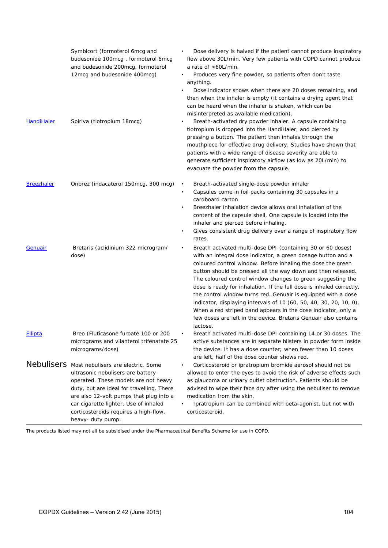| HandiHaler        | Symbicort (formoterol 6mcg and<br>budesonide 100mcg, formoterol 6mcg<br>and budesonide 200mcg, formoterol<br>12mcg and budesonide 400mcg)<br>Spiriva (tiotropium 18mcg)                                                                                                                                                   | Dose delivery is halved if the patient cannot produce inspiratory<br>flow above 30L/min. Very few patients with COPD cannot produce<br>a rate of >60L/min.<br>Produces very fine powder, so patients often don't taste<br>$\bullet$<br>anything.<br>Dose indicator shows when there are 20 doses remaining, and<br>$\bullet$<br>then when the inhaler is empty (it contains a drying agent that<br>can be heard when the inhaler is shaken, which can be<br>misinterpreted as available medication).<br>Breath-activated dry powder inhaler. A capsule containing<br>tiotropium is dropped into the HandiHaler, and pierced by<br>pressing a button. The patient then inhales through the<br>mouthpiece for effective drug delivery. Studies have shown that<br>patients with a wide range of disease severity are able to<br>generate sufficient inspiratory airflow (as low as 20L/min) to<br>evacuate the powder from the capsule. |
|-------------------|---------------------------------------------------------------------------------------------------------------------------------------------------------------------------------------------------------------------------------------------------------------------------------------------------------------------------|---------------------------------------------------------------------------------------------------------------------------------------------------------------------------------------------------------------------------------------------------------------------------------------------------------------------------------------------------------------------------------------------------------------------------------------------------------------------------------------------------------------------------------------------------------------------------------------------------------------------------------------------------------------------------------------------------------------------------------------------------------------------------------------------------------------------------------------------------------------------------------------------------------------------------------------|
| <b>Breezhaler</b> | Onbrez (indacaterol 150mcg, 300 mcg)                                                                                                                                                                                                                                                                                      | Breath-activated single-dose powder inhaler<br>$\bullet$<br>Capsules come in foil packs containing 30 capsules in a<br>$\bullet$<br>cardboard carton<br>Breezhaler inhalation device allows oral inhalation of the<br>$\bullet$<br>content of the capsule shell. One capsule is loaded into the<br>inhaler and pierced before inhaling.<br>Gives consistent drug delivery over a range of inspiratory flow<br>$\bullet$<br>rates.                                                                                                                                                                                                                                                                                                                                                                                                                                                                                                     |
| Genuair           | Bretaris (aclidinium 322 microgram/<br>dose)                                                                                                                                                                                                                                                                              | Breath activated multi-dose DPI (containing 30 or 60 doses)<br>٠<br>with an integral dose indicator, a green dosage button and a<br>coloured control window. Before inhaling the dose the green<br>button should be pressed all the way down and then released.<br>The coloured control window changes to green suggesting the<br>dose is ready for inhalation. If the full dose is inhaled correctly,<br>the control window turns red. Genuair is equipped with a dose<br>indicator, displaying intervals of 10 (60, 50, 40, 30, 20, 10, 0).<br>When a red striped band appears in the dose indicator, only a<br>few doses are left in the device. Bretaris Genuair also contains<br>lactose.                                                                                                                                                                                                                                        |
| Ellipta           | Breo (Fluticasone furoate 100 or 200<br>micrograms and vilanterol trifenatate 25<br>micrograms/dose)                                                                                                                                                                                                                      | Breath activated multi-dose DPI containing 14 or 30 doses. The<br>active substances are in separate blisters in powder form inside<br>the device. It has a dose counter; when fewer than 10 doses<br>are left, half of the dose counter shows red.                                                                                                                                                                                                                                                                                                                                                                                                                                                                                                                                                                                                                                                                                    |
|                   | Nebulisers Most nebulisers are electric. Some<br>ultrasonic nebulisers are battery<br>operated. These models are not heavy<br>duty, but are ideal for travelling. There<br>are also 12-volt pumps that plug into a<br>car cigarette lighter. Use of inhaled<br>corticosteroids requires a high-flow,<br>heavy- duty pump. | Corticosteroid or ipratropium bromide aerosol should not be<br>allowed to enter the eyes to avoid the risk of adverse effects such<br>as glaucoma or urinary outlet obstruction. Patients should be<br>advised to wipe their face dry after using the nebuliser to remove<br>medication from the skin.<br>Ipratropium can be combined with beta-agonist, but not with<br>corticosteroid.                                                                                                                                                                                                                                                                                                                                                                                                                                                                                                                                              |

The products listed may not all be subsidised under the Pharmaceutical Benefits Scheme for use in COPD.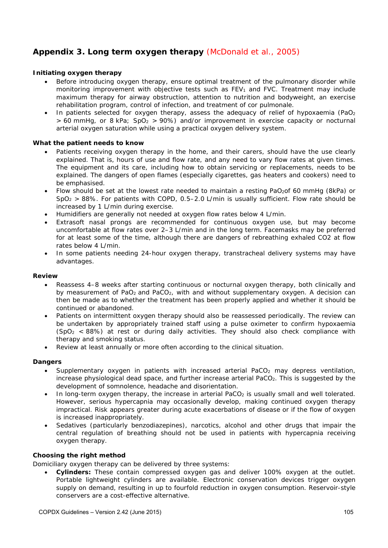# **Appendix 3. Long term oxygen therapy** (McDonald et al., 2005)

#### **Initiating oxygen therapy**

- Before introducing oxygen therapy, ensure optimal treatment of the pulmonary disorder while monitoring improvement with objective tests such as  $FEV<sub>1</sub>$  and FVC. Treatment may include maximum therapy for airway obstruction, attention to nutrition and bodyweight, an exercise rehabilitation program, control of infection, and treatment of cor pulmonale.
- In patients selected for oxygen therapy, assess the adequacy of relief of hypoxaemia (PaO<sub>2</sub>)  $> 60$  mmHg, or 8 kPa; SpO<sub>2</sub>  $> 90\%$ ) and/or improvement in exercise capacity or nocturnal arterial oxygen saturation while using a practical oxygen delivery system.

#### **What the patient needs to know**

- Patients receiving oxygen therapy in the home, and their carers, should have the use clearly explained. That is, hours of use and flow rate, and any need to vary flow rates at given times. The equipment and its care, including how to obtain servicing or replacements, needs to be explained. The dangers of open flames (especially cigarettes, gas heaters and cookers) need to be emphasised.
- Flow should be set at the lowest rate needed to maintain a resting PaO2of 60 mmHg (8kPa) or  $SpO<sub>2</sub> > 88$ %. For patients with COPD, 0.5–2.0 L/min is usually sufficient. Flow rate should be increased by 1 L/min during exercise.
- Humidifiers are generally not needed at oxygen flow rates below 4 L/min.
- Extrasoft nasal prongs are recommended for continuous oxygen use, but may become uncomfortable at flow rates over 2–3 L/min and in the long term. Facemasks may be preferred for at least some of the time, although there are dangers of rebreathing exhaled CO2 at flow rates below 4 L/min.
- In some patients needing 24-hour oxygen therapy, transtracheal delivery systems may have advantages.

#### **Review**

- Reassess 4–8 weeks after starting continuous or nocturnal oxygen therapy, both clinically and by measurement of PaO<sub>2</sub> and PaCO<sub>2</sub>, with and without supplementary oxygen. A decision can then be made as to whether the treatment has been properly applied and whether it should be continued or abandoned.
- Patients on intermittent oxygen therapy should also be reassessed periodically. The review can be undertaken by appropriately trained staff using a pulse oximeter to confirm hypoxaemia  $(SpO<sub>2</sub> < 88%)$  at rest or during daily activities. They should also check compliance with therapy and smoking status.
- Review at least annually or more often according to the clinical situation.

#### **Dangers**

- Supplementary oxygen in patients with increased arterial PaCO<sub>2</sub> may depress ventilation, increase physiological dead space, and further increase arterial PaCO2. This is suggested by the development of somnolence, headache and disorientation.
- In long-term oxygen therapy, the increase in arterial PaCO<sub>2</sub> is usually small and well tolerated. However, serious hypercapnia may occasionally develop, making continued oxygen therapy impractical. Risk appears greater during acute exacerbations of disease or if the flow of oxygen is increased inappropriately.
- Sedatives (particularly benzodiazepines), narcotics, alcohol and other drugs that impair the central regulation of breathing should not be used in patients with hypercapnia receiving oxygen therapy.

#### **Choosing the right method**

Domiciliary oxygen therapy can be delivered by three systems:

 *Cylinders:* These contain compressed oxygen gas and deliver 100% oxygen at the outlet. Portable lightweight cylinders are available. Electronic conservation devices trigger oxygen supply on demand, resulting in up to fourfold reduction in oxygen consumption. Reservoir-style conservers are a cost-effective alternative.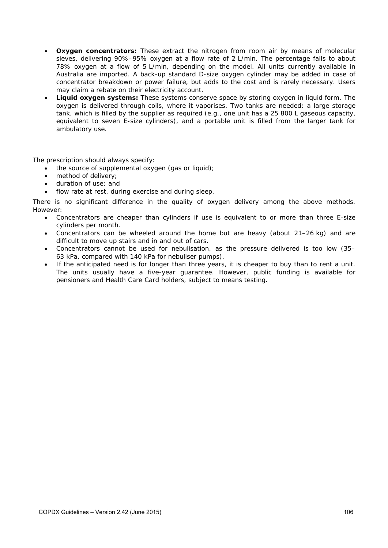- **Oxygen concentrators:** These extract the nitrogen from room air by means of molecular sieves, delivering 90%–95% oxygen at a flow rate of 2 L/min. The percentage falls to about 78% oxygen at a flow of 5 L/min, depending on the model. All units currently available in Australia are imported. A back-up standard D-size oxygen cylinder may be added in case of concentrator breakdown or power failure, but adds to the cost and is rarely necessary. Users may claim a rebate on their electricity account.
- *Liquid oxygen systems:* These systems conserve space by storing oxygen in liquid form. The oxygen is delivered through coils, where it vaporises. Two tanks are needed: a large storage tank, which is filled by the supplier as required (e.g., one unit has a 25 800 L gaseous capacity, equivalent to seven E-size cylinders), and a portable unit is filled from the larger tank for ambulatory use.

The prescription should always specify:

- the source of supplemental oxygen (gas or liquid);
- method of delivery;
- duration of use; and
- flow rate at rest, during exercise and during sleep.

There is no significant difference in the quality of oxygen delivery among the above methods. However:

- Concentrators are cheaper than cylinders if use is equivalent to or more than three E-size cylinders per month.
- Concentrators can be wheeled around the home but are heavy (about 21–26 kg) and are difficult to move up stairs and in and out of cars.
- Concentrators cannot be used for nebulisation, as the pressure delivered is too low (35– 63 kPa, compared with 140 kPa for nebuliser pumps).
- If the anticipated need is for longer than three years, it is cheaper to buy than to rent a unit. The units usually have a five-year guarantee. However, public funding is available for pensioners and Health Care Card holders, subject to means testing.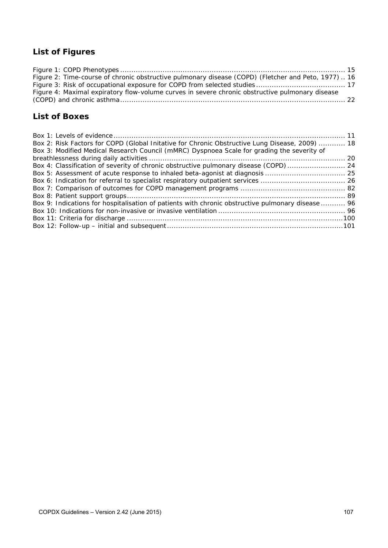# **List of Figures**

| Figure 2: Time-course of chronic obstructive pulmonary disease (COPD) (Fletcher and Peto, 1977) 16 |  |
|----------------------------------------------------------------------------------------------------|--|
|                                                                                                    |  |
| Figure 4: Maximal expiratory flow-volume curves in severe chronic obstructive pulmonary disease    |  |
|                                                                                                    |  |

# **List of Boxes**

| Box 2: Risk Factors for COPD (Global Initative for Chronic Obstructive Lung Disease, 2009)  18    |  |
|---------------------------------------------------------------------------------------------------|--|
| Box 3: Modified Medical Research Council (mMRC) Dyspnoea Scale for grading the severity of        |  |
|                                                                                                   |  |
| Box 4: Classification of severity of chronic obstructive pulmonary disease (COPD)  24             |  |
|                                                                                                   |  |
|                                                                                                   |  |
|                                                                                                   |  |
|                                                                                                   |  |
| Box 9: Indications for hospitalisation of patients with chronic obstructive pulmonary disease  96 |  |
|                                                                                                   |  |
|                                                                                                   |  |
|                                                                                                   |  |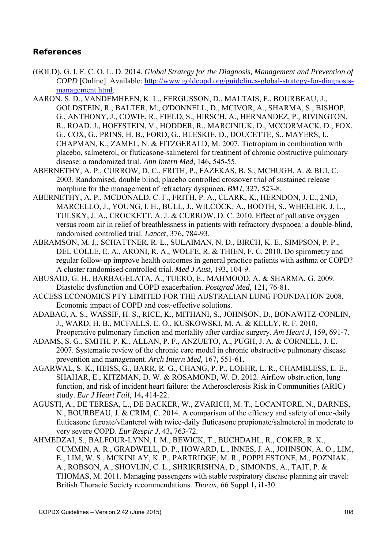# **References**

- (GOLD), G. I. F. C. O. L. D. 2014. *Global Strategy for the Diagnosis, Management and Prevention of COPD* [Online]. Available: http://www.goldcopd.org/guidelines-global-strategy-for-diagnosismanagement.html.
- AARON, S. D., VANDEMHEEN, K. L., FERGUSSON, D., MALTAIS, F., BOURBEAU, J., GOLDSTEIN, R., BALTER, M., O'DONNELL, D., MCIVOR, A., SHARMA, S., BISHOP, G., ANTHONY, J., COWIE, R., FIELD, S., HIRSCH, A., HERNANDEZ, P., RIVINGTON, R., ROAD, J., HOFFSTEIN, V., HODDER, R., MARCINIUK, D., MCCORMACK, D., FOX, G., COX, G., PRINS, H. B., FORD, G., BLESKIE, D., DOUCETTE, S., MAYERS, I., CHAPMAN, K., ZAMEL, N. & FITZGERALD, M. 2007. Tiotropium in combination with placebo, salmeterol, or fluticasone-salmeterol for treatment of chronic obstructive pulmonary disease: a randomized trial. *Ann Intern Med,* 146**,** 545-55.
- ABERNETHY, A. P., CURROW, D. C., FRITH, P., FAZEKAS, B. S., MCHUGH, A. & BUI, C. 2003. Randomised, double blind, placebo controlled crossover trial of sustained release morphine for the management of refractory dyspnoea. *BMJ,* 327**,** 523-8.
- ABERNETHY, A. P., MCDONALD, C. F., FRITH, P. A., CLARK, K., HERNDON, J. E., 2ND, MARCELLO, J., YOUNG, I. H., BULL, J., WILCOCK, A., BOOTH, S., WHEELER, J. L., TULSKY, J. A., CROCKETT, A. J. & CURROW, D. C. 2010. Effect of palliative oxygen versus room air in relief of breathlessness in patients with refractory dyspnoea: a double-blind, randomised controlled trial. *Lancet,* 376**,** 784-93.
- ABRAMSON, M. J., SCHATTNER, R. L., SULAIMAN, N. D., BIRCH, K. E., SIMPSON, P. P., DEL COLLE, E. A., ARONI, R. A., WOLFE, R. & THIEN, F. C. 2010. Do spirometry and regular follow-up improve health outcomes in general practice patients with asthma or COPD? A cluster randomised controlled trial. *Med J Aust,* 193**,** 104-9.
- ABUSAID, G. H., BARBAGELATA, A., TUERO, E., MAHMOOD, A. & SHARMA, G. 2009. Diastolic dysfunction and COPD exacerbation. *Postgrad Med,* 121**,** 76-81.
- ACCESS ECONOMICS PTY LIMITED FOR THE AUSTRALIAN LUNG FOUNDATION 2008. Economic impact of COPD and cost-effective solutions.
- ADABAG, A. S., WASSIF, H. S., RICE, K., MITHANI, S., JOHNSON, D., BONAWITZ-CONLIN, J., WARD, H. B., MCFALLS, E. O., KUSKOWSKI, M. A. & KELLY, R. F. 2010. Preoperative pulmonary function and mortality after cardiac surgery. *Am Heart J,* 159**,** 691-7.
- ADAMS, S. G., SMITH, P. K., ALLAN, P. F., ANZUETO, A., PUGH, J. A. & CORNELL, J. E. 2007. Systematic review of the chronic care model in chronic obstructive pulmonary disease prevention and management. *Arch Intern Med,* 167**,** 551-61.
- AGARWAL, S. K., HEISS, G., BARR, R. G., CHANG, P. P., LOEHR, L. R., CHAMBLESS, L. E., SHAHAR, E., KITZMAN, D. W. & ROSAMOND, W. D. 2012. Airflow obstruction, lung function, and risk of incident heart failure: the Atherosclerosis Risk in Communities (ARIC) study. *Eur J Heart Fail,* 14**,** 414-22.
- AGUSTI, A., DE TERESA, L., DE BACKER, W., ZVARICH, M. T., LOCANTORE, N., BARNES, N., BOURBEAU, J. & CRIM, C. 2014. A comparison of the efficacy and safety of once-daily fluticasone furoate/vilanterol with twice-daily fluticasone propionate/salmeterol in moderate to very severe COPD. *Eur Respir J,* 43**,** 763-72.
- AHMEDZAI, S., BALFOUR-LYNN, I. M., BEWICK, T., BUCHDAHL, R., COKER, R. K., CUMMIN, A. R., GRADWELL, D. P., HOWARD, L., INNES, J. A., JOHNSON, A. O., LIM, E., LIM, W. S., MCKINLAY, K. P., PARTRIDGE, M. R., POPPLESTONE, M., POZNIAK, A., ROBSON, A., SHOVLIN, C. L., SHRIKRISHNA, D., SIMONDS, A., TAIT, P. & THOMAS, M. 2011. Managing passengers with stable respiratory disease planning air travel: British Thoracic Society recommendations. *Thorax,* 66 Suppl 1**,** i1-30.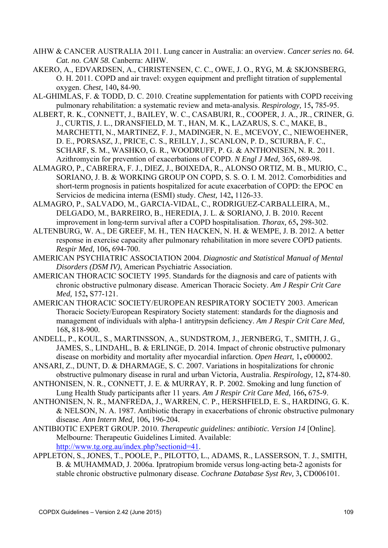- AIHW & CANCER AUSTRALIA 2011. Lung cancer in Australia: an overview. *Cancer series no. 64. Cat. no. CAN 58.* Canberra: AIHW.
- AKERO, A., EDVARDSEN, A., CHRISTENSEN, C. C., OWE, J. O., RYG, M. & SKJONSBERG, O. H. 2011. COPD and air travel: oxygen equipment and preflight titration of supplemental oxygen. *Chest,* 140**,** 84-90.
- AL-GHIMLAS, F. & TODD, D. C. 2010. Creatine supplementation for patients with COPD receiving pulmonary rehabilitation: a systematic review and meta-analysis. *Respirology,* 15**,** 785-95.
- ALBERT, R. K., CONNETT, J., BAILEY, W. C., CASABURI, R., COOPER, J. A., JR., CRINER, G. J., CURTIS, J. L., DRANSFIELD, M. T., HAN, M. K., LAZARUS, S. C., MAKE, B., MARCHETTI, N., MARTINEZ, F. J., MADINGER, N. E., MCEVOY, C., NIEWOEHNER, D. E., PORSASZ, J., PRICE, C. S., REILLY, J., SCANLON, P. D., SCIURBA, F. C., SCHARF, S. M., WASHKO, G. R., WOODRUFF, P. G. & ANTHONISEN, N. R. 2011. Azithromycin for prevention of exacerbations of COPD. *N Engl J Med,* 365**,** 689-98.
- ALMAGRO, P., CABRERA, F. J., DIEZ, J., BOIXEDA, R., ALONSO ORTIZ, M. B., MURIO, C., SORIANO, J. B. & WORKING GROUP ON COPD, S. S. O. I. M. 2012. Comorbidities and short-term prognosis in patients hospitalized for acute exacerbation of COPD: the EPOC en Servicios de medicina interna (ESMI) study. *Chest,* 142**,** 1126-33.
- ALMAGRO, P., SALVADO, M., GARCIA-VIDAL, C., RODRIGUEZ-CARBALLEIRA, M., DELGADO, M., BARREIRO, B., HEREDIA, J. L. & SORIANO, J. B. 2010. Recent improvement in long-term survival after a COPD hospitalisation. *Thorax,* 65**,** 298-302.
- ALTENBURG, W. A., DE GREEF, M. H., TEN HACKEN, N. H. & WEMPE, J. B. 2012. A better response in exercise capacity after pulmonary rehabilitation in more severe COPD patients. *Respir Med,* 106**,** 694-700.
- AMERICAN PSYCHIATRIC ASSOCIATION 2004. *Diagnostic and Statistical Manual of Mental Disorders (DSM IV)*, American Psychiatric Association.
- AMERICAN THORACIC SOCIETY 1995. Standards for the diagnosis and care of patients with chronic obstructive pulmonary disease. American Thoracic Society. *Am J Respir Crit Care Med,* 152**,** S77-121.
- AMERICAN THORACIC SOCIETY/EUROPEAN RESPIRATORY SOCIETY 2003. American Thoracic Society/European Respiratory Society statement: standards for the diagnosis and management of individuals with alpha-1 antitrypsin deficiency. *Am J Respir Crit Care Med,* 168**,** 818-900.
- ANDELL, P., KOUL, S., MARTINSSON, A., SUNDSTROM, J., JERNBERG, T., SMITH, J. G., JAMES, S., LINDAHL, B. & ERLINGE, D. 2014. Impact of chronic obstructive pulmonary disease on morbidity and mortality after myocardial infarction. *Open Heart,* 1**,** e000002.
- ANSARI, Z., DUNT, D. & DHARMAGE, S. C. 2007. Variations in hospitalizations for chronic obstructive pulmonary disease in rural and urban Victoria, Australia. *Respirology,* 12**,** 874-80.
- ANTHONISEN, N. R., CONNETT, J. E. & MURRAY, R. P. 2002. Smoking and lung function of Lung Health Study participants after 11 years. *Am J Respir Crit Care Med,* 166**,** 675-9.
- ANTHONISEN, N. R., MANFREDA, J., WARREN, C. P., HERSHFIELD, E. S., HARDING, G. K. & NELSON, N. A. 1987. Antibiotic therapy in exacerbations of chronic obstructive pulmonary disease. *Ann Intern Med,* 106**,** 196-204.
- ANTIBIOTIC EXPERT GROUP. 2010. *Therapeutic guidelines: antibiotic. Version 14* [Online]. Melbourne: Therapeutic Guidelines Limited. Available: http://www.tg.org.au/index.php?sectionid=41.
- APPLETON, S., JONES, T., POOLE, P., PILOTTO, L., ADAMS, R., LASSERSON, T. J., SMITH, B. & MUHAMMAD, J. 2006a. Ipratropium bromide versus long-acting beta-2 agonists for stable chronic obstructive pulmonary disease. *Cochrane Database Syst Rev,* 3**,** CD006101.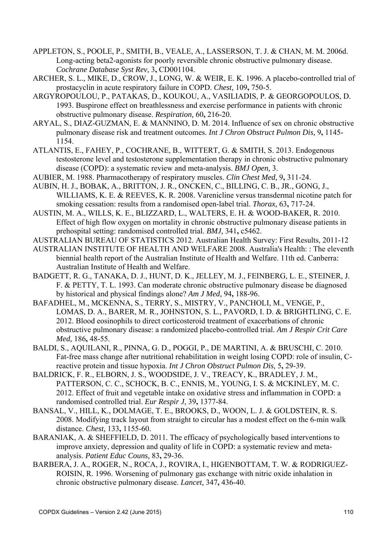- APPLETON, S., POOLE, P., SMITH, B., VEALE, A., LASSERSON, T. J. & CHAN, M. M. 2006d. Long-acting beta2-agonists for poorly reversible chronic obstructive pulmonary disease. *Cochrane Database Syst Rev,* 3**,** CD001104.
- ARCHER, S. L., MIKE, D., CROW, J., LONG, W. & WEIR, E. K. 1996. A placebo-controlled trial of prostacyclin in acute respiratory failure in COPD. *Chest,* 109**,** 750-5.
- ARGYROPOULOU, P., PATAKAS, D., KOUKOU, A., VASILIADIS, P. & GEORGOPOULOS, D. 1993. Buspirone effect on breathlessness and exercise performance in patients with chronic obstructive pulmonary disease. *Respiration,* 60**,** 216-20.
- ARYAL, S., DIAZ-GUZMAN, E. & MANNINO, D. M. 2014. Influence of sex on chronic obstructive pulmonary disease risk and treatment outcomes. *Int J Chron Obstruct Pulmon Dis,* 9**,** 1145- 1154.
- ATLANTIS, E., FAHEY, P., COCHRANE, B., WITTERT, G. & SMITH, S. 2013. Endogenous testosterone level and testosterone supplementation therapy in chronic obstructive pulmonary disease (COPD): a systematic review and meta-analysis. *BMJ Open,* 3.
- AUBIER, M. 1988. Pharmacotherapy of respiratory muscles. *Clin Chest Med,* 9**,** 311-24.
- AUBIN, H. J., BOBAK, A., BRITTON, J. R., ONCKEN, C., BILLING, C. B., JR., GONG, J., WILLIAMS, K. E. & REEVES, K. R. 2008. Varenicline versus transdermal nicotine patch for smoking cessation: results from a randomised open-label trial. *Thorax,* 63**,** 717-24.
- AUSTIN, M. A., WILLS, K. E., BLIZZARD, L., WALTERS, E. H. & WOOD-BAKER, R. 2010. Effect of high flow oxygen on mortality in chronic obstructive pulmonary disease patients in prehospital setting: randomised controlled trial. *BMJ,* 341**,** c5462.
- AUSTRALIAN BUREAU OF STATISTICS 2012. Australian Health Survey: First Results, 2011-12
- AUSTRALIAN INSTITUTE OF HEALTH AND WELFARE 2008. Australia's Health: : The eleventh biennial health report of the Australian Institute of Health and Welfare. 11th ed. Canberra: Australian Institute of Health and Welfare.
- BADGETT, R. G., TANAKA, D. J., HUNT, D. K., JELLEY, M. J., FEINBERG, L. E., STEINER, J. F. & PETTY, T. L. 1993. Can moderate chronic obstructive pulmonary disease be diagnosed by historical and physical findings alone? *Am J Med,* 94**,** 188-96.
- BAFADHEL, M., MCKENNA, S., TERRY, S., MISTRY, V., PANCHOLI, M., VENGE, P., LOMAS, D. A., BARER, M. R., JOHNSTON, S. L., PAVORD, I. D. & BRIGHTLING, C. E. 2012. Blood eosinophils to direct corticosteroid treatment of exacerbations of chronic obstructive pulmonary disease: a randomized placebo-controlled trial. *Am J Respir Crit Care Med,* 186**,** 48-55.
- BALDI, S., AQUILANI, R., PINNA, G. D., POGGI, P., DE MARTINI, A. & BRUSCHI, C. 2010. Fat-free mass change after nutritional rehabilitation in weight losing COPD: role of insulin, Creactive protein and tissue hypoxia. *Int J Chron Obstruct Pulmon Dis,* 5**,** 29-39.
- BALDRICK, F. R., ELBORN, J. S., WOODSIDE, J. V., TREACY, K., BRADLEY, J. M., PATTERSON, C. C., SCHOCK, B. C., ENNIS, M., YOUNG, I. S. & MCKINLEY, M. C. 2012. Effect of fruit and vegetable intake on oxidative stress and inflammation in COPD: a randomised controlled trial. *Eur Respir J,* 39**,** 1377-84.
- BANSAL, V., HILL, K., DOLMAGE, T. E., BROOKS, D., WOON, L. J. & GOLDSTEIN, R. S. 2008. Modifying track layout from straight to circular has a modest effect on the 6-min walk distance. *Chest,* 133**,** 1155-60.
- BARANIAK, A. & SHEFFIELD, D. 2011. The efficacy of psychologically based interventions to improve anxiety, depression and quality of life in COPD: a systematic review and metaanalysis. *Patient Educ Couns,* 83**,** 29-36.
- BARBERA, J. A., ROGER, N., ROCA, J., ROVIRA, I., HIGENBOTTAM, T. W. & RODRIGUEZ-ROISIN, R. 1996. Worsening of pulmonary gas exchange with nitric oxide inhalation in chronic obstructive pulmonary disease. *Lancet,* 347**,** 436-40.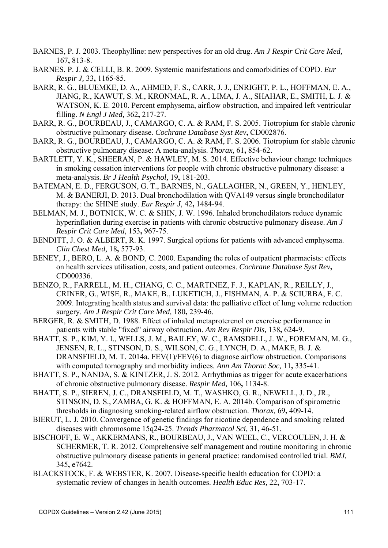- BARNES, P. J. 2003. Theophylline: new perspectives for an old drug. *Am J Respir Crit Care Med,* 167**,** 813-8.
- BARNES, P. J. & CELLI, B. R. 2009. Systemic manifestations and comorbidities of COPD. *Eur Respir J,* 33**,** 1165-85.
- BARR, R. G., BLUEMKE, D. A., AHMED, F. S., CARR, J. J., ENRIGHT, P. L., HOFFMAN, E. A., JIANG, R., KAWUT, S. M., KRONMAL, R. A., LIMA, J. A., SHAHAR, E., SMITH, L. J. & WATSON, K. E. 2010. Percent emphysema, airflow obstruction, and impaired left ventricular filling. *N Engl J Med,* 362**,** 217-27.
- BARR, R. G., BOURBEAU, J., CAMARGO, C. A. & RAM, F. S. 2005. Tiotropium for stable chronic obstructive pulmonary disease. *Cochrane Database Syst Rev***,** CD002876.
- BARR, R. G., BOURBEAU, J., CAMARGO, C. A. & RAM, F. S. 2006. Tiotropium for stable chronic obstructive pulmonary disease: A meta-analysis. *Thorax,* 61**,** 854-62.
- BARTLETT, Y. K., SHEERAN, P. & HAWLEY, M. S. 2014. Effective behaviour change techniques in smoking cessation interventions for people with chronic obstructive pulmonary disease: a meta-analysis. *Br J Health Psychol,* 19**,** 181-203.
- BATEMAN, E. D., FERGUSON, G. T., BARNES, N., GALLAGHER, N., GREEN, Y., HENLEY, M. & BANERJI, D. 2013. Dual bronchodilation with QVA149 versus single bronchodilator therapy: the SHINE study. *Eur Respir J,* 42**,** 1484-94.
- BELMAN, M. J., BOTNICK, W. C. & SHIN, J. W. 1996. Inhaled bronchodilators reduce dynamic hyperinflation during exercise in patients with chronic obstructive pulmonary disease. *Am J Respir Crit Care Med,* 153**,** 967-75.
- BENDITT, J. O. & ALBERT, R. K. 1997. Surgical options for patients with advanced emphysema. *Clin Chest Med,* 18**,** 577-93.
- BENEY, J., BERO, L. A. & BOND, C. 2000. Expanding the roles of outpatient pharmacists: effects on health services utilisation, costs, and patient outcomes. *Cochrane Database Syst Rev***,** CD000336.
- BENZO, R., FARRELL, M. H., CHANG, C. C., MARTINEZ, F. J., KAPLAN, R., REILLY, J., CRINER, G., WISE, R., MAKE, B., LUKETICH, J., FISHMAN, A. P. & SCIURBA, F. C. 2009. Integrating health status and survival data: the palliative effect of lung volume reduction surgery. *Am J Respir Crit Care Med,* 180**,** 239-46.
- BERGER, R. & SMITH, D. 1988. Effect of inhaled metaproterenol on exercise performance in patients with stable "fixed" airway obstruction. *Am Rev Respir Dis,* 138**,** 624-9.
- BHATT, S. P., KIM, Y. I., WELLS, J. M., BAILEY, W. C., RAMSDELL, J. W., FOREMAN, M. G., JENSEN, R. L., STINSON, D. S., WILSON, C. G., LYNCH, D. A., MAKE, B. J. & DRANSFIELD, M. T. 2014a. FEV(1)/FEV(6) to diagnose airflow obstruction. Comparisons with computed tomography and morbidity indices. *Ann Am Thorac Soc,* 11**,** 335-41.
- BHATT, S. P., NANDA, S. & KINTZER, J. S. 2012. Arrhythmias as trigger for acute exacerbations of chronic obstructive pulmonary disease. *Respir Med,* 106**,** 1134-8.
- BHATT, S. P., SIEREN, J. C., DRANSFIELD, M. T., WASHKO, G. R., NEWELL, J. D., JR., STINSON, D. S., ZAMBA, G. K. & HOFFMAN, E. A. 2014b. Comparison of spirometric thresholds in diagnosing smoking-related airflow obstruction. *Thorax,* 69**,** 409-14.
- BIERUT, L. J. 2010. Convergence of genetic findings for nicotine dependence and smoking related diseases with chromosome 15q24-25. *Trends Pharmacol Sci,* 31**,** 46-51.
- BISCHOFF, E. W., AKKERMANS, R., BOURBEAU, J., VAN WEEL, C., VERCOULEN, J. H. & SCHERMER, T. R. 2012. Comprehensive self management and routine monitoring in chronic obstructive pulmonary disease patients in general practice: randomised controlled trial. *BMJ,* 345**,** e7642.
- BLACKSTOCK, F. & WEBSTER, K. 2007. Disease-specific health education for COPD: a systematic review of changes in health outcomes. *Health Educ Res,* 22**,** 703-17.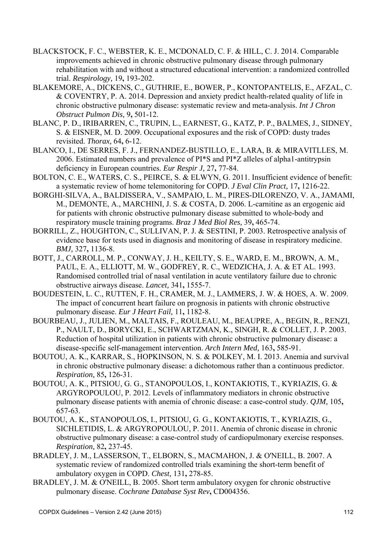- BLACKSTOCK, F. C., WEBSTER, K. E., MCDONALD, C. F. & HILL, C. J. 2014. Comparable improvements achieved in chronic obstructive pulmonary disease through pulmonary rehabilitation with and without a structured educational intervention: a randomized controlled trial. *Respirology,* 19**,** 193-202.
- BLAKEMORE, A., DICKENS, C., GUTHRIE, E., BOWER, P., KONTOPANTELIS, E., AFZAL, C. & COVENTRY, P. A. 2014. Depression and anxiety predict health-related quality of life in chronic obstructive pulmonary disease: systematic review and meta-analysis. *Int J Chron Obstruct Pulmon Dis,* 9**,** 501-12.
- BLANC, P. D., IRIBARREN, C., TRUPIN, L., EARNEST, G., KATZ, P. P., BALMES, J., SIDNEY, S. & EISNER, M. D. 2009. Occupational exposures and the risk of COPD: dusty trades revisited. *Thorax,* 64**,** 6-12.
- BLANCO, I., DE SERRES, F. J., FERNANDEZ-BUSTILLO, E., LARA, B. & MIRAVITLLES, M. 2006. Estimated numbers and prevalence of PI\*S and PI\*Z alleles of alpha1-antitrypsin deficiency in European countries. *Eur Respir J,* 27**,** 77-84.
- BOLTON, C. E., WATERS, C. S., PEIRCE, S. & ELWYN, G. 2011. Insufficient evidence of benefit: a systematic review of home telemonitoring for COPD. *J Eval Clin Pract,* 17**,** 1216-22.
- BORGHI-SILVA, A., BALDISSERA, V., SAMPAIO, L. M., PIRES-DILORENZO, V. A., JAMAMI, M., DEMONTE, A., MARCHINI, J. S. & COSTA, D. 2006. L-carnitine as an ergogenic aid for patients with chronic obstructive pulmonary disease submitted to whole-body and respiratory muscle training programs. *Braz J Med Biol Res,* 39**,** 465-74.
- BORRILL, Z., HOUGHTON, C., SULLIVAN, P. J. & SESTINI, P. 2003. Retrospective analysis of evidence base for tests used in diagnosis and monitoring of disease in respiratory medicine. *BMJ,* 327**,** 1136-8.
- BOTT, J., CARROLL, M. P., CONWAY, J. H., KEILTY, S. E., WARD, E. M., BROWN, A. M., PAUL, E. A., ELLIOTT, M. W., GODFREY, R. C., WEDZICHA, J. A. & ET AL. 1993. Randomised controlled trial of nasal ventilation in acute ventilatory failure due to chronic obstructive airways disease. *Lancet,* 341**,** 1555-7.
- BOUDESTEIN, L. C., RUTTEN, F. H., CRAMER, M. J., LAMMERS, J. W. & HOES, A. W. 2009. The impact of concurrent heart failure on prognosis in patients with chronic obstructive pulmonary disease. *Eur J Heart Fail,* 11**,** 1182-8.
- BOURBEAU, J., JULIEN, M., MALTAIS, F., ROULEAU, M., BEAUPRE, A., BEGIN, R., RENZI, P., NAULT, D., BORYCKI, E., SCHWARTZMAN, K., SINGH, R. & COLLET, J. P. 2003. Reduction of hospital utilization in patients with chronic obstructive pulmonary disease: a disease-specific self-management intervention. *Arch Intern Med,* 163**,** 585-91.
- BOUTOU, A. K., KARRAR, S., HOPKINSON, N. S. & POLKEY, M. I. 2013. Anemia and survival in chronic obstructive pulmonary disease: a dichotomous rather than a continuous predictor. *Respiration,* 85**,** 126-31.
- BOUTOU, A. K., PITSIOU, G. G., STANOPOULOS, I., KONTAKIOTIS, T., KYRIAZIS, G. & ARGYROPOULOU, P. 2012. Levels of inflammatory mediators in chronic obstructive pulmonary disease patients with anemia of chronic disease: a case-control study. *QJM,* 105**,** 657-63.
- BOUTOU, A. K., STANOPOULOS, I., PITSIOU, G. G., KONTAKIOTIS, T., KYRIAZIS, G., SICHLETIDIS, L. & ARGYROPOULOU, P. 2011. Anemia of chronic disease in chronic obstructive pulmonary disease: a case-control study of cardiopulmonary exercise responses. *Respiration,* 82**,** 237-45.
- BRADLEY, J. M., LASSERSON, T., ELBORN, S., MACMAHON, J. & O'NEILL, B. 2007. A systematic review of randomized controlled trials examining the short-term benefit of ambulatory oxygen in COPD. *Chest,* 131**,** 278-85.
- BRADLEY, J. M. & O'NEILL, B. 2005. Short term ambulatory oxygen for chronic obstructive pulmonary disease. *Cochrane Database Syst Rev***,** CD004356.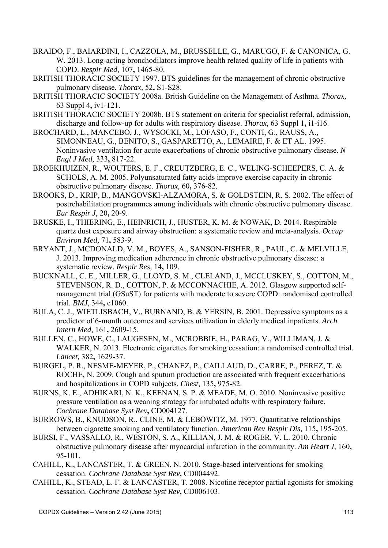- BRAIDO, F., BAIARDINI, I., CAZZOLA, M., BRUSSELLE, G., MARUGO, F. & CANONICA, G. W. 2013. Long-acting bronchodilators improve health related quality of life in patients with COPD. *Respir Med,* 107**,** 1465-80.
- BRITISH THORACIC SOCIETY 1997. BTS guidelines for the management of chronic obstructive pulmonary disease. *Thorax,* 52**,** S1-S28.
- BRITISH THORACIC SOCIETY 2008a. British Guideline on the Management of Asthma. *Thorax,* 63 Suppl 4**,** iv1-121.
- BRITISH THORACIC SOCIETY 2008b. BTS statement on criteria for specialist referral, admission, discharge and follow-up for adults with respiratory disease. *Thorax,* 63 Suppl 1**,** i1-i16.
- BROCHARD, L., MANCEBO, J., WYSOCKI, M., LOFASO, F., CONTI, G., RAUSS, A., SIMONNEAU, G., BENITO, S., GASPARETTO, A., LEMAIRE, F. & ET AL. 1995. Noninvasive ventilation for acute exacerbations of chronic obstructive pulmonary disease. *N Engl J Med,* 333**,** 817-22.
- BROEKHUIZEN, R., WOUTERS, E. F., CREUTZBERG, E. C., WELING-SCHEEPERS, C. A. & SCHOLS, A. M. 2005. Polyunsaturated fatty acids improve exercise capacity in chronic obstructive pulmonary disease. *Thorax,* 60**,** 376-82.
- BROOKS, D., KRIP, B., MANGOVSKI-ALZAMORA, S. & GOLDSTEIN, R. S. 2002. The effect of postrehabilitation programmes among individuals with chronic obstructive pulmonary disease. *Eur Respir J,* 20**,** 20-9.
- BRUSKE, I., THIERING, E., HEINRICH, J., HUSTER, K. M. & NOWAK, D. 2014. Respirable quartz dust exposure and airway obstruction: a systematic review and meta-analysis. *Occup Environ Med,* 71**,** 583-9.
- BRYANT, J., MCDONALD, V. M., BOYES, A., SANSON-FISHER, R., PAUL, C. & MELVILLE, J. 2013. Improving medication adherence in chronic obstructive pulmonary disease: a systematic review. *Respir Res,* 14**,** 109.
- BUCKNALL, C. E., MILLER, G., LLOYD, S. M., CLELAND, J., MCCLUSKEY, S., COTTON, M., STEVENSON, R. D., COTTON, P. & MCCONNACHIE, A. 2012. Glasgow supported selfmanagement trial (GSuST) for patients with moderate to severe COPD: randomised controlled trial. *BMJ,* 344**,** e1060.
- BULA, C. J., WIETLISBACH, V., BURNAND, B. & YERSIN, B. 2001. Depressive symptoms as a predictor of 6-month outcomes and services utilization in elderly medical inpatients. *Arch Intern Med,* 161**,** 2609-15.
- BULLEN, C., HOWE, C., LAUGESEN, M., MCROBBIE, H., PARAG, V., WILLIMAN, J. & WALKER, N. 2013. Electronic cigarettes for smoking cessation: a randomised controlled trial. *Lancet,* 382**,** 1629-37.
- BURGEL, P. R., NESME-MEYER, P., CHANEZ, P., CAILLAUD, D., CARRE, P., PEREZ, T. & ROCHE, N. 2009. Cough and sputum production are associated with frequent exacerbations and hospitalizations in COPD subjects. *Chest,* 135**,** 975-82.
- BURNS, K. E., ADHIKARI, N. K., KEENAN, S. P. & MEADE, M. O. 2010. Noninvasive positive pressure ventilation as a weaning strategy for intubated adults with respiratory failure. *Cochrane Database Syst Rev***,** CD004127.
- BURROWS, B., KNUDSON, R., CLINE, M. & LEBOWITZ, M. 1977. Quantitative relationships between cigarette smoking and ventilatory function. *American Rev Respir Dis,* 115**,** 195-205.
- BURSI, F., VASSALLO, R., WESTON, S. A., KILLIAN, J. M. & ROGER, V. L. 2010. Chronic obstructive pulmonary disease after myocardial infarction in the community. *Am Heart J,* 160**,** 95-101.
- CAHILL, K., LANCASTER, T. & GREEN, N. 2010. Stage-based interventions for smoking cessation. *Cochrane Database Syst Rev***,** CD004492.
- CAHILL, K., STEAD, L. F. & LANCASTER, T. 2008. Nicotine receptor partial agonists for smoking cessation. *Cochrane Database Syst Rev***,** CD006103.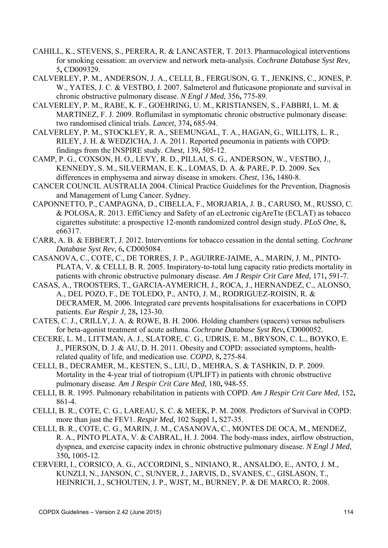- CAHILL, K., STEVENS, S., PERERA, R. & LANCASTER, T. 2013. Pharmacological interventions for smoking cessation: an overview and network meta-analysis. *Cochrane Database Syst Rev,* 5**,** CD009329.
- CALVERLEY, P. M., ANDERSON, J. A., CELLI, B., FERGUSON, G. T., JENKINS, C., JONES, P. W., YATES, J. C. & VESTBO, J. 2007. Salmeterol and fluticasone propionate and survival in chronic obstructive pulmonary disease. *N Engl J Med,* 356**,** 775-89.
- CALVERLEY, P. M., RABE, K. F., GOEHRING, U. M., KRISTIANSEN, S., FABBRI, L. M. & MARTINEZ, F. J. 2009. Roflumilast in symptomatic chronic obstructive pulmonary disease: two randomised clinical trials. *Lancet,* 374**,** 685-94.
- CALVERLEY, P. M., STOCKLEY, R. A., SEEMUNGAL, T. A., HAGAN, G., WILLITS, L. R., RILEY, J. H. & WEDZICHA, J. A. 2011. Reported pneumonia in patients with COPD: findings from the INSPIRE study. *Chest,* 139**,** 505-12.
- CAMP, P. G., COXSON, H. O., LEVY, R. D., PILLAI, S. G., ANDERSON, W., VESTBO, J., KENNEDY, S. M., SILVERMAN, E. K., LOMAS, D. A. & PARE, P. D. 2009. Sex differences in emphysema and airway disease in smokers. *Chest,* 136**,** 1480-8.
- CANCER COUNCIL AUSTRALIA 2004. Clinical Practice Guidelines for the Prevention, Diagnosis and Management of Lung Cancer. Sydney.
- CAPONNETTO, P., CAMPAGNA, D., CIBELLA, F., MORJARIA, J. B., CARUSO, M., RUSSO, C. & POLOSA, R. 2013. EffiCiency and Safety of an eLectronic cigAreTte (ECLAT) as tobacco cigarettes substitute: a prospective 12-month randomized control design study. *PLoS One,* 8**,** e66317.
- CARR, A. B. & EBBERT, J. 2012. Interventions for tobacco cessation in the dental setting. *Cochrane Database Syst Rev,* 6**,** CD005084.
- CASANOVA, C., COTE, C., DE TORRES, J. P., AGUIRRE-JAIME, A., MARIN, J. M., PINTO-PLATA, V. & CELLI, B. R. 2005. Inspiratory-to-total lung capacity ratio predicts mortality in patients with chronic obstructive pulmonary disease. *Am J Respir Crit Care Med,* 171**,** 591-7.
- CASAS, A., TROOSTERS, T., GARCIA-AYMERICH, J., ROCA, J., HERNANDEZ, C., ALONSO, A., DEL POZO, F., DE TOLEDO, P., ANTO, J. M., RODRIGUEZ-ROISIN, R. & DECRAMER, M. 2006. Integrated care prevents hospitalisations for exacerbations in COPD patients. *Eur Respir J,* 28**,** 123-30.
- CATES, C. J., CRILLY, J. A. & ROWE, B. H. 2006. Holding chambers (spacers) versus nebulisers for beta-agonist treatment of acute asthma. *Cochrane Database Syst Rev***,** CD000052.
- CECERE, L. M., LITTMAN, A. J., SLATORE, C. G., UDRIS, E. M., BRYSON, C. L., BOYKO, E. J., PIERSON, D. J. & AU, D. H. 2011. Obesity and COPD: associated symptoms, healthrelated quality of life, and medication use. *COPD,* 8**,** 275-84.
- CELLI, B., DECRAMER, M., KESTEN, S., LIU, D., MEHRA, S. & TASHKIN, D. P. 2009. Mortality in the 4-year trial of tiotropium (UPLIFT) in patients with chronic obstructive pulmonary disease. *Am J Respir Crit Care Med,* 180**,** 948-55.
- CELLI, B. R. 1995. Pulmonary rehabilitation in patients with COPD. *Am J Respir Crit Care Med,* 152**,** 861-4.
- CELLI, B. R., COTE, C. G., LAREAU, S. C. & MEEK, P. M. 2008. Predictors of Survival in COPD: more than just the FEV1. *Respir Med,* 102 Suppl 1**,** S27-35.
- CELLI, B. R., COTE, C. G., MARIN, J. M., CASANOVA, C., MONTES DE OCA, M., MENDEZ, R. A., PINTO PLATA, V. & CABRAL, H. J. 2004. The body-mass index, airflow obstruction, dyspnea, and exercise capacity index in chronic obstructive pulmonary disease. *N Engl J Med,* 350**,** 1005-12.
- CERVERI, I., CORSICO, A. G., ACCORDINI, S., NINIANO, R., ANSALDO, E., ANTO, J. M., KUNZLI, N., JANSON, C., SUNYER, J., JARVIS, D., SVANES, C., GISLASON, T., HEINRICH, J., SCHOUTEN, J. P., WJST, M., BURNEY, P. & DE MARCO, R. 2008.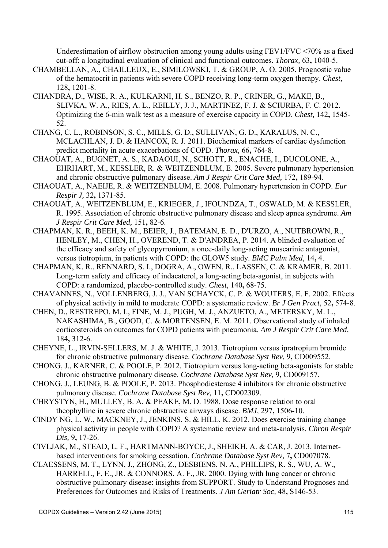Underestimation of airflow obstruction among young adults using FEV1/FVC <70% as a fixed cut-off: a longitudinal evaluation of clinical and functional outcomes. *Thorax,* 63**,** 1040-5.

- CHAMBELLAN, A., CHAILLEUX, E., SIMILOWSKI, T. & GROUP, A. O. 2005. Prognostic value of the hematocrit in patients with severe COPD receiving long-term oxygen therapy. *Chest,* 128**,** 1201-8.
- CHANDRA, D., WISE, R. A., KULKARNI, H. S., BENZO, R. P., CRINER, G., MAKE, B., SLIVKA, W. A., RIES, A. L., REILLY, J. J., MARTINEZ, F. J. & SCIURBA, F. C. 2012. Optimizing the 6-min walk test as a measure of exercise capacity in COPD. *Chest,* 142**,** 1545- 52.
- CHANG, C. L., ROBINSON, S. C., MILLS, G. D., SULLIVAN, G. D., KARALUS, N. C., MCLACHLAN, J. D. & HANCOX, R. J. 2011. Biochemical markers of cardiac dysfunction predict mortality in acute exacerbations of COPD. *Thorax,* 66**,** 764-8.
- CHAOUAT, A., BUGNET, A. S., KADAOUI, N., SCHOTT, R., ENACHE, I., DUCOLONE, A., EHRHART, M., KESSLER, R. & WEITZENBLUM, E. 2005. Severe pulmonary hypertension and chronic obstructive pulmonary disease. *Am J Respir Crit Care Med,* 172**,** 189-94.
- CHAOUAT, A., NAEIJE, R. & WEITZENBLUM, E. 2008. Pulmonary hypertension in COPD. *Eur Respir J,* 32**,** 1371-85.
- CHAOUAT, A., WEITZENBLUM, E., KRIEGER, J., IFOUNDZA, T., OSWALD, M. & KESSLER, R. 1995. Association of chronic obstructive pulmonary disease and sleep apnea syndrome. *Am J Respir Crit Care Med,* 151**,** 82-6.
- CHAPMAN, K. R., BEEH, K. M., BEIER, J., BATEMAN, E. D., D'URZO, A., NUTBROWN, R., HENLEY, M., CHEN, H., OVEREND, T. & D'ANDREA, P. 2014. A blinded evaluation of the efficacy and safety of glycopyrronium, a once-daily long-acting muscarinic antagonist, versus tiotropium, in patients with COPD: the GLOW5 study. *BMC Pulm Med,* 14**,** 4.
- CHAPMAN, K. R., RENNARD, S. I., DOGRA, A., OWEN, R., LASSEN, C. & KRAMER, B. 2011. Long-term safety and efficacy of indacaterol, a long-acting beta-agonist, in subjects with COPD: a randomized, placebo-controlled study. *Chest,* 140**,** 68-75.
- CHAVANNES, N., VOLLENBERG, J. J., VAN SCHAYCK, C. P. & WOUTERS, E. F. 2002. Effects of physical activity in mild to moderate COPD: a systematic review. *Br J Gen Pract,* 52**,** 574-8.
- CHEN, D., RESTREPO, M. I., FINE, M. J., PUGH, M. J., ANZUETO, A., METERSKY, M. L., NAKASHIMA, B., GOOD, C. & MORTENSEN, E. M. 2011. Observational study of inhaled corticosteroids on outcomes for COPD patients with pneumonia. *Am J Respir Crit Care Med,* 184**,** 312-6.
- CHEYNE, L., IRVIN-SELLERS, M. J. & WHITE, J. 2013. Tiotropium versus ipratropium bromide for chronic obstructive pulmonary disease. *Cochrane Database Syst Rev,* 9**,** CD009552.
- CHONG, J., KARNER, C. & POOLE, P. 2012. Tiotropium versus long-acting beta-agonists for stable chronic obstructive pulmonary disease. *Cochrane Database Syst Rev,* 9**,** CD009157.
- CHONG, J., LEUNG, B. & POOLE, P. 2013. Phosphodiesterase 4 inhibitors for chronic obstructive pulmonary disease. *Cochrane Database Syst Rev,* 11**,** CD002309.
- CHRYSTYN, H., MULLEY, B. A. & PEAKE, M. D. 1988. Dose response relation to oral theophylline in severe chronic obstructive airways disease. *BMJ,* 297**,** 1506-10.
- CINDY NG, L. W., MACKNEY, J., JENKINS, S. & HILL, K. 2012. Does exercise training change physical activity in people with COPD? A systematic review and meta-analysis. *Chron Respir Dis,* 9**,** 17-26.
- CIVLJAK, M., STEAD, L. F., HARTMANN-BOYCE, J., SHEIKH, A. & CAR, J. 2013. Internetbased interventions for smoking cessation. *Cochrane Database Syst Rev,* 7**,** CD007078.
- CLAESSENS, M. T., LYNN, J., ZHONG, Z., DESBIENS, N. A., PHILLIPS, R. S., WU, A. W., HARRELL, F. E., JR. & CONNORS, A. F., JR. 2000. Dying with lung cancer or chronic obstructive pulmonary disease: insights from SUPPORT. Study to Understand Prognoses and Preferences for Outcomes and Risks of Treatments. *J Am Geriatr Soc,* 48**,** S146-53.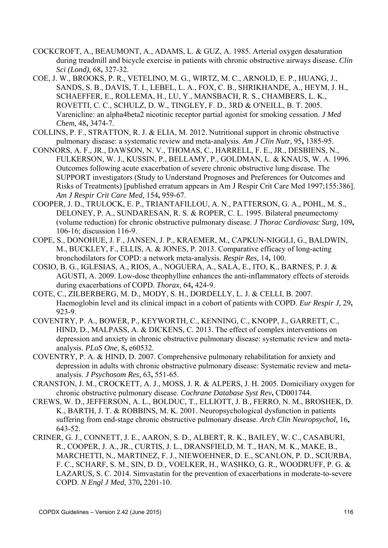- COCKCROFT, A., BEAUMONT, A., ADAMS, L. & GUZ, A. 1985. Arterial oxygen desaturation during treadmill and bicycle exercise in patients with chronic obstructive airways disease. *Clin Sci (Lond),* 68**,** 327-32.
- COE, J. W., BROOKS, P. R., VETELINO, M. G., WIRTZ, M. C., ARNOLD, E. P., HUANG, J., SANDS, S. B., DAVIS, T. I., LEBEL, L. A., FOX, C. B., SHRIKHANDE, A., HEYM, J. H., SCHAEFFER, E., ROLLEMA, H., LU, Y., MANSBACH, R. S., CHAMBERS, L. K., ROVETTI, C. C., SCHULZ, D. W., TINGLEY, F. D., 3RD & O'NEILL, B. T. 2005. Varenicline: an alpha4beta2 nicotinic receptor partial agonist for smoking cessation. *J Med Chem,* 48**,** 3474-7.
- COLLINS, P. F., STRATTON, R. J. & ELIA, M. 2012. Nutritional support in chronic obstructive pulmonary disease: a systematic review and meta-analysis. *Am J Clin Nutr,* 95**,** 1385-95.
- CONNORS, A. F., JR., DAWSON, N. V., THOMAS, C., HARRELL, F. E., JR., DESBIENS, N., FULKERSON, W. J., KUSSIN, P., BELLAMY, P., GOLDMAN, L. & KNAUS, W. A. 1996. Outcomes following acute exacerbation of severe chronic obstructive lung disease. The SUPPORT investigators (Study to Understand Prognoses and Preferences for Outcomes and Risks of Treatments) [published erratum appears in Am J Respir Crit Care Med 1997;155:386]. *Am J Respir Crit Care Med,* 154**,** 959-67.
- COOPER, J. D., TRULOCK, E. P., TRIANTAFILLOU, A. N., PATTERSON, G. A., POHL, M. S., DELONEY, P. A., SUNDARESAN, R. S. & ROPER, C. L. 1995. Bilateral pneumectomy (volume reduction) for chronic obstructive pulmonary disease. *J Thorac Cardiovasc Surg,* 109**,** 106-16; discussion 116-9.
- COPE, S., DONOHUE, J. F., JANSEN, J. P., KRAEMER, M., CAPKUN-NIGGLI, G., BALDWIN, M., BUCKLEY, F., ELLIS, A. & JONES, P. 2013. Comparative efficacy of long-acting bronchodilators for COPD: a network meta-analysis. *Respir Res,* 14**,** 100.
- COSIO, B. G., IGLESIAS, A., RIOS, A., NOGUERA, A., SALA, E., ITO, K., BARNES, P. J. & AGUSTI, A. 2009. Low-dose theophylline enhances the anti-inflammatory effects of steroids during exacerbations of COPD. *Thorax,* 64**,** 424-9.
- COTE, C., ZILBERBERG, M. D., MODY, S. H., DORDELLY, L. J. & CELLI, B. 2007. Haemoglobin level and its clinical impact in a cohort of patients with COPD. *Eur Respir J,* 29**,** 923-9.
- COVENTRY, P. A., BOWER, P., KEYWORTH, C., KENNING, C., KNOPP, J., GARRETT, C., HIND, D., MALPASS, A. & DICKENS, C. 2013. The effect of complex interventions on depression and anxiety in chronic obstructive pulmonary disease: systematic review and metaanalysis. *PLoS One,* 8**,** e60532.
- COVENTRY, P. A. & HIND, D. 2007. Comprehensive pulmonary rehabilitation for anxiety and depression in adults with chronic obstructive pulmonary disease: Systematic review and metaanalysis. *J Psychosom Res,* 63**,** 551-65.
- CRANSTON, J. M., CROCKETT, A. J., MOSS, J. R. & ALPERS, J. H. 2005. Domiciliary oxygen for chronic obstructive pulmonary disease. *Cochrane Database Syst Rev***,** CD001744.
- CREWS, W. D., JEFFERSON, A. L., BOLDUC, T., ELLIOTT, J. B., FERRO, N. M., BROSHEK, D. K., BARTH, J. T. & ROBBINS, M. K. 2001. Neuropsychological dysfunction in patients suffering from end-stage chronic obstructive pulmonary disease. *Arch Clin Neuropsychol,* 16**,** 643-52.
- CRINER, G. J., CONNETT, J. E., AARON, S. D., ALBERT, R. K., BAILEY, W. C., CASABURI, R., COOPER, J. A., JR., CURTIS, J. L., DRANSFIELD, M. T., HAN, M. K., MAKE, B., MARCHETTI, N., MARTINEZ, F. J., NIEWOEHNER, D. E., SCANLON, P. D., SCIURBA, F. C., SCHARF, S. M., SIN, D. D., VOELKER, H., WASHKO, G. R., WOODRUFF, P. G. & LAZARUS, S. C. 2014. Simvastatin for the prevention of exacerbations in moderate-to-severe COPD. *N Engl J Med,* 370**,** 2201-10.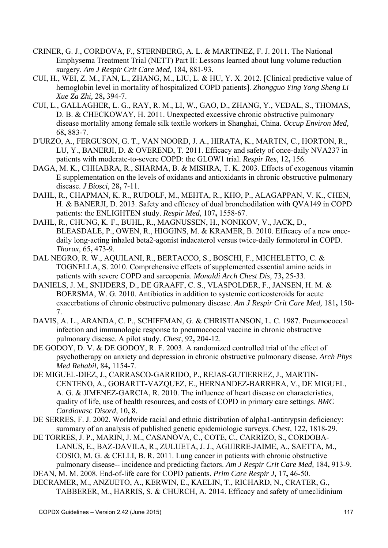- CRINER, G. J., CORDOVA, F., STERNBERG, A. L. & MARTINEZ, F. J. 2011. The National Emphysema Treatment Trial (NETT) Part II: Lessons learned about lung volume reduction surgery. *Am J Respir Crit Care Med,* 184**,** 881-93.
- CUI, H., WEI, Z. M., FAN, L., ZHANG, M., LIU, L. & HU, Y. X. 2012. [Clinical predictive value of hemoglobin level in mortality of hospitalized COPD patients]. *Zhongguo Ying Yong Sheng Li Xue Za Zhi,* 28**,** 394-7.
- CUI, L., GALLAGHER, L. G., RAY, R. M., LI, W., GAO, D., ZHANG, Y., VEDAL, S., THOMAS, D. B. & CHECKOWAY, H. 2011. Unexpected excessive chronic obstructive pulmonary disease mortality among female silk textile workers in Shanghai, China. *Occup Environ Med,* 68**,** 883-7.
- D'URZO, A., FERGUSON, G. T., VAN NOORD, J. A., HIRATA, K., MARTIN, C., HORTON, R., LU, Y., BANERJI, D. & OVEREND, T. 2011. Efficacy and safety of once-daily NVA237 in patients with moderate-to-severe COPD: the GLOW1 trial. *Respir Res,* 12**,** 156.
- DAGA, M. K., CHHABRA, R., SHARMA, B. & MISHRA, T. K. 2003. Effects of exogenous vitamin E supplementation on the levels of oxidants and antioxidants in chronic obstructive pulmonary disease. *J Biosci,* 28**,** 7-11.
- DAHL, R., CHAPMAN, K. R., RUDOLF, M., MEHTA, R., KHO, P., ALAGAPPAN, V. K., CHEN, H. & BANERJI, D. 2013. Safety and efficacy of dual bronchodilation with QVA149 in COPD patients: the ENLIGHTEN study. *Respir Med,* 107**,** 1558-67.
- DAHL, R., CHUNG, K. F., BUHL, R., MAGNUSSEN, H., NONIKOV, V., JACK, D., BLEASDALE, P., OWEN, R., HIGGINS, M. & KRAMER, B. 2010. Efficacy of a new oncedaily long-acting inhaled beta2-agonist indacaterol versus twice-daily formoterol in COPD. *Thorax,* 65**,** 473-9.
- DAL NEGRO, R. W., AQUILANI, R., BERTACCO, S., BOSCHI, F., MICHELETTO, C. & TOGNELLA, S. 2010. Comprehensive effects of supplemented essential amino acids in patients with severe COPD and sarcopenia. *Monaldi Arch Chest Dis,* 73**,** 25-33.
- DANIELS, J. M., SNIJDERS, D., DE GRAAFF, C. S., VLASPOLDER, F., JANSEN, H. M. & BOERSMA, W. G. 2010. Antibiotics in addition to systemic corticosteroids for acute exacerbations of chronic obstructive pulmonary disease. *Am J Respir Crit Care Med,* 181**,** 150- 7.
- DAVIS, A. L., ARANDA, C. P., SCHIFFMAN, G. & CHRISTIANSON, L. C. 1987. Pneumococcal infection and immunologic response to pneumococcal vaccine in chronic obstructive pulmonary disease. A pilot study. *Chest,* 92**,** 204-12.
- DE GODOY, D. V. & DE GODOY, R. F. 2003. A randomized controlled trial of the effect of psychotherapy on anxiety and depression in chronic obstructive pulmonary disease. *Arch Phys Med Rehabil,* 84**,** 1154-7.
- DE MIGUEL-DIEZ, J., CARRASCO-GARRIDO, P., REJAS-GUTIERREZ, J., MARTIN-CENTENO, A., GOBARTT-VAZQUEZ, E., HERNANDEZ-BARRERA, V., DE MIGUEL, A. G. & JIMENEZ-GARCIA, R. 2010. The influence of heart disease on characteristics, quality of life, use of health resources, and costs of COPD in primary care settings. *BMC Cardiovasc Disord,* 10**,** 8.
- DE SERRES, F. J. 2002. Worldwide racial and ethnic distribution of alpha1-antitrypsin deficiency: summary of an analysis of published genetic epidemiologic surveys. *Chest,* 122**,** 1818-29.
- DE TORRES, J. P., MARIN, J. M., CASANOVA, C., COTE, C., CARRIZO, S., CORDOBA-LANUS, E., BAZ-DAVILA, R., ZULUETA, J. J., AGUIRRE-JAIME, A., SAETTA, M., COSIO, M. G. & CELLI, B. R. 2011. Lung cancer in patients with chronic obstructive pulmonary disease-- incidence and predicting factors. *Am J Respir Crit Care Med,* 184**,** 913-9.
- DEAN, M. M. 2008. End-of-life care for COPD patients. *Prim Care Respir J,* 17**,** 46-50.
- DECRAMER, M., ANZUETO, A., KERWIN, E., KAELIN, T., RICHARD, N., CRATER, G., TABBERER, M., HARRIS, S. & CHURCH, A. 2014. Efficacy and safety of umeclidinium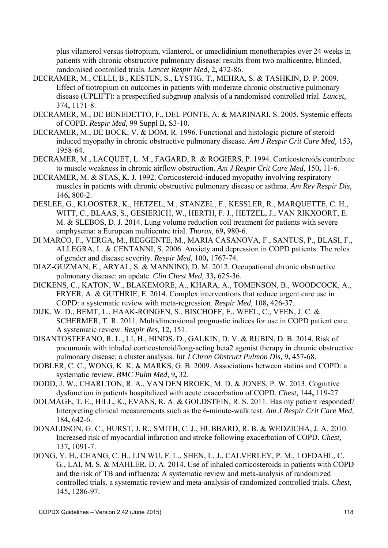plus vilanterol versus tiotropium, vilanterol, or umeclidinium monotherapies over 24 weeks in patients with chronic obstructive pulmonary disease: results from two multicentre, blinded, randomised controlled trials. *Lancet Respir Med,* 2**,** 472-86.

- DECRAMER, M., CELLI, B., KESTEN, S., LYSTIG, T., MEHRA, S. & TASHKIN, D. P. 2009. Effect of tiotropium on outcomes in patients with moderate chronic obstructive pulmonary disease (UPLIFT): a prespecified subgroup analysis of a randomised controlled trial. *Lancet,* 374**,** 1171-8.
- DECRAMER, M., DE BENEDETTO, F., DEL PONTE, A. & MARINARI, S. 2005. Systemic effects of COPD. *Respir Med,* 99 Suppl B**,** S3-10.
- DECRAMER, M., DE BOCK, V. & DOM, R. 1996. Functional and histologic picture of steroidinduced myopathy in chronic obstructive pulmonary disease. *Am J Respir Crit Care Med,* 153**,** 1958-64.
- DECRAMER, M., LACQUET, L. M., FAGARD, R. & ROGIERS, P. 1994. Corticosteroids contribute to muscle weakness in chronic airflow obstruction. *Am J Respir Crit Care Med,* 150**,** 11-6.
- DECRAMER, M. & STAS, K. J. 1992. Corticosteroid-induced myopathy involving respiratory muscles in patients with chronic obstructive pulmonary disease or asthma. *Am Rev Respir Dis,* 146**,** 800-2.
- DESLEE, G., KLOOSTER, K., HETZEL, M., STANZEL, F., KESSLER, R., MARQUETTE, C. H., WITT, C., BLAAS, S., GESIERICH, W., HERTH, F. J., HETZEL, J., VAN RIKXOORT, E. M. & SLEBOS, D. J. 2014. Lung volume reduction coil treatment for patients with severe emphysema: a European multicentre trial. *Thorax,* 69**,** 980-6.
- DI MARCO, F., VERGA, M., REGGENTE, M., MARIA CASANOVA, F., SANTUS, P., BLASI, F., ALLEGRA, L. & CENTANNI, S. 2006. Anxiety and depression in COPD patients: The roles of gender and disease severity. *Respir Med,* 100**,** 1767-74.
- DIAZ-GUZMAN, E., ARYAL, S. & MANNINO, D. M. 2012. Occupational chronic obstructive pulmonary disease: an update. *Clin Chest Med,* 33**,** 625-36.
- DICKENS, C., KATON, W., BLAKEMORE, A., KHARA, A., TOMENSON, B., WOODCOCK, A., FRYER, A. & GUTHRIE, E. 2014. Complex interventions that reduce urgent care use in COPD: a systematic review with meta-regression. *Respir Med,* 108**,** 426-37.
- DIJK, W. D., BEMT, L., HAAK-RONGEN, S., BISCHOFF, E., WEEL, C., VEEN, J. C. & SCHERMER, T. R. 2011. Multidimensional prognostic indices for use in COPD patient care. A systematic review. *Respir Res,* 12**,** 151.
- DISANTOSTEFANO, R. L., LI, H., HINDS, D., GALKIN, D. V. & RUBIN, D. B. 2014. Risk of pneumonia with inhaled corticosteroid/long-acting beta2 agonist therapy in chronic obstructive pulmonary disease: a cluster analysis. *Int J Chron Obstruct Pulmon Dis,* 9**,** 457-68.
- DOBLER, C. C., WONG, K. K. & MARKS, G. B. 2009. Associations between statins and COPD: a systematic review. *BMC Pulm Med,* 9**,** 32.
- DODD, J. W., CHARLTON, R. A., VAN DEN BROEK, M. D. & JONES, P. W. 2013. Cognitive dysfunction in patients hospitalized with acute exacerbation of COPD. *Chest,* 144**,** 119-27.
- DOLMAGE, T. E., HILL, K., EVANS, R. A. & GOLDSTEIN, R. S. 2011. Has my patient responded? Interpreting clinical measurements such as the 6-minute-walk test. *Am J Respir Crit Care Med,* 184**,** 642-6.
- DONALDSON, G. C., HURST, J. R., SMITH, C. J., HUBBARD, R. B. & WEDZICHA, J. A. 2010. Increased risk of myocardial infarction and stroke following exacerbation of COPD. *Chest,* 137**,** 1091-7.
- DONG, Y. H., CHANG, C. H., LIN WU, F. L., SHEN, L. J., CALVERLEY, P. M., LOFDAHL, C. G., LAI, M. S. & MAHLER, D. A. 2014. Use of inhaled corticosteroids in patients with COPD and the risk of TB and influenza: A systematic review and meta-analysis of randomized controlled trials. a systematic review and meta-analysis of randomized controlled trials. *Chest,* 145**,** 1286-97.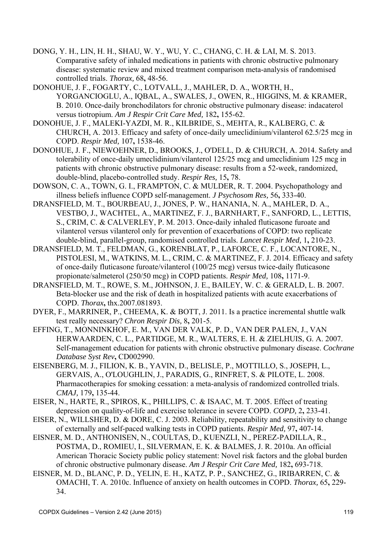- DONG, Y. H., LIN, H. H., SHAU, W. Y., WU, Y. C., CHANG, C. H. & LAI, M. S. 2013. Comparative safety of inhaled medications in patients with chronic obstructive pulmonary disease: systematic review and mixed treatment comparison meta-analysis of randomised controlled trials. *Thorax,* 68**,** 48-56.
- DONOHUE, J. F., FOGARTY, C., LOTVALL, J., MAHLER, D. A., WORTH, H., YORGANCIOGLU, A., IQBAL, A., SWALES, J., OWEN, R., HIGGINS, M. & KRAMER, B. 2010. Once-daily bronchodilators for chronic obstructive pulmonary disease: indacaterol versus tiotropium. *Am J Respir Crit Care Med,* 182**,** 155-62.
- DONOHUE, J. F., MALEKI-YAZDI, M. R., KILBRIDE, S., MEHTA, R., KALBERG, C. & CHURCH, A. 2013. Efficacy and safety of once-daily umeclidinium/vilanterol 62.5/25 mcg in COPD. *Respir Med,* 107**,** 1538-46.
- DONOHUE, J. F., NIEWOEHNER, D., BROOKS, J., O'DELL, D. & CHURCH, A. 2014. Safety and tolerability of once-daily umeclidinium/vilanterol 125/25 mcg and umeclidinium 125 mcg in patients with chronic obstructive pulmonary disease: results from a 52-week, randomized, double-blind, placebo-controlled study. *Respir Res,* 15**,** 78.
- DOWSON, C. A., TOWN, G. I., FRAMPTON, C. & MULDER, R. T. 2004. Psychopathology and illness beliefs influence COPD self-management. *J Psychosom Res,* 56**,** 333-40.
- DRANSFIELD, M. T., BOURBEAU, J., JONES, P. W., HANANIA, N. A., MAHLER, D. A., VESTBO, J., WACHTEL, A., MARTINEZ, F. J., BARNHART, F., SANFORD, L., LETTIS, S., CRIM, C. & CALVERLEY, P. M. 2013. Once-daily inhaled fluticasone furoate and vilanterol versus vilanterol only for prevention of exacerbations of COPD: two replicate double-blind, parallel-group, randomised controlled trials. *Lancet Respir Med,* 1**,** 210-23.
- DRANSFIELD, M. T., FELDMAN, G., KORENBLAT, P., LAFORCE, C. F., LOCANTORE, N., PISTOLESI, M., WATKINS, M. L., CRIM, C. & MARTINEZ, F. J. 2014. Efficacy and safety of once-daily fluticasone furoate/vilanterol (100/25 mcg) versus twice-daily fluticasone propionate/salmeterol (250/50 mcg) in COPD patients. *Respir Med,* 108**,** 1171-9.
- DRANSFIELD, M. T., ROWE, S. M., JOHNSON, J. E., BAILEY, W. C. & GERALD, L. B. 2007. Beta-blocker use and the risk of death in hospitalized patients with acute exacerbations of COPD. *Thorax***,** thx.2007.081893.
- DYER, F., MARRINER, P., CHEEMA, K. & BOTT, J. 2011. Is a practice incremental shuttle walk test really necessary? *Chron Respir Dis,* 8**,** 201-5.
- EFFING, T., MONNINKHOF, E. M., VAN DER VALK, P. D., VAN DER PALEN, J., VAN HERWAARDEN, C. L., PARTIDGE, M. R., WALTERS, E. H. & ZIELHUIS, G. A. 2007. Self-management education for patients with chronic obstructive pulmonary disease. *Cochrane Database Syst Rev***,** CD002990.
- EISENBERG, M. J., FILION, K. B., YAVIN, D., BELISLE, P., MOTTILLO, S., JOSEPH, L., GERVAIS, A., O'LOUGHLIN, J., PARADIS, G., RINFRET, S. & PILOTE, L. 2008. Pharmacotherapies for smoking cessation: a meta-analysis of randomized controlled trials. *CMAJ,* 179**,** 135-44.
- EISER, N., HARTE, R., SPIROS, K., PHILLIPS, C. & ISAAC, M. T. 2005. Effect of treating depression on quality-of-life and exercise tolerance in severe COPD. *COPD,* 2**,** 233-41.
- EISER, N., WILLSHER, D. & DORE, C. J. 2003. Reliability, repeatability and sensitivity to change of externally and self-paced walking tests in COPD patients. *Respir Med,* 97**,** 407-14.
- EISNER, M. D., ANTHONISEN, N., COULTAS, D., KUENZLI, N., PEREZ-PADILLA, R., POSTMA, D., ROMIEU, I., SILVERMAN, E. K. & BALMES, J. R. 2010a. An official American Thoracic Society public policy statement: Novel risk factors and the global burden of chronic obstructive pulmonary disease. *Am J Respir Crit Care Med,* 182**,** 693-718.
- EISNER, M. D., BLANC, P. D., YELIN, E. H., KATZ, P. P., SANCHEZ, G., IRIBARREN, C. & OMACHI, T. A. 2010c. Influence of anxiety on health outcomes in COPD. *Thorax,* 65**,** 229- 34.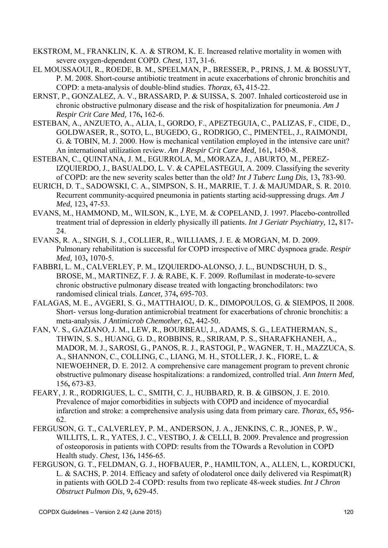- EKSTROM, M., FRANKLIN, K. A. & STROM, K. E. Increased relative mortality in women with severe oxygen-dependent COPD. *Chest,* 137**,** 31-6.
- EL MOUSSAOUI, R., ROEDE, B. M., SPEELMAN, P., BRESSER, P., PRINS, J. M. & BOSSUYT, P. M. 2008. Short-course antibiotic treatment in acute exacerbations of chronic bronchitis and COPD: a meta-analysis of double-blind studies. *Thorax,* 63**,** 415-22.
- ERNST, P., GONZALEZ, A. V., BRASSARD, P. & SUISSA, S. 2007. Inhaled corticosteroid use in chronic obstructive pulmonary disease and the risk of hospitalization for pneumonia. *Am J Respir Crit Care Med,* 176**,** 162-6.
- ESTEBAN, A., ANZUETO, A., ALIA, I., GORDO, F., APEZTEGUIA, C., PALIZAS, F., CIDE, D., GOLDWASER, R., SOTO, L., BUGEDO, G., RODRIGO, C., PIMENTEL, J., RAIMONDI, G. & TOBIN, M. J. 2000. How is mechanical ventilation employed in the intensive care unit? An international utilization review. *Am J Respir Crit Care Med,* 161**,** 1450-8.
- ESTEBAN, C., QUINTANA, J. M., EGURROLA, M., MORAZA, J., ABURTO, M., PEREZ-IZQUIERDO, J., BASUALDO, L. V. & CAPELASTEGUI, A. 2009. Classifying the severity of COPD: are the new severity scales better than the old? *Int J Tuberc Lung Dis,* 13**,** 783-90.
- EURICH, D. T., SADOWSKI, C. A., SIMPSON, S. H., MARRIE, T. J. & MAJUMDAR, S. R. 2010. Recurrent community-acquired pneumonia in patients starting acid-suppressing drugs. *Am J Med,* 123**,** 47-53.
- EVANS, M., HAMMOND, M., WILSON, K., LYE, M. & COPELAND, J. 1997. Placebo-controlled treatment trial of depression in elderly physically ill patients. *Int J Geriatr Psychiatry,* 12**,** 817- 24.
- EVANS, R. A., SINGH, S. J., COLLIER, R., WILLIAMS, J. E. & MORGAN, M. D. 2009. Pulmonary rehabilitation is successful for COPD irrespective of MRC dyspnoea grade. *Respir Med,* 103**,** 1070-5.
- FABBRI, L. M., CALVERLEY, P. M., IZQUIERDO-ALONSO, J. L., BUNDSCHUH, D. S., BROSE, M., MARTINEZ, F. J. & RABE, K. F. 2009. Roflumilast in moderate-to-severe chronic obstructive pulmonary disease treated with longacting bronchodilators: two randomised clinical trials. *Lancet,* 374**,** 695-703.
- FALAGAS, M. E., AVGERI, S. G., MATTHAIOU, D. K., DIMOPOULOS, G. & SIEMPOS, II 2008. Short- versus long-duration antimicrobial treatment for exacerbations of chronic bronchitis: a meta-analysis. *J Antimicrob Chemother,* 62**,** 442-50.
- FAN, V. S., GAZIANO, J. M., LEW, R., BOURBEAU, J., ADAMS, S. G., LEATHERMAN, S., THWIN, S. S., HUANG, G. D., ROBBINS, R., SRIRAM, P. S., SHARAFKHANEH, A., MADOR, M. J., SAROSI, G., PANOS, R. J., RASTOGI, P., WAGNER, T. H., MAZZUCA, S. A., SHANNON, C., COLLING, C., LIANG, M. H., STOLLER, J. K., FIORE, L. & NIEWOEHNER, D. E. 2012. A comprehensive care management program to prevent chronic obstructive pulmonary disease hospitalizations: a randomized, controlled trial. *Ann Intern Med,* 156**,** 673-83.
- FEARY, J. R., RODRIGUES, L. C., SMITH, C. J., HUBBARD, R. B. & GIBSON, J. E. 2010. Prevalence of major comorbidities in subjects with COPD and incidence of myocardial infarction and stroke: a comprehensive analysis using data from primary care. *Thorax,* 65**,** 956- 62.
- FERGUSON, G. T., CALVERLEY, P. M., ANDERSON, J. A., JENKINS, C. R., JONES, P. W., WILLITS, L. R., YATES, J. C., VESTBO, J. & CELLI, B. 2009. Prevalence and progression of osteoporosis in patients with COPD: results from the TOwards a Revolution in COPD Health study. *Chest,* 136**,** 1456-65.
- FERGUSON, G. T., FELDMAN, G. J., HOFBAUER, P., HAMILTON, A., ALLEN, L., KORDUCKI, L. & SACHS, P. 2014. Efficacy and safety of olodaterol once daily delivered via Respimat(R) in patients with GOLD 2-4 COPD: results from two replicate 48-week studies. *Int J Chron Obstruct Pulmon Dis,* 9**,** 629-45.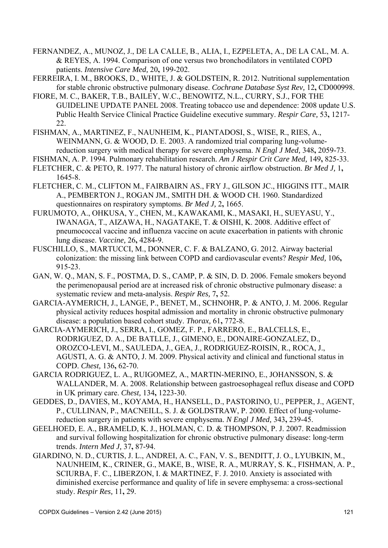- FERNANDEZ, A., MUNOZ, J., DE LA CALLE, B., ALIA, I., EZPELETA, A., DE LA CAL, M. A. & REYES, A. 1994. Comparison of one versus two bronchodilators in ventilated COPD patients. *Intensive Care Med,* 20**,** 199-202.
- FERREIRA, I. M., BROOKS, D., WHITE, J. & GOLDSTEIN, R. 2012. Nutritional supplementation for stable chronic obstructive pulmonary disease. *Cochrane Database Syst Rev,* 12**,** CD000998.
- FIORE, M. C., BAKER, T.B., BAILEY, W.C., BENOWITZ, N.L., CURRY, S.J., FOR THE GUIDELINE UPDATE PANEL 2008. Treating tobacco use and dependence: 2008 update U.S. Public Health Service Clinical Practice Guideline executive summary. *Respir Care,* 53**,** 1217- 22.
- FISHMAN, A., MARTINEZ, F., NAUNHEIM, K., PIANTADOSI, S., WISE, R., RIES, A., WEINMANN, G. & WOOD, D. E. 2003. A randomized trial comparing lung-volumereduction surgery with medical therapy for severe emphysema. *N Engl J Med,* 348**,** 2059-73.
- FISHMAN, A. P. 1994. Pulmonary rehabilitation research. *Am J Respir Crit Care Med,* 149**,** 825-33.
- FLETCHER, C. & PETO, R. 1977. The natural history of chronic airflow obstruction. *Br Med J,* 1**,** 1645-8.
- FLETCHER, C. M., CLIFTON M., FAIRBAIRN AS., FRY J., GILSON JC., HIGGINS ITT., MAIR A., PEMBERTON J., ROGAN JM., SMITH DH. & WOOD CH. 1960. Standardized questionnaires on respiratory symptoms. *Br Med J,* 2**,** 1665.
- FURUMOTO, A., OHKUSA, Y., CHEN, M., KAWAKAMI, K., MASAKI, H., SUEYASU, Y., IWANAGA, T., AIZAWA, H., NAGATAKE, T. & OISHI, K. 2008. Additive effect of pneumococcal vaccine and influenza vaccine on acute exacerbation in patients with chronic lung disease. *Vaccine,* 26**,** 4284-9.
- FUSCHILLO, S., MARTUCCI, M., DONNER, C. F. & BALZANO, G. 2012. Airway bacterial colonization: the missing link between COPD and cardiovascular events? *Respir Med,* 106**,** 915-23.
- GAN, W. Q., MAN, S. F., POSTMA, D. S., CAMP, P. & SIN, D. D. 2006. Female smokers beyond the perimenopausal period are at increased risk of chronic obstructive pulmonary disease: a systematic review and meta-analysis. *Respir Res,* 7**,** 52.
- GARCIA-AYMERICH, J., LANGE, P., BENET, M., SCHNOHR, P. & ANTO, J. M. 2006. Regular physical activity reduces hospital admission and mortality in chronic obstructive pulmonary disease: a population based cohort study. *Thorax,* 61**,** 772-8.
- GARCIA-AYMERICH, J., SERRA, I., GOMEZ, F. P., FARRERO, E., BALCELLS, E., RODRIGUEZ, D. A., DE BATLLE, J., GIMENO, E., DONAIRE-GONZALEZ, D., OROZCO-LEVI, M., SAULEDA, J., GEA, J., RODRIGUEZ-ROISIN, R., ROCA, J., AGUSTI, A. G. & ANTO, J. M. 2009. Physical activity and clinical and functional status in COPD. *Chest,* 136**,** 62-70.
- GARCIA RODRIGUEZ, L. A., RUIGOMEZ, A., MARTIN-MERINO, E., JOHANSSON, S. & WALLANDER, M. A. 2008. Relationship between gastroesophageal reflux disease and COPD in UK primary care. *Chest,* 134**,** 1223-30.
- GEDDES, D., DAVIES, M., KOYAMA, H., HANSELL, D., PASTORINO, U., PEPPER, J., AGENT, P., CULLINAN, P., MACNEILL, S. J. & GOLDSTRAW, P. 2000. Effect of lung-volumereduction surgery in patients with severe emphysema. *N Engl J Med,* 343**,** 239-45.
- GEELHOED, E. A., BRAMELD, K. J., HOLMAN, C. D. & THOMPSON, P. J. 2007. Readmission and survival following hospitalization for chronic obstructive pulmonary disease: long-term trends. *Intern Med J,* 37**,** 87-94.
- GIARDINO, N. D., CURTIS, J. L., ANDREI, A. C., FAN, V. S., BENDITT, J. O., LYUBKIN, M., NAUNHEIM, K., CRINER, G., MAKE, B., WISE, R. A., MURRAY, S. K., FISHMAN, A. P., SCIURBA, F. C., LIBERZON, I. & MARTINEZ, F. J. 2010. Anxiety is associated with diminished exercise performance and quality of life in severe emphysema: a cross-sectional study. *Respir Res,* 11**,** 29.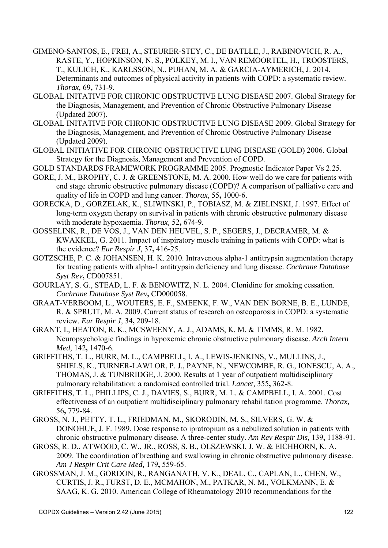- GIMENO-SANTOS, E., FREI, A., STEURER-STEY, C., DE BATLLE, J., RABINOVICH, R. A., RASTE, Y., HOPKINSON, N. S., POLKEY, M. I., VAN REMOORTEL, H., TROOSTERS, T., KULICH, K., KARLSSON, N., PUHAN, M. A. & GARCIA-AYMERICH, J. 2014. Determinants and outcomes of physical activity in patients with COPD: a systematic review. *Thorax,* 69**,** 731-9.
- GLOBAL INITATIVE FOR CHRONIC OBSTRUCTIVE LUNG DISEASE 2007. Global Strategy for the Diagnosis, Management, and Prevention of Chronic Obstructive Pulmonary Disease (Updated 2007).
- GLOBAL INITATIVE FOR CHRONIC OBSTRUCTIVE LUNG DISEASE 2009. Global Strategy for the Diagnosis, Management, and Prevention of Chronic Obstructive Pulmonary Disease (Updated 2009).
- GLOBAL INITIATIVE FOR CHRONIC OBSTRUCTIVE LUNG DISEASE (GOLD) 2006. Global Strategy for the Diagnosis, Management and Prevention of COPD.
- GOLD STANDARDS FRAMEWORK PROGRAMME 2005. Prognostic Indicator Paper Vs 2.25.
- GORE, J. M., BROPHY, C. J. & GREENSTONE, M. A. 2000. How well do we care for patients with end stage chronic obstructive pulmonary disease (COPD)? A comparison of palliative care and quality of life in COPD and lung cancer. *Thorax,* 55**,** 1000-6.
- GORECKA, D., GORZELAK, K., SLIWINSKI, P., TOBIASZ, M. & ZIELINSKI, J. 1997. Effect of long-term oxygen therapy on survival in patients with chronic obstructive pulmonary disease with moderate hypoxaemia. *Thorax,* 52**,** 674-9.
- GOSSELINK, R., DE VOS, J., VAN DEN HEUVEL, S. P., SEGERS, J., DECRAMER, M. & KWAKKEL, G. 2011. Impact of inspiratory muscle training in patients with COPD: what is the evidence? *Eur Respir J,* 37**,** 416-25.
- GOTZSCHE, P. C. & JOHANSEN, H. K. 2010. Intravenous alpha-1 antitrypsin augmentation therapy for treating patients with alpha-1 antitrypsin deficiency and lung disease. *Cochrane Database Syst Rev***,** CD007851.
- GOURLAY, S. G., STEAD, L. F. & BENOWITZ, N. L. 2004. Clonidine for smoking cessation. *Cochrane Database Syst Rev***,** CD000058.
- GRAAT-VERBOOM, L., WOUTERS, E. F., SMEENK, F. W., VAN DEN BORNE, B. E., LUNDE, R. & SPRUIT, M. A. 2009. Current status of research on osteoporosis in COPD: a systematic review. *Eur Respir J,* 34**,** 209-18.
- GRANT, I., HEATON, R. K., MCSWEENY, A. J., ADAMS, K. M. & TIMMS, R. M. 1982. Neuropsychologic findings in hypoxemic chronic obstructive pulmonary disease. *Arch Intern Med,* 142**,** 1470-6.
- GRIFFITHS, T. L., BURR, M. L., CAMPBELL, I. A., LEWIS-JENKINS, V., MULLINS, J., SHIELS, K., TURNER-LAWLOR, P. J., PAYNE, N., NEWCOMBE, R. G., IONESCU, A. A., THOMAS, J. & TUNBRIDGE, J. 2000. Results at 1 year of outpatient multidisciplinary pulmonary rehabilitation: a randomised controlled trial. *Lancet,* 355**,** 362-8.
- GRIFFITHS, T. L., PHILLIPS, C. J., DAVIES, S., BURR, M. L. & CAMPBELL, I. A. 2001. Cost effectiveness of an outpatient multidisciplinary pulmonary rehabilitation programme. *Thorax,* 56**,** 779-84.
- GROSS, N. J., PETTY, T. L., FRIEDMAN, M., SKORODIN, M. S., SILVERS, G. W. & DONOHUE, J. F. 1989. Dose response to ipratropium as a nebulized solution in patients with chronic obstructive pulmonary disease. A three-center study. *Am Rev Respir Dis,* 139**,** 1188-91.
- GROSS, R. D., ATWOOD, C. W., JR., ROSS, S. B., OLSZEWSKI, J. W. & EICHHORN, K. A. 2009. The coordination of breathing and swallowing in chronic obstructive pulmonary disease. *Am J Respir Crit Care Med,* 179**,** 559-65.
- GROSSMAN, J. M., GORDON, R., RANGANATH, V. K., DEAL, C., CAPLAN, L., CHEN, W., CURTIS, J. R., FURST, D. E., MCMAHON, M., PATKAR, N. M., VOLKMANN, E. & SAAG, K. G. 2010. American College of Rheumatology 2010 recommendations for the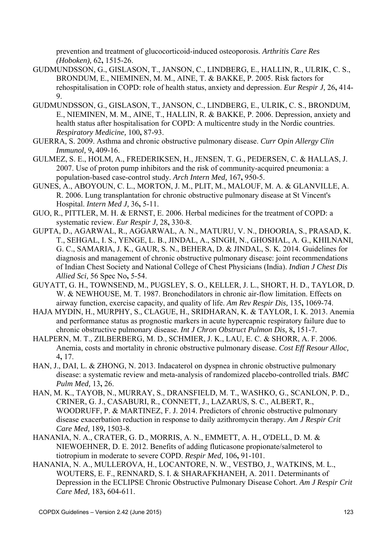prevention and treatment of glucocorticoid-induced osteoporosis. *Arthritis Care Res (Hoboken),* 62**,** 1515-26.

- GUDMUNDSSON, G., GISLASON, T., JANSON, C., LINDBERG, E., HALLIN, R., ULRIK, C. S., BRONDUM, E., NIEMINEN, M. M., AINE, T. & BAKKE, P. 2005. Risk factors for rehospitalisation in COPD: role of health status, anxiety and depression. *Eur Respir J,* 26**,** 414- 9.
- GUDMUNDSSON, G., GISLASON, T., JANSON, C., LINDBERG, E., ULRIK, C. S., BRONDUM, E., NIEMINEN, M. M., AINE, T., HALLIN, R. & BAKKE, P. 2006. Depression, anxiety and health status after hospitalisation for COPD: A multicentre study in the Nordic countries. *Respiratory Medicine,* 100**,** 87-93.
- GUERRA, S. 2009. Asthma and chronic obstructive pulmonary disease. *Curr Opin Allergy Clin Immunol,* 9**,** 409-16.
- GULMEZ, S. E., HOLM, A., FREDERIKSEN, H., JENSEN, T. G., PEDERSEN, C. & HALLAS, J. 2007. Use of proton pump inhibitors and the risk of community-acquired pneumonia: a population-based case-control study. *Arch Intern Med,* 167**,** 950-5.
- GUNES, A., ABOYOUN, C. L., MORTON, J. M., PLIT, M., MALOUF, M. A. & GLANVILLE, A. R. 2006. Lung transplantation for chronic obstructive pulmonary disease at St Vincent's Hospital. *Intern Med J,* 36**,** 5-11.
- GUO, R., PITTLER, M. H. & ERNST, E. 2006. Herbal medicines for the treatment of COPD: a systematic review. *Eur Respir J,* 28**,** 330-8.
- GUPTA, D., AGARWAL, R., AGGARWAL, A. N., MATURU, V. N., DHOORIA, S., PRASAD, K. T., SEHGAL, I. S., YENGE, L. B., JINDAL, A., SINGH, N., GHOSHAL, A. G., KHILNANI, G. C., SAMARIA, J. K., GAUR, S. N., BEHERA, D. & JINDAL, S. K. 2014. Guidelines for diagnosis and management of chronic obstructive pulmonary disease: joint recommendations of Indian Chest Society and National College of Chest Physicians (India). *Indian J Chest Dis Allied Sci,* 56 Spec No**,** 5-54.
- GUYATT, G. H., TOWNSEND, M., PUGSLEY, S. O., KELLER, J. L., SHORT, H. D., TAYLOR, D. W. & NEWHOUSE, M. T. 1987. Bronchodilators in chronic air-flow limitation. Effects on airway function, exercise capacity, and quality of life. *Am Rev Respir Dis,* 135**,** 1069-74.
- HAJA MYDIN, H., MURPHY, S., CLAGUE, H., SRIDHARAN, K. & TAYLOR, I. K. 2013. Anemia and performance status as prognostic markers in acute hypercapnic respiratory failure due to chronic obstructive pulmonary disease. *Int J Chron Obstruct Pulmon Dis,* 8**,** 151-7.
- HALPERN, M. T., ZILBERBERG, M. D., SCHMIER, J. K., LAU, E. C. & SHORR, A. F. 2006. Anemia, costs and mortality in chronic obstructive pulmonary disease. *Cost Eff Resour Alloc,* 4**,** 17.
- HAN, J., DAI, L. & ZHONG, N. 2013. Indacaterol on dyspnea in chronic obstructive pulmonary disease: a systematic review and meta-analysis of randomized placebo-controlled trials. *BMC Pulm Med,* 13**,** 26.
- HAN, M. K., TAYOB, N., MURRAY, S., DRANSFIELD, M. T., WASHKO, G., SCANLON, P. D., CRINER, G. J., CASABURI, R., CONNETT, J., LAZARUS, S. C., ALBERT, R., WOODRUFF, P. & MARTINEZ, F. J. 2014. Predictors of chronic obstructive pulmonary disease exacerbation reduction in response to daily azithromycin therapy. *Am J Respir Crit Care Med,* 189**,** 1503-8.
- HANANIA, N. A., CRATER, G. D., MORRIS, A. N., EMMETT, A. H., O'DELL, D. M. & NIEWOEHNER, D. E. 2012. Benefits of adding fluticasone propionate/salmeterol to tiotropium in moderate to severe COPD. *Respir Med,* 106**,** 91-101.
- HANANIA, N. A., MULLEROVA, H., LOCANTORE, N. W., VESTBO, J., WATKINS, M. L., WOUTERS, E. F., RENNARD, S. I. & SHARAFKHANEH, A. 2011. Determinants of Depression in the ECLIPSE Chronic Obstructive Pulmonary Disease Cohort. *Am J Respir Crit Care Med,* 183**,** 604-611.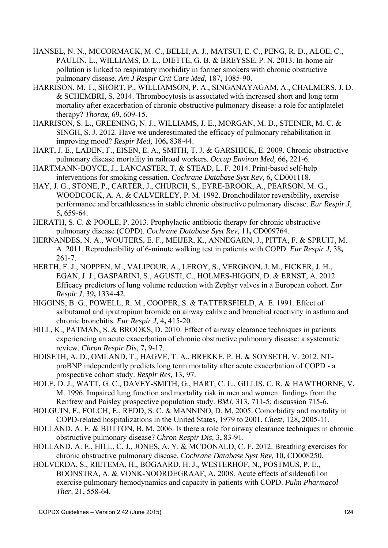- HANSEL, N. N., MCCORMACK, M. C., BELLI, A. J., MATSUI, E. C., PENG, R. D., ALOE, C., PAULIN, L., WILLIAMS, D. L., DIETTE, G. B. & BREYSSE, P. N. 2013. In-home air pollution is linked to respiratory morbidity in former smokers with chronic obstructive pulmonary disease. *Am J Respir Crit Care Med,* 187**,** 1085-90.
- HARRISON, M. T., SHORT, P., WILLIAMSON, P. A., SINGANAYAGAM, A., CHALMERS, J. D. & SCHEMBRI, S. 2014. Thrombocytosis is associated with increased short and long term mortality after exacerbation of chronic obstructive pulmonary disease: a role for antiplatelet therapy? *Thorax,* 69**,** 609-15.
- HARRISON, S. L., GREENING, N. J., WILLIAMS, J. E., MORGAN, M. D., STEINER, M. C. & SINGH, S. J. 2012. Have we underestimated the efficacy of pulmonary rehabilitation in improving mood? *Respir Med,* 106**,** 838-44.
- HART, J. E., LADEN, F., EISEN, E. A., SMITH, T. J. & GARSHICK, E. 2009. Chronic obstructive pulmonary disease mortality in railroad workers. *Occup Environ Med,* 66**,** 221-6.
- HARTMANN-BOYCE, J., LANCASTER, T. & STEAD, L. F. 2014. Print-based self-help interventions for smoking cessation. *Cochrane Database Syst Rev,* 6**,** CD001118.
- HAY, J. G., STONE, P., CARTER, J., CHURCH, S., EYRE-BROOK, A., PEARSON, M. G., WOODCOCK, A. A. & CALVERLEY, P. M. 1992. Bronchodilator reversibility, exercise performance and breathlessness in stable chronic obstructive pulmonary disease. *Eur Respir J,* 5**,** 659-64.
- HERATH, S. C. & POOLE, P. 2013. Prophylactic antibiotic therapy for chronic obstructive pulmonary disease (COPD). *Cochrane Database Syst Rev,* 11**,** CD009764.
- HERNANDES, N. A., WOUTERS, E. F., MEIJER, K., ANNEGARN, J., PITTA, F. & SPRUIT, M. A. 2011. Reproducibility of 6-minute walking test in patients with COPD. *Eur Respir J,* 38**,** 261-7.
- HERTH, F. J., NOPPEN, M., VALIPOUR, A., LEROY, S., VERGNON, J. M., FICKER, J. H., EGAN, J. J., GASPARINI, S., AGUSTI, C., HOLMES-HIGGIN, D. & ERNST, A. 2012. Efficacy predictors of lung volume reduction with Zephyr valves in a European cohort. *Eur Respir J,* 39**,** 1334-42.
- HIGGINS, B. G., POWELL, R. M., COOPER, S. & TATTERSFIELD, A. E. 1991. Effect of salbutamol and ipratropium bromide on airway calibre and bronchial reactivity in asthma and chronic bronchitis. *Eur Respir J,* 4**,** 415-20.
- HILL, K., PATMAN, S. & BROOKS, D. 2010. Effect of airway clearance techniques in patients experiencing an acute exacerbation of chronic obstructive pulmonary disease: a systematic review. *Chron Respir Dis,* 7**,** 9-17.
- HOISETH, A. D., OMLAND, T., HAGVE, T. A., BREKKE, P. H. & SOYSETH, V. 2012. NTproBNP independently predicts long term mortality after acute exacerbation of COPD - a prospective cohort study. *Respir Res,* 13**,** 97.
- HOLE, D. J., WATT, G. C., DAVEY-SMITH, G., HART, C. L., GILLIS, C. R. & HAWTHORNE, V. M. 1996. Impaired lung function and mortality risk in men and women: findings from the Renfrew and Paisley prospective population study. *BMJ,* 313**,** 711-5; discussion 715-6.
- HOLGUIN, F., FOLCH, E., REDD, S. C. & MANNINO, D. M. 2005. Comorbidity and mortality in COPD-related hospitalizations in the United States, 1979 to 2001. *Chest,* 128**,** 2005-11.
- HOLLAND, A. E. & BUTTON, B. M. 2006. Is there a role for airway clearance techniques in chronic obstructive pulmonary disease? *Chron Respir Dis,* 3**,** 83-91.
- HOLLAND, A. E., HILL, C. J., JONES, A. Y. & MCDONALD, C. F. 2012. Breathing exercises for chronic obstructive pulmonary disease. *Cochrane Database Syst Rev,* 10**,** CD008250.
- HOLVERDA, S., RIETEMA, H., BOGAARD, H. J., WESTERHOF, N., POSTMUS, P. E., BOONSTRA, A. & VONK-NOORDEGRAAF, A. 2008. Acute effects of sildenafil on exercise pulmonary hemodynamics and capacity in patients with COPD. *Pulm Pharmacol Ther,* 21**,** 558-64.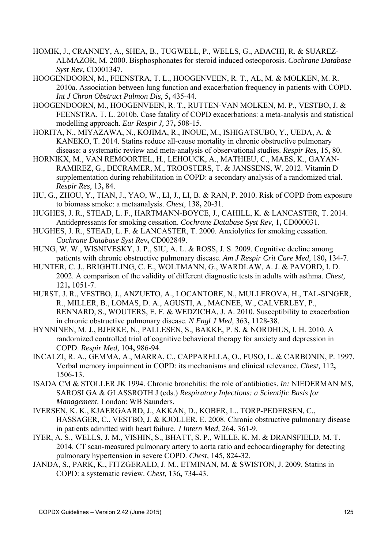- HOMIK, J., CRANNEY, A., SHEA, B., TUGWELL, P., WELLS, G., ADACHI, R. & SUAREZ-ALMAZOR, M. 2000. Bisphosphonates for steroid induced osteoporosis. *Cochrane Database Syst Rev***,** CD001347.
- HOOGENDOORN, M., FEENSTRA, T. L., HOOGENVEEN, R. T., AL, M. & MOLKEN, M. R. 2010a. Association between lung function and exacerbation frequency in patients with COPD. *Int J Chron Obstruct Pulmon Dis,* 5**,** 435-44.
- HOOGENDOORN, M., HOOGENVEEN, R. T., RUTTEN-VAN MOLKEN, M. P., VESTBO, J. & FEENSTRA, T. L. 2010b. Case fatality of COPD exacerbations: a meta-analysis and statistical modelling approach. *Eur Respir J,* 37**,** 508-15.
- HORITA, N., MIYAZAWA, N., KOJIMA, R., INOUE, M., ISHIGATSUBO, Y., UEDA, A. & KANEKO, T. 2014. Statins reduce all-cause mortality in chronic obstructive pulmonary disease: a systematic review and meta-analysis of observational studies. *Respir Res,* 15**,** 80.
- HORNIKX, M., VAN REMOORTEL, H., LEHOUCK, A., MATHIEU, C., MAES, K., GAYAN-RAMIREZ, G., DECRAMER, M., TROOSTERS, T. & JANSSENS, W. 2012. Vitamin D supplementation during rehabilitation in COPD: a secondary analysis of a randomized trial. *Respir Res,* 13**,** 84.
- HU, G., ZHOU, Y., TIAN, J., YAO, W., LI, J., LI, B. & RAN, P. 2010. Risk of COPD from exposure to biomass smoke: a metaanalysis. *Chest,* 138**,** 20-31.
- HUGHES, J. R., STEAD, L. F., HARTMANN-BOYCE, J., CAHILL, K. & LANCASTER, T. 2014. Antidepressants for smoking cessation. *Cochrane Database Syst Rev,* 1**,** CD000031.
- HUGHES, J. R., STEAD, L. F. & LANCASTER, T. 2000. Anxiolytics for smoking cessation. *Cochrane Database Syst Rev***,** CD002849.
- HUNG, W. W., WISNIVESKY, J. P., SIU, A. L. & ROSS, J. S. 2009. Cognitive decline among patients with chronic obstructive pulmonary disease. *Am J Respir Crit Care Med,* 180**,** 134-7.
- HUNTER, C. J., BRIGHTLING, C. E., WOLTMANN, G., WARDLAW, A. J. & PAVORD, I. D. 2002. A comparison of the validity of different diagnostic tests in adults with asthma. *Chest,* 121**,** 1051-7.
- HURST, J. R., VESTBO, J., ANZUETO, A., LOCANTORE, N., MULLEROVA, H., TAL-SINGER, R., MILLER, B., LOMAS, D. A., AGUSTI, A., MACNEE, W., CALVERLEY, P., RENNARD, S., WOUTERS, E. F. & WEDZICHA, J. A. 2010. Susceptibility to exacerbation in chronic obstructive pulmonary disease. *N Engl J Med,* 363**,** 1128-38.
- HYNNINEN, M. J., BJERKE, N., PALLESEN, S., BAKKE, P. S. & NORDHUS, I. H. 2010. A randomized controlled trial of cognitive behavioral therapy for anxiety and depression in COPD. *Respir Med,* 104**,** 986-94.
- INCALZI, R. A., GEMMA, A., MARRA, C., CAPPARELLA, O., FUSO, L. & CARBONIN, P. 1997. Verbal memory impairment in COPD: its mechanisms and clinical relevance. *Chest,* 112**,** 1506-13.
- ISADA CM & STOLLER JK 1994. Chronic bronchitis: the role of antibiotics. *In:* NIEDERMAN MS, SAROSI GA & GLASSROTH J (eds.) *Respiratory Infections: a Scientific Basis for Management.* London: WB Saunders.
- IVERSEN, K. K., KJAERGAARD, J., AKKAN, D., KOBER, L., TORP-PEDERSEN, C., HASSAGER, C., VESTBO, J. & KJOLLER, E. 2008. Chronic obstructive pulmonary disease in patients admitted with heart failure. *J Intern Med,* 264**,** 361-9.
- IYER, A. S., WELLS, J. M., VISHIN, S., BHATT, S. P., WILLE, K. M. & DRANSFIELD, M. T. 2014. CT scan-measured pulmonary artery to aorta ratio and echocardiography for detecting pulmonary hypertension in severe COPD. *Chest,* 145**,** 824-32.
- JANDA, S., PARK, K., FITZGERALD, J. M., ETMINAN, M. & SWISTON, J. 2009. Statins in COPD: a systematic review. *Chest,* 136**,** 734-43.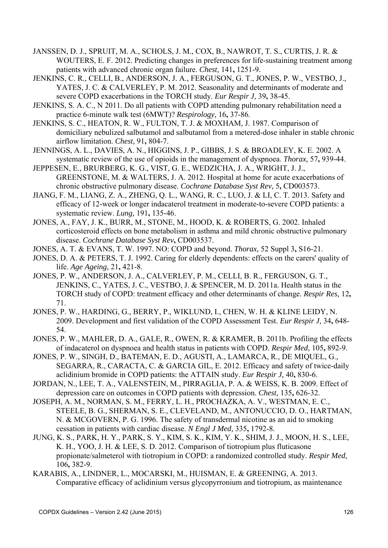- JANSSEN, D. J., SPRUIT, M. A., SCHOLS, J. M., COX, B., NAWROT, T. S., CURTIS, J. R. & WOUTERS, E. F. 2012. Predicting changes in preferences for life-sustaining treatment among patients with advanced chronic organ failure. *Chest,* 141**,** 1251-9.
- JENKINS, C. R., CELLI, B., ANDERSON, J. A., FERGUSON, G. T., JONES, P. W., VESTBO, J., YATES, J. C. & CALVERLEY, P. M. 2012. Seasonality and determinants of moderate and severe COPD exacerbations in the TORCH study. *Eur Respir J,* 39**,** 38-45.
- JENKINS, S. A. C., N 2011. Do all patients with COPD attending pulmonary rehabilitation need a practice 6-minute walk test (6MWT)? *Respirology,* 16**,** 37-86.
- JENKINS, S. C., HEATON, R. W., FULTON, T. J. & MOXHAM, J. 1987. Comparison of domiciliary nebulized salbutamol and salbutamol from a metered-dose inhaler in stable chronic airflow limitation. *Chest,* 91**,** 804-7.
- JENNINGS, A. L., DAVIES, A. N., HIGGINS, J. P., GIBBS, J. S. & BROADLEY, K. E. 2002. A systematic review of the use of opioids in the management of dyspnoea. *Thorax,* 57**,** 939-44.
- JEPPESEN, E., BRURBERG, K. G., VIST, G. E., WEDZICHA, J. A., WRIGHT, J. J., GREENSTONE, M. & WALTERS, J. A. 2012. Hospital at home for acute exacerbations of chronic obstructive pulmonary disease. *Cochrane Database Syst Rev,* 5**,** CD003573.
- JIANG, F. M., LIANG, Z. A., ZHENG, Q. L., WANG, R. C., LUO, J. & LI, C. T. 2013. Safety and efficacy of 12-week or longer indacaterol treatment in moderate-to-severe COPD patients: a systematic review. *Lung,* 191**,** 135-46.
- JONES, A., FAY, J. K., BURR, M., STONE, M., HOOD, K. & ROBERTS, G. 2002. Inhaled corticosteroid effects on bone metabolism in asthma and mild chronic obstructive pulmonary disease. *Cochrane Database Syst Rev***,** CD003537.
- JONES, A. T. & EVANS, T. W. 1997. NO: COPD and beyond. *Thorax,* 52 Suppl 3**,** S16-21.
- JONES, D. A. & PETERS, T. J. 1992. Caring for elderly dependents: effects on the carers' quality of life. *Age Ageing,* 21**,** 421-8.
- JONES, P. W., ANDERSON, J. A., CALVERLEY, P. M., CELLI, B. R., FERGUSON, G. T., JENKINS, C., YATES, J. C., VESTBO, J. & SPENCER, M. D. 2011a. Health status in the TORCH study of COPD: treatment efficacy and other determinants of change. *Respir Res,* 12**,** 71.
- JONES, P. W., HARDING, G., BERRY, P., WIKLUND, I., CHEN, W. H. & KLINE LEIDY, N. 2009. Development and first validation of the COPD Assessment Test. *Eur Respir J,* 34**,** 648- 54.
- JONES, P. W., MAHLER, D. A., GALE, R., OWEN, R. & KRAMER, B. 2011b. Profiling the effects of indacaterol on dyspnoea and health status in patients with COPD. *Respir Med,* 105**,** 892-9.
- JONES, P. W., SINGH, D., BATEMAN, E. D., AGUSTI, A., LAMARCA, R., DE MIQUEL, G., SEGARRA, R., CARACTA, C. & GARCIA GIL, E. 2012. Efficacy and safety of twice-daily aclidinium bromide in COPD patients: the ATTAIN study. *Eur Respir J,* 40**,** 830-6.
- JORDAN, N., LEE, T. A., VALENSTEIN, M., PIRRAGLIA, P. A. & WEISS, K. B. 2009. Effect of depression care on outcomes in COPD patients with depression. *Chest,* 135**,** 626-32.
- JOSEPH, A. M., NORMAN, S. M., FERRY, L. H., PROCHAZKA, A. V., WESTMAN, E. C., STEELE, B. G., SHERMAN, S. E., CLEVELAND, M., ANTONUCCIO, D. O., HARTMAN, N. & MCGOVERN, P. G. 1996. The safety of transdermal nicotine as an aid to smoking cessation in patients with cardiac disease. *N Engl J Med,* 335**,** 1792-8.
- JUNG, K. S., PARK, H. Y., PARK, S. Y., KIM, S. K., KIM, Y. K., SHIM, J. J., MOON, H. S., LEE, K. H., YOO, J. H. & LEE, S. D. 2012. Comparison of tiotropium plus fluticasone propionate/salmeterol with tiotropium in COPD: a randomized controlled study. *Respir Med,* 106**,** 382-9.
- KARABIS, A., LINDNER, L., MOCARSKI, M., HUISMAN, E. & GREENING, A. 2013. Comparative efficacy of aclidinium versus glycopyrronium and tiotropium, as maintenance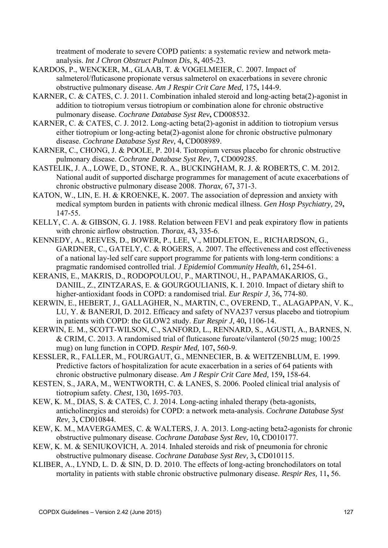treatment of moderate to severe COPD patients: a systematic review and network metaanalysis. *Int J Chron Obstruct Pulmon Dis,* 8**,** 405-23.

- KARDOS, P., WENCKER, M., GLAAB, T. & VOGELMEIER, C. 2007. Impact of salmeterol/fluticasone propionate versus salmeterol on exacerbations in severe chronic obstructive pulmonary disease. *Am J Respir Crit Care Med,* 175**,** 144-9.
- KARNER, C. & CATES, C. J. 2011. Combination inhaled steroid and long-acting beta(2)-agonist in addition to tiotropium versus tiotropium or combination alone for chronic obstructive pulmonary disease. *Cochrane Database Syst Rev***,** CD008532.
- KARNER, C. & CATES, C. J. 2012. Long-acting beta(2)-agonist in addition to tiotropium versus either tiotropium or long-acting beta(2)-agonist alone for chronic obstructive pulmonary disease. *Cochrane Database Syst Rev,* 4**,** CD008989.
- KARNER, C., CHONG, J. & POOLE, P. 2014. Tiotropium versus placebo for chronic obstructive pulmonary disease. *Cochrane Database Syst Rev,* 7**,** CD009285.
- KASTELIK, J. A., LOWE, D., STONE, R. A., BUCKINGHAM, R. J. & ROBERTS, C. M. 2012. National audit of supported discharge programmes for management of acute exacerbations of chronic obstructive pulmonary disease 2008. *Thorax,* 67**,** 371-3.
- KATON, W., LIN, E. H. & KROENKE, K. 2007. The association of depression and anxiety with medical symptom burden in patients with chronic medical illness. *Gen Hosp Psychiatry,* 29**,** 147-55.
- KELLY, C. A. & GIBSON, G. J. 1988. Relation between FEV1 and peak expiratory flow in patients with chronic airflow obstruction. *Thorax,* 43**,** 335-6.
- KENNEDY, A., REEVES, D., BOWER, P., LEE, V., MIDDLETON, E., RICHARDSON, G., GARDNER, C., GATELY, C. & ROGERS, A. 2007. The effectiveness and cost effectiveness of a national lay-led self care support programme for patients with long-term conditions: a pragmatic randomised controlled trial. *J Epidemiol Community Health,* 61**,** 254-61.
- KERANIS, E., MAKRIS, D., RODOPOULOU, P., MARTINOU, H., PAPAMAKARIOS, G., DANIIL, Z., ZINTZARAS, E. & GOURGOULIANIS, K. I. 2010. Impact of dietary shift to higher-antioxidant foods in COPD: a randomised trial. *Eur Respir J,* 36**,** 774-80.
- KERWIN, E., HEBERT, J., GALLAGHER, N., MARTIN, C., OVEREND, T., ALAGAPPAN, V. K., LU, Y. & BANERJI, D. 2012. Efficacy and safety of NVA237 versus placebo and tiotropium in patients with COPD: the GLOW2 study. *Eur Respir J,* 40**,** 1106-14.
- KERWIN, E. M., SCOTT-WILSON, C., SANFORD, L., RENNARD, S., AGUSTI, A., BARNES, N. & CRIM, C. 2013. A randomised trial of fluticasone furoate/vilanterol (50/25 mug; 100/25 mug) on lung function in COPD. *Respir Med,* 107**,** 560-9.
- KESSLER, R., FALLER, M., FOURGAUT, G., MENNECIER, B. & WEITZENBLUM, E. 1999. Predictive factors of hospitalization for acute exacerbation in a series of 64 patients with chronic obstructive pulmonary disease. *Am J Respir Crit Care Med,* 159**,** 158-64.
- KESTEN, S., JARA, M., WENTWORTH, C. & LANES, S. 2006. Pooled clinical trial analysis of tiotropium safety. *Chest,* 130**,** 1695-703.
- KEW, K. M., DIAS, S. & CATES, C. J. 2014. Long-acting inhaled therapy (beta-agonists, anticholinergics and steroids) for COPD: a network meta-analysis. *Cochrane Database Syst Rev,* 3**,** CD010844.
- KEW, K. M., MAVERGAMES, C. & WALTERS, J. A. 2013. Long-acting beta2-agonists for chronic obstructive pulmonary disease. *Cochrane Database Syst Rev,* 10**,** CD010177.
- KEW, K. M. & SENIUKOVICH, A. 2014. Inhaled steroids and risk of pneumonia for chronic obstructive pulmonary disease. *Cochrane Database Syst Rev,* 3**,** CD010115.
- KLIBER, A., LYND, L. D. & SIN, D. D. 2010. The effects of long-acting bronchodilators on total mortality in patients with stable chronic obstructive pulmonary disease. *Respir Res,* 11**,** 56.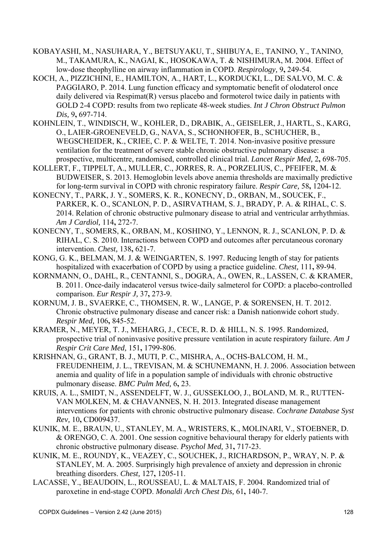- KOBAYASHI, M., NASUHARA, Y., BETSUYAKU, T., SHIBUYA, E., TANINO, Y., TANINO, M., TAKAMURA, K., NAGAI, K., HOSOKAWA, T. & NISHIMURA, M. 2004. Effect of low-dose theophylline on airway inflammation in COPD. *Respirology,* 9**,** 249-54.
- KOCH, A., PIZZICHINI, E., HAMILTON, A., HART, L., KORDUCKI, L., DE SALVO, M. C. & PAGGIARO, P. 2014. Lung function efficacy and symptomatic benefit of olodaterol once daily delivered via Respimat(R) versus placebo and formoterol twice daily in patients with GOLD 2-4 COPD: results from two replicate 48-week studies. *Int J Chron Obstruct Pulmon Dis,* 9**,** 697-714.
- KOHNLEIN, T., WINDISCH, W., KOHLER, D., DRABIK, A., GEISELER, J., HARTL, S., KARG, O., LAIER-GROENEVELD, G., NAVA, S., SCHONHOFER, B., SCHUCHER, B., WEGSCHEIDER, K., CRIEE, C. P. & WELTE, T. 2014. Non-invasive positive pressure ventilation for the treatment of severe stable chronic obstructive pulmonary disease: a prospective, multicentre, randomised, controlled clinical trial. *Lancet Respir Med,* 2**,** 698-705.
- KOLLERT, F., TIPPELT, A., MULLER, C., JORRES, R. A., PORZELIUS, C., PFEIFER, M. & BUDWEISER, S. 2013. Hemoglobin levels above anemia thresholds are maximally predictive for long-term survival in COPD with chronic respiratory failure. *Respir Care,* 58**,** 1204-12.
- KONECNY, T., PARK, J. Y., SOMERS, K. R., KONECNY, D., ORBAN, M., SOUCEK, F., PARKER, K. O., SCANLON, P. D., ASIRVATHAM, S. J., BRADY, P. A. & RIHAL, C. S. 2014. Relation of chronic obstructive pulmonary disease to atrial and ventricular arrhythmias. *Am J Cardiol,* 114**,** 272-7.
- KONECNY, T., SOMERS, K., ORBAN, M., KOSHINO, Y., LENNON, R. J., SCANLON, P. D. & RIHAL, C. S. 2010. Interactions between COPD and outcomes after percutaneous coronary intervention. *Chest,* 138**,** 621-7.
- KONG, G. K., BELMAN, M. J. & WEINGARTEN, S. 1997. Reducing length of stay for patients hospitalized with exacerbation of COPD by using a practice guideline. *Chest,* 111**,** 89-94.
- KORNMANN, O., DAHL, R., CENTANNI, S., DOGRA, A., OWEN, R., LASSEN, C. & KRAMER, B. 2011. Once-daily indacaterol versus twice-daily salmeterol for COPD: a placebo-controlled comparison. *Eur Respir J,* 37**,** 273-9.
- KORNUM, J. B., SVAERKE, C., THOMSEN, R. W., LANGE, P. & SORENSEN, H. T. 2012. Chronic obstructive pulmonary disease and cancer risk: a Danish nationwide cohort study. *Respir Med,* 106**,** 845-52.
- KRAMER, N., MEYER, T. J., MEHARG, J., CECE, R. D. & HILL, N. S. 1995. Randomized, prospective trial of noninvasive positive pressure ventilation in acute respiratory failure. *Am J Respir Crit Care Med,* 151**,** 1799-806.
- KRISHNAN, G., GRANT, B. J., MUTI, P. C., MISHRA, A., OCHS-BALCOM, H. M., FREUDENHEIM, J. L., TREVISAN, M. & SCHUNEMANN, H. J. 2006. Association between anemia and quality of life in a population sample of individuals with chronic obstructive pulmonary disease. *BMC Pulm Med,* 6**,** 23.
- KRUIS, A. L., SMIDT, N., ASSENDELFT, W. J., GUSSEKLOO, J., BOLAND, M. R., RUTTEN-VAN MOLKEN, M. & CHAVANNES, N. H. 2013. Integrated disease management interventions for patients with chronic obstructive pulmonary disease. *Cochrane Database Syst Rev,* 10**,** CD009437.
- KUNIK, M. E., BRAUN, U., STANLEY, M. A., WRISTERS, K., MOLINARI, V., STOEBNER, D. & ORENGO, C. A. 2001. One session cognitive behavioural therapy for elderly patients with chronic obstructive pulmonary disease. *Psychol Med,* 31**,** 717-23.
- KUNIK, M. E., ROUNDY, K., VEAZEY, C., SOUCHEK, J., RICHARDSON, P., WRAY, N. P. & STANLEY, M. A. 2005. Surprisingly high prevalence of anxiety and depression in chronic breathing disorders. *Chest,* 127**,** 1205-11.
- LACASSE, Y., BEAUDOIN, L., ROUSSEAU, L. & MALTAIS, F. 2004. Randomized trial of paroxetine in end-stage COPD. *Monaldi Arch Chest Dis,* 61**,** 140-7.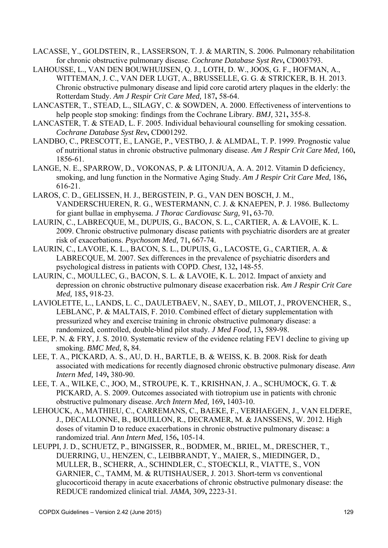- LACASSE, Y., GOLDSTEIN, R., LASSERSON, T. J. & MARTIN, S. 2006. Pulmonary rehabilitation for chronic obstructive pulmonary disease. *Cochrane Database Syst Rev***,** CD003793.
- LAHOUSSE, L., VAN DEN BOUWHUIJSEN, Q. J., LOTH, D. W., JOOS, G. F., HOFMAN, A., WITTEMAN, J. C., VAN DER LUGT, A., BRUSSELLE, G. G. & STRICKER, B. H. 2013. Chronic obstructive pulmonary disease and lipid core carotid artery plaques in the elderly: the Rotterdam Study. *Am J Respir Crit Care Med,* 187**,** 58-64.
- LANCASTER, T., STEAD, L., SILAGY, C. & SOWDEN, A. 2000. Effectiveness of interventions to help people stop smoking: findings from the Cochrane Library. *BMJ,* 321**,** 355-8.
- LANCASTER, T. & STEAD, L. F. 2005. Individual behavioural counselling for smoking cessation. *Cochrane Database Syst Rev***,** CD001292.
- LANDBO, C., PRESCOTT, E., LANGE, P., VESTBO, J. & ALMDAL, T. P. 1999. Prognostic value of nutritional status in chronic obstructive pulmonary disease. *Am J Respir Crit Care Med,* 160**,** 1856-61.
- LANGE, N. E., SPARROW, D., VOKONAS, P. & LITONJUA, A. A. 2012. Vitamin D deficiency, smoking, and lung function in the Normative Aging Study. *Am J Respir Crit Care Med,* 186**,** 616-21.
- LAROS, C. D., GELISSEN, H. J., BERGSTEIN, P. G., VAN DEN BOSCH, J. M., VANDERSCHUEREN, R. G., WESTERMANN, C. J. & KNAEPEN, P. J. 1986. Bullectomy for giant bullae in emphysema. *J Thorac Cardiovasc Surg,* 91**,** 63-70.
- LAURIN, C., LABRECQUE, M., DUPUIS, G., BACON, S. L., CARTIER, A. & LAVOIE, K. L. 2009. Chronic obstructive pulmonary disease patients with psychiatric disorders are at greater risk of exacerbations. *Psychosom Med,* 71**,** 667-74.
- LAURIN, C., LAVOIE, K. L., BACON, S. L., DUPUIS, G., LACOSTE, G., CARTIER, A. & LABRECQUE, M. 2007. Sex differences in the prevalence of psychiatric disorders and psychological distress in patients with COPD. *Chest,* 132**,** 148-55.
- LAURIN, C., MOULLEC, G., BACON, S. L. & LAVOIE, K. L. 2012. Impact of anxiety and depression on chronic obstructive pulmonary disease exacerbation risk. *Am J Respir Crit Care Med,* 185**,** 918-23.
- LAVIOLETTE, L., LANDS, L. C., DAULETBAEV, N., SAEY, D., MILOT, J., PROVENCHER, S., LEBLANC, P. & MALTAIS, F. 2010. Combined effect of dietary supplementation with pressurized whey and exercise training in chronic obstructive pulmonary disease: a randomized, controlled, double-blind pilot study. *J Med Food,* 13**,** 589-98.
- LEE, P. N. & FRY, J. S. 2010. Systematic review of the evidence relating FEV1 decline to giving up smoking. *BMC Med,* 8**,** 84.
- LEE, T. A., PICKARD, A. S., AU, D. H., BARTLE, B. & WEISS, K. B. 2008. Risk for death associated with medications for recently diagnosed chronic obstructive pulmonary disease. *Ann Intern Med,* 149**,** 380-90.
- LEE, T. A., WILKE, C., JOO, M., STROUPE, K. T., KRISHNAN, J. A., SCHUMOCK, G. T. & PICKARD, A. S. 2009. Outcomes associated with tiotropium use in patients with chronic obstructive pulmonary disease. *Arch Intern Med,* 169**,** 1403-10.
- LEHOUCK, A., MATHIEU, C., CARREMANS, C., BAEKE, F., VERHAEGEN, J., VAN ELDERE, J., DECALLONNE, B., BOUILLON, R., DECRAMER, M. & JANSSENS, W. 2012. High doses of vitamin D to reduce exacerbations in chronic obstructive pulmonary disease: a randomized trial. *Ann Intern Med,* 156**,** 105-14.
- LEUPPI, J. D., SCHUETZ, P., BINGISSER, R., BODMER, M., BRIEL, M., DRESCHER, T., DUERRING, U., HENZEN, C., LEIBBRANDT, Y., MAIER, S., MIEDINGER, D., MULLER, B., SCHERR, A., SCHINDLER, C., STOECKLI, R., VIATTE, S., VON GARNIER, C., TAMM, M. & RUTISHAUSER, J. 2013. Short-term vs conventional glucocorticoid therapy in acute exacerbations of chronic obstructive pulmonary disease: the REDUCE randomized clinical trial. *JAMA,* 309**,** 2223-31.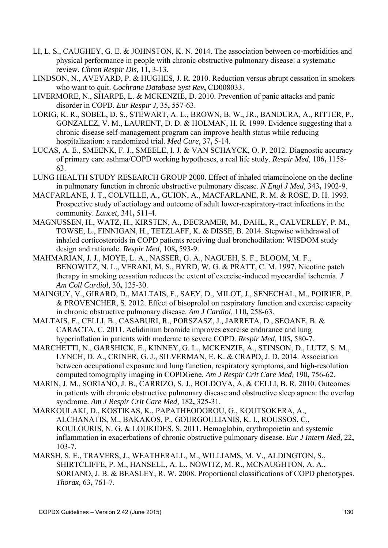- LI, L. S., CAUGHEY, G. E. & JOHNSTON, K. N. 2014. The association between co-morbidities and physical performance in people with chronic obstructive pulmonary disease: a systematic review. *Chron Respir Dis,* 11**,** 3-13.
- LINDSON, N., AVEYARD, P. & HUGHES, J. R. 2010. Reduction versus abrupt cessation in smokers who want to quit. *Cochrane Database Syst Rev***,** CD008033.
- LIVERMORE, N., SHARPE, L. & MCKENZIE, D. 2010. Prevention of panic attacks and panic disorder in COPD. *Eur Respir J,* 35**,** 557-63.
- LORIG, K. R., SOBEL, D. S., STEWART, A. L., BROWN, B. W., JR., BANDURA, A., RITTER, P., GONZALEZ, V. M., LAURENT, D. D. & HOLMAN, H. R. 1999. Evidence suggesting that a chronic disease self-management program can improve health status while reducing hospitalization: a randomized trial. *Med Care,* 37**,** 5-14.
- LUCAS, A. E., SMEENK, F. J., SMEELE, I. J. & VAN SCHAYCK, O. P. 2012. Diagnostic accuracy of primary care asthma/COPD working hypotheses, a real life study. *Respir Med,* 106**,** 1158- 63.
- LUNG HEALTH STUDY RESEARCH GROUP 2000. Effect of inhaled triamcinolone on the decline in pulmonary function in chronic obstructive pulmonary disease. *N Engl J Med,* 343**,** 1902-9.
- MACFARLANE, J. T., COLVILLE, A., GUION, A., MACFARLANE, R. M. & ROSE, D. H. 1993. Prospective study of aetiology and outcome of adult lower-respiratory-tract infections in the community. *Lancet,* 341**,** 511-4.
- MAGNUSSEN, H., WATZ, H., KIRSTEN, A., DECRAMER, M., DAHL, R., CALVERLEY, P. M., TOWSE, L., FINNIGAN, H., TETZLAFF, K. & DISSE, B. 2014. Stepwise withdrawal of inhaled corticosteroids in COPD patients receiving dual bronchodilation: WISDOM study design and rationale. *Respir Med,* 108**,** 593-9.
- MAHMARIAN, J. J., MOYE, L. A., NASSER, G. A., NAGUEH, S. F., BLOOM, M. F., BENOWITZ, N. L., VERANI, M. S., BYRD, W. G. & PRATT, C. M. 1997. Nicotine patch therapy in smoking cessation reduces the extent of exercise-induced myocardial ischemia. *J Am Coll Cardiol,* 30**,** 125-30.
- MAINGUY, V., GIRARD, D., MALTAIS, F., SAEY, D., MILOT, J., SENECHAL, M., POIRIER, P. & PROVENCHER, S. 2012. Effect of bisoprolol on respiratory function and exercise capacity in chronic obstructive pulmonary disease. *Am J Cardiol,* 110**,** 258-63.
- MALTAIS, F., CELLI, B., CASABURI, R., PORSZASZ, J., JARRETA, D., SEOANE, B. & CARACTA, C. 2011. Aclidinium bromide improves exercise endurance and lung hyperinflation in patients with moderate to severe COPD. *Respir Med,* 105**,** 580-7.
- MARCHETTI, N., GARSHICK, E., KINNEY, G. L., MCKENZIE, A., STINSON, D., LUTZ, S. M., LYNCH, D. A., CRINER, G. J., SILVERMAN, E. K. & CRAPO, J. D. 2014. Association between occupational exposure and lung function, respiratory symptoms, and high-resolution computed tomography imaging in COPDGene. *Am J Respir Crit Care Med,* 190**,** 756-62.
- MARIN, J. M., SORIANO, J. B., CARRIZO, S. J., BOLDOVA, A. & CELLI, B. R. 2010. Outcomes in patients with chronic obstructive pulmonary disease and obstructive sleep apnea: the overlap syndrome. *Am J Respir Crit Care Med,* 182**,** 325-31.
- MARKOULAKI, D., KOSTIKAS, K., PAPATHEODOROU, G., KOUTSOKERA, A., ALCHANATIS, M., BAKAKOS, P., GOURGOULIANIS, K. I., ROUSSOS, C., KOULOURIS, N. G. & LOUKIDES, S. 2011. Hemoglobin, erythropoietin and systemic inflammation in exacerbations of chronic obstructive pulmonary disease. *Eur J Intern Med,* 22**,** 103-7.
- MARSH, S. E., TRAVERS, J., WEATHERALL, M., WILLIAMS, M. V., ALDINGTON, S., SHIRTCLIFFE, P. M., HANSELL, A. L., NOWITZ, M. R., MCNAUGHTON, A. A., SORIANO, J. B. & BEASLEY, R. W. 2008. Proportional classifications of COPD phenotypes. *Thorax,* 63**,** 761-7.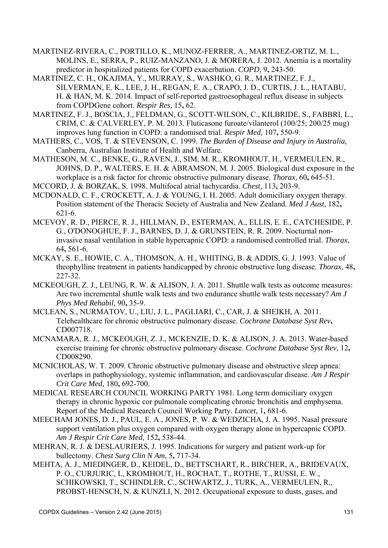- MARTINEZ-RIVERA, C., PORTILLO, K., MUNOZ-FERRER, A., MARTINEZ-ORTIZ, M. L., MOLINS, E., SERRA, P., RUIZ-MANZANO, J. & MORERA, J. 2012. Anemia is a mortality predictor in hospitalized patients for COPD exacerbation. *COPD,* 9**,** 243-50.
- MARTINEZ, C. H., OKAJIMA, Y., MURRAY, S., WASHKO, G. R., MARTINEZ, F. J., SILVERMAN, E. K., LEE, J. H., REGAN, E. A., CRAPO, J. D., CURTIS, J. L., HATABU, H. & HAN, M. K. 2014. Impact of self-reported gastroesophageal reflux disease in subjects from COPDGene cohort. *Respir Res,* 15**,** 62.
- MARTINEZ, F. J., BOSCIA, J., FELDMAN, G., SCOTT-WILSON, C., KILBRIDE, S., FABBRI, L., CRIM, C. & CALVERLEY, P. M. 2013. Fluticasone furoate/vilanterol (100/25; 200/25 mug) improves lung function in COPD: a randomised trial. *Respir Med,* 107**,** 550-9.
- MATHERS, C., VOS, T. & STEVENSON, C. 1999. *The Burden of Disease and Injury in Australia,*  Canberra, Australian Institute of Health and Welfare.
- MATHESON, M. C., BENKE, G., RAVEN, J., SIM, M. R., KROMHOUT, H., VERMEULEN, R., JOHNS, D. P., WALTERS, E. H. & ABRAMSON, M. J. 2005. Biological dust exposure in the workplace is a risk factor for chronic obstructive pulmonary disease. *Thorax,* 60**,** 645-51.
- MCCORD, J. & BORZAK, S. 1998. Multifocal atrial tachycardia. *Chest,* 113**,** 203-9.
- MCDONALD, C. F., CROCKETT, A. J. & YOUNG, I. H. 2005. Adult domiciliary oxygen therapy. Position statement of the Thoracic Society of Australia and New Zealand. *Med J Aust,* 182**,** 621-6.
- MCEVOY, R. D., PIERCE, R. J., HILLMAN, D., ESTERMAN, A., ELLIS, E. E., CATCHESIDE, P. G., O'DONOGHUE, F. J., BARNES, D. J. & GRUNSTEIN, R. R. 2009. Nocturnal noninvasive nasal ventilation in stable hypercapnic COPD: a randomised controlled trial. *Thorax,* 64**,** 561-6.
- MCKAY, S. E., HOWIE, C. A., THOMSON, A. H., WHITING, B. & ADDIS, G. J. 1993. Value of theophylline treatment in patients handicapped by chronic obstructive lung disease. *Thorax,* 48**,** 227-32.
- MCKEOUGH, Z. J., LEUNG, R. W. & ALISON, J. A. 2011. Shuttle walk tests as outcome measures: Are two incremental shuttle walk tests and two endurance shuttle walk tests necessary? *Am J Phys Med Rehabil,* 90**,** 35-9.
- MCLEAN, S., NURMATOV, U., LIU, J. L., PAGLIARI, C., CAR, J. & SHEIKH, A. 2011. Telehealthcare for chronic obstructive pulmonary disease. *Cochrane Database Syst Rev***,** CD007718.
- MCNAMARA, R. J., MCKEOUGH, Z. J., MCKENZIE, D. K. & ALISON, J. A. 2013. Water-based exercise training for chronic obstructive pulmonary disease. *Cochrane Database Syst Rev,* 12**,** CD008290.
- MCNICHOLAS, W. T. 2009. Chronic obstructive pulmonary disease and obstructive sleep apnea: overlaps in pathophysiology, systemic inflammation, and cardiovascular disease. *Am J Respir Crit Care Med,* 180**,** 692-700.
- MEDICAL RESEARCH COUNCIL WORKING PARTY 1981. Long term domiciliary oxygen therapy in chronic hypoxic cor pulmonale complicating chronic bronchitis and emphysema. Report of the Medical Research Council Working Party. *Lancet,* 1**,** 681-6.
- MEECHAM JONES, D. J., PAUL, E. A., JONES, P. W. & WEDZICHA, J. A. 1995. Nasal pressure support ventilation plus oxygen compared with oxygen therapy alone in hypercapnic COPD. *Am J Respir Crit Care Med,* 152**,** 538-44.
- MEHRAN, R. J. & DESLAURIERS, J. 1995. Indications for surgery and patient work-up for bullectomy. *Chest Surg Clin N Am,* 5**,** 717-34.
- MEHTA, A. J., MIEDINGER, D., KEIDEL, D., BETTSCHART, R., BIRCHER, A., BRIDEVAUX, P. O., CURJURIC, I., KROMHOUT, H., ROCHAT, T., ROTHE, T., RUSSI, E. W., SCHIKOWSKI, T., SCHINDLER, C., SCHWARTZ, J., TURK, A., VERMEULEN, R., PROBST-HENSCH, N. & KUNZLI, N. 2012. Occupational exposure to dusts, gases, and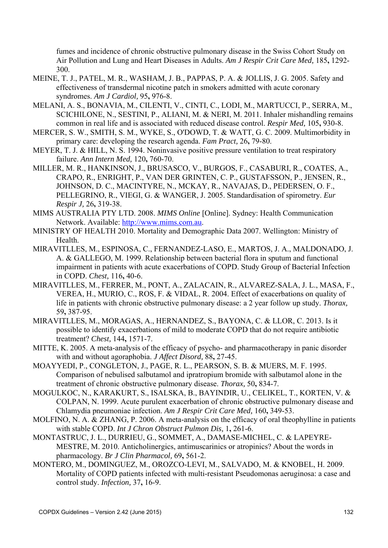fumes and incidence of chronic obstructive pulmonary disease in the Swiss Cohort Study on Air Pollution and Lung and Heart Diseases in Adults. *Am J Respir Crit Care Med,* 185**,** 1292- 300.

- MEINE, T. J., PATEL, M. R., WASHAM, J. B., PAPPAS, P. A. & JOLLIS, J. G. 2005. Safety and effectiveness of transdermal nicotine patch in smokers admitted with acute coronary syndromes. *Am J Cardiol,* 95**,** 976-8.
- MELANI, A. S., BONAVIA, M., CILENTI, V., CINTI, C., LODI, M., MARTUCCI, P., SERRA, M., SCICHILONE, N., SESTINI, P., ALIANI, M. & NERI, M. 2011. Inhaler mishandling remains common in real life and is associated with reduced disease control. *Respir Med,* 105**,** 930-8.
- MERCER, S. W., SMITH, S. M., WYKE, S., O'DOWD, T. & WATT, G. C. 2009. Multimorbidity in primary care: developing the research agenda. *Fam Pract,* 26**,** 79-80.
- MEYER, T. J. & HILL, N. S. 1994. Noninvasive positive pressure ventilation to treat respiratory failure. *Ann Intern Med,* 120**,** 760-70.
- MILLER, M. R., HANKINSON, J., BRUSASCO, V., BURGOS, F., CASABURI, R., COATES, A., CRAPO, R., ENRIGHT, P., VAN DER GRINTEN, C. P., GUSTAFSSON, P., JENSEN, R., JOHNSON, D. C., MACINTYRE, N., MCKAY, R., NAVAJAS, D., PEDERSEN, O. F., PELLEGRINO, R., VIEGI, G. & WANGER, J. 2005. Standardisation of spirometry. *Eur Respir J,* 26**,** 319-38.
- MIMS AUSTRALIA PTY LTD. 2008. *MIMS Online* [Online]. Sydney: Health Communication Network. Available: http://www.mims.com.au.
- MINISTRY OF HEALTH 2010. Mortality and Demographic Data 2007. Wellington: Ministry of **Health**
- MIRAVITLLES, M., ESPINOSA, C., FERNANDEZ-LASO, E., MARTOS, J. A., MALDONADO, J. A. & GALLEGO, M. 1999. Relationship between bacterial flora in sputum and functional impairment in patients with acute exacerbations of COPD. Study Group of Bacterial Infection in COPD. *Chest,* 116**,** 40-6.
- MIRAVITLLES, M., FERRER, M., PONT, A., ZALACAIN, R., ALVAREZ-SALA, J. L., MASA, F., VEREA, H., MURIO, C., ROS, F. & VIDAL, R. 2004. Effect of exacerbations on quality of life in patients with chronic obstructive pulmonary disease: a 2 year follow up study. *Thorax,* 59**,** 387-95.
- MIRAVITLLES, M., MORAGAS, A., HERNANDEZ, S., BAYONA, C. & LLOR, C. 2013. Is it possible to identify exacerbations of mild to moderate COPD that do not require antibiotic treatment? *Chest,* 144**,** 1571-7.
- MITTE, K. 2005. A meta-analysis of the efficacy of psycho- and pharmacotherapy in panic disorder with and without agoraphobia. *J Affect Disord,* 88**,** 27-45.
- MOAYYEDI, P., CONGLETON, J., PAGE, R. L., PEARSON, S. B. & MUERS, M. F. 1995. Comparison of nebulised salbutamol and ipratropium bromide with salbutamol alone in the treatment of chronic obstructive pulmonary disease. *Thorax,* 50**,** 834-7.
- MOGULKOC, N., KARAKURT, S., ISALSKA, B., BAYINDIR, U., CELIKEL, T., KORTEN, V. & COLPAN, N. 1999. Acute purulent exacerbation of chronic obstructive pulmonary disease and Chlamydia pneumoniae infection. *Am J Respir Crit Care Med,* 160**,** 349-53.
- MOLFINO, N. A. & ZHANG, P. 2006. A meta-analysis on the efficacy of oral theophylline in patients with stable COPD. *Int J Chron Obstruct Pulmon Dis,* 1**,** 261-6.
- MONTASTRUC, J. L., DURRIEU, G., SOMMET, A., DAMASE-MICHEL, C. & LAPEYRE-MESTRE, M. 2010. Anticholinergics, antimuscarinics or atropinics? About the words in pharmacology. *Br J Clin Pharmacol,* 69**,** 561-2.
- MONTERO, M., DOMINGUEZ, M., OROZCO-LEVI, M., SALVADO, M. & KNOBEL, H. 2009. Mortality of COPD patients infected with multi-resistant Pseudomonas aeruginosa: a case and control study. *Infection,* 37**,** 16-9.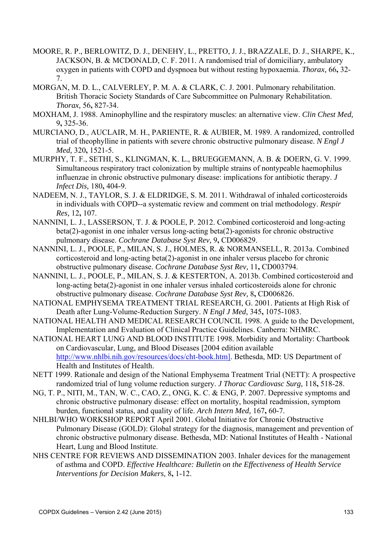- MOORE, R. P., BERLOWITZ, D. J., DENEHY, L., PRETTO, J. J., BRAZZALE, D. J., SHARPE, K., JACKSON, B. & MCDONALD, C. F. 2011. A randomised trial of domiciliary, ambulatory oxygen in patients with COPD and dyspnoea but without resting hypoxaemia. *Thorax,* 66**,** 32- 7.
- MORGAN, M. D. L., CALVERLEY, P. M. A. & CLARK, C. J. 2001. Pulmonary rehabilitation. British Thoracic Society Standards of Care Subcommittee on Pulmonary Rehabilitation. *Thorax,* 56**,** 827-34.
- MOXHAM, J. 1988. Aminophylline and the respiratory muscles: an alternative view. *Clin Chest Med,* 9**,** 325-36.
- MURCIANO, D., AUCLAIR, M. H., PARIENTE, R. & AUBIER, M. 1989. A randomized, controlled trial of theophylline in patients with severe chronic obstructive pulmonary disease. *N Engl J Med,* 320**,** 1521-5.
- MURPHY, T. F., SETHI, S., KLINGMAN, K. L., BRUEGGEMANN, A. B. & DOERN, G. V. 1999. Simultaneous respiratory tract colonization by multiple strains of nontypeable haemophilus influenzae in chronic obstructive pulmonary disease: implications for antibiotic therapy. *J Infect Dis,* 180**,** 404-9.
- NADEEM, N. J., TAYLOR, S. J. & ELDRIDGE, S. M. 2011. Withdrawal of inhaled corticosteroids in individuals with COPD--a systematic review and comment on trial methodology. *Respir Res,* 12**,** 107.
- NANNINI, L. J., LASSERSON, T. J. & POOLE, P. 2012. Combined corticosteroid and long-acting beta(2)-agonist in one inhaler versus long-acting beta(2)-agonists for chronic obstructive pulmonary disease. *Cochrane Database Syst Rev,* 9**,** CD006829.
- NANNINI, L. J., POOLE, P., MILAN, S. J., HOLMES, R. & NORMANSELL, R. 2013a. Combined corticosteroid and long-acting beta(2)-agonist in one inhaler versus placebo for chronic obstructive pulmonary disease. *Cochrane Database Syst Rev,* 11**,** CD003794.
- NANNINI, L. J., POOLE, P., MILAN, S. J. & KESTERTON, A. 2013b. Combined corticosteroid and long-acting beta(2)-agonist in one inhaler versus inhaled corticosteroids alone for chronic obstructive pulmonary disease. *Cochrane Database Syst Rev,* 8**,** CD006826.
- NATIONAL EMPHYSEMA TREATMENT TRIAL RESEARCH, G. 2001. Patients at High Risk of Death after Lung-Volume-Reduction Surgery. *N Engl J Med,* 345**,** 1075-1083.
- NATIONAL HEALTH AND MEDICAL RESEARCH COUNCIL 1998. A guide to the Development, Implementation and Evaluation of Clinical Practice Guidelines. Canberra: NHMRC.
- NATIONAL HEART LUNG AND BLOOD INSTITUTE 1998. Morbidity and Mortality: Chartbook on Cardiovascular, Lung, and Blood Diseases [2004 edition available http://www.nhlbi.nih.gov/resources/docs/cht-book.htm]. Bethesda, MD: US Department of Health and Institutes of Health.
- NETT 1999. Rationale and design of the National Emphysema Treatment Trial (NETT): A prospective randomized trial of lung volume reduction surgery. *J Thorac Cardiovasc Surg,* 118**,** 518-28.
- NG, T. P., NITI, M., TAN, W. C., CAO, Z., ONG, K. C. & ENG, P. 2007. Depressive symptoms and chronic obstructive pulmonary disease: effect on mortality, hospital readmission, symptom burden, functional status, and quality of life. *Arch Intern Med,* 167**,** 60-7.
- NHLBI/WHO WORKSHOP REPORT April 2001. Global Initiative for Chronic Obstructive Pulmonary Disease (GOLD): Global strategy for the diagnosis, management and prevention of chronic obstructive pulmonary disease. Bethesda, MD: National Institutes of Health - National Heart, Lung and Blood Institute.
- NHS CENTRE FOR REVIEWS AND DISSEMINATION 2003. Inhaler devices for the management of asthma and COPD. *Effective Healthcare: Bulletin on the Effectiveness of Health Service Interventions for Decision Makers,* 8**,** 1-12.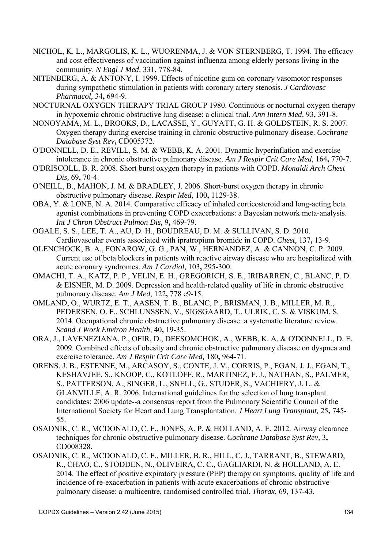- NICHOL, K. L., MARGOLIS, K. L., WUORENMA, J. & VON STERNBERG, T. 1994. The efficacy and cost effectiveness of vaccination against influenza among elderly persons living in the community. *N Engl J Med,* 331**,** 778-84.
- NITENBERG, A. & ANTONY, I. 1999. Effects of nicotine gum on coronary vasomotor responses during sympathetic stimulation in patients with coronary artery stenosis. *J Cardiovasc Pharmacol,* 34**,** 694-9.
- NOCTURNAL OXYGEN THERAPY TRIAL GROUP 1980. Continuous or nocturnal oxygen therapy in hypoxemic chronic obstructive lung disease: a clinical trial. *Ann Intern Med,* 93**,** 391-8.
- NONOYAMA, M. L., BROOKS, D., LACASSE, Y., GUYATT, G. H. & GOLDSTEIN, R. S. 2007. Oxygen therapy during exercise training in chronic obstructive pulmonary disease. *Cochrane Database Syst Rev***,** CD005372.
- O'DONNELL, D. E., REVILL, S. M. & WEBB, K. A. 2001. Dynamic hyperinflation and exercise intolerance in chronic obstructive pulmonary disease. *Am J Respir Crit Care Med,* 164**,** 770-7.
- O'DRISCOLL, B. R. 2008. Short burst oxygen therapy in patients with COPD. *Monaldi Arch Chest Dis,* 69**,** 70-4.
- O'NEILL, B., MAHON, J. M. & BRADLEY, J. 2006. Short-burst oxygen therapy in chronic obstructive pulmonary disease. *Respir Med,* 100**,** 1129-38.
- OBA, Y. & LONE, N. A. 2014. Comparative efficacy of inhaled corticosteroid and long-acting beta agonist combinations in preventing COPD exacerbations: a Bayesian network meta-analysis. *Int J Chron Obstruct Pulmon Dis,* 9**,** 469-79.
- OGALE, S. S., LEE, T. A., AU, D. H., BOUDREAU, D. M. & SULLIVAN, S. D. 2010. Cardiovascular events associated with ipratropium bromide in COPD. *Chest,* 137**,** 13-9.
- OLENCHOCK, B. A., FONAROW, G. G., PAN, W., HERNANDEZ, A. & CANNON, C. P. 2009. Current use of beta blockers in patients with reactive airway disease who are hospitalized with acute coronary syndromes. *Am J Cardiol,* 103**,** 295-300.
- OMACHI, T. A., KATZ, P. P., YELIN, E. H., GREGORICH, S. E., IRIBARREN, C., BLANC, P. D. & EISNER, M. D. 2009. Depression and health-related quality of life in chronic obstructive pulmonary disease. *Am J Med,* 122**,** 778 e9-15.
- OMLAND, O., WURTZ, E. T., AASEN, T. B., BLANC, P., BRISMAN, J. B., MILLER, M. R., PEDERSEN, O. F., SCHLUNSSEN, V., SIGSGAARD, T., ULRIK, C. S. & VISKUM, S. 2014. Occupational chronic obstructive pulmonary disease: a systematic literature review. *Scand J Work Environ Health,* 40**,** 19-35.
- ORA, J., LAVENEZIANA, P., OFIR, D., DEESOMCHOK, A., WEBB, K. A. & O'DONNELL, D. E. 2009. Combined effects of obesity and chronic obstructive pulmonary disease on dyspnea and exercise tolerance. *Am J Respir Crit Care Med,* 180**,** 964-71.
- ORENS, J. B., ESTENNE, M., ARCASOY, S., CONTE, J. V., CORRIS, P., EGAN, J. J., EGAN, T., KESHAVJEE, S., KNOOP, C., KOTLOFF, R., MARTINEZ, F. J., NATHAN, S., PALMER, S., PATTERSON, A., SINGER, L., SNELL, G., STUDER, S., VACHIERY, J. L. & GLANVILLE, A. R. 2006. International guidelines for the selection of lung transplant candidates: 2006 update--a consensus report from the Pulmonary Scientific Council of the International Society for Heart and Lung Transplantation. *J Heart Lung Transplant,* 25**,** 745- 55.
- OSADNIK, C. R., MCDONALD, C. F., JONES, A. P. & HOLLAND, A. E. 2012. Airway clearance techniques for chronic obstructive pulmonary disease. *Cochrane Database Syst Rev,* 3**,** CD008328.
- OSADNIK, C. R., MCDONALD, C. F., MILLER, B. R., HILL, C. J., TARRANT, B., STEWARD, R., CHAO, C., STODDEN, N., OLIVEIRA, C. C., GAGLIARDI, N. & HOLLAND, A. E. 2014. The effect of positive expiratory pressure (PEP) therapy on symptoms, quality of life and incidence of re-exacerbation in patients with acute exacerbations of chronic obstructive pulmonary disease: a multicentre, randomised controlled trial. *Thorax,* 69**,** 137-43.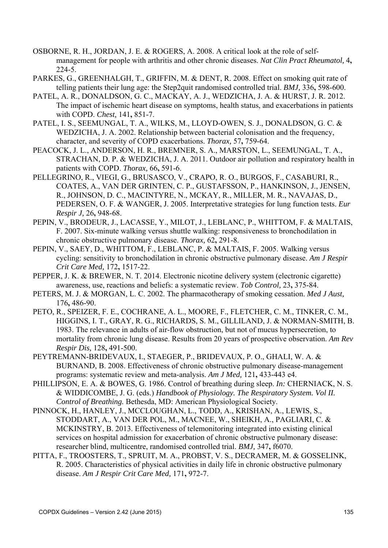- OSBORNE, R. H., JORDAN, J. E. & ROGERS, A. 2008. A critical look at the role of selfmanagement for people with arthritis and other chronic diseases. *Nat Clin Pract Rheumatol,* 4**,** 224-5.
- PARKES, G., GREENHALGH, T., GRIFFIN, M. & DENT, R. 2008. Effect on smoking quit rate of telling patients their lung age: the Step2quit randomised controlled trial. *BMJ,* 336**,** 598-600.
- PATEL, A. R., DONALDSON, G. C., MACKAY, A. J., WEDZICHA, J. A. & HURST, J. R. 2012. The impact of ischemic heart disease on symptoms, health status, and exacerbations in patients with COPD. *Chest,* 141**,** 851-7.
- PATEL, I. S., SEEMUNGAL, T. A., WILKS, M., LLOYD-OWEN, S. J., DONALDSON, G. C. & WEDZICHA, J. A. 2002. Relationship between bacterial colonisation and the frequency, character, and severity of COPD exacerbations. *Thorax,* 57**,** 759-64.
- PEACOCK, J. L., ANDERSON, H. R., BREMNER, S. A., MARSTON, L., SEEMUNGAL, T. A., STRACHAN, D. P. & WEDZICHA, J. A. 2011. Outdoor air pollution and respiratory health in patients with COPD. *Thorax,* 66**,** 591-6.
- PELLEGRINO, R., VIEGI, G., BRUSASCO, V., CRAPO, R. O., BURGOS, F., CASABURI, R., COATES, A., VAN DER GRINTEN, C. P., GUSTAFSSON, P., HANKINSON, J., JENSEN, R., JOHNSON, D. C., MACINTYRE, N., MCKAY, R., MILLER, M. R., NAVAJAS, D., PEDERSEN, O. F. & WANGER, J. 2005. Interpretative strategies for lung function tests. *Eur Respir J,* 26**,** 948-68.
- PEPIN, V., BRODEUR, J., LACASSE, Y., MILOT, J., LEBLANC, P., WHITTOM, F. & MALTAIS, F. 2007. Six-minute walking versus shuttle walking: responsiveness to bronchodilation in chronic obstructive pulmonary disease. *Thorax,* 62**,** 291-8.
- PEPIN, V., SAEY, D., WHITTOM, F., LEBLANC, P. & MALTAIS, F. 2005. Walking versus cycling: sensitivity to bronchodilation in chronic obstructive pulmonary disease. *Am J Respir Crit Care Med,* 172**,** 1517-22.
- PEPPER, J. K. & BREWER, N. T. 2014. Electronic nicotine delivery system (electronic cigarette) awareness, use, reactions and beliefs: a systematic review. *Tob Control,* 23**,** 375-84.
- PETERS, M. J. & MORGAN, L. C. 2002. The pharmacotherapy of smoking cessation. *Med J Aust,* 176**,** 486-90.
- PETO, R., SPEIZER, F. E., COCHRANE, A. L., MOORE, F., FLETCHER, C. M., TINKER, C. M., HIGGINS, I. T., GRAY, R. G., RICHARDS, S. M., GILLILAND, J. & NORMAN-SMITH, B. 1983. The relevance in adults of air-flow obstruction, but not of mucus hypersecretion, to mortality from chronic lung disease. Results from 20 years of prospective observation. *Am Rev Respir Dis,* 128**,** 491-500.
- PEYTREMANN-BRIDEVAUX, I., STAEGER, P., BRIDEVAUX, P. O., GHALI, W. A. & BURNAND, B. 2008. Effectiveness of chronic obstructive pulmonary disease-management programs: systematic review and meta-analysis. *Am J Med,* 121**,** 433-443 e4.
- PHILLIPSON, E. A. & BOWES, G. 1986. Control of breathing during sleep. *In:* CHERNIACK, N. S. & WIDDICOMBE, J. G. (eds.) *Handbook of Physiology. The Respiratory System. Vol II. Control of Breathing.* Bethesda, MD: American Physiological Society.
- PINNOCK, H., HANLEY, J., MCCLOUGHAN, L., TODD, A., KRISHAN, A., LEWIS, S., STODDART, A., VAN DER POL, M., MACNEE, W., SHEIKH, A., PAGLIARI, C. & MCKINSTRY, B. 2013. Effectiveness of telemonitoring integrated into existing clinical services on hospital admission for exacerbation of chronic obstructive pulmonary disease: researcher blind, multicentre, randomised controlled trial. *BMJ,* 347**,** f6070.
- PITTA, F., TROOSTERS, T., SPRUIT, M. A., PROBST, V. S., DECRAMER, M. & GOSSELINK, R. 2005. Characteristics of physical activities in daily life in chronic obstructive pulmonary disease. *Am J Respir Crit Care Med,* 171**,** 972-7.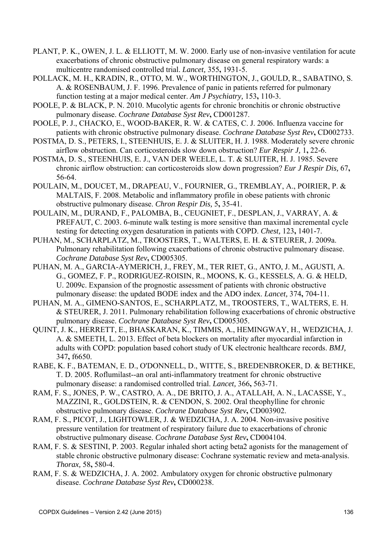- PLANT, P. K., OWEN, J. L. & ELLIOTT, M. W. 2000. Early use of non-invasive ventilation for acute exacerbations of chronic obstructive pulmonary disease on general respiratory wards: a multicentre randomised controlled trial. *Lancet,* 355**,** 1931-5.
- POLLACK, M. H., KRADIN, R., OTTO, M. W., WORTHINGTON, J., GOULD, R., SABATINO, S. A. & ROSENBAUM, J. F. 1996. Prevalence of panic in patients referred for pulmonary function testing at a major medical center. *Am J Psychiatry,* 153**,** 110-3.
- POOLE, P. & BLACK, P. N. 2010. Mucolytic agents for chronic bronchitis or chronic obstructive pulmonary disease. *Cochrane Database Syst Rev***,** CD001287.
- POOLE, P. J., CHACKO, E., WOOD-BAKER, R. W. & CATES, C. J. 2006. Influenza vaccine for patients with chronic obstructive pulmonary disease. *Cochrane Database Syst Rev***,** CD002733.
- POSTMA, D. S., PETERS, I., STEENHUIS, E. J. & SLUITER, H. J. 1988. Moderately severe chronic airflow obstruction. Can corticosteroids slow down obstruction? *Eur Respir J,* 1**,** 22-6.
- POSTMA, D. S., STEENHUIS, E. J., VAN DER WEELE, L. T. & SLUITER, H. J. 1985. Severe chronic airflow obstruction: can corticosteroids slow down progression? *Eur J Respir Dis,* 67**,** 56-64.
- POULAIN, M., DOUCET, M., DRAPEAU, V., FOURNIER, G., TREMBLAY, A., POIRIER, P. & MALTAIS, F. 2008. Metabolic and inflammatory profile in obese patients with chronic obstructive pulmonary disease. *Chron Respir Dis,* 5**,** 35-41.
- POULAIN, M., DURAND, F., PALOMBA, B., CEUGNIET, F., DESPLAN, J., VARRAY, A. & PREFAUT, C. 2003. 6-minute walk testing is more sensitive than maximal incremental cycle testing for detecting oxygen desaturation in patients with COPD. *Chest,* 123**,** 1401-7.
- PUHAN, M., SCHARPLATZ, M., TROOSTERS, T., WALTERS, E. H. & STEURER, J. 2009a. Pulmonary rehabilitation following exacerbations of chronic obstructive pulmonary disease. *Cochrane Database Syst Rev***,** CD005305.
- PUHAN, M. A., GARCIA-AYMERICH, J., FREY, M., TER RIET, G., ANTO, J. M., AGUSTI, A. G., GOMEZ, F. P., RODRIGUEZ-ROISIN, R., MOONS, K. G., KESSELS, A. G. & HELD, U. 2009c. Expansion of the prognostic assessment of patients with chronic obstructive pulmonary disease: the updated BODE index and the ADO index. *Lancet,* 374**,** 704-11.
- PUHAN, M. A., GIMENO-SANTOS, E., SCHARPLATZ, M., TROOSTERS, T., WALTERS, E. H. & STEURER, J. 2011. Pulmonary rehabilitation following exacerbations of chronic obstructive pulmonary disease. *Cochrane Database Syst Rev***,** CD005305.
- QUINT, J. K., HERRETT, E., BHASKARAN, K., TIMMIS, A., HEMINGWAY, H., WEDZICHA, J. A. & SMEETH, L. 2013. Effect of beta blockers on mortality after myocardial infarction in adults with COPD: population based cohort study of UK electronic healthcare records. *BMJ,* 347**,** f6650.
- RABE, K. F., BATEMAN, E. D., O'DONNELL, D., WITTE, S., BREDENBROKER, D. & BETHKE, T. D. 2005. Roflumilast--an oral anti-inflammatory treatment for chronic obstructive pulmonary disease: a randomised controlled trial. *Lancet,* 366**,** 563-71.
- RAM, F. S., JONES, P. W., CASTRO, A. A., DE BRITO, J. A., ATALLAH, A. N., LACASSE, Y., MAZZINI, R., GOLDSTEIN, R. & CENDON, S. 2002. Oral theophylline for chronic obstructive pulmonary disease. *Cochrane Database Syst Rev***,** CD003902.
- RAM, F. S., PICOT, J., LIGHTOWLER, J. & WEDZICHA, J. A. 2004. Non-invasive positive pressure ventilation for treatment of respiratory failure due to exacerbations of chronic obstructive pulmonary disease. *Cochrane Database Syst Rev***,** CD004104.
- RAM, F. S. & SESTINI, P. 2003. Regular inhaled short acting beta2 agonists for the management of stable chronic obstructive pulmonary disease: Cochrane systematic review and meta-analysis. *Thorax,* 58**,** 580-4.
- RAM, F. S. & WEDZICHA, J. A. 2002. Ambulatory oxygen for chronic obstructive pulmonary disease. *Cochrane Database Syst Rev***,** CD000238.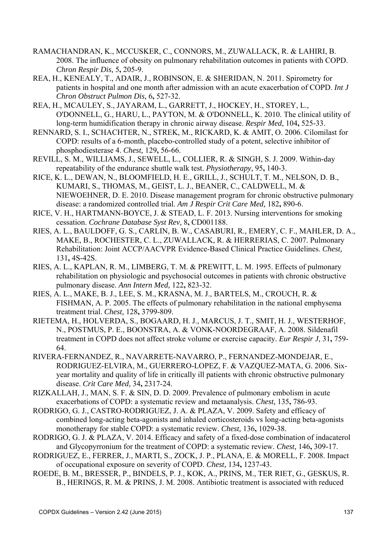- RAMACHANDRAN, K., MCCUSKER, C., CONNORS, M., ZUWALLACK, R. & LAHIRI, B. 2008. The influence of obesity on pulmonary rehabilitation outcomes in patients with COPD. *Chron Respir Dis,* 5**,** 205-9.
- REA, H., KENEALY, T., ADAIR, J., ROBINSON, E. & SHERIDAN, N. 2011. Spirometry for patients in hospital and one month after admission with an acute exacerbation of COPD. *Int J Chron Obstruct Pulmon Dis,* 6**,** 527-32.
- REA, H., MCAULEY, S., JAYARAM, L., GARRETT, J., HOCKEY, H., STOREY, L., O'DONNELL, G., HARU, L., PAYTON, M. & O'DONNELL, K. 2010. The clinical utility of long-term humidification therapy in chronic airway disease. *Respir Med,* 104**,** 525-33.
- RENNARD, S. I., SCHACHTER, N., STREK, M., RICKARD, K. & AMIT, O. 2006. Cilomilast for COPD: results of a 6-month, placebo-controlled study of a potent, selective inhibitor of phosphodiesterase 4. *Chest,* 129**,** 56-66.
- REVILL, S. M., WILLIAMS, J., SEWELL, L., COLLIER, R. & SINGH, S. J. 2009. Within-day repeatability of the endurance shuttle walk test. *Physiotherapy,* 95**,** 140-3.
- RICE, K. L., DEWAN, N., BLOOMFIELD, H. E., GRILL, J., SCHULT, T. M., NELSON, D. B., KUMARI, S., THOMAS, M., GEIST, L. J., BEANER, C., CALDWELL, M. & NIEWOEHNER, D. E. 2010. Disease management program for chronic obstructive pulmonary disease: a randomized controlled trial. *Am J Respir Crit Care Med,* 182**,** 890-6.
- RICE, V. H., HARTMANN-BOYCE, J. & STEAD, L. F. 2013. Nursing interventions for smoking cessation. *Cochrane Database Syst Rev,* 8**,** CD001188.
- RIES, A. L., BAULDOFF, G. S., CARLIN, B. W., CASABURI, R., EMERY, C. F., MAHLER, D. A., MAKE, B., ROCHESTER, C. L., ZUWALLACK, R. & HERRERIAS, C. 2007. Pulmonary Rehabilitation: Joint ACCP/AACVPR Evidence-Based Clinical Practice Guidelines. *Chest,* 131**,** 4S-42S.
- RIES, A. L., KAPLAN, R. M., LIMBERG, T. M. & PREWITT, L. M. 1995. Effects of pulmonary rehabilitation on physiologic and psychosocial outcomes in patients with chronic obstructive pulmonary disease. *Ann Intern Med,* 122**,** 823-32.
- RIES, A. L., MAKE, B. J., LEE, S. M., KRASNA, M. J., BARTELS, M., CROUCH, R. & FISHMAN, A. P. 2005. The effects of pulmonary rehabilitation in the national emphysema treatment trial. *Chest,* 128**,** 3799-809.
- RIETEMA, H., HOLVERDA, S., BOGAARD, H. J., MARCUS, J. T., SMIT, H. J., WESTERHOF, N., POSTMUS, P. E., BOONSTRA, A. & VONK-NOORDEGRAAF, A. 2008. Sildenafil treatment in COPD does not affect stroke volume or exercise capacity. *Eur Respir J,* 31**,** 759- 64.
- RIVERA-FERNANDEZ, R., NAVARRETE-NAVARRO, P., FERNANDEZ-MONDEJAR, E., RODRIGUEZ-ELVIRA, M., GUERRERO-LOPEZ, F. & VAZQUEZ-MATA, G. 2006. Sixyear mortality and quality of life in critically ill patients with chronic obstructive pulmonary disease. *Crit Care Med,* 34**,** 2317-24.
- RIZKALLAH, J., MAN, S. F. & SIN, D. D. 2009. Prevalence of pulmonary embolism in acute exacerbations of COPD: a systematic review and metaanalysis. *Chest,* 135**,** 786-93.
- RODRIGO, G. J., CASTRO-RODRIGUEZ, J. A. & PLAZA, V. 2009. Safety and efficacy of combined long-acting beta-agonists and inhaled corticosteroids vs long-acting beta-agonists monotherapy for stable COPD: a systematic review. *Chest,* 136**,** 1029-38.
- RODRIGO, G. J. & PLAZA, V. 2014. Efficacy and safety of a fixed-dose combination of indacaterol and Glycopyrronium for the treatment of COPD: a systematic review. *Chest,* 146**,** 309-17.
- RODRIGUEZ, E., FERRER, J., MARTI, S., ZOCK, J. P., PLANA, E. & MORELL, F. 2008. Impact of occupational exposure on severity of COPD. *Chest,* 134**,** 1237-43.
- ROEDE, B. M., BRESSER, P., BINDELS, P. J., KOK, A., PRINS, M., TER RIET, G., GESKUS, R. B., HERINGS, R. M. & PRINS, J. M. 2008. Antibiotic treatment is associated with reduced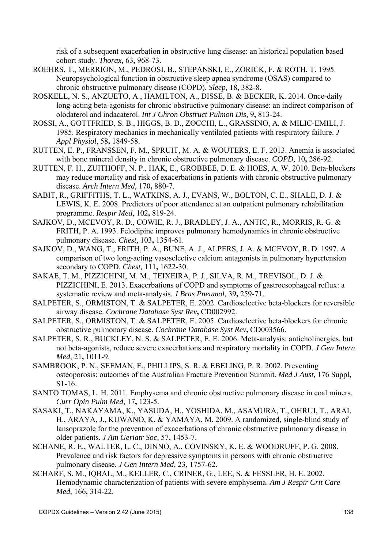risk of a subsequent exacerbation in obstructive lung disease: an historical population based cohort study. *Thorax,* 63**,** 968-73.

- ROEHRS, T., MERRION, M., PEDROSI, B., STEPANSKI, E., ZORICK, F. & ROTH, T. 1995. Neuropsychological function in obstructive sleep apnea syndrome (OSAS) compared to chronic obstructive pulmonary disease (COPD). *Sleep,* 18**,** 382-8.
- ROSKELL, N. S., ANZUETO, A., HAMILTON, A., DISSE, B. & BECKER, K. 2014. Once-daily long-acting beta-agonists for chronic obstructive pulmonary disease: an indirect comparison of olodaterol and indacaterol. *Int J Chron Obstruct Pulmon Dis,* 9**,** 813-24.
- ROSSI, A., GOTTFRIED, S. B., HIGGS, B. D., ZOCCHI, L., GRASSINO, A. & MILIC-EMILI, J. 1985. Respiratory mechanics in mechanically ventilated patients with respiratory failure. *J Appl Physiol,* 58**,** 1849-58.
- RUTTEN, E. P., FRANSSEN, F. M., SPRUIT, M. A. & WOUTERS, E. F. 2013. Anemia is associated with bone mineral density in chronic obstructive pulmonary disease. *COPD,* 10**,** 286-92.
- RUTTEN, F. H., ZUITHOFF, N. P., HAK, E., GROBBEE, D. E. & HOES, A. W. 2010. Beta-blockers may reduce mortality and risk of exacerbations in patients with chronic obstructive pulmonary disease. *Arch Intern Med,* 170**,** 880-7.
- SABIT, R., GRIFFITHS, T. L., WATKINS, A. J., EVANS, W., BOLTON, C. E., SHALE, D. J. & LEWIS, K. E. 2008. Predictors of poor attendance at an outpatient pulmonary rehabilitation programme. *Respir Med,* 102**,** 819-24.
- SAJKOV, D., MCEVOY, R. D., COWIE, R. J., BRADLEY, J. A., ANTIC, R., MORRIS, R. G. & FRITH, P. A. 1993. Felodipine improves pulmonary hemodynamics in chronic obstructive pulmonary disease. *Chest,* 103**,** 1354-61.
- SAJKOV, D., WANG, T., FRITH, P. A., BUNE, A. J., ALPERS, J. A. & MCEVOY, R. D. 1997. A comparison of two long-acting vasoselective calcium antagonists in pulmonary hypertension secondary to COPD. *Chest,* 111**,** 1622-30.
- SAKAE, T. M., PIZZICHINI, M. M., TEIXEIRA, P. J., SILVA, R. M., TREVISOL, D. J. & PIZZICHINI, E. 2013. Exacerbations of COPD and symptoms of gastroesophageal reflux: a systematic review and meta-analysis. *J Bras Pneumol,* 39**,** 259-71.
- SALPETER, S., ORMISTON, T. & SALPETER, E. 2002. Cardioselective beta-blockers for reversible airway disease. *Cochrane Database Syst Rev***,** CD002992.
- SALPETER, S., ORMISTON, T. & SALPETER, E. 2005. Cardioselective beta-blockers for chronic obstructive pulmonary disease. *Cochrane Database Syst Rev***,** CD003566.
- SALPETER, S. R., BUCKLEY, N. S. & SALPETER, E. E. 2006. Meta-analysis: anticholinergics, but not beta-agonists, reduce severe exacerbations and respiratory mortality in COPD. *J Gen Intern Med,* 21**,** 1011-9.
- SAMBROOK, P. N., SEEMAN, E., PHILLIPS, S. R. & EBELING, P. R. 2002. Preventing osteoporosis: outcomes of the Australian Fracture Prevention Summit. *Med J Aust,* 176 Suppl**,** S1-16.
- SANTO TOMAS, L. H. 2011. Emphysema and chronic obstructive pulmonary disease in coal miners. *Curr Opin Pulm Med,* 17**,** 123-5.
- SASAKI, T., NAKAYAMA, K., YASUDA, H., YOSHIDA, M., ASAMURA, T., OHRUI, T., ARAI, H., ARAYA, J., KUWANO, K. & YAMAYA, M. 2009. A randomized, single-blind study of lansoprazole for the prevention of exacerbations of chronic obstructive pulmonary disease in older patients. *J Am Geriatr Soc,* 57**,** 1453-7.
- SCHANE, R. E., WALTER, L. C., DINNO, A., COVINSKY, K. E. & WOODRUFF, P. G. 2008. Prevalence and risk factors for depressive symptoms in persons with chronic obstructive pulmonary disease. *J Gen Intern Med,* 23**,** 1757-62.
- SCHARF, S. M., IQBAL, M., KELLER, C., CRINER, G., LEE, S. & FESSLER, H. E. 2002. Hemodynamic characterization of patients with severe emphysema. *Am J Respir Crit Care Med,* 166**,** 314-22.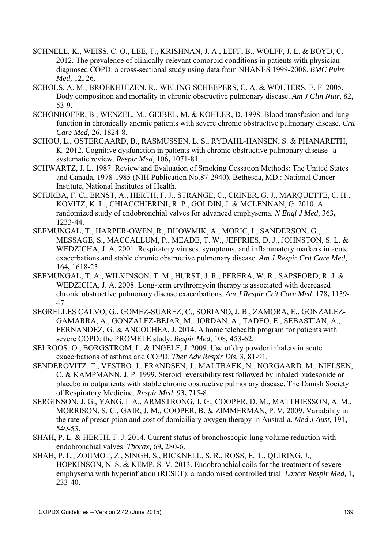- SCHNELL, K., WEISS, C. O., LEE, T., KRISHNAN, J. A., LEFF, B., WOLFF, J. L. & BOYD, C. 2012. The prevalence of clinically-relevant comorbid conditions in patients with physiciandiagnosed COPD: a cross-sectional study using data from NHANES 1999-2008. *BMC Pulm Med,* 12**,** 26.
- SCHOLS, A. M., BROEKHUIZEN, R., WELING-SCHEEPERS, C. A. & WOUTERS, E. F. 2005. Body composition and mortality in chronic obstructive pulmonary disease. *Am J Clin Nutr,* 82**,** 53-9.
- SCHONHOFER, B., WENZEL, M., GEIBEL, M. & KOHLER, D. 1998. Blood transfusion and lung function in chronically anemic patients with severe chronic obstructive pulmonary disease. *Crit Care Med,* 26**,** 1824-8.
- SCHOU, L., OSTERGAARD, B., RASMUSSEN, L. S., RYDAHL-HANSEN, S. & PHANARETH, K. 2012. Cognitive dysfunction in patients with chronic obstructive pulmonary disease--a systematic review. *Respir Med,* 106**,** 1071-81.
- SCHWARTZ, J. L. 1987. Review and Evaluation of Smoking Cessation Methods: The United States and Canada, 1978-1985 (NIH Publication No.87-2940). Bethesda, MD.: National Cancer Institute, National Institutes of Health.
- SCIURBA, F. C., ERNST, A., HERTH, F. J., STRANGE, C., CRINER, G. J., MARQUETTE, C. H., KOVITZ, K. L., CHIACCHIERINI, R. P., GOLDIN, J. & MCLENNAN, G. 2010. A randomized study of endobronchial valves for advanced emphysema. *N Engl J Med,* 363**,** 1233-44.
- SEEMUNGAL, T., HARPER-OWEN, R., BHOWMIK, A., MORIC, I., SANDERSON, G., MESSAGE, S., MACCALLUM, P., MEADE, T. W., JEFFRIES, D. J., JOHNSTON, S. L. & WEDZICHA, J. A. 2001. Respiratory viruses, symptoms, and inflammatory markers in acute exacerbations and stable chronic obstructive pulmonary disease. *Am J Respir Crit Care Med,* 164**,** 1618-23.
- SEEMUNGAL, T. A., WILKINSON, T. M., HURST, J. R., PERERA, W. R., SAPSFORD, R. J. & WEDZICHA, J. A. 2008. Long-term erythromycin therapy is associated with decreased chronic obstructive pulmonary disease exacerbations. *Am J Respir Crit Care Med,* 178**,** 1139- 47.
- SEGRELLES CALVO, G., GOMEZ-SUAREZ, C., SORIANO, J. B., ZAMORA, E., GONZALEZ-GAMARRA, A., GONZALEZ-BEJAR, M., JORDAN, A., TADEO, E., SEBASTIAN, A., FERNANDEZ, G. & ANCOCHEA, J. 2014. A home telehealth program for patients with severe COPD: the PROMETE study. *Respir Med,* 108**,** 453-62.
- SELROOS, O., BORGSTROM, L. & INGELF, J. 2009. Use of dry powder inhalers in acute exacerbations of asthma and COPD. *Ther Adv Respir Dis,* 3**,** 81-91.
- SENDEROVITZ, T., VESTBO, J., FRANDSEN, J., MALTBAEK, N., NORGAARD, M., NIELSEN, C. & KAMPMANN, J. P. 1999. Steroid reversibility test followed by inhaled budesonide or placebo in outpatients with stable chronic obstructive pulmonary disease. The Danish Society of Respiratory Medicine. *Respir Med,* 93**,** 715-8.
- SERGINSON, J. G., YANG, I. A., ARMSTRONG, J. G., COOPER, D. M., MATTHIESSON, A. M., MORRISON, S. C., GAIR, J. M., COOPER, B. & ZIMMERMAN, P. V. 2009. Variability in the rate of prescription and cost of domiciliary oxygen therapy in Australia. *Med J Aust,* 191**,** 549-53.
- SHAH, P. L. & HERTH, F. J. 2014. Current status of bronchoscopic lung volume reduction with endobronchial valves. *Thorax,* 69**,** 280-6.
- SHAH, P. L., ZOUMOT, Z., SINGH, S., BICKNELL, S. R., ROSS, E. T., QUIRING, J., HOPKINSON, N. S. & KEMP, S. V. 2013. Endobronchial coils for the treatment of severe emphysema with hyperinflation (RESET): a randomised controlled trial. *Lancet Respir Med,* 1**,** 233-40.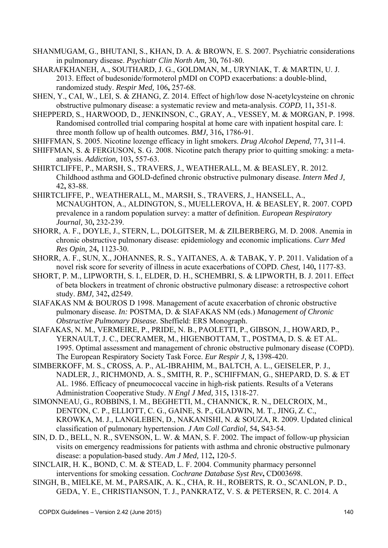- SHANMUGAM, G., BHUTANI, S., KHAN, D. A. & BROWN, E. S. 2007. Psychiatric considerations in pulmonary disease. *Psychiatr Clin North Am,* 30**,** 761-80.
- SHARAFKHANEH, A., SOUTHARD, J. G., GOLDMAN, M., URYNIAK, T. & MARTIN, U. J. 2013. Effect of budesonide/formoterol pMDI on COPD exacerbations: a double-blind, randomized study. *Respir Med,* 106**,** 257-68.
- SHEN, Y., CAI, W., LEI, S. & ZHANG, Z. 2014. Effect of high/low dose N-acetylcysteine on chronic obstructive pulmonary disease: a systematic review and meta-analysis. *COPD,* 11**,** 351-8.
- SHEPPERD, S., HARWOOD, D., JENKINSON, C., GRAY, A., VESSEY, M. & MORGAN, P. 1998. Randomised controlled trial comparing hospital at home care with inpatient hospital care. I: three month follow up of health outcomes. *BMJ,* 316**,** 1786-91.
- SHIFFMAN, S. 2005. Nicotine lozenge efficacy in light smokers. *Drug Alcohol Depend,* 77**,** 311-4.
- SHIFFMAN, S. & FERGUSON, S. G. 2008. Nicotine patch therapy prior to quitting smoking: a metaanalysis. *Addiction,* 103**,** 557-63.
- SHIRTCLIFFE, P., MARSH, S., TRAVERS, J., WEATHERALL, M. & BEASLEY, R. 2012. Childhood asthma and GOLD-defined chronic obstructive pulmonary disease. *Intern Med J,* 42**,** 83-88.
- SHIRTCLIFFE, P., WEATHERALL, M., MARSH, S., TRAVERS, J., HANSELL, A., MCNAUGHTON, A., ALDINGTON, S., MUELLEROVA, H. & BEASLEY, R. 2007. COPD prevalence in a random population survey: a matter of definition. *European Respiratory Journal,* 30**,** 232-239.
- SHORR, A. F., DOYLE, J., STERN, L., DOLGITSER, M. & ZILBERBERG, M. D. 2008. Anemia in chronic obstructive pulmonary disease: epidemiology and economic implications. *Curr Med Res Opin,* 24**,** 1123-30.
- SHORR, A. F., SUN, X., JOHANNES, R. S., YAITANES, A. & TABAK, Y. P. 2011. Validation of a novel risk score for severity of illness in acute exacerbations of COPD. *Chest,* 140**,** 1177-83.
- SHORT, P. M., LIPWORTH, S. I., ELDER, D. H., SCHEMBRI, S. & LIPWORTH, B. J. 2011. Effect of beta blockers in treatment of chronic obstructive pulmonary disease: a retrospective cohort study. *BMJ,* 342**,** d2549.
- SIAFAKAS NM & BOUROS D 1998. Management of acute exacerbation of chronic obstructive pulmonary disease. *In:* POSTMA, D. & SIAFAKAS NM (eds.) *Management of Chronic Obstructive Pulmonary Disease.* Sheffield: ERS Monograph.
- SIAFAKAS, N. M., VERMEIRE, P., PRIDE, N. B., PAOLETTI, P., GIBSON, J., HOWARD, P., YERNAULT, J. C., DECRAMER, M., HIGENBOTTAM, T., POSTMA, D. S. & ET AL. 1995. Optimal assessment and management of chronic obstructive pulmonary disease (COPD). The European Respiratory Society Task Force. *Eur Respir J,* 8**,** 1398-420.
- SIMBERKOFF, M. S., CROSS, A. P., AL-IBRAHIM, M., BALTCH, A. L., GEISELER, P. J., NADLER, J., RICHMOND, A. S., SMITH, R. P., SCHIFFMAN, G., SHEPARD, D. S. & ET AL. 1986. Efficacy of pneumococcal vaccine in high-risk patients. Results of a Veterans Administration Cooperative Study. *N Engl J Med,* 315**,** 1318-27.
- SIMONNEAU, G., ROBBINS, I. M., BEGHETTI, M., CHANNICK, R. N., DELCROIX, M., DENTON, C. P., ELLIOTT, C. G., GAINE, S. P., GLADWIN, M. T., JING, Z. C., KROWKA, M. J., LANGLEBEN, D., NAKANISHI, N. & SOUZA, R. 2009. Updated clinical classification of pulmonary hypertension. *J Am Coll Cardiol,* 54**,** S43-54.
- SIN, D. D., BELL, N. R., SVENSON, L. W. & MAN, S. F. 2002. The impact of follow-up physician visits on emergency readmissions for patients with asthma and chronic obstructive pulmonary disease: a population-based study. *Am J Med,* 112**,** 120-5.
- SINCLAIR, H. K., BOND, C. M. & STEAD, L. F. 2004. Community pharmacy personnel interventions for smoking cessation. *Cochrane Database Syst Rev***,** CD003698.
- SINGH, B., MIELKE, M. M., PARSAIK, A. K., CHA, R. H., ROBERTS, R. O., SCANLON, P. D., GEDA, Y. E., CHRISTIANSON, T. J., PANKRATZ, V. S. & PETERSEN, R. C. 2014. A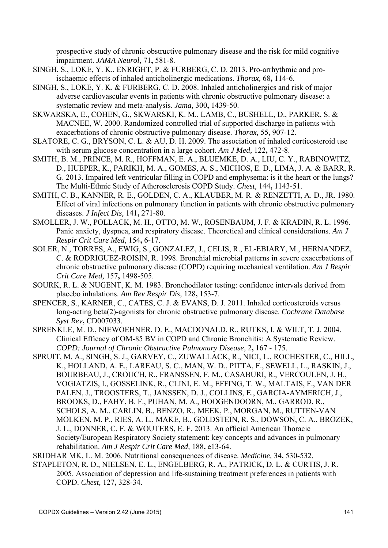prospective study of chronic obstructive pulmonary disease and the risk for mild cognitive impairment. *JAMA Neurol,* 71**,** 581-8.

- SINGH, S., LOKE, Y. K., ENRIGHT, P. & FURBERG, C. D. 2013. Pro-arrhythmic and proischaemic effects of inhaled anticholinergic medications. *Thorax,* 68**,** 114-6.
- SINGH, S., LOKE, Y. K. & FURBERG, C. D. 2008. Inhaled anticholinergics and risk of major adverse cardiovascular events in patients with chronic obstructive pulmonary disease: a systematic review and meta-analysis. *Jama,* 300**,** 1439-50.
- SKWARSKA, E., COHEN, G., SKWARSKI, K. M., LAMB, C., BUSHELL, D., PARKER, S. & MACNEE, W. 2000. Randomized controlled trial of supported discharge in patients with exacerbations of chronic obstructive pulmonary disease. *Thorax,* 55**,** 907-12.
- SLATORE, C. G., BRYSON, C. L. & AU, D. H. 2009. The association of inhaled corticosteroid use with serum glucose concentration in a large cohort. *Am J Med,* 122**,** 472-8.
- SMITH, B. M., PRINCE, M. R., HOFFMAN, E. A., BLUEMKE, D. A., LIU, C. Y., RABINOWITZ, D., HUEPER, K., PARIKH, M. A., GOMES, A. S., MICHOS, E. D., LIMA, J. A. & BARR, R. G. 2013. Impaired left ventricular filling in COPD and emphysema: is it the heart or the lungs? The Multi-Ethnic Study of Atherosclerosis COPD Study. *Chest,* 144**,** 1143-51.
- SMITH, C. B., KANNER, R. E., GOLDEN, C. A., KLAUBER, M. R. & RENZETTI, A. D., JR. 1980. Effect of viral infections on pulmonary function in patients with chronic obstructive pulmonary diseases. *J Infect Dis,* 141**,** 271-80.
- SMOLLER, J. W., POLLACK, M. H., OTTO, M. W., ROSENBAUM, J. F. & KRADIN, R. L. 1996. Panic anxiety, dyspnea, and respiratory disease. Theoretical and clinical considerations. *Am J Respir Crit Care Med,* 154**,** 6-17.
- SOLER, N., TORRES, A., EWIG, S., GONZALEZ, J., CELIS, R., EL-EBIARY, M., HERNANDEZ, C. & RODRIGUEZ-ROISIN, R. 1998. Bronchial microbial patterns in severe exacerbations of chronic obstructive pulmonary disease (COPD) requiring mechanical ventilation. *Am J Respir Crit Care Med,* 157**,** 1498-505.
- SOURK, R. L. & NUGENT, K. M. 1983. Bronchodilator testing: confidence intervals derived from placebo inhalations. *Am Rev Respir Dis,* 128**,** 153-7.
- SPENCER, S., KARNER, C., CATES, C. J. & EVANS, D. J. 2011. Inhaled corticosteroids versus long-acting beta(2)-agonists for chronic obstructive pulmonary disease. *Cochrane Database Syst Rev***,** CD007033.
- SPRENKLE, M. D., NIEWOEHNER, D. E., MACDONALD, R., RUTKS, I. & WILT, T. J. 2004. Clinical Efficacy of OM-85 BV in COPD and Chronic Bronchitis: A Systematic Review. *COPD: Journal of Chronic Obstructive Pulmonary Disease,* 2**,** 167 - 175.
- SPRUIT, M. A., SINGH, S. J., GARVEY, C., ZUWALLACK, R., NICI, L., ROCHESTER, C., HILL, K., HOLLAND, A. E., LAREAU, S. C., MAN, W. D., PITTA, F., SEWELL, L., RASKIN, J., BOURBEAU, J., CROUCH, R., FRANSSEN, F. M., CASABURI, R., VERCOULEN, J. H., VOGIATZIS, I., GOSSELINK, R., CLINI, E. M., EFFING, T. W., MALTAIS, F., VAN DER PALEN, J., TROOSTERS, T., JANSSEN, D. J., COLLINS, E., GARCIA-AYMERICH, J., BROOKS, D., FAHY, B. F., PUHAN, M. A., HOOGENDOORN, M., GARROD, R., SCHOLS, A. M., CARLIN, B., BENZO, R., MEEK, P., MORGAN, M., RUTTEN-VAN MOLKEN, M. P., RIES, A. L., MAKE, B., GOLDSTEIN, R. S., DOWSON, C. A., BROZEK, J. L., DONNER, C. F. & WOUTERS, E. F. 2013. An official American Thoracic Society/European Respiratory Society statement: key concepts and advances in pulmonary rehabilitation. *Am J Respir Crit Care Med,* 188**,** e13-64.
- SRIDHAR MK, L. M. 2006. Nutritional consequences of disease. *Medicine,* 34**,** 530-532.
- STAPLETON, R. D., NIELSEN, E. L., ENGELBERG, R. A., PATRICK, D. L. & CURTIS, J. R. 2005. Association of depression and life-sustaining treatment preferences in patients with COPD. *Chest,* 127**,** 328-34.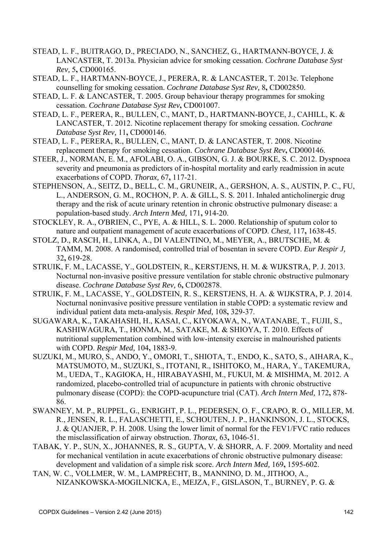- STEAD, L. F., BUITRAGO, D., PRECIADO, N., SANCHEZ, G., HARTMANN-BOYCE, J. & LANCASTER, T. 2013a. Physician advice for smoking cessation. *Cochrane Database Syst Rev,* 5**,** CD000165.
- STEAD, L. F., HARTMANN-BOYCE, J., PERERA, R. & LANCASTER, T. 2013c. Telephone counselling for smoking cessation. *Cochrane Database Syst Rev,* 8**,** CD002850.
- STEAD, L. F. & LANCASTER, T. 2005. Group behaviour therapy programmes for smoking cessation. *Cochrane Database Syst Rev***,** CD001007.
- STEAD, L. F., PERERA, R., BULLEN, C., MANT, D., HARTMANN-BOYCE, J., CAHILL, K. & LANCASTER, T. 2012. Nicotine replacement therapy for smoking cessation. *Cochrane Database Syst Rev,* 11**,** CD000146.
- STEAD, L. F., PERERA, R., BULLEN, C., MANT, D. & LANCASTER, T. 2008. Nicotine replacement therapy for smoking cessation. *Cochrane Database Syst Rev***,** CD000146.
- STEER, J., NORMAN, E. M., AFOLABI, O. A., GIBSON, G. J. & BOURKE, S. C. 2012. Dyspnoea severity and pneumonia as predictors of in-hospital mortality and early readmission in acute exacerbations of COPD. *Thorax,* 67**,** 117-21.
- STEPHENSON, A., SEITZ, D., BELL, C. M., GRUNEIR, A., GERSHON, A. S., AUSTIN, P. C., FU, L., ANDERSON, G. M., ROCHON, P. A. & GILL, S. S. 2011. Inhaled anticholinergic drug therapy and the risk of acute urinary retention in chronic obstructive pulmonary disease: a population-based study. *Arch Intern Med,* 171**,** 914-20.
- STOCKLEY, R. A., O'BRIEN, C., PYE, A. & HILL, S. L. 2000. Relationship of sputum color to nature and outpatient management of acute exacerbations of COPD. *Chest,* 117**,** 1638-45.
- STOLZ, D., RASCH, H., LINKA, A., DI VALENTINO, M., MEYER, A., BRUTSCHE, M. & TAMM, M. 2008. A randomised, controlled trial of bosentan in severe COPD. *Eur Respir J,* 32**,** 619-28.
- STRUIK, F. M., LACASSE, Y., GOLDSTEIN, R., KERSTJENS, H. M. & WIJKSTRA, P. J. 2013. Nocturnal non-invasive positive pressure ventilation for stable chronic obstructive pulmonary disease. *Cochrane Database Syst Rev,* 6**,** CD002878.
- STRUIK, F. M., LACASSE, Y., GOLDSTEIN, R. S., KERSTJENS, H. A. & WIJKSTRA, P. J. 2014. Nocturnal noninvasive positive pressure ventilation in stable COPD: a systematic review and individual patient data meta-analysis. *Respir Med,* 108**,** 329-37.
- SUGAWARA, K., TAKAHASHI, H., KASAI, C., KIYOKAWA, N., WATANABE, T., FUJII, S., KASHIWAGURA, T., HONMA, M., SATAKE, M. & SHIOYA, T. 2010. Effects of nutritional supplementation combined with low-intensity exercise in malnourished patients with COPD. *Respir Med,* 104**,** 1883-9.
- SUZUKI, M., MURO, S., ANDO, Y., OMORI, T., SHIOTA, T., ENDO, K., SATO, S., AIHARA, K., MATSUMOTO, M., SUZUKI, S., ITOTANI, R., ISHITOKO, M., HARA, Y., TAKEMURA, M., UEDA, T., KAGIOKA, H., HIRABAYASHI, M., FUKUI, M. & MISHIMA, M. 2012. A randomized, placebo-controlled trial of acupuncture in patients with chronic obstructive pulmonary disease (COPD): the COPD-acupuncture trial (CAT). *Arch Intern Med,* 172**,** 878- 86.
- SWANNEY, M. P., RUPPEL, G., ENRIGHT, P. L., PEDERSEN, O. F., CRAPO, R. O., MILLER, M. R., JENSEN, R. L., FALASCHETTI, E., SCHOUTEN, J. P., HANKINSON, J. L., STOCKS, J. & QUANJER, P. H. 2008. Using the lower limit of normal for the FEV1/FVC ratio reduces the misclassification of airway obstruction. *Thorax,* 63**,** 1046-51.
- TABAK, Y. P., SUN, X., JOHANNES, R. S., GUPTA, V. & SHORR, A. F. 2009. Mortality and need for mechanical ventilation in acute exacerbations of chronic obstructive pulmonary disease: development and validation of a simple risk score. *Arch Intern Med,* 169**,** 1595-602.
- TAN, W. C., VOLLMER, W. M., LAMPRECHT, B., MANNINO, D. M., JITHOO, A., NIZANKOWSKA-MOGILNICKA, E., MEJZA, F., GISLASON, T., BURNEY, P. G. &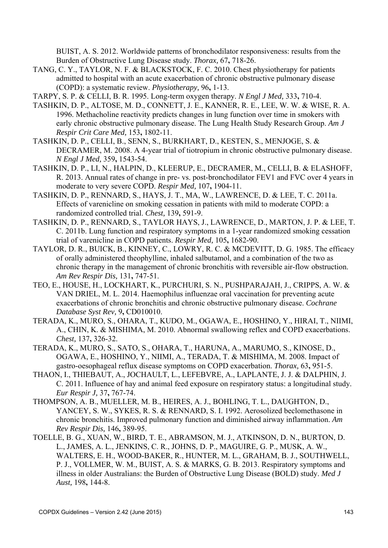BUIST, A. S. 2012. Worldwide patterns of bronchodilator responsiveness: results from the Burden of Obstructive Lung Disease study. *Thorax,* 67**,** 718-26.

- TANG, C. Y., TAYLOR, N. F. & BLACKSTOCK, F. C. 2010. Chest physiotherapy for patients admitted to hospital with an acute exacerbation of chronic obstructive pulmonary disease (COPD): a systematic review. *Physiotherapy,* 96**,** 1-13.
- TARPY, S. P. & CELLI, B. R. 1995. Long-term oxygen therapy. *N Engl J Med,* 333**,** 710-4.
- TASHKIN, D. P., ALTOSE, M. D., CONNETT, J. E., KANNER, R. E., LEE, W. W. & WISE, R. A. 1996. Methacholine reactivity predicts changes in lung function over time in smokers with early chronic obstructive pulmonary disease. The Lung Health Study Research Group. *Am J Respir Crit Care Med,* 153**,** 1802-11.
- TASHKIN, D. P., CELLI, B., SENN, S., BURKHART, D., KESTEN, S., MENJOGE, S. & DECRAMER, M. 2008. A 4-year trial of tiotropium in chronic obstructive pulmonary disease. *N Engl J Med,* 359**,** 1543-54.
- TASHKIN, D. P., LI, N., HALPIN, D., KLEERUP, E., DECRAMER, M., CELLI, B. & ELASHOFF, R. 2013. Annual rates of change in pre- vs. post-bronchodilator FEV1 and FVC over 4 years in moderate to very severe COPD. *Respir Med,* 107**,** 1904-11.
- TASHKIN, D. P., RENNARD, S., HAYS, J. T., MA, W., LAWRENCE, D. & LEE, T. C. 2011a. Effects of varenicline on smoking cessation in patients with mild to moderate COPD: a randomized controlled trial. *Chest,* 139**,** 591-9.
- TASHKIN, D. P., RENNARD, S., TAYLOR HAYS, J., LAWRENCE, D., MARTON, J. P. & LEE, T. C. 2011b. Lung function and respiratory symptoms in a 1-year randomized smoking cessation trial of varenicline in COPD patients. *Respir Med,* 105**,** 1682-90.
- TAYLOR, D. R., BUICK, B., KINNEY, C., LOWRY, R. C. & MCDEVITT, D. G. 1985. The efficacy of orally administered theophylline, inhaled salbutamol, and a combination of the two as chronic therapy in the management of chronic bronchitis with reversible air-flow obstruction. *Am Rev Respir Dis,* 131**,** 747-51.
- TEO, E., HOUSE, H., LOCKHART, K., PURCHURI, S. N., PUSHPARAJAH, J., CRIPPS, A. W. & VAN DRIEL, M. L. 2014. Haemophilus influenzae oral vaccination for preventing acute exacerbations of chronic bronchitis and chronic obstructive pulmonary disease. *Cochrane Database Syst Rev,* 9**,** CD010010.
- TERADA, K., MURO, S., OHARA, T., KUDO, M., OGAWA, E., HOSHINO, Y., HIRAI, T., NIIMI, A., CHIN, K. & MISHIMA, M. 2010. Abnormal swallowing reflex and COPD exacerbations. *Chest,* 137**,** 326-32.
- TERADA, K., MURO, S., SATO, S., OHARA, T., HARUNA, A., MARUMO, S., KINOSE, D., OGAWA, E., HOSHINO, Y., NIIMI, A., TERADA, T. & MISHIMA, M. 2008. Impact of gastro-oesophageal reflux disease symptoms on COPD exacerbation. *Thorax,* 63**,** 951-5.
- THAON, I., THIEBAUT, A., JOCHAULT, L., LEFEBVRE, A., LAPLANTE, J. J. & DALPHIN, J. C. 2011. Influence of hay and animal feed exposure on respiratory status: a longitudinal study. *Eur Respir J,* 37**,** 767-74.
- THOMPSON, A. B., MUELLER, M. B., HEIRES, A. J., BOHLING, T. L., DAUGHTON, D., YANCEY, S. W., SYKES, R. S. & RENNARD, S. I. 1992. Aerosolized beclomethasone in chronic bronchitis. Improved pulmonary function and diminished airway inflammation. *Am Rev Respir Dis,* 146**,** 389-95.
- TOELLE, B. G., XUAN, W., BIRD, T. E., ABRAMSON, M. J., ATKINSON, D. N., BURTON, D. L., JAMES, A. L., JENKINS, C. R., JOHNS, D. P., MAGUIRE, G. P., MUSK, A. W., WALTERS, E. H., WOOD-BAKER, R., HUNTER, M. L., GRAHAM, B. J., SOUTHWELL, P. J., VOLLMER, W. M., BUIST, A. S. & MARKS, G. B. 2013. Respiratory symptoms and illness in older Australians: the Burden of Obstructive Lung Disease (BOLD) study. *Med J Aust,* 198**,** 144-8.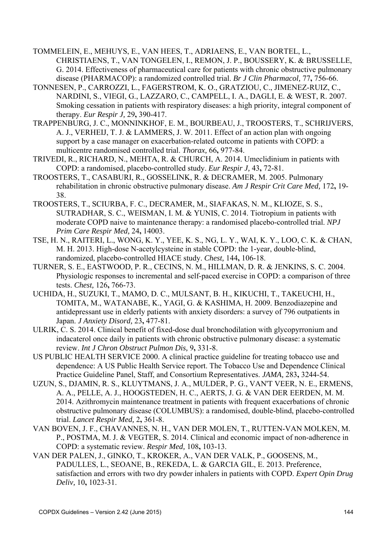- TOMMELEIN, E., MEHUYS, E., VAN HEES, T., ADRIAENS, E., VAN BORTEL, L., CHRISTIAENS, T., VAN TONGELEN, I., REMON, J. P., BOUSSERY, K. & BRUSSELLE, G. 2014. Effectiveness of pharmaceutical care for patients with chronic obstructive pulmonary disease (PHARMACOP): a randomized controlled trial. *Br J Clin Pharmacol,* 77**,** 756-66.
- TONNESEN, P., CARROZZI, L., FAGERSTROM, K. O., GRATZIOU, C., JIMENEZ-RUIZ, C., NARDINI, S., VIEGI, G., LAZZARO, C., CAMPELL, I. A., DAGLI, E. & WEST, R. 2007. Smoking cessation in patients with respiratory diseases: a high priority, integral component of therapy. *Eur Respir J,* 29**,** 390-417.
- TRAPPENBURG, J. C., MONNINKHOF, E. M., BOURBEAU, J., TROOSTERS, T., SCHRIJVERS, A. J., VERHEIJ, T. J. & LAMMERS, J. W. 2011. Effect of an action plan with ongoing support by a case manager on exacerbation-related outcome in patients with COPD: a multicentre randomised controlled trial. *Thorax,* 66**,** 977-84.
- TRIVEDI, R., RICHARD, N., MEHTA, R. & CHURCH, A. 2014. Umeclidinium in patients with COPD: a randomised, placebo-controlled study. *Eur Respir J,* 43**,** 72-81.
- TROOSTERS, T., CASABURI, R., GOSSELINK, R. & DECRAMER, M. 2005. Pulmonary rehabilitation in chronic obstructive pulmonary disease. *Am J Respir Crit Care Med,* 172**,** 19- 38.
- TROOSTERS, T., SCIURBA, F. C., DECRAMER, M., SIAFAKAS, N. M., KLIOZE, S. S., SUTRADHAR, S. C., WEISMAN, I. M. & YUNIS, C. 2014. Tiotropium in patients with moderate COPD naive to maintenance therapy: a randomised placebo-controlled trial. *NPJ Prim Care Respir Med,* 24**,** 14003.
- TSE, H. N., RAITERI, L., WONG, K. Y., YEE, K. S., NG, L. Y., WAI, K. Y., LOO, C. K. & CHAN, M. H. 2013. High-dose N-acetylcysteine in stable COPD: the 1-year, double-blind, randomized, placebo-controlled HIACE study. *Chest,* 144**,** 106-18.
- TURNER, S. E., EASTWOOD, P. R., CECINS, N. M., HILLMAN, D. R. & JENKINS, S. C. 2004. Physiologic responses to incremental and self-paced exercise in COPD: a comparison of three tests. *Chest,* 126**,** 766-73.
- UCHIDA, H., SUZUKI, T., MAMO, D. C., MULSANT, B. H., KIKUCHI, T., TAKEUCHI, H., TOMITA, M., WATANABE, K., YAGI, G. & KASHIMA, H. 2009. Benzodiazepine and antidepressant use in elderly patients with anxiety disorders: a survey of 796 outpatients in Japan. *J Anxiety Disord,* 23**,** 477-81.
- ULRIK, C. S. 2014. Clinical benefit of fixed-dose dual bronchodilation with glycopyrronium and indacaterol once daily in patients with chronic obstructive pulmonary disease: a systematic review. *Int J Chron Obstruct Pulmon Dis,* 9**,** 331-8.
- US PUBLIC HEALTH SERVICE 2000. A clinical practice guideline for treating tobacco use and dependence: A US Public Health Service report. The Tobacco Use and Dependence Clinical Practice Guideline Panel, Staff, and Consortium Representatives. *JAMA,* 283**,** 3244-54.
- UZUN, S., DJAMIN, R. S., KLUYTMANS, J. A., MULDER, P. G., VAN'T VEER, N. E., ERMENS, A. A., PELLE, A. J., HOOGSTEDEN, H. C., AERTS, J. G. & VAN DER EERDEN, M. M. 2014. Azithromycin maintenance treatment in patients with frequent exacerbations of chronic obstructive pulmonary disease (COLUMBUS): a randomised, double-blind, placebo-controlled trial. *Lancet Respir Med,* 2**,** 361-8.
- VAN BOVEN, J. F., CHAVANNES, N. H., VAN DER MOLEN, T., RUTTEN-VAN MOLKEN, M. P., POSTMA, M. J. & VEGTER, S. 2014. Clinical and economic impact of non-adherence in COPD: a systematic review. *Respir Med,* 108**,** 103-13.
- VAN DER PALEN, J., GINKO, T., KROKER, A., VAN DER VALK, P., GOOSENS, M., PADULLES, L., SEOANE, B., REKEDA, L. & GARCIA GIL, E. 2013. Preference, satisfaction and errors with two dry powder inhalers in patients with COPD. *Expert Opin Drug Deliv,* 10**,** 1023-31.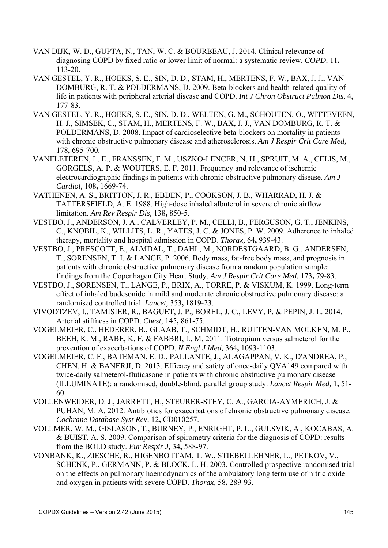- VAN DIJK, W. D., GUPTA, N., TAN, W. C. & BOURBEAU, J. 2014. Clinical relevance of diagnosing COPD by fixed ratio or lower limit of normal: a systematic review. *COPD,* 11**,** 113-20.
- VAN GESTEL, Y. R., HOEKS, S. E., SIN, D. D., STAM, H., MERTENS, F. W., BAX, J. J., VAN DOMBURG, R. T. & POLDERMANS, D. 2009. Beta-blockers and health-related quality of life in patients with peripheral arterial disease and COPD. *Int J Chron Obstruct Pulmon Dis,* 4**,** 177-83.
- VAN GESTEL, Y. R., HOEKS, S. E., SIN, D. D., WELTEN, G. M., SCHOUTEN, O., WITTEVEEN, H. J., SIMSEK, C., STAM, H., MERTENS, F. W., BAX, J. J., VAN DOMBURG, R. T. & POLDERMANS, D. 2008. Impact of cardioselective beta-blockers on mortality in patients with chronic obstructive pulmonary disease and atherosclerosis. *Am J Respir Crit Care Med,* 178**,** 695-700.
- VANFLETEREN, L. E., FRANSSEN, F. M., USZKO-LENCER, N. H., SPRUIT, M. A., CELIS, M., GORGELS, A. P. & WOUTERS, E. F. 2011. Frequency and relevance of ischemic electrocardiographic findings in patients with chronic obstructive pulmonary disease. *Am J Cardiol,* 108**,** 1669-74.
- VATHENEN, A. S., BRITTON, J. R., EBDEN, P., COOKSON, J. B., WHARRAD, H. J. & TATTERSFIELD, A. E. 1988. High-dose inhaled albuterol in severe chronic airflow limitation. *Am Rev Respir Dis,* 138**,** 850-5.
- VESTBO, J., ANDERSON, J. A., CALVERLEY, P. M., CELLI, B., FERGUSON, G. T., JENKINS, C., KNOBIL, K., WILLITS, L. R., YATES, J. C. & JONES, P. W. 2009. Adherence to inhaled therapy, mortality and hospital admission in COPD. *Thorax,* 64**,** 939-43.
- VESTBO, J., PRESCOTT, E., ALMDAL, T., DAHL, M., NORDESTGAARD, B. G., ANDERSEN, T., SORENSEN, T. I. & LANGE, P. 2006. Body mass, fat-free body mass, and prognosis in patients with chronic obstructive pulmonary disease from a random population sample: findings from the Copenhagen City Heart Study. *Am J Respir Crit Care Med,* 173**,** 79-83.
- VESTBO, J., SORENSEN, T., LANGE, P., BRIX, A., TORRE, P. & VISKUM, K. 1999. Long-term effect of inhaled budesonide in mild and moderate chronic obstructive pulmonary disease: a randomised controlled trial. *Lancet,* 353**,** 1819-23.
- VIVODTZEV, I., TAMISIER, R., BAGUET, J. P., BOREL, J. C., LEVY, P. & PEPIN, J. L. 2014. Arterial stiffness in COPD. *Chest,* 145**,** 861-75.
- VOGELMEIER, C., HEDERER, B., GLAAB, T., SCHMIDT, H., RUTTEN-VAN MOLKEN, M. P., BEEH, K. M., RABE, K. F. & FABBRI, L. M. 2011. Tiotropium versus salmeterol for the prevention of exacerbations of COPD. *N Engl J Med,* 364**,** 1093-1103.
- VOGELMEIER, C. F., BATEMAN, E. D., PALLANTE, J., ALAGAPPAN, V. K., D'ANDREA, P., CHEN, H. & BANERJI, D. 2013. Efficacy and safety of once-daily QVA149 compared with twice-daily salmeterol-fluticasone in patients with chronic obstructive pulmonary disease (ILLUMINATE): a randomised, double-blind, parallel group study. *Lancet Respir Med,* 1**,** 51- 60.
- VOLLENWEIDER, D. J., JARRETT, H., STEURER-STEY, C. A., GARCIA-AYMERICH, J. & PUHAN, M. A. 2012. Antibiotics for exacerbations of chronic obstructive pulmonary disease. *Cochrane Database Syst Rev,* 12**,** CD010257.
- VOLLMER, W. M., GISLASON, T., BURNEY, P., ENRIGHT, P. L., GULSVIK, A., KOCABAS, A. & BUIST, A. S. 2009. Comparison of spirometry criteria for the diagnosis of COPD: results from the BOLD study. *Eur Respir J,* 34**,** 588-97.
- VONBANK, K., ZIESCHE, R., HIGENBOTTAM, T. W., STIEBELLEHNER, L., PETKOV, V., SCHENK, P., GERMANN, P. & BLOCK, L. H. 2003. Controlled prospective randomised trial on the effects on pulmonary haemodynamics of the ambulatory long term use of nitric oxide and oxygen in patients with severe COPD. *Thorax,* 58**,** 289-93.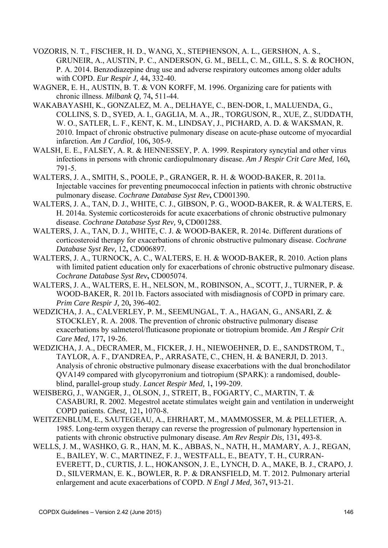- VOZORIS, N. T., FISCHER, H. D., WANG, X., STEPHENSON, A. L., GERSHON, A. S., GRUNEIR, A., AUSTIN, P. C., ANDERSON, G. M., BELL, C. M., GILL, S. S. & ROCHON, P. A. 2014. Benzodiazepine drug use and adverse respiratory outcomes among older adults with COPD. *Eur Respir J,* 44**,** 332-40.
- WAGNER, E. H., AUSTIN, B. T. & VON KORFF, M. 1996. Organizing care for patients with chronic illness. *Milbank Q,* 74**,** 511-44.
- WAKABAYASHI, K., GONZALEZ, M. A., DELHAYE, C., BEN-DOR, I., MALUENDA, G., COLLINS, S. D., SYED, A. I., GAGLIA, M. A., JR., TORGUSON, R., XUE, Z., SUDDATH, W. O., SATLER, L. F., KENT, K. M., LINDSAY, J., PICHARD, A. D. & WAKSMAN, R. 2010. Impact of chronic obstructive pulmonary disease on acute-phase outcome of myocardial infarction. *Am J Cardiol,* 106**,** 305-9.
- WALSH, E. E., FALSEY, A. R. & HENNESSEY, P. A. 1999. Respiratory syncytial and other virus infections in persons with chronic cardiopulmonary disease. *Am J Respir Crit Care Med,* 160**,** 791-5.
- WALTERS, J. A., SMITH, S., POOLE, P., GRANGER, R. H. & WOOD-BAKER, R. 2011a. Injectable vaccines for preventing pneumococcal infection in patients with chronic obstructive pulmonary disease. *Cochrane Database Syst Rev***,** CD001390.
- WALTERS, J. A., TAN, D. J., WHITE, C. J., GIBSON, P. G., WOOD-BAKER, R. & WALTERS, E. H. 2014a. Systemic corticosteroids for acute exacerbations of chronic obstructive pulmonary disease. *Cochrane Database Syst Rev,* 9**,** CD001288.
- WALTERS, J. A., TAN, D. J., WHITE, C. J. & WOOD-BAKER, R. 2014c. Different durations of corticosteroid therapy for exacerbations of chronic obstructive pulmonary disease. *Cochrane Database Syst Rev,* 12**,** CD006897.
- WALTERS, J. A., TURNOCK, A. C., WALTERS, E. H. & WOOD-BAKER, R. 2010. Action plans with limited patient education only for exacerbations of chronic obstructive pulmonary disease. *Cochrane Database Syst Rev***,** CD005074.
- WALTERS, J. A., WALTERS, E. H., NELSON, M., ROBINSON, A., SCOTT, J., TURNER, P. & WOOD-BAKER, R. 2011b. Factors associated with misdiagnosis of COPD in primary care. *Prim Care Respir J,* 20**,** 396-402.
- WEDZICHA, J. A., CALVERLEY, P. M., SEEMUNGAL, T. A., HAGAN, G., ANSARI, Z. & STOCKLEY, R. A. 2008. The prevention of chronic obstructive pulmonary disease exacerbations by salmeterol/fluticasone propionate or tiotropium bromide. *Am J Respir Crit Care Med,* 177**,** 19-26.
- WEDZICHA, J. A., DECRAMER, M., FICKER, J. H., NIEWOEHNER, D. E., SANDSTROM, T., TAYLOR, A. F., D'ANDREA, P., ARRASATE, C., CHEN, H. & BANERJI, D. 2013. Analysis of chronic obstructive pulmonary disease exacerbations with the dual bronchodilator QVA149 compared with glycopyrronium and tiotropium (SPARK): a randomised, doubleblind, parallel-group study. *Lancet Respir Med,* 1**,** 199-209.
- WEISBERG, J., WANGER, J., OLSON, J., STREIT, B., FOGARTY, C., MARTIN, T. & CASABURI, R. 2002. Megestrol acetate stimulates weight gain and ventilation in underweight COPD patients. *Chest,* 121**,** 1070-8.
- WEITZENBLUM, E., SAUTEGEAU, A., EHRHART, M., MAMMOSSER, M. & PELLETIER, A. 1985. Long-term oxygen therapy can reverse the progression of pulmonary hypertension in patients with chronic obstructive pulmonary disease. *Am Rev Respir Dis,* 131**,** 493-8.
- WELLS, J. M., WASHKO, G. R., HAN, M. K., ABBAS, N., NATH, H., MAMARY, A. J., REGAN, E., BAILEY, W. C., MARTINEZ, F. J., WESTFALL, E., BEATY, T. H., CURRAN-EVERETT, D., CURTIS, J. L., HOKANSON, J. E., LYNCH, D. A., MAKE, B. J., CRAPO, J. D., SILVERMAN, E. K., BOWLER, R. P. & DRANSFIELD, M. T. 2012. Pulmonary arterial enlargement and acute exacerbations of COPD. *N Engl J Med,* 367**,** 913-21.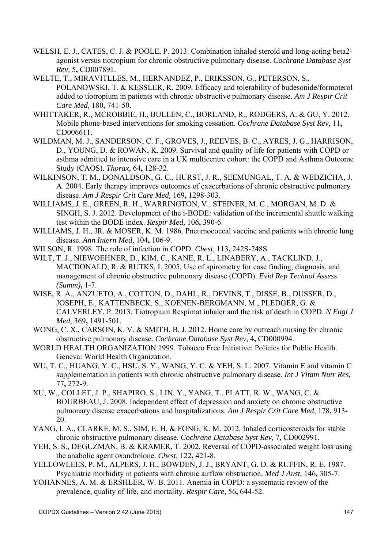- WELSH, E. J., CATES, C. J. & POOLE, P. 2013. Combination inhaled steroid and long-acting beta2 agonist versus tiotropium for chronic obstructive pulmonary disease. *Cochrane Database Syst Rev,* 5**,** CD007891.
- WELTE, T., MIRAVITLLES, M., HERNANDEZ, P., ERIKSSON, G., PETERSON, S., POLANOWSKI, T. & KESSLER, R. 2009. Efficacy and tolerability of budesonide/formoterol added to tiotropium in patients with chronic obstructive pulmonary disease. *Am J Respir Crit Care Med,* 180**,** 741-50.
- WHITTAKER, R., MCROBBIE, H., BULLEN, C., BORLAND, R., RODGERS, A. & GU, Y. 2012. Mobile phone-based interventions for smoking cessation. *Cochrane Database Syst Rev,* 11**,** CD006611.
- WILDMAN, M. J., SANDERSON, C. F., GROVES, J., REEVES, B. C., AYRES, J. G., HARRISON, D., YOUNG, D. & ROWAN, K. 2009. Survival and quality of life for patients with COPD or asthma admitted to intensive care in a UK multicentre cohort: the COPD and Asthma Outcome Study (CAOS). *Thorax,* 64**,** 128-32.
- WILKINSON, T. M., DONALDSON, G. C., HURST, J. R., SEEMUNGAL, T. A. & WEDZICHA, J. A. 2004. Early therapy improves outcomes of exacerbations of chronic obstructive pulmonary disease. *Am J Respir Crit Care Med,* 169**,** 1298-303.
- WILLIAMS, J. E., GREEN, R. H., WARRINGTON, V., STEINER, M. C., MORGAN, M. D. & SINGH, S. J. 2012. Development of the i-BODE: validation of the incremental shuttle walking test within the BODE index. *Respir Med,* 106**,** 390-6.
- WILLIAMS, J. H., JR. & MOSER, K. M. 1986. Pneumococcal vaccine and patients with chronic lung disease. *Ann Intern Med,* 104**,** 106-9.
- WILSON, R. 1998. The role of infection in COPD. *Chest,* 113**,** 242S-248S.
- WILT, T. J., NIEWOEHNER, D., KIM, C., KANE, R. L., LINABERY, A., TACKLIND, J., MACDONALD, R. & RUTKS, I. 2005. Use of spirometry for case finding, diagnosis, and management of chronic obstructive pulmonary disease (COPD). *Evid Rep Technol Assess (Summ)***,** 1-7.
- WISE, R. A., ANZUETO, A., COTTON, D., DAHL, R., DEVINS, T., DISSE, B., DUSSER, D., JOSEPH, E., KATTENBECK, S., KOENEN-BERGMANN, M., PLEDGER, G. & CALVERLEY, P. 2013. Tiotropium Respimat inhaler and the risk of death in COPD. *N Engl J Med,* 369**,** 1491-501.
- WONG, C. X., CARSON, K. V. & SMITH, B. J. 2012. Home care by outreach nursing for chronic obstructive pulmonary disease. *Cochrane Database Syst Rev,* 4**,** CD000994.
- WORLD HEALTH ORGANIZATION 1999. Tobacco Free Initiative: Policies for Public Health. Geneva: World Health Organization.
- WU, T. C., HUANG, Y. C., HSU, S. Y., WANG, Y. C. & YEH, S. L. 2007. Vitamin E and vitamin C supplementation in patients with chronic obstructive pulmonary disease. *Int J Vitam Nutr Res,* 77**,** 272-9.
- XU, W., COLLET, J. P., SHAPIRO, S., LIN, Y., YANG, T., PLATT, R. W., WANG, C. & BOURBEAU, J. 2008. Independent effect of depression and anxiety on chronic obstructive pulmonary disease exacerbations and hospitalizations. *Am J Respir Crit Care Med,* 178**,** 913- 20.
- YANG, I. A., CLARKE, M. S., SIM, E. H. & FONG, K. M. 2012. Inhaled corticosteroids for stable chronic obstructive pulmonary disease. *Cochrane Database Syst Rev,* 7**,** CD002991.
- YEH, S. S., DEGUZMAN, B. & KRAMER, T. 2002. Reversal of COPD-associated weight loss using the anabolic agent oxandrolone. *Chest,* 122**,** 421-8.
- YELLOWLEES, P. M., ALPERS, J. H., BOWDEN, J. J., BRYANT, G. D. & RUFFIN, R. E. 1987. Psychiatric morbidity in patients with chronic airflow obstruction. *Med J Aust,* 146**,** 305-7.
- YOHANNES, A. M. & ERSHLER, W. B. 2011. Anemia in COPD: a systematic review of the prevalence, quality of life, and mortality. *Respir Care,* 56**,** 644-52.